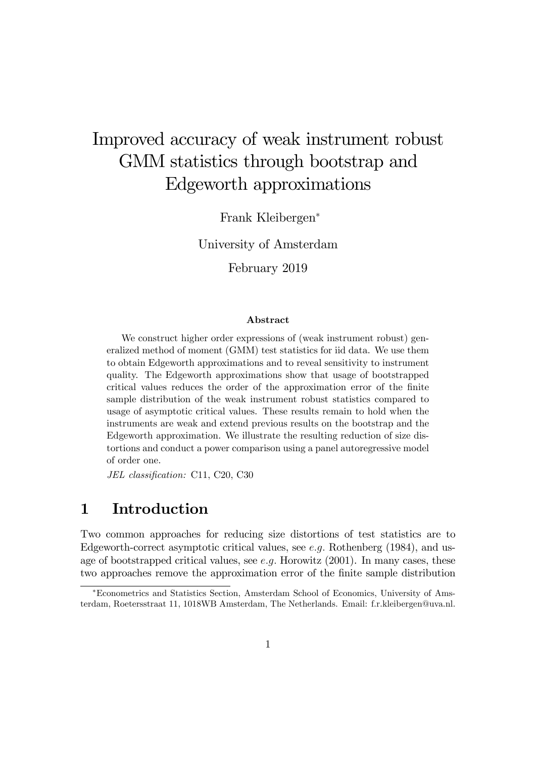# Improved accuracy of weak instrument robust GMM statistics through bootstrap and Edgeworth approximations

Frank Kleibergen

University of Amsterdam

February 2019

#### Abstract

We construct higher order expressions of (weak instrument robust) generalized method of moment (GMM) test statistics for iid data. We use them to obtain Edgeworth approximations and to reveal sensitivity to instrument quality. The Edgeworth approximations show that usage of bootstrapped critical values reduces the order of the approximation error of the finite sample distribution of the weak instrument robust statistics compared to usage of asymptotic critical values. These results remain to hold when the instruments are weak and extend previous results on the bootstrap and the Edgeworth approximation. We illustrate the resulting reduction of size distortions and conduct a power comparison using a panel autoregressive model of order one.

JEL classification: C11, C20, C30

### 1 Introduction

Two common approaches for reducing size distortions of test statistics are to Edgeworth-correct asymptotic critical values, see e.g. Rothenberg  $(1984)$ , and usage of bootstrapped critical values, see  $e,q$ . Horowitz  $(2001)$ . In many cases, these two approaches remove the approximation error of the Önite sample distribution

Econometrics and Statistics Section, Amsterdam School of Economics, University of Amsterdam, Roetersstraat 11, 1018WB Amsterdam, The Netherlands. Email: f.r.kleibergen@uva.nl.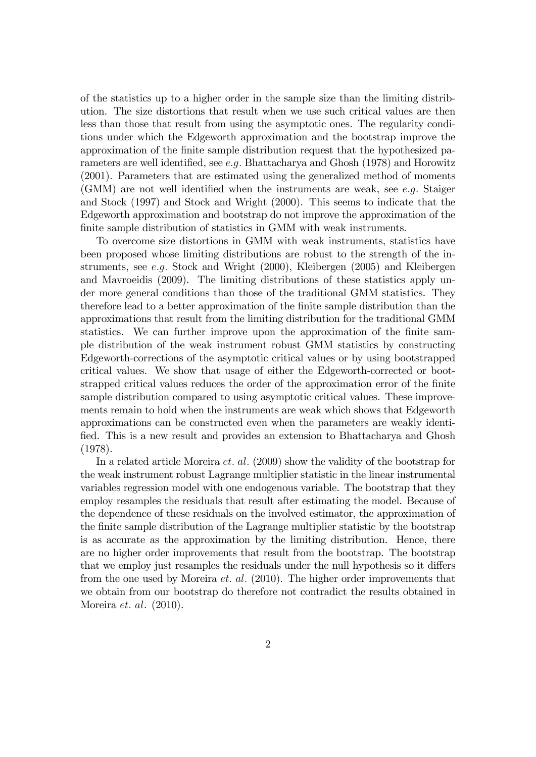of the statistics up to a higher order in the sample size than the limiting distribution. The size distortions that result when we use such critical values are then less than those that result from using the asymptotic ones. The regularity conditions under which the Edgeworth approximation and the bootstrap improve the approximation of the finite sample distribution request that the hypothesized parameters are well identified, see  $e.g.$  Bhattacharya and Ghosh (1978) and Horowitz (2001). Parameters that are estimated using the generalized method of moments (GMM) are not well identified when the instruments are weak, see e.g. Staiger and Stock (1997) and Stock and Wright (2000). This seems to indicate that the Edgeworth approximation and bootstrap do not improve the approximation of the finite sample distribution of statistics in GMM with weak instruments.

To overcome size distortions in GMM with weak instruments, statistics have been proposed whose limiting distributions are robust to the strength of the instruments, see  $e.g.$  Stock and Wright (2000), Kleibergen (2005) and Kleibergen and Mavroeidis (2009). The limiting distributions of these statistics apply under more general conditions than those of the traditional GMM statistics. They therefore lead to a better approximation of the finite sample distribution than the approximations that result from the limiting distribution for the traditional GMM statistics. We can further improve upon the approximation of the Önite sample distribution of the weak instrument robust GMM statistics by constructing Edgeworth-corrections of the asymptotic critical values or by using bootstrapped critical values. We show that usage of either the Edgeworth-corrected or bootstrapped critical values reduces the order of the approximation error of the finite sample distribution compared to using asymptotic critical values. These improvements remain to hold when the instruments are weak which shows that Edgeworth approximations can be constructed even when the parameters are weakly identified. This is a new result and provides an extension to Bhattacharya and Ghosh (1978).

In a related article Moreira *et. al.* (2009) show the validity of the bootstrap for the weak instrument robust Lagrange multiplier statistic in the linear instrumental variables regression model with one endogenous variable. The bootstrap that they employ resamples the residuals that result after estimating the model. Because of the dependence of these residuals on the involved estimator, the approximation of the finite sample distribution of the Lagrange multiplier statistic by the bootstrap is as accurate as the approximation by the limiting distribution. Hence, there are no higher order improvements that result from the bootstrap. The bootstrap that we employ just resamples the residuals under the null hypothesis so it differs from the one used by Moreira  $et.$  al. (2010). The higher order improvements that we obtain from our bootstrap do therefore not contradict the results obtained in Moreira *et. al.* (2010).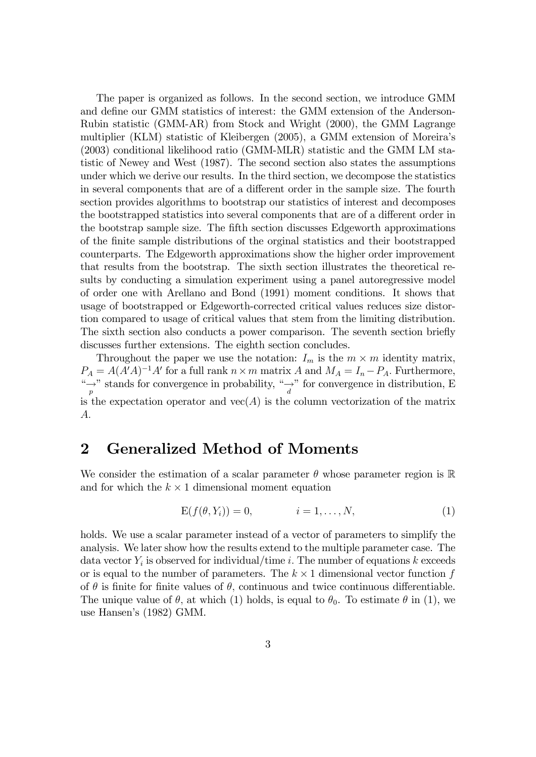The paper is organized as follows. In the second section, we introduce GMM and define our GMM statistics of interest: the GMM extension of the Anderson-Rubin statistic (GMM-AR) from Stock and Wright (2000), the GMM Lagrange multiplier (KLM) statistic of Kleibergen (2005), a GMM extension of Moreiraís (2003) conditional likelihood ratio (GMM-MLR) statistic and the GMM LM statistic of Newey and West (1987). The second section also states the assumptions under which we derive our results. In the third section, we decompose the statistics in several components that are of a different order in the sample size. The fourth section provides algorithms to bootstrap our statistics of interest and decomposes the bootstrapped statistics into several components that are of a different order in the bootstrap sample size. The Öfth section discusses Edgeworth approximations of the Önite sample distributions of the orginal statistics and their bootstrapped counterparts. The Edgeworth approximations show the higher order improvement that results from the bootstrap. The sixth section illustrates the theoretical results by conducting a simulation experiment using a panel autoregressive model of order one with Arellano and Bond (1991) moment conditions. It shows that usage of bootstrapped or Edgeworth-corrected critical values reduces size distortion compared to usage of critical values that stem from the limiting distribution. The sixth section also conducts a power comparison. The seventh section briefly discusses further extensions. The eighth section concludes.

Throughout the paper we use the notation:  $I_m$  is the  $m \times m$  identity matrix,  $P_A = A(A'A)^{-1}A'$  for a full rank  $n \times m$  matrix A and  $M_A = I_n - P_A$ . Furthermore, " $\rightarrow$ " stands for convergence in probability, " $\rightarrow$ " for convergence in distribution, E is the expectation operator and  $vec(A)$  is the column vectorization of the matrix A:

### 2 Generalized Method of Moments

We consider the estimation of a scalar parameter  $\theta$  whose parameter region is  $\mathbb R$ and for which the  $k \times 1$  dimensional moment equation

$$
E(f(\theta, Y_i)) = 0, \qquad i = 1, \dots, N,
$$
\n<sup>(1)</sup>

holds. We use a scalar parameter instead of a vector of parameters to simplify the analysis. We later show how the results extend to the multiple parameter case. The data vector  $Y_i$  is observed for individual/time *i*. The number of equations *k* exceeds or is equal to the number of parameters. The  $k \times 1$  dimensional vector function f of  $\theta$  is finite for finite values of  $\theta$ , continuous and twice continuous differentiable. The unique value of  $\theta$ , at which (1) holds, is equal to  $\theta_0$ . To estimate  $\theta$  in (1), we use Hansen's (1982) GMM.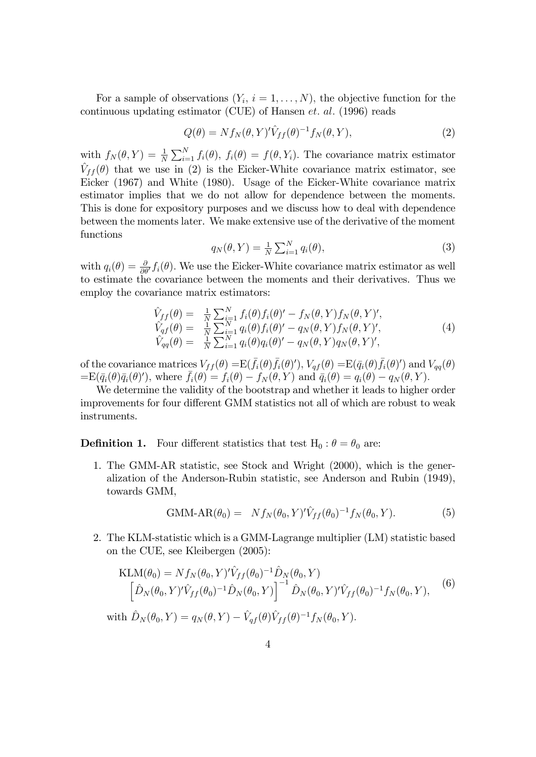For a sample of observations  $(Y_i, i = 1, \ldots, N)$ , the objective function for the continuous updating estimator (CUE) of Hansen  $et.$   $al.$  (1996) reads

$$
Q(\theta) = N f_N(\theta, Y)' \hat{V}_{ff}(\theta)^{-1} f_N(\theta, Y), \qquad (2)
$$

with  $f_N(\theta, Y) = \frac{1}{N} \sum_{i=1}^N f_i(\theta), f_i(\theta) = f(\theta, Y_i)$ . The covariance matrix estimator  $\hat{V}_{ff} (\theta)$  that we use in (2) is the Eicker-White covariance matrix estimator, see Eicker (1967) and White (1980). Usage of the Eicker-White covariance matrix estimator implies that we do not allow for dependence between the moments. This is done for expository purposes and we discuss how to deal with dependence between the moments later. We make extensive use of the derivative of the moment functions

$$
q_N(\theta, Y) = \frac{1}{N} \sum_{i=1}^N q_i(\theta), \qquad (3)
$$

with  $q_i(\theta) = \frac{\partial}{\partial \theta'} f_i(\theta)$ . We use the Eicker-White covariance matrix estimator as well to estimate the covariance between the moments and their derivatives. Thus we employ the covariance matrix estimators:

$$
\hat{V}_{ff}(\theta) = \frac{1}{N} \sum_{i=1}^{N} f_i(\theta) f_i(\theta)' - f_N(\theta, Y) f_N(\theta, Y)', \n\hat{V}_{gf}(\theta) = \frac{1}{N} \sum_{i=1}^{N} q_i(\theta) f_i(\theta)' - q_N(\theta, Y) f_N(\theta, Y)', \n\hat{V}_{qq}(\theta) = \frac{1}{N} \sum_{i=1}^{N} q_i(\theta) q_i(\theta)' - q_N(\theta, Y) q_N(\theta, Y)',
$$
\n(4)

of the covariance matrices  $V_{ff}(\theta) = \mathbb{E}(\bar{f}_i(\theta)\bar{f}_i(\theta)'), V_{qf}(\theta) = \mathbb{E}(\bar{q}_i(\theta)\bar{f}_i(\theta)')$  and  $V_{qq}(\theta)$  $=$ E $(\bar{q}_i(\theta)\bar{q}_i(\theta)')$ , where  $\bar{f}_i(\theta) = f_i(\theta) - f_N(\theta, Y)$  and  $\bar{q}_i(\theta) = q_i(\theta) - q_N(\theta, Y)$ .

We determine the validity of the bootstrap and whether it leads to higher order improvements for four different GMM statistics not all of which are robust to weak instruments.

**Definition 1.** Four different statistics that test  $H_0$ :  $\theta = \theta_0$  are:

1. The GMM-AR statistic, see Stock and Wright (2000), which is the generalization of the Anderson-Rubin statistic, see Anderson and Rubin (1949), towards GMM,

GMM-AR
$$
(\theta_0)
$$
 =  $Nf_N(\theta_0, Y)'\hat{V}_{ff}(\theta_0)^{-1}f_N(\theta_0, Y).$  (5)

2. The KLM-statistic which is a GMM-Lagrange multiplier (LM) statistic based on the CUE, see Kleibergen (2005):

$$
\text{KLM}(\theta_0) = N f_N(\theta_0, Y)' \hat{V}_{ff}(\theta_0)^{-1} \hat{D}_N(\theta_0, Y) \n\left[ \hat{D}_N(\theta_0, Y)' \hat{V}_{ff}(\theta_0)^{-1} \hat{D}_N(\theta_0, Y) \right]^{-1} \hat{D}_N(\theta_0, Y)' \hat{V}_{ff}(\theta_0)^{-1} f_N(\theta_0, Y),
$$
\n
$$
\text{(6)}
$$
\n
$$
\text{Hilb } \hat{D}_N(\theta_0, Y) = g_N(\theta, Y) - \hat{V}_{st}(\theta) \hat{V}_{st}(\theta)^{-1} f_N(\theta_0, Y).
$$

with  $\hat{D}_N (\theta_0, Y) = q_N (\theta, Y) - \hat{V}_{qf} (\theta) \hat{V}_{ff} (\theta)^{-1} f_N (\theta_0, Y)$ .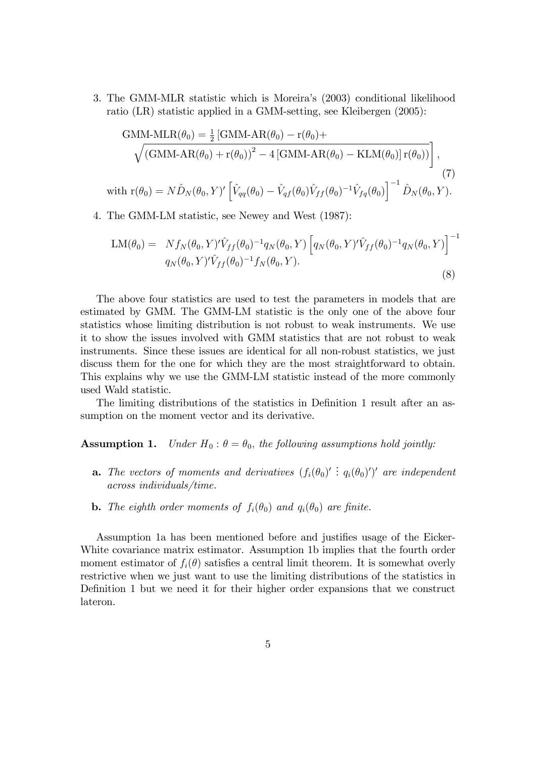3. The GMM-MLR statistic which is Moreiraís (2003) conditional likelihood ratio (LR) statistic applied in a GMM-setting, see Kleibergen (2005):

GMM-MLR
$$
(\theta_0)
$$
 =  $\frac{1}{2}$  [GMM-AR $(\theta_0)$  -  $r(\theta_0)$ +  
\n
$$
\sqrt{(GMM-AR(\theta_0) + r(\theta_0))^2 - 4 [GMM-AR(\theta_0) - KLM(\theta_0)] r(\theta_0))}
$$
,  
\nwith  $r(\theta_0) = N\hat{D}_N(\theta_0, Y)'\left[\hat{V}_{qq}(\theta_0) - \hat{V}_{qf}(\theta_0)\hat{V}_{ff}(\theta_0)^{-1}\hat{V}_{fq}(\theta_0)\right]^{-1}\hat{D}_N(\theta_0, Y).$  (7)

4. The GMM-LM statistic, see Newey and West (1987):

$$
LM(\theta_0) = Nf_N(\theta_0, Y)' \hat{V}_{ff}(\theta_0)^{-1} q_N(\theta_0, Y) \left[ q_N(\theta_0, Y)' \hat{V}_{ff}(\theta_0)^{-1} q_N(\theta_0, Y) \right]^{-1}
$$
  
\n
$$
q_N(\theta_0, Y)' \hat{V}_{ff}(\theta_0)^{-1} f_N(\theta_0, Y).
$$
\n(8)

The above four statistics are used to test the parameters in models that are estimated by GMM. The GMM-LM statistic is the only one of the above four statistics whose limiting distribution is not robust to weak instruments. We use it to show the issues involved with GMM statistics that are not robust to weak instruments. Since these issues are identical for all non-robust statistics, we just discuss them for the one for which they are the most straightforward to obtain. This explains why we use the GMM-LM statistic instead of the more commonly used Wald statistic.

The limiting distributions of the statistics in Definition 1 result after an assumption on the moment vector and its derivative.

**Assumption 1.** Under  $H_0: \theta = \theta_0$ , the following assumptions hold jointly:

- **a.** The vectors of moments and derivatives  $(f_i(\theta_0)' : q_i(\theta_0)')'$  are independent across individuals/time.
- **b.** The eighth order moments of  $f_i(\theta_0)$  and  $q_i(\theta_0)$  are finite.

Assumption 1a has been mentioned before and justifies usage of the Eicker-White covariance matrix estimator. Assumption 1b implies that the fourth order moment estimator of  $f_i(\theta)$  satisfies a central limit theorem. It is somewhat overly restrictive when we just want to use the limiting distributions of the statistics in Definition 1 but we need it for their higher order expansions that we construct lateron.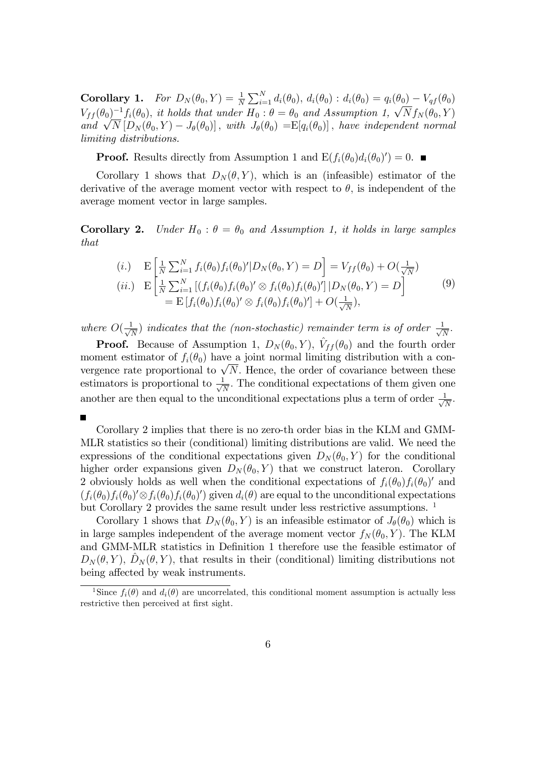**Corollary 1.** For  $D_N(\theta_0, Y) = \frac{1}{N} \sum_{i=1}^N d_i(\theta_0), d_i(\theta_0) : d_i(\theta_0) = q_i(\theta_0) - V_{qf}(\theta_0)$  $V_{ff} (\theta_0)^{-1} f_i(\theta_0)$ , it holds that under  $H_0 : \theta = \theta_0$  and Assumption 1,  $\sqrt{N} f_N(\theta_0, Y)$ and  $\sqrt{N}$   $[D_N(\theta_0, Y) - J_\theta(\theta_0)]$ , with  $J_\theta(\theta_0) = E[q_i(\theta_0)]$ , have independent normal limiting distributions.

**Proof.** Results directly from Assumption 1 and  $E(f_i(\theta_0)d_i(\theta_0)')=0$ .

Corollary 1 shows that  $D_N(\theta, Y)$ , which is an (infeasible) estimator of the derivative of the average moment vector with respect to  $\theta$ , is independent of the average moment vector in large samples.

**Corollary 2.** Under  $H_0$ :  $\theta = \theta_0$  and Assumption 1, it holds in large samples that

$$
(i.) \tE\left[\frac{1}{N}\sum_{i=1}^{N}f_i(\theta_0)f_i(\theta_0)'|D_N(\theta_0,Y) = D\right] = V_{ff}(\theta_0) + O(\frac{1}{\sqrt{N}})
$$
  
\n
$$
(ii.) \tE\left[\frac{1}{N}\sum_{i=1}^{N}\left[(f_i(\theta_0)f_i(\theta_0)'\otimes f_i(\theta_0)f_i(\theta_0)'\right]|D_N(\theta_0,Y) = D\right]
$$
  
\n
$$
= E\left[f_i(\theta_0)f_i(\theta_0)'\otimes f_i(\theta_0)f_i(\theta_0)'\right] + O(\frac{1}{\sqrt{N}}),
$$
\n(9)

where  $O(\frac{1}{\sqrt{2}})$  $\frac{1}{N}$ ) indicates that the (non-stochastic) remainder term is of order  $\frac{1}{\sqrt{N}}$  $\frac{1}{N}$  .

**Proof.** Because of Assumption 1,  $D_N(\theta_0, Y)$ ,  $\hat{V}_{ff}(\theta_0)$  and the fourth order moment estimator of  $f_i(\theta_0)$  have a joint normal limiting distribution with a convergence rate proportional to  $\sqrt{N}$ . Hence, the order of covariance between these estimators is proportional to  $\frac{1}{\sqrt{2}}$  $\frac{1}{N}$ . The conditional expectations of them given one another are then equal to the unconditional expectations plus a term of order  $\frac{1}{\sqrt{2}}$  $\frac{1}{N}$ .

П

Corollary 2 implies that there is no zero-th order bias in the KLM and GMM-MLR statistics so their (conditional) limiting distributions are valid. We need the expressions of the conditional expectations given  $D_N(\theta_0, Y)$  for the conditional higher order expansions given  $D_N(\theta_0, Y)$  that we construct lateron. Corollary 2 obviously holds as well when the conditional expectations of  $f_i(\theta_0) f_i(\theta_0)'$  and  $(f_i(\theta_0)f_i(\theta_0)'\otimes f_i(\theta_0)f_i(\theta_0)')$  given  $d_i(\theta)$  are equal to the unconditional expectations but Corollary 2 provides the same result under less restrictive assumptions.  $1$ 

Corollary 1 shows that  $D_N(\theta_0, Y)$  is an infeasible estimator of  $J_\theta(\theta_0)$  which is in large samples independent of the average moment vector  $f_N(\theta_0, Y)$ . The KLM and GMM-MLR statistics in Definition 1 therefore use the feasible estimator of  $D_N(\theta, Y)$ ,  $D_N(\theta, Y)$ , that results in their (conditional) limiting distributions not being affected by weak instruments.

<sup>&</sup>lt;sup>1</sup>Since  $f_i(\theta)$  and  $d_i(\theta)$  are uncorrelated, this conditional moment assumption is actually less restrictive then perceived at first sight.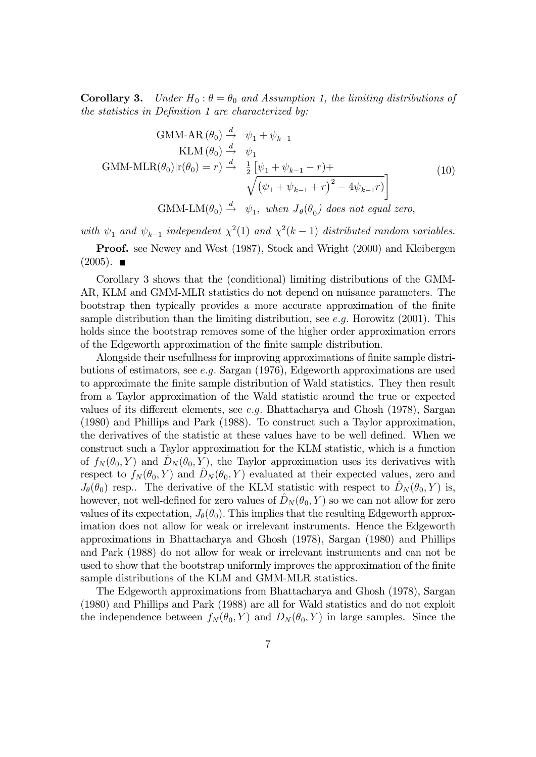**Corollary 3.** Under  $H_0: \theta = \theta_0$  and Assumption 1, the limiting distributions of the statistics in Definition 1 are characterized by:

$$
\text{GMM-AR}(\theta_0) \stackrel{d}{\rightarrow} \psi_1 + \psi_{k-1}
$$
\n
$$
\text{KLM}(\theta_0) \stackrel{d}{\rightarrow} \psi_1
$$
\n
$$
\text{GMM-MLR}(\theta_0)|r(\theta_0) = r) \stackrel{d}{\rightarrow} \frac{1}{2} \left[ \psi_1 + \psi_{k-1} - r \right] + \sqrt{\left( \psi_1 + \psi_{k-1} + r \right)^2 - 4\psi_{k-1}r} \bigg]
$$
\n
$$
\text{GMM-LM}(\theta_0) \stackrel{d}{\rightarrow} \psi_1, \text{ when } J_{\theta}(\theta_0) \text{ does not equal zero},
$$
\n
$$
(10)
$$

with  $\psi_1$  and  $\psi_{k-1}$  independent  $\chi^2(1)$  and  $\chi^2(k-1)$  distributed random variables.

Proof. see Newey and West (1987), Stock and Wright (2000) and Kleibergen  $(2005)$ .

Corollary 3 shows that the (conditional) limiting distributions of the GMM-AR, KLM and GMM-MLR statistics do not depend on nuisance parameters. The bootstrap then typically provides a more accurate approximation of the finite sample distribution than the limiting distribution, see e.g. Horowitz  $(2001)$ . This holds since the bootstrap removes some of the higher order approximation errors of the Edgeworth approximation of the Önite sample distribution.

Alongside their usefullness for improving approximations of finite sample distributions of estimators, see e:g: Sargan (1976), Edgeworth approximations are used to approximate the finite sample distribution of Wald statistics. They then result from a Taylor approximation of the Wald statistic around the true or expected values of its different elements, see e.g. Bhattacharya and Ghosh (1978), Sargan (1980) and Phillips and Park (1988). To construct such a Taylor approximation, the derivatives of the statistic at these values have to be well defined. When we construct such a Taylor approximation for the KLM statistic, which is a function of  $f_N (\theta_0, Y)$  and  $D_N (\theta_0, Y)$ , the Taylor approximation uses its derivatives with respect to  $f_N(\theta_0, Y)$  and  $D_N(\theta_0, Y)$  evaluated at their expected values, zero and  $J_{\theta}(\theta_0)$  resp.. The derivative of the KLM statistic with respect to  $\hat{D}_N (\theta_0, Y)$  is, however, not well-defined for zero values of  $D_N (\theta_0, Y)$  so we can not allow for zero values of its expectation,  $J_{\theta}(\theta_0)$ . This implies that the resulting Edgeworth approximation does not allow for weak or irrelevant instruments. Hence the Edgeworth approximations in Bhattacharya and Ghosh (1978), Sargan (1980) and Phillips and Park (1988) do not allow for weak or irrelevant instruments and can not be used to show that the bootstrap uniformly improves the approximation of the finite sample distributions of the KLM and GMM-MLR statistics.

The Edgeworth approximations from Bhattacharya and Ghosh (1978), Sargan (1980) and Phillips and Park (1988) are all for Wald statistics and do not exploit the independence between  $f_N(\theta_0, Y)$  and  $D_N(\theta_0, Y)$  in large samples. Since the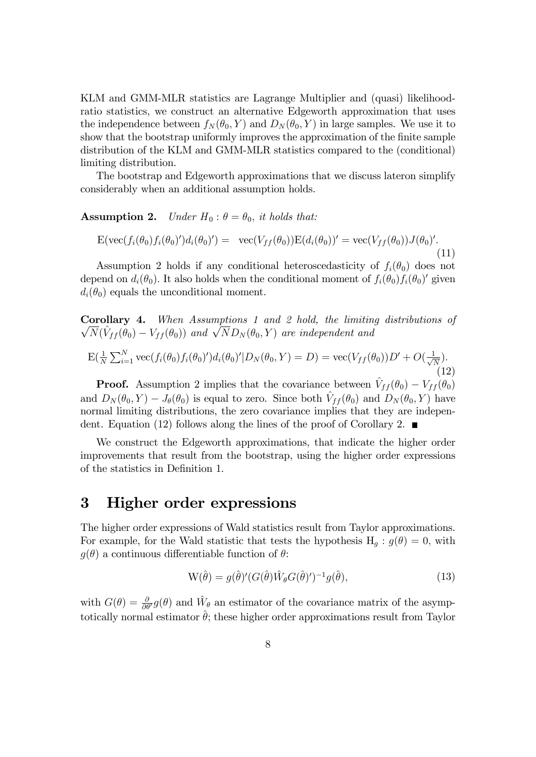KLM and GMM-MLR statistics are Lagrange Multiplier and (quasi) likelihoodratio statistics, we construct an alternative Edgeworth approximation that uses the independence between  $f_N(\theta_0, Y)$  and  $D_N(\theta_0, Y)$  in large samples. We use it to show that the bootstrap uniformly improves the approximation of the finite sample distribution of the KLM and GMM-MLR statistics compared to the (conditional) limiting distribution.

The bootstrap and Edgeworth approximations that we discuss lateron simplify considerably when an additional assumption holds.

**Assumption 2.** Under  $H_0: \theta = \theta_0$ , it holds that:

$$
\mathcal{E}(\text{vec}(f_i(\theta_0)f_i(\theta_0)')d_i(\theta_0)') = \text{vec}(V_{ff}(\theta_0))\mathcal{E}(d_i(\theta_0))' = \text{vec}(V_{ff}(\theta_0))J(\theta_0)'.\tag{11}
$$

Assumption 2 holds if any conditional heteroscedasticity of  $f_i(\theta_0)$  does not depend on  $d_i(\theta_0)$ . It also holds when the conditional moment of  $f_i(\theta_0) f_i(\theta_0)'$  given  $d_i(\theta_0)$  equals the unconditional moment.

Corollary 4. When Assumptions 1 and 2 hold, the limiting distributions of  $\sqrt{N}(\hat{V}_{ff}(\theta_0) - V_{ff}(\theta_0))$  and  $\sqrt{N}D_N(\theta_0, Y)$  are independent and

$$
E(\frac{1}{N}\sum_{i=1}^{N}\text{vec}(f_i(\theta_0)f_i(\theta_0)')d_i(\theta_0)'|D_N(\theta_0,Y) = D) = \text{vec}(V_{ff}(\theta_0))D' + O(\frac{1}{\sqrt{N}}).
$$
\n(12)

**Proof.** Assumption 2 implies that the covariance between  $\hat{V}_{ff} (\theta_0) - V_{ff} (\theta_0)$ and  $D_N(\theta_0, Y) - J_\theta(\theta_0)$  is equal to zero. Since both  $\hat{V}_{ff} (\theta_0)$  and  $D_N(\theta_0, Y)$  have normal limiting distributions, the zero covariance implies that they are independent. Equation (12) follows along the lines of the proof of Corollary 2.

We construct the Edgeworth approximations, that indicate the higher order improvements that result from the bootstrap, using the higher order expressions of the statistics in DeÖnition 1.

### 3 Higher order expressions

The higher order expressions of Wald statistics result from Taylor approximations. For example, for the Wald statistic that tests the hypothesis  $H_q : g(\theta) = 0$ , with  $g(\theta)$  a continuous differentiable function of  $\theta$ :

$$
W(\hat{\theta}) = g(\hat{\theta})'(G(\hat{\theta})\hat{W}_{\theta}G(\hat{\theta})')^{-1}g(\hat{\theta}),
$$
\n(13)

with  $G(\theta) = \frac{\partial}{\partial \theta'} g(\theta)$  and  $\hat{W}_{\theta}$  an estimator of the covariance matrix of the asymptotically normal estimator  $\hat{\theta}$ ; these higher order approximations result from Taylor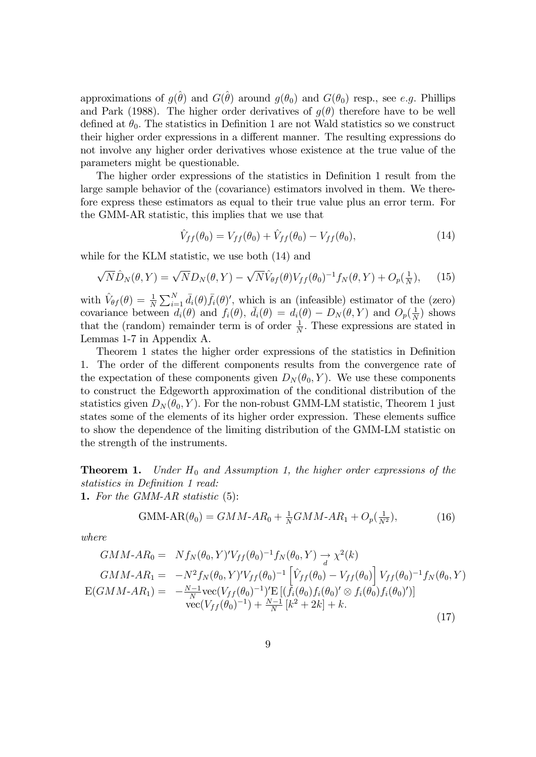approximations of  $g(\hat{\theta})$  and  $G(\hat{\theta})$  around  $g(\theta_0)$  and  $G(\theta_0)$  resp., see e.g. Phillips and Park (1988). The higher order derivatives of  $g(\theta)$  therefore have to be well defined at  $\theta_0$ . The statistics in Definition 1 are not Wald statistics so we construct their higher order expressions in a different manner. The resulting expressions do not involve any higher order derivatives whose existence at the true value of the parameters might be questionable.

The higher order expressions of the statistics in Definition 1 result from the large sample behavior of the (covariance) estimators involved in them. We therefore express these estimators as equal to their true value plus an error term. For the GMM-AR statistic, this implies that we use that

$$
\hat{V}_{ff}(\theta_0) = V_{ff}(\theta_0) + \hat{V}_{ff}(\theta_0) - V_{ff}(\theta_0),
$$
\n(14)

while for the KLM statistic, we use both (14) and

$$
\sqrt{N}\hat{D}_N(\theta, Y) = \sqrt{N}D_N(\theta, Y) - \sqrt{N}\hat{V}_{\theta f}(\theta)V_{ff}(\theta_0)^{-1}f_N(\theta, Y) + O_p(\frac{1}{N}), \quad (15)
$$

with  $\hat{V}_{\theta f}(\theta) = \frac{1}{N} \sum_{i=1}^{N} \bar{d}_i(\theta) \bar{f}_i(\theta)'$ , which is an (infeasible) estimator of the (zero) when  $\mathbf{v}_{\theta f}(\theta) = N \sum_{i=1}^N a_i(\theta) j_i(\theta)$ , when is an (inclusion) estimator of the covariance between  $d_i(\theta)$  and  $f_i(\theta)$ ,  $\bar{d}_i(\theta) = d_i(\theta) - D_N(\theta, Y)$  and  $O_p(\frac{1}{N})$  $\frac{1}{N}$ ) shows that the (random) remainder term is of order  $\frac{1}{N}$ . These expressions are stated in Lemmas 1-7 in Appendix A.

Theorem 1 states the higher order expressions of the statistics in Definition 1. The order of the different components results from the convergence rate of the expectation of these components given  $D_N(\theta_0, Y)$ . We use these components to construct the Edgeworth approximation of the conditional distribution of the statistics given  $D_N(\theta_0, Y)$ . For the non-robust GMM-LM statistic, Theorem 1 just states some of the elements of its higher order expression. These elements suffice to show the dependence of the limiting distribution of the GMM-LM statistic on the strength of the instruments.

**Theorem 1.** Under  $H_0$  and Assumption 1, the higher order expressions of the statistics in Definition 1 read:

1. For the GMM-AR statistic  $(5)$ :

$$
\text{GMM-AR}(\theta_0) = GMM - AR_0 + \frac{1}{N} GMM - AR_1 + O_p(\frac{1}{N^2}),\tag{16}
$$

where

$$
GMM - AR_0 = Nf_N(\theta_0, Y)'V_{ff}(\theta_0)^{-1}f_N(\theta_0, Y) \to \chi^2(k)
$$
  
\n
$$
GMM - AR_1 = -N^2f_N(\theta_0, Y)'V_{ff}(\theta_0)^{-1} \left[ \hat{V}_{ff}(\theta_0) - V_{ff}(\theta_0) \right] V_{ff}(\theta_0)^{-1}f_N(\theta_0, Y)
$$
  
\n
$$
E(GMM - AR_1) = -\frac{N-1}{N} \text{vec}(V_{ff}(\theta_0)^{-1})' E \left[ (f_i(\theta_0) f_i(\theta_0)' \otimes f_i(\theta_0) f_i(\theta_0)' \right]
$$
  
\n
$$
\text{vec}(V_{ff}(\theta_0)^{-1}) + \frac{N-1}{N} [k^2 + 2k] + k.
$$
\n(17)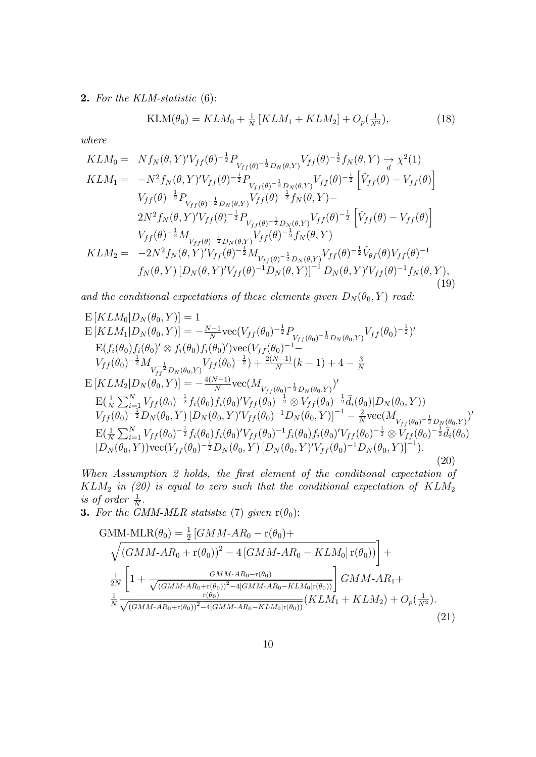2. For the KLM-statistic (6):

$$
KLM(\theta_0) = KLM_0 + \frac{1}{N} \left[ KLM_1 + KLM_2 \right] + O_p(\frac{1}{N^2}),\tag{18}
$$

where

$$
KLM_{0} = Nf_{N}(\theta, Y)'V_{ff}(\theta)^{-\frac{1}{2}}P_{V_{ff}(\theta)^{-\frac{1}{2}}D_{N}(\theta, Y)}V_{ff}(\theta)^{-\frac{1}{2}}f_{N}(\theta, Y) \rightarrow \chi^{2}(1)
$$
  
\n
$$
KLM_{1} = -N^{2}f_{N}(\theta, Y)'V_{ff}(\theta)^{-\frac{1}{2}}P_{V_{ff}(\theta)^{-\frac{1}{2}}D_{N}(\theta, Y)}V_{ff}(\theta)^{-\frac{1}{2}}\left[\hat{V}_{ff}(\theta) - V_{ff}(\theta)\right]
$$
  
\n
$$
V_{ff}(\theta)^{-\frac{1}{2}}P_{V_{ff}(\theta)^{-\frac{1}{2}}D_{N}(\theta, Y)}V_{ff}(\theta)^{-\frac{1}{2}}f_{N}(\theta, Y) -
$$
  
\n
$$
2N^{2}f_{N}(\theta, Y)'V_{ff}(\theta)^{-\frac{1}{2}}P_{V_{ff}(\theta)^{-\frac{1}{2}}D_{N}(\theta, Y)}V_{ff}(\theta)^{-\frac{1}{2}}\left[\hat{V}_{ff}(\theta) - V_{ff}(\theta)\right]
$$
  
\n
$$
V_{ff}(\theta)^{-\frac{1}{2}}M_{V_{ff}(\theta)^{-\frac{1}{2}}D_{N}(\theta, Y)}V_{ff}(\theta)^{-\frac{1}{2}}f_{N}(\theta, Y)
$$
  
\n
$$
KLM_{2} = -2N^{2}f_{N}(\theta, Y)'V_{ff}(\theta)^{-\frac{1}{2}}M_{V_{ff}(\theta)^{-\frac{1}{2}}D_{N}(\theta, Y)}V_{ff}(\theta)^{-\frac{1}{2}}\hat{V}_{\theta f}(\theta)V_{ff}(\theta)^{-1}
$$
  
\n
$$
f_{N}(\theta, Y)[D_{N}(\theta, Y)'V_{ff}(\theta)^{-1}D_{N}(\theta, Y)]^{-1}D_{N}(\theta, Y)'V_{ff}(\theta)^{-1}f_{N}(\theta, Y),
$$
\n(19)

and the conditional expectations of these elements given  $D_N(\theta_0, Y)$  read:

$$
E\left[KLM_{0}|D_{N}(\theta_{0},Y)\right] = 1
$$
\n
$$
E\left[KLM_{1}|D_{N}(\theta_{0},Y)\right] = -\frac{N-1}{N}\text{vec}(V_{ff}(\theta_{0})^{-\frac{1}{2}}P_{V_{ff}(\theta_{0})^{-\frac{1}{2}}D_{N}(\theta_{0},Y)}V_{ff}(\theta_{0})^{-\frac{1}{2}})^{\prime}
$$
\n
$$
E(f_{i}(\theta_{0})f_{i}(\theta_{0})^{\prime} \otimes f_{i}(\theta_{0})f_{i}(\theta_{0})^{\prime})\text{vec}(V_{ff}(\theta_{0})^{-1}-V_{ff}(\theta_{0})^{-\frac{1}{2}}M_{V_{ff}^{-\frac{1}{2}}D_{N}(\theta_{0},Y)}V_{ff}(\theta_{0})^{-\frac{1}{2}})+\frac{2(N-1)}{N}(k-1)+4-\frac{3}{N}
$$
\n
$$
E\left[KLM_{2}|D_{N}(\theta_{0},Y)\right] = -\frac{4(N-1)}{N}\text{vec}(M_{V_{ff}(\theta_{0})^{-\frac{1}{2}}D_{N}(\theta_{0},Y)}V
$$
\n
$$
E\left(\frac{1}{N}\sum_{i=1}^{N}V_{ff}(\theta_{0})^{-\frac{1}{2}}f_{i}(\theta_{0})f_{i}(\theta_{0})^{\prime}V_{ff}(\theta_{0})^{-\frac{1}{2}} \otimes V_{ff}(\theta_{0})^{-\frac{1}{2}}\bar{d}_{i}(\theta_{0})|D_{N}(\theta_{0},Y)\right)
$$
\n
$$
V_{ff}(\theta_{0})^{-\frac{1}{2}}D_{N}(\theta_{0},Y)\left[D_{N}(\theta_{0},Y)^{\prime}V_{ff}(\theta_{0})^{-1}D_{N}(\theta_{0},Y)\right]^{-1}-\frac{2}{N}\text{vec}(M_{V_{ff}(\theta_{0})^{-\frac{1}{2}}D_{N}(\theta_{0},Y)}V_{ff}(\theta_{0})^{-\frac{1}{2}}\bar{d}_{i}(\theta_{0})V_{ff}(\theta_{0})^{-\frac{1}{2}}\bar{d}_{i}(\theta_{0})
$$
\n
$$
|D_{N}(\theta_{0},Y)\text{vec}(V_{ff}(\theta_{0})^{-\frac{1}{2}}D_{N}(\theta_{0},Y)\left[D_{N}(\theta_{0},Y)^{\prime}V_{ff}(\theta_{
$$

When Assumption 2 holds, the first element of the conditional expectation of  $KLM_2$  in (20) is equal to zero such that the conditional expectation of  $KLM_2$ is of order  $\frac{1}{N}$ .

**3.** For the GMM-MLR statistic (7) given  $r(\theta_0)$ :

GMM-MLR(
$$
\theta_0
$$
) =  $\frac{1}{2}$  [ $GMM-AR_0 - r(\theta_0)$ +  
\n $\sqrt{(GMM-AR_0 + r(\theta_0))^2 - 4 [GMM-AR_0 - KLM_0] r(\theta_0))}$  +  
\n $\frac{1}{2N} \left[ 1 + \frac{GMM-AR_0 - r(\theta_0)}{\sqrt{(GMM-AR_0 + r(\theta_0))^2 - 4[GMM-AR_0 - KLM_0] r(\theta_0))}} \right] GMM-AR_1 +$   
\n $\frac{1}{N} \frac{r(\theta_0)}{\sqrt{(GMM-AR_0 + r(\theta_0))^2 - 4[GMM-AR_0 - KLM_0] r(\theta_0))}} (KLM_1 + KLM_2) + O_p(\frac{1}{N^2}).$ \n(21)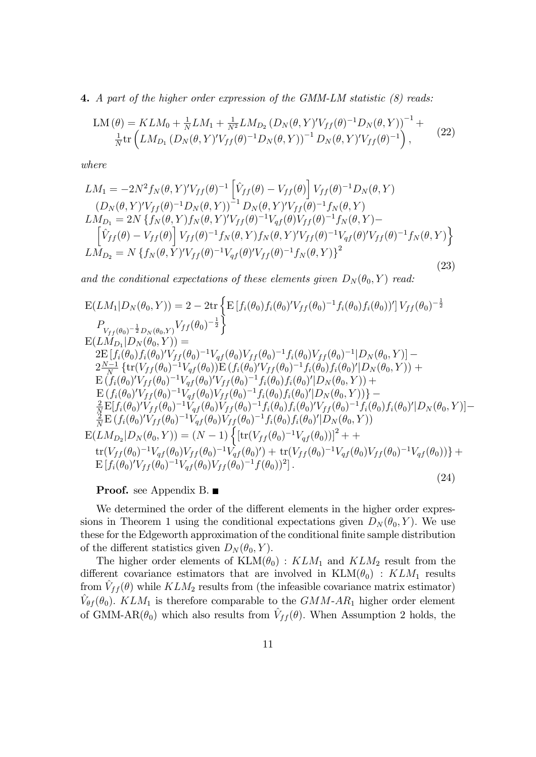4. A part of the higher order expression of the GMM-LM statistic (8) reads:

$$
LM(\theta) = KL M_0 + \frac{1}{N} LM_1 + \frac{1}{N^2} LM_{D_2} (D_N(\theta, Y)' V_{ff}(\theta)^{-1} D_N(\theta, Y))^{-1} + \frac{1}{N} tr(L M_{D_1} (D_N(\theta, Y)' V_{ff}(\theta)^{-1} D_N(\theta, Y))^{-1} D_N(\theta, Y)' V_{ff}(\theta)^{-1}),
$$
\n(22)

where

$$
LM_{1} = -2N^{2} f_{N}(\theta, Y)' V_{ff}(\theta)^{-1} \left[ \hat{V}_{ff}(\theta) - V_{ff}(\theta) \right] V_{ff}(\theta)^{-1} D_{N}(\theta, Y)
$$
  
\n
$$
(D_{N}(\theta, Y)' V_{ff}(\theta)^{-1} D_{N}(\theta, Y))^{-1} D_{N}(\theta, Y)' V_{ff}(\theta)^{-1} f_{N}(\theta, Y)
$$
  
\n
$$
LM_{D_{1}} = 2N \left\{ f_{N}(\theta, Y) f_{N}(\theta, Y)' V_{ff}(\theta)^{-1} V_{qf}(\theta) V_{ff}(\theta)^{-1} f_{N}(\theta, Y) - \left[ \hat{V}_{ff}(\theta) - V_{ff}(\theta) \right] V_{ff}(\theta)^{-1} f_{N}(\theta, Y) f_{N}(\theta, Y)' V_{ff}(\theta)^{-1} V_{qf}(\theta)' V_{ff}(\theta)^{-1} f_{N}(\theta, Y) \right\}
$$
  
\n
$$
LM_{D_{2}} = N \left\{ f_{N}(\theta, Y)' V_{ff}(\theta)^{-1} V_{qf}(\theta)' V_{ff}(\theta)^{-1} f_{N}(\theta, Y) \right\}^{2}
$$
\n(23)

and the conditional expectations of these elements given  $D_N(\theta_0, Y)$  read:

$$
E(LM_{1}|D_{N}(\theta_{0},Y)) = 2 - 2 \text{tr} \left\{ E \left[ f_{i}(\theta_{0}) f_{i}(\theta_{0})' V_{ff}(\theta_{0})^{-1} f_{i}(\theta_{0}) f_{i}(\theta_{0}) \right] \right] V_{ff}(\theta_{0})^{-\frac{1}{2}} \n P_{V_{ff}(\theta_{0})^{-\frac{1}{2}}D_{N}(\theta_{0},Y)} V_{ff}(\theta_{0})^{-\frac{1}{2}} \right\} \nE(LM_{D_{1}}|D_{N}(\theta_{0},Y)) = \n 2E \left[ f_{i}(\theta_{0}) f_{i}(\theta_{0})' V_{ff}(\theta_{0})^{-1} V_{qf}(\theta_{0}) V_{ff}(\theta_{0})^{-1} f_{i}(\theta_{0}) V_{ff}(\theta_{0})^{-1} |D_{N}(\theta_{0},Y)| - \n 2 \frac{N-1}{N} \left\{ \text{tr}(V_{ff}(\theta_{0})^{-1} V_{qf}(\theta_{0})) E \left( f_{i}(\theta_{0})' V_{ff}(\theta_{0})^{-1} f_{i}(\theta_{0}) f_{i}(\theta_{0})' |D_{N}(\theta_{0},Y) \right) + \n E \left( f_{i}(\theta_{0})' V_{ff}(\theta_{0})^{-1} V_{qf}(\theta_{0})' V_{ff}(\theta_{0})^{-1} f_{i}(\theta_{0}) f_{i}(\theta_{0})' |D_{N}(\theta_{0},Y) \right) + \n E \left( f_{i}(\theta_{0})' V_{ff}(\theta_{0})^{-1} V_{qf}(\theta_{0}) V_{ff}(\theta_{0})^{-1} f_{i}(\theta_{0}) f_{i}(\theta_{0})' |D_{N}(\theta_{0},Y) \right) - \n 2 \frac{N}{N} E[f_{i}(\theta_{0})' V_{ff}(\theta_{0})^{-1} V_{qf}(\theta_{0}) V_{ff}(\theta_{0})^{-1} f_{i}(\theta_{0}) f_{i}(\theta_{0})' |D_{N}(\theta_{0},Y) \right) - \n 2 \frac{N}{N} E(f_{i}(\theta_{0})' V_{ff}(\theta_{0})^{-1} V_{qf}(\theta_{0}) V_{ff}(\theta_{0})^{-1} f_{i}(\theta_{0}) f_{i}(\theta_{0})' |D_{N}(\theta_{0},Y) \right) - \n 2
$$

#### Proof. see Appendix B. ■

We determined the order of the different elements in the higher order expressions in Theorem 1 using the conditional expectations given  $D_N(\theta_0, Y)$ . We use these for the Edgeworth approximation of the conditional finite sample distribution of the different statistics given  $D_N(\theta_0, Y)$ .

The higher order elements of  $KLM(\theta_0)$ :  $KLM_1$  and  $KLM_2$  result from the different covariance estimators that are involved in  $KLM(\theta_0)$ :  $KLM_1$  results from  $\hat{V}_{ff} (\theta)$  while  $KLM_2$  results from (the infeasible covariance matrix estimator)  $\hat{V}_{\theta f}(\theta_0)$ . KLM<sub>1</sub> is therefore comparable to the GMM-AR<sub>1</sub> higher order element of GMM-AR $(\theta_0)$  which also results from  $\hat{V}_{ff} (\theta)$ . When Assumption 2 holds, the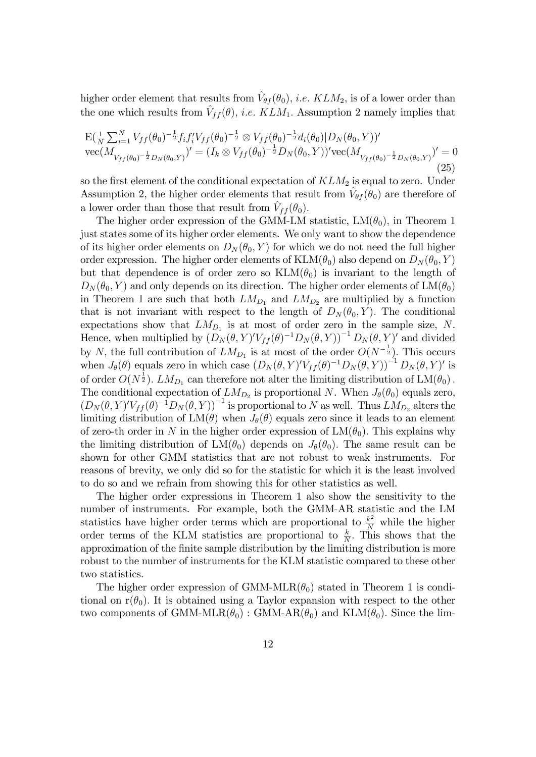higher order element that results from  $\hat{V}_{\theta f}(\theta_0)$ , *i.e.* KLM<sub>2</sub>, is of a lower order than the one which results from  $\hat{V}_{ff} (\theta)$ , *i.e.* KLM<sub>1</sub>. Assumption 2 namely implies that

$$
\mathcal{E}(\frac{1}{N}\sum_{i=1}^{N}V_{ff}(\theta_{0})^{-\frac{1}{2}}f_{i}f_{i}^{\prime}V_{ff}(\theta_{0})^{-\frac{1}{2}}\otimes V_{ff}(\theta_{0})^{-\frac{1}{2}}d_{i}(\theta_{0})|D_{N}(\theta_{0},Y))^{\prime} \n\mathrm{vec}(M_{V_{ff}(\theta_{0})^{-\frac{1}{2}}D_{N}(\theta_{0},Y)})^{\prime} = (I_{k}\otimes V_{ff}(\theta_{0})^{-\frac{1}{2}}D_{N}(\theta_{0},Y))^{\prime}\mathrm{vec}(M_{V_{ff}(\theta_{0})^{-\frac{1}{2}}D_{N}(\theta_{0},Y)})^{\prime} = 0
$$
\n(25)

so the first element of the conditional expectation of  $KLM_2$  is equal to zero. Under Assumption 2, the higher order elements that result from  $\hat{V}_{\theta f}(\theta_0)$  are therefore of a lower order than those that result from  $\hat{V}_{ff} (\theta_0)$ .

The higher order expression of the GMM-LM statistic,  $LM(\theta_0)$ , in Theorem 1 just states some of its higher order elements. We only want to show the dependence of its higher order elements on  $D_N(\theta_0, Y)$  for which we do not need the full higher order expression. The higher order elements of  $KLM(\theta_0)$  also depend on  $D_N(\theta_0, Y)$ but that dependence is of order zero so  $KLM(\theta_0)$  is invariant to the length of  $D_N(\theta_0, Y)$  and only depends on its direction. The higher order elements of  $LM(\theta_0)$ in Theorem 1 are such that both  $LM_{D_1}$  and  $LM_{D_2}$  are multiplied by a function that is not invariant with respect to the length of  $D_N(\theta_0, Y)$ . The conditional expectations show that  $LM_{D_1}$  is at most of order zero in the sample size, N. Hence, when multiplied by  $(D_N(\theta, Y)'V_{ff}(\theta)^{-1}D_N(\theta, Y))^{-1}D_N(\theta, Y)'$  and divided by N, the full contribution of  $LM_{D_1}$  is at most of the order  $O(N^{-\frac{1}{2}})$ . This occurs when  $J_{\theta}(\theta)$  equals zero in which case  $(D_N(\theta, Y)'V_{ff}(\theta)^{-1}D_N(\theta, Y))^{-1}D_N(\theta, Y)'$  is of order  $O(N^{\frac{1}{2}})$ .  $LM_{D_1}$  can therefore not alter the limiting distribution of  $LM(\theta_0)$ . The conditional expectation of  $LM_{D_2}$  is proportional N. When  $J_{\theta}(\theta_0)$  equals zero,  $(D_N(\theta, Y)'V_{ff}(\theta)^{-1}D_N(\theta, Y))^{-1}$  is proportional to N as well. Thus  $LM_{D_2}$  alters the limiting distribution of  $LM(\theta)$  when  $J_{\theta}(\theta)$  equals zero since it leads to an element of zero-th order in N in the higher order expression of  $LM(\theta_0)$ . This explains why the limiting distribution of  $LM(\theta_0)$  depends on  $J_{\theta}(\theta_0)$ . The same result can be shown for other GMM statistics that are not robust to weak instruments. For reasons of brevity, we only did so for the statistic for which it is the least involved to do so and we refrain from showing this for other statistics as well.

The higher order expressions in Theorem 1 also show the sensitivity to the number of instruments. For example, both the GMM-AR statistic and the LM statistics have higher order terms which are proportional to  $\frac{k^2}{N}$  while the higher order terms of the KLM statistics are proportional to  $\frac{k}{N}$ . This shows that the approximation of the Önite sample distribution by the limiting distribution is more robust to the number of instruments for the KLM statistic compared to these other two statistics.

The higher order expression of GMM-MLR $(\theta_0)$  stated in Theorem 1 is conditional on  $r(\theta_0)$ . It is obtained using a Taylor expansion with respect to the other two components of GMM-MLR( $\theta_0$ ) : GMM-AR( $\theta_0$ ) and KLM( $\theta_0$ ). Since the lim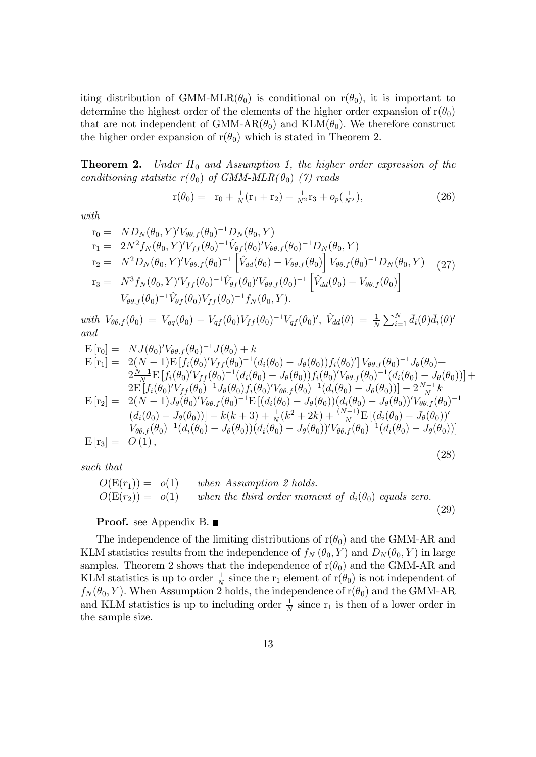iting distribution of GMM-MLR( $\theta_0$ ) is conditional on  $r(\theta_0)$ , it is important to determine the highest order of the elements of the higher order expansion of  $r(\theta_0)$ that are not independent of GMM-AR( $\theta_0$ ) and KLM( $\theta_0$ ). We therefore construct the higher order expansion of  $r(\theta_0)$  which is stated in Theorem 2.

**Theorem 2.** Under  $H_0$  and Assumption 1, the higher order expression of the conditioning statistic  $r(\theta_0)$  of GMM-MLR( $\theta_0$ ) (7) reads

$$
r(\theta_0) = r_0 + \frac{1}{N}(r_1 + r_2) + \frac{1}{N^2}r_3 + o_p(\frac{1}{N^2}),
$$
\n(26)

with

$$
r_0 = N D_N(\theta_0, Y)' V_{\theta\theta.f}(\theta_0)^{-1} D_N(\theta_0, Y)
$$
  
\n
$$
r_1 = 2N^2 f_N(\theta_0, Y)' V_{ff}(\theta_0)^{-1} \hat{V}_{\theta f}(\theta_0)' V_{\theta\theta.f}(\theta_0)^{-1} D_N(\theta_0, Y)
$$
  
\n
$$
r_2 = N^2 D_N(\theta_0, Y)' V_{\theta\theta.f}(\theta_0)^{-1} \left[ \hat{V}_{dd}(\theta_0) - V_{\theta\theta.f}(\theta_0) \right] V_{\theta\theta.f}(\theta_0)^{-1} D_N(\theta_0, Y) \tag{27}
$$
  
\n
$$
r_3 = N^3 f_N(\theta_0, Y)' V_{ff}(\theta_0)^{-1} \hat{V}_{\theta f}(\theta_0)' V_{\theta\theta.f}(\theta_0)^{-1} \left[ \hat{V}_{dd}(\theta_0) - V_{\theta\theta.f}(\theta_0) \right]
$$
  
\n
$$
V_{\theta\theta.f}(\theta_0)^{-1} \hat{V}_{\theta f}(\theta_0) V_{ff}(\theta_0)^{-1} f_N(\theta_0, Y).
$$

with  $V_{\theta\theta.f}(\theta_0) = V_{qq}(\theta_0) - V_{qf}(\theta_0)V_{ff}(\theta_0)^{-1}V_{qf}(\theta_0)'$ ,  $\hat{V}_{dd}(\theta) = \frac{1}{N}\sum_{i=1}^{N} \bar{d}_i(\theta)\bar{d}_i(\theta)'$ and

$$
E[r_0] = N J(\theta_0)' V_{\theta\theta.f}(\theta_0)^{-1} J(\theta_0) + k
$$
  
\n
$$
E[r_1] = 2(N-1)E[f_i(\theta_0)' V_{ff}(\theta_0)^{-1} (d_i(\theta_0) - J_{\theta}(\theta_0)) f_i(\theta_0)'] V_{\theta\theta.f}(\theta_0)^{-1} J_{\theta}(\theta_0) +
$$
  
\n
$$
2\frac{N-1}{N}E[f_i(\theta_0)' V_{ff}(\theta_0)^{-1} (d_i(\theta_0) - J_{\theta}(\theta_0)) f_i(\theta_0)' V_{\theta\theta.f}(\theta_0)^{-1} (d_i(\theta_0) - J_{\theta}(\theta_0))]
$$
  
\n
$$
2E[f_i(\theta_0)' V_{ff}(\theta_0)^{-1} J_{\theta}(\theta_0) f_i(\theta_0)' V_{\theta\theta.f}(\theta_0)^{-1} (d_i(\theta_0) - J_{\theta}(\theta_0))] - 2\frac{N-1}{N}k
$$
  
\n
$$
E[r_2] = 2(N-1)J_{\theta}(\theta_0)' V_{\theta\theta.f}(\theta_0)^{-1}E[(d_i(\theta_0) - J_{\theta}(\theta_0)) (d_i(\theta_0) - J_{\theta}(\theta_0))' V_{\theta\theta.f}(\theta_0)^{-1}
$$
  
\n
$$
(d_i(\theta_0) - J_{\theta}(\theta_0))] - k(k+3) + \frac{1}{N}(k^2 + 2k) + \frac{(N-1)}{N}E[(d_i(\theta_0) - J_{\theta}(\theta_0))'
$$
  
\n
$$
V_{\theta\theta.f}(\theta_0)^{-1} (d_i(\theta_0) - J_{\theta}(\theta_0)) (d_i(\theta_0) - J_{\theta}(\theta_0))' V_{\theta\theta.f}(\theta_0)^{-1} (d_i(\theta_0) - J_{\theta}(\theta_0))]
$$
  
\n
$$
E[r_3] = O(1),
$$
  
\n(28)

such that

$$
O(E(r_1)) = o(1) \twhen Assumption 2 holds.\n
$$
O(E(r_2)) = o(1) \twhen the third order moment of d_i(\theta_0) equals zero.
$$
\n(29)
$$

#### **Proof.** see Appendix B.

The independence of the limiting distributions of  $r(\theta_0)$  and the GMM-AR and KLM statistics results from the independence of  $f_N(\theta_0, Y)$  and  $D_N(\theta_0, Y)$  in large samples. Theorem 2 shows that the independence of  $r(\theta_0)$  and the GMM-AR and KLM statistics is up to order  $\frac{1}{N}$  since the r<sub>1</sub> element of r( $\theta_0$ ) is not independent of  $f_N(\theta_0, Y)$ . When Assumption 2 holds, the independence of  $r(\theta_0)$  and the GMM-AR and KLM statistics is up to including order  $\frac{1}{N}$  since  $r_1$  is then of a lower order in the sample size.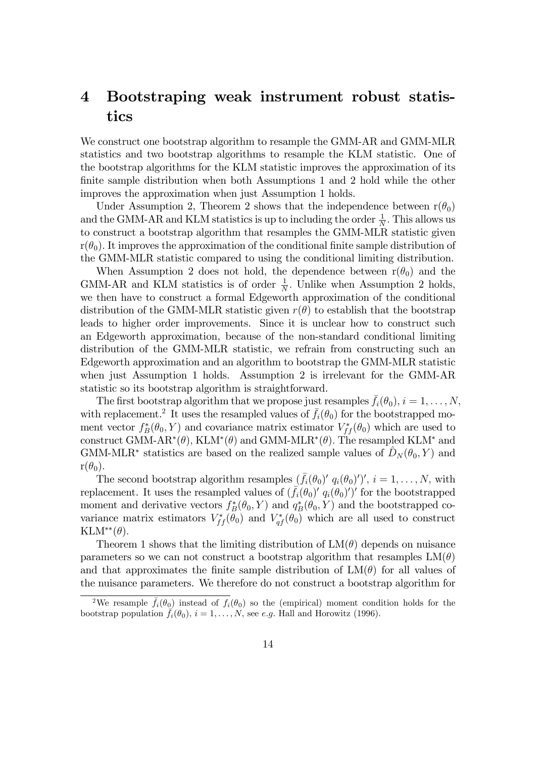# 4 Bootstraping weak instrument robust statistics

We construct one bootstrap algorithm to resample the GMM-AR and GMM-MLR statistics and two bootstrap algorithms to resample the KLM statistic. One of the bootstrap algorithms for the KLM statistic improves the approximation of its finite sample distribution when both Assumptions 1 and 2 hold while the other improves the approximation when just Assumption 1 holds.

Under Assumption 2, Theorem 2 shows that the independence between  $r(\theta_0)$ and the GMM-AR and KLM statistics is up to including the order  $\frac{1}{N}$ . This allows us to construct a bootstrap algorithm that resamples the GMM-MLR statistic given  $r(\theta_0)$ . It improves the approximation of the conditional finite sample distribution of the GMM-MLR statistic compared to using the conditional limiting distribution.

When Assumption 2 does not hold, the dependence between  $r(\theta_0)$  and the GMM-AR and KLM statistics is of order  $\frac{1}{N}$ . Unlike when Assumption 2 holds, we then have to construct a formal Edgeworth approximation of the conditional distribution of the GMM-MLR statistic given  $r(\theta)$  to establish that the bootstrap leads to higher order improvements. Since it is unclear how to construct such an Edgeworth approximation, because of the non-standard conditional limiting distribution of the GMM-MLR statistic, we refrain from constructing such an Edgeworth approximation and an algorithm to bootstrap the GMM-MLR statistic when just Assumption 1 holds. Assumption 2 is irrelevant for the GMM-AR statistic so its bootstrap algorithm is straightforward.

The first bootstrap algorithm that we propose just resamples  $f_i(\theta_0), i = 1, \ldots, N$ , with replacement.<sup>2</sup> It uses the resampled values of  $\bar{f}_i(\theta_0)$  for the bootstrapped moment vector  $f_B^*(\theta_0, Y)$  and covariance matrix estimator  $V_{ff}^*(\theta_0)$  which are used to construct GMM-AR<sup>\*</sup>( $\theta$ ), KLM<sup>\*</sup>( $\theta$ ) and GMM-MLR<sup>\*</sup>( $\theta$ ). The resampled KLM<sup>\*</sup> and GMM-MLR<sup>\*</sup> statistics are based on the realized sample values of  $\hat{D}_N (\theta_0, Y)$  and  $r(\theta_0)$ .

The second bootstrap algorithm resamples  $(\bar{f}_i(\theta_0)' q_i(\theta_0)')'$ ,  $i = 1, \ldots, N$ , with replacement. It uses the resampled values of  $(\bar{f}_i(\theta_0)^\prime q_i(\theta_0)^\prime)^\prime$  for the bootstrapped moment and derivative vectors  $f_B^*(\theta_0, Y)$  and  $q_B^*(\theta_0, Y)$  and the bootstrapped covariance matrix estimators  $V_{ff}^*(\theta_0)$  and  $V_{qf}^*(\theta_0)$  which are all used to construct  $KLM^{**}(\theta)$ .

Theorem 1 shows that the limiting distribution of  $LM(\theta)$  depends on nuisance parameters so we can not construct a bootstrap algorithm that resamples  $LM(\theta)$ and that approximates the finite sample distribution of  $LM(\theta)$  for all values of the nuisance parameters. We therefore do not construct a bootstrap algorithm for

<sup>&</sup>lt;sup>2</sup>We resample  $\bar{f}_i(\theta_0)$  instead of  $f_i(\theta_0)$  so the (empirical) moment condition holds for the bootstrap population  $\bar{f}_i(\theta_0), i = 1, \ldots, N$ , see e.g. Hall and Horowitz (1996).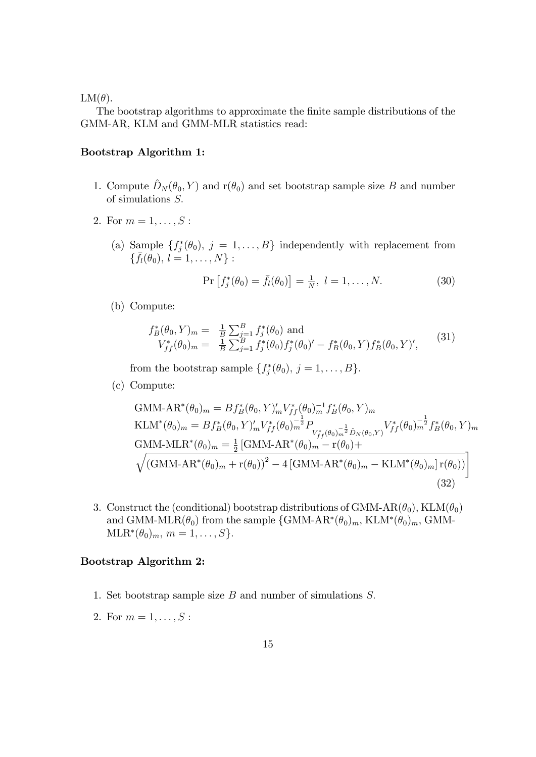#### $LM(\theta)$ .

The bootstrap algorithms to approximate the finite sample distributions of the GMM-AR, KLM and GMM-MLR statistics read:

#### Bootstrap Algorithm 1:

- 1. Compute  $\hat{D}_N (\theta_0, Y )$  and  $r(\theta_0)$  and set bootstrap sample size B and number of simulations S:
- 2. For  $m = 1, \ldots, S$ :
	- (a) Sample  $\{f_j^*(\theta_0), j = 1, \ldots, B\}$  independently with replacement from  $\{\bar{f}_l(\theta_0), l = 1, \ldots, N\}$ :

$$
\Pr\left[f_j^*(\theta_0) = \bar{f}_l(\theta_0)\right] = \frac{1}{N}, \ l = 1, \dots, N. \tag{30}
$$

(b) Compute:

$$
f_B^*(\theta_0, Y)_m = \frac{1}{B} \sum_{j=1}^B f_j^*(\theta_0) \text{ and}
$$
  

$$
V_{ff}^*(\theta_0)_m = \frac{1}{B} \sum_{j=1}^B f_j^*(\theta_0) f_j^*(\theta_0)' - f_B^*(\theta_0, Y) f_B^*(\theta_0, Y)',
$$
 (31)

from the bootstrap sample  $\{f_j^*(\theta_0), j = 1, \ldots, B\}$ .

(c) Compute:

GMM-AR<sup>\*</sup>(
$$
\theta_0
$$
)<sub>m</sub> =  $Bf_B^*(\theta_0, Y)_m'V_{ff}^*(\theta_0)_m^{-1}f_B^*(\theta_0, Y)_m$   
\nKLM<sup>\*</sup>( $\theta_0$ )<sub>m</sub> =  $Bf_B^*(\theta_0, Y)_m'V_{ff}^*(\theta_0)_m^{-\frac{1}{2}}P_{V_{ff}^*(\theta_0)_m^{-\frac{1}{2}}\hat{D}_N(\theta_0, Y)}V_{ff}^*(\theta_0)_m^{-\frac{1}{2}}f_B^*(\theta_0, Y)_m$   
\nGMM-MLR<sup>\*</sup>( $\theta_0$ )<sub>m</sub> =  $\frac{1}{2}$  [GMM-AR<sup>\*</sup>( $\theta_0$ )<sub>m</sub> - r( $\theta_0$ )+  
\n $\sqrt{(GMM-AR^*(\theta_0)_m + r(\theta_0))^2 - 4 [GMM-AR^*(\theta_0)_m - KLM^*(\theta_0)_m] r(\theta_0))}$  (32)

3. Construct the (conditional) bootstrap distributions of GMM-AR( $\theta_0$ ), KLM( $\theta_0$ ) and GMM-MLR( $\theta_0$ ) from the sample  $\{GMM-AR^*(\theta_0)_m, KLM^*(\theta_0)_m, GMM \text{MLR}^*(\theta_0)_m, m = 1, \ldots, S\}.$ 

#### Bootstrap Algorithm 2:

- 1. Set bootstrap sample size  $B$  and number of simulations  $S$ .
- 2. For  $m = 1, ..., S$ :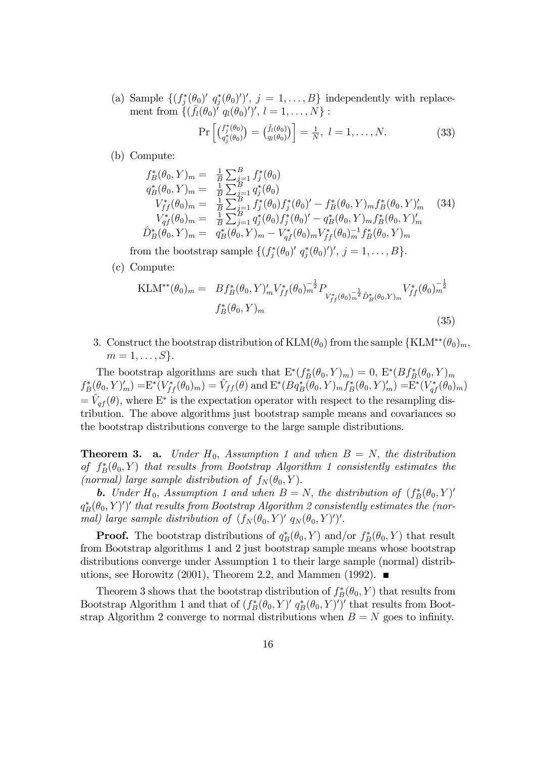(a) Sample  $\{ (f_j^*(\theta_0)' | j_j^*(\theta_0)')', j = 1, \ldots, B \}$  independently with replacement from  $\{(\bar{f}_l(\theta_0))' q_l(\theta_0)')', l = 1, ..., N\}$ :

$$
\Pr\left[\binom{f_j^*(\theta_0)}{q_j^*(\theta_0)} = \binom{\bar{f}_l(\theta_0)}{q_l(\theta_0)}\right] = \frac{1}{N}, \ l = 1, \dots, N. \tag{33}
$$

(b) Compute:

$$
f_B^*(\theta_0, Y)_m = \frac{1}{B} \sum_{j=1}^B f_j^*(\theta_0)
$$
  
\n
$$
q_B^*(\theta_0, Y)_m = \frac{1}{B} \sum_{j=1}^B q_j^*(\theta_0)
$$
  
\n
$$
V_{ff}^*(\theta_0)_m = \frac{1}{B} \sum_{j=1}^B f_j^*(\theta_0) f_j^*(\theta_0)' - f_B^*(\theta_0, Y)_m f_B^*(\theta_0, Y)'_m
$$
  
\n
$$
V_{qf}^*(\theta_0)_m = \frac{1}{B} \sum_{j=1}^B q_j^*(\theta_0) f_j^*(\theta_0)' - q_B^*(\theta_0, Y)_m f_B^*(\theta_0, Y)'_m
$$
  
\n
$$
\hat{D}_B^*(\theta_0, Y)_m = q_B^*(\theta_0, Y)_m - V_{qf}^*(\theta_0)_m V_{ff}^*(\theta_0)_m^{-1} f_B^*(\theta_0, Y)_m
$$
 (34)

from the bootstrap sample  $\{(f_j^*(\theta_0)' q_j^*(\theta_0)')', j = 1, \ldots, B\}$ .

(c) Compute:

$$
\text{KLM}^{**}(\theta_0)_m = Bf_B^*(\theta_0, Y)_m' V_{ff}^*(\theta_0)_m^{-\frac{1}{2}} P_{V_{ff}^*(\theta_0)_m^{-\frac{1}{2}} \hat{D}_B^*(\theta_0, Y)_m} V_{ff}^*(\theta_0)_m^{-\frac{1}{2}} f_B^*(\theta_0, Y)_m
$$
\n(35)

3. Construct the bootstrap distribution of  $\text{KLM}(\theta_0)$  from the sample  $\{\text{KLM}^{**}(\theta_0)_m,$  $m=1,\ldots,S$ .

The bootstrap algorithms are such that  $E^*(f_B^*(\theta_0, Y)_m) = 0$ ,  $E^*(Bf_B^*(\theta_0, Y)_m)$  $f_B^*(\theta_0, Y)'_m) = E^*(V_{ff}^*(\theta_0)_m) = \hat{V}_{ff}(\theta) \text{ and } E^*(Bq_B^*(\theta_0, Y)_m f_B^*(\theta_0, Y)'_m) = E^*(V_{qf}^*(\theta_0)_m)$  $= \hat{V}_{qf} (\theta)$ , where E<sup>\*</sup> is the expectation operator with respect to the resampling distribution. The above algorithms just bootstrap sample means and covariances so the bootstrap distributions converge to the large sample distributions.

**Theorem 3. a.** Under  $H_0$ , Assumption 1 and when  $B = N$ , the distribution of  $f_B^*(\theta_0, Y)$  that results from Bootstrap Algorithm 1 consistently estimates the (normal) large sample distribution of  $f_N(\theta_0, Y)$ .

**b.** Under  $H_0$ , Assumption 1 and when  $B = N$ , the distribution of  $(f_B^*(\theta_0, Y)')$  $q_B^*(\theta_0, Y)^\prime$ )' that results from Bootstrap Algorithm 2 consistently estimates the (normal) large sample distribution of  $(f_N(\theta_0, Y)^\prime, q_N(\theta_0, Y)^\prime)^\prime$ .

**Proof.** The bootstrap distributions of  $q_B^*(\theta_0, Y)$  and/or  $f_B^*(\theta_0, Y)$  that result from Bootstrap algorithms 1 and 2 just bootstrap sample means whose bootstrap distributions converge under Assumption 1 to their large sample (normal) distributions, see Horowitz (2001), Theorem 2.2, and Mammen (1992).  $\blacksquare$ 

Theorem 3 shows that the bootstrap distribution of  $f_B^*(\theta_0, Y)$  that results from Bootstrap Algorithm 1 and that of  $(f_B^*(\theta_0, Y)' g_B^*(\theta_0, Y)')'$  that results from Bootstrap Algorithm 2 converge to normal distributions when  $B = N$  goes to infinity.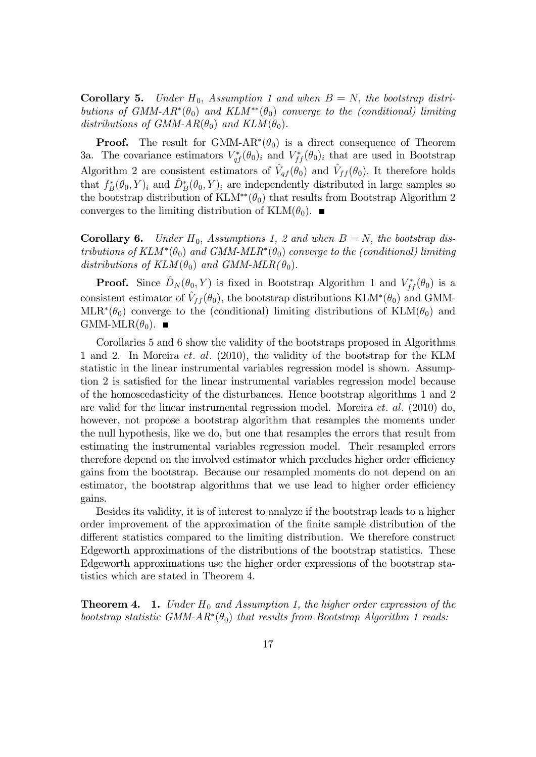**Corollary 5.** Under  $H_0$ , Assumption 1 and when  $B = N$ , the bootstrap distributions of GMM- $AR^*(\theta_0)$  and  $KLM^{**}(\theta_0)$  converge to the (conditional) limiting distributions of GMM-AR $(\theta_0)$  and  $KLM(\theta_0)$ .

**Proof.** The result for GMM- $AR^*(\theta_0)$  is a direct consequence of Theorem 3a. The covariance estimators  $V_{qf}^*(\theta_0)_i$  and  $V_{ff}^*(\theta_0)_i$  that are used in Bootstrap Algorithm 2 are consistent estimators of  $\hat{V}_{qf}(\theta_0)$  and  $\hat{V}_{ff}(\theta_0)$ . It therefore holds that  $f_B^*(\theta_0, Y)_i$  and  $\hat{D}_B^*(\theta_0, Y)_i$  are independently distributed in large samples so the bootstrap distribution of KLM<sup>\*\*</sup>( $\theta_0$ ) that results from Bootstrap Algorithm 2 converges to the limiting distribution of  $\text{KLM}(\theta_0)$ .

**Corollary 6.** Under  $H_0$ , Assumptions 1, 2 and when  $B = N$ , the bootstrap distributions of  $KLM^*(\theta_0)$  and  $GMM\text{-}MLR^*(\theta_0)$  converge to the (conditional) limiting distributions of  $KLM(\theta_0)$  and  $GMM\text{-}MLR(\theta_0)$ .

**Proof.** Since  $\hat{D}_N (\theta_0, Y)$  is fixed in Bootstrap Algorithm 1 and  $V_{ff}^* (\theta_0)$  is a consistent estimator of  $\hat{V}_{ff} (\theta_0)$ , the bootstrap distributions KLM<sup>\*</sup>( $\theta_0$ ) and GMM- $MLR^*(\theta_0)$  converge to the (conditional) limiting distributions of  $KLM(\theta_0)$  and  $GMM\text{-}MLR(\theta_0)$ .

Corollaries 5 and 6 show the validity of the bootstraps proposed in Algorithms 1 and 2. In Moreira *et. al.* (2010), the validity of the bootstrap for the KLM statistic in the linear instrumental variables regression model is shown. Assumption 2 is satisfied for the linear instrumental variables regression model because of the homoscedasticity of the disturbances. Hence bootstrap algorithms 1 and 2 are valid for the linear instrumental regression model. Moreira  $et.$   $al.$  (2010) do, however, not propose a bootstrap algorithm that resamples the moments under the null hypothesis, like we do, but one that resamples the errors that result from estimating the instrumental variables regression model. Their resampled errors therefore depend on the involved estimator which precludes higher order efficiency gains from the bootstrap. Because our resampled moments do not depend on an estimator, the bootstrap algorithms that we use lead to higher order efficiency gains.

Besides its validity, it is of interest to analyze if the bootstrap leads to a higher order improvement of the approximation of the Önite sample distribution of the different statistics compared to the limiting distribution. We therefore construct Edgeworth approximations of the distributions of the bootstrap statistics. These Edgeworth approximations use the higher order expressions of the bootstrap statistics which are stated in Theorem 4.

**Theorem 4.** 1. Under  $H_0$  and Assumption 1, the higher order expression of the bootstrap statistic GMM- $AR^*(\theta_0)$  that results from Bootstrap Algorithm 1 reads: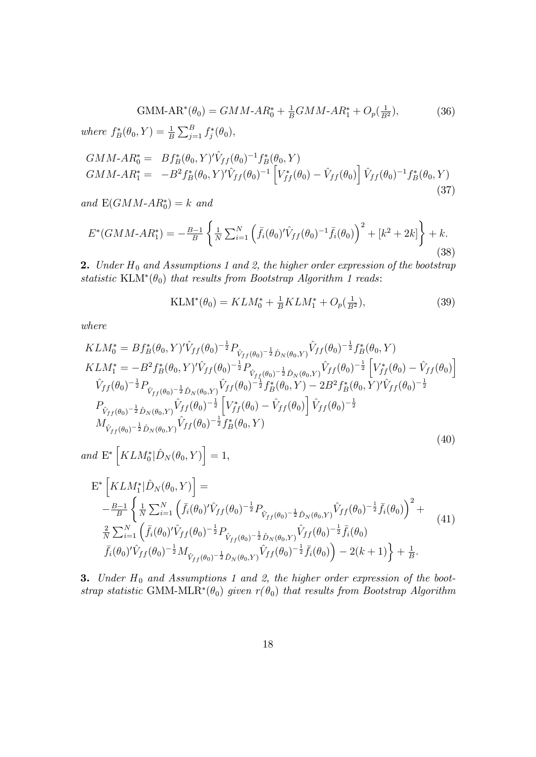GMM-AR<sup>\*</sup>(
$$
\theta_0
$$
) = GMM-AR<sup>\*</sup><sub>0</sub> +  $\frac{1}{B}$ GMM-AR<sup>\*</sup><sub>1</sub> + O<sub>p</sub>( $\frac{1}{B^2}$ ), (36)  
where  $f_B^*(\theta_0, Y) = \frac{1}{B} \sum_{j=1}^B f_j^*(\theta_0)$ ,

$$
GMM - AR_0^* = Bf_B^*(\theta_0, Y)' \hat{V}_{ff}(\theta_0)^{-1} f_B^*(\theta_0, Y)
$$
  
\n
$$
GMM - AR_1^* = -B^2 f_B^*(\theta_0, Y)' \hat{V}_{ff}(\theta_0)^{-1} \left[ V_{ff}^*(\theta_0) - \hat{V}_{ff}(\theta_0) \right] \hat{V}_{ff}(\theta_0)^{-1} f_B^*(\theta_0, Y)
$$
\n(37)

and  $E(GMM-AR_0^*)=k$  and

$$
E^*(GMM \t- AR_1^*) = -\frac{B-1}{B} \left\{ \frac{1}{N} \sum_{i=1}^N \left( \bar{f}_i(\theta_0)' \hat{V}_{ff}(\theta_0)^{-1} \bar{f}_i(\theta_0) \right)^2 + [k^2 + 2k] \right\} + k. \tag{38}
$$

**2.** Under  $H_0$  and Assumptions 1 and 2, the higher order expression of the bootstrap statistic KLM<sup>\*</sup>( $\theta_0$ ) that results from Bootstrap Algorithm 1 reads:

$$
KLM^*(\theta_0) = KLM_0^* + \frac{1}{B}KLM_1^* + O_p(\frac{1}{B^2}),\tag{39}
$$

where

$$
KLM_{0}^{*} = Bf_{B}^{*}(\theta_{0}, Y)^{\prime}\hat{V}_{ff}(\theta_{0})^{-\frac{1}{2}}P_{\hat{V}_{ff}(\theta_{0})^{-\frac{1}{2}}\hat{D}_{N}(\theta_{0}, Y)}\hat{V}_{ff}(\theta_{0})^{-\frac{1}{2}}f_{B}^{*}(\theta_{0}, Y)
$$
  
\n
$$
KLM_{1}^{*} = -B^{2}f_{B}^{*}(\theta_{0}, Y)^{\prime}\hat{V}_{ff}(\theta_{0})^{-\frac{1}{2}}P_{\hat{V}_{ff}(\theta_{0})^{-\frac{1}{2}}\hat{D}_{N}(\theta_{0}, Y)}\hat{V}_{ff}(\theta_{0})^{-\frac{1}{2}}\left[V_{ff}^{*}(\theta_{0}) - \hat{V}_{ff}(\theta_{0})\right]
$$
  
\n
$$
\hat{V}_{ff}(\theta_{0})^{-\frac{1}{2}}P_{\hat{V}_{ff}(\theta_{0})^{-\frac{1}{2}}\hat{D}_{N}(\theta_{0}, Y)}\hat{V}_{ff}(\theta_{0})^{-\frac{1}{2}}f_{B}^{*}(\theta_{0}, Y) - 2B^{2}f_{B}^{*}(\theta_{0}, Y)^{\prime}\hat{V}_{ff}(\theta_{0})^{-\frac{1}{2}}
$$
  
\n
$$
P_{\hat{V}_{ff}(\theta_{0})^{-\frac{1}{2}}\hat{D}_{N}(\theta_{0}, Y)}\hat{V}_{ff}(\theta_{0})^{-\frac{1}{2}}\left[V_{ff}^{*}(\theta_{0}) - \hat{V}_{ff}(\theta_{0})\right]\hat{V}_{ff}(\theta_{0})^{-\frac{1}{2}}
$$
  
\n
$$
M_{\hat{V}_{ff}(\theta_{0})^{-\frac{1}{2}}\hat{D}_{N}(\theta_{0}, Y)}\hat{V}_{ff}(\theta_{0})^{-\frac{1}{2}}f_{B}^{*}(\theta_{0}, Y)
$$
\n(40)

and 
$$
\mathbb{E}^* \left[ KLM_0^* | \hat{D}_N(\theta_0, Y) \right] = 1,
$$

$$
\begin{split} \mathbf{E}^* \left[ K L M_1^* | \hat{D}_N(\theta_0, Y) \right] &= \\ & -\frac{B-1}{B} \left\{ \frac{1}{N} \sum_{i=1}^N \left( \bar{f}_i(\theta_0)' \hat{V}_{ff}(\theta_0)^{-\frac{1}{2}} P_{\hat{V}_{ff}(\theta_0)^{-\frac{1}{2}} \hat{D}_N(\theta_0, Y)} \hat{V}_{ff}(\theta_0)^{-\frac{1}{2}} \bar{f}_i(\theta_0) \right)^2 + \frac{2}{N} \sum_{i=1}^N \left( \bar{f}_i(\theta_0)' \hat{V}_{ff}(\theta_0)^{-\frac{1}{2}} P_{\hat{V}_{ff}(\theta_0)^{-\frac{1}{2}} \hat{D}_N(\theta_0, Y)} \hat{V}_{ff}(\theta_0)^{-\frac{1}{2}} \bar{f}_i(\theta_0) \right. \\ &\left. \bar{f}_i(\theta_0)' \hat{V}_{ff}(\theta_0)^{-\frac{1}{2}} M_{\hat{V}_{ff}(\theta_0)^{-\frac{1}{2}} \hat{D}_N(\theta_0, Y)} \hat{V}_{ff}(\theta_0)^{-\frac{1}{2}} \bar{f}_i(\theta_0) \right) - 2(k+1) \right\} + \frac{1}{B}. \end{split} \tag{41}
$$

**3.** Under  $H_0$  and Assumptions 1 and 2, the higher order expression of the bootstrap statistic GMM-MLR<sup>\*</sup>( $\theta_0$ ) given  $r(\theta_0)$  that results from Bootstrap Algorithm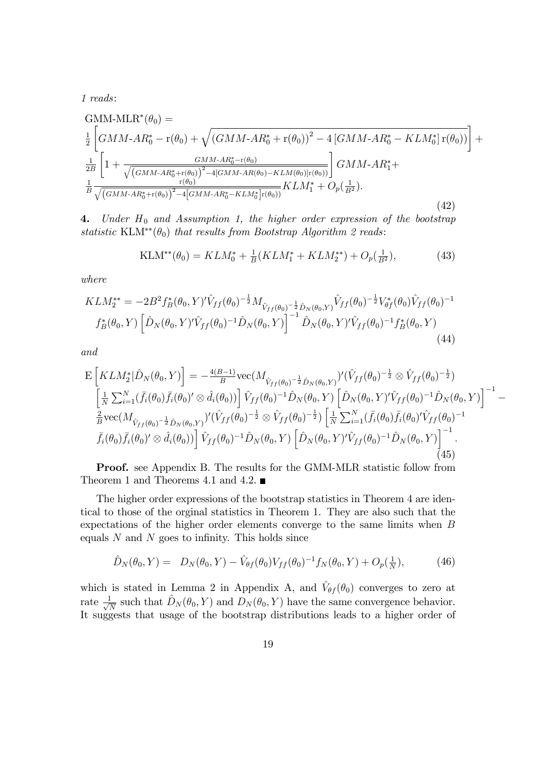1 reads:

GMM-MLR<sup>\*</sup>(
$$
\theta_0
$$
) =  
\n
$$
\frac{1}{2} \left[ GMM-AR_0^* - r(\theta_0) + \sqrt{(GMM-AR_0^* + r(\theta_0))^2 - 4\left[ GMM-AR_0^* - KLM_0^*\right]r(\theta_0))} \right] +
$$
\n
$$
\frac{1}{2B} \left[ 1 + \frac{GMM-AR_0^* - r(\theta_0)}{\sqrt{(GMM-AR_0^* + r(\theta_0))^2 - 4\left[ GMM-AR(\theta_0) - KLM(\theta_0)\right]r(\theta_0))}} \right] GMM-AR_1^* +
$$
\n
$$
\frac{1}{B} \frac{r(\theta_0)}{\sqrt{(GMM-AR_0^* + r(\theta_0))^2 - 4\left[ GMM-AR_0^* - KLM_0^*\right]r(\theta_0))}} KLM_1^* + O_p(\frac{1}{B^2}).
$$
\n(42)

4. Under  $H_0$  and Assumption 1, the higher order expression of the bootstrap statistic KLM\*\* $(\theta_0)$  that results from Bootstrap Algorithm 2 reads:

$$
KLM^{**}(\theta_0) = KLM_0^* + \frac{1}{B}(KLM_1^* + KLM_2^{**}) + O_p(\frac{1}{B^2}),\tag{43}
$$

where

$$
KLM_2^{**} = -2B^2 f_B^*(\theta_0, Y)' \hat{V}_{ff}(\theta_0)^{-\frac{1}{2}} M_{\hat{V}_{ff}(\theta_0)^{-\frac{1}{2}} \hat{D}_N(\theta_0, Y)} \hat{V}_{ff}(\theta_0)^{-\frac{1}{2}} V_{\theta f}^*(\theta_0) \hat{V}_{ff}(\theta_0)^{-1}
$$
  

$$
f_B^*(\theta_0, Y) \left[ \hat{D}_N(\theta_0, Y)' \hat{V}_{ff}(\theta_0)^{-1} \hat{D}_N(\theta_0, Y) \right]^{-1} \hat{D}_N(\theta_0, Y)' \hat{V}_{ff}(\theta_0)^{-1} f_B^*(\theta_0, Y)
$$
  
(44)

and

$$
\begin{split}\n\mathcal{E}\left[KLM_{2}^{*}|\hat{D}_{N}(\theta_{0},Y)\right] &= -\frac{4(B-1)}{B}\text{vec}(M_{\hat{V}_{ff}(\theta_{0})^{-\frac{1}{2}}\hat{D}_{N}(\theta_{0},Y)})'(\hat{V}_{ff}(\theta_{0})^{-\frac{1}{2}}\otimes\hat{V}_{ff}(\theta_{0})^{-\frac{1}{2}}) \\
&\left[\frac{1}{N}\sum_{i=1}^{N}(\bar{f}_{i}(\theta_{0})\bar{f}_{i}(\theta_{0})'\otimes\hat{d}_{i}(\theta_{0}))\right]\hat{V}_{ff}(\theta_{0})^{-1}\hat{D}_{N}(\theta_{0},Y)\left[\hat{D}_{N}(\theta_{0},Y)'\hat{V}_{ff}(\theta_{0})^{-1}\hat{D}_{N}(\theta_{0},Y)\right]^{-1} \\
&\frac{2}{B}\text{vec}(M_{\hat{V}_{ff}(\theta_{0})^{-\frac{1}{2}}\hat{D}_{N}(\theta_{0},Y)})'(\hat{V}_{ff}(\theta_{0})^{-\frac{1}{2}}\otimes\hat{V}_{ff}(\theta_{0})^{-\frac{1}{2}})\left[\frac{1}{N}\sum_{i=1}^{N}(\bar{f}_{i}(\theta_{0})\bar{f}_{i}(\theta_{0})'\hat{V}_{ff}(\theta_{0})^{-1}\right. \\
&\left.\bar{f}_{i}(\theta_{0})\bar{f}_{i}(\theta_{0})'\otimes\hat{d}_{i}(\theta_{0})\right]\hat{V}_{ff}(\theta_{0})^{-1}\hat{D}_{N}(\theta_{0},Y)\left[\hat{D}_{N}(\theta_{0},Y)'\hat{V}_{ff}(\theta_{0})^{-1}\hat{D}_{N}(\theta_{0},Y)\right]^{-1}.\n\end{split} \tag{45}
$$

Proof. see Appendix B. The results for the GMM-MLR statistic follow from Theorem 1 and Theorems 4.1 and 4.2.  $\blacksquare$ 

The higher order expressions of the bootstrap statistics in Theorem 4 are identical to those of the orginal statistics in Theorem 1. They are also such that the expectations of the higher order elements converge to the same limits when B equals  $N$  and  $N$  goes to infinity. This holds since

$$
\hat{D}_N(\theta_0, Y) = D_N(\theta_0, Y) - \hat{V}_{\theta f}(\theta_0) V_{ff}(\theta_0)^{-1} f_N(\theta_0, Y) + O_p(\frac{1}{N}), \tag{46}
$$

which is stated in Lemma 2 in Appendix A, and  $\hat{V}_{\theta f}(\theta_0)$  converges to zero at rate  $\frac{1}{\sqrt{2}}$  $\frac{1}{N}$  such that  $\hat{D}_N (\theta_0, Y)$  and  $D_N (\theta_0, Y)$  have the same convergence behavior. It suggests that usage of the bootstrap distributions leads to a higher order of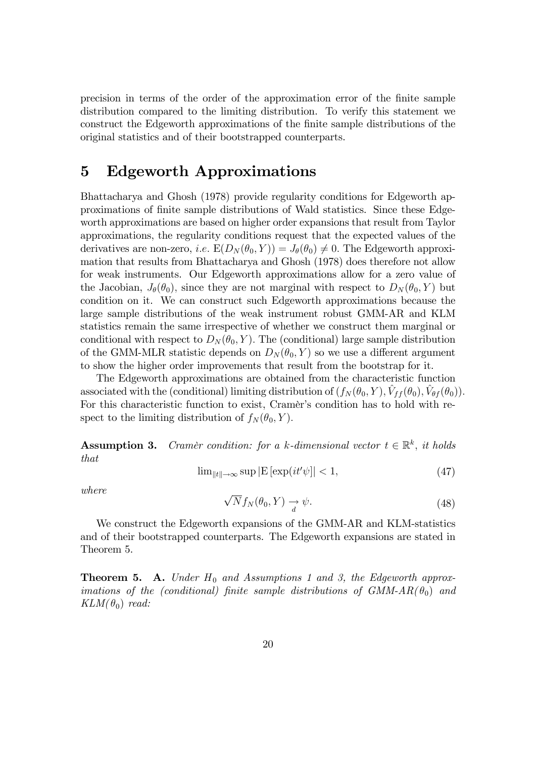precision in terms of the order of the approximation error of the Önite sample distribution compared to the limiting distribution. To verify this statement we construct the Edgeworth approximations of the Önite sample distributions of the original statistics and of their bootstrapped counterparts.

### 5 Edgeworth Approximations

Bhattacharya and Ghosh (1978) provide regularity conditions for Edgeworth approximations of Önite sample distributions of Wald statistics. Since these Edgeworth approximations are based on higher order expansions that result from Taylor approximations, the regularity conditions request that the expected values of the derivatives are non-zero, *i.e.*  $E(D_N(\theta_0, Y)) = J_\theta(\theta_0) \neq 0$ . The Edgeworth approximation that results from Bhattacharya and Ghosh (1978) does therefore not allow for weak instruments. Our Edgeworth approximations allow for a zero value of the Jacobian,  $J_{\theta}(\theta_0)$ , since they are not marginal with respect to  $D_N(\theta_0, Y)$  but condition on it. We can construct such Edgeworth approximations because the large sample distributions of the weak instrument robust GMM-AR and KLM statistics remain the same irrespective of whether we construct them marginal or conditional with respect to  $D_N(\theta_0, Y)$ . The (conditional) large sample distribution of the GMM-MLR statistic depends on  $D_N(\theta_0, Y)$  so we use a different argument to show the higher order improvements that result from the bootstrap for it.

The Edgeworth approximations are obtained from the characteristic function associated with the (conditional) limiting distribution of  $(f_N(\theta_0, Y), \hat{V}_{ff}(\theta_0), \hat{V}_{\theta f}(\theta_0)).$ For this characteristic function to exist, Cramer's condition has to hold with respect to the limiting distribution of  $f_N(\theta_0, Y)$ .

**Assumption 3.** Cramer condition: for a k-dimensional vector  $t \in \mathbb{R}^k$ , it holds that

$$
\lim_{\|t\| \to \infty} \sup |E[\exp(it'\psi]| < 1,\tag{47}
$$

where

$$
\sqrt{N}f_N(\theta_0, Y) \xrightarrow{d} \psi. \tag{48}
$$

We construct the Edgeworth expansions of the GMM-AR and KLM-statistics and of their bootstrapped counterparts. The Edgeworth expansions are stated in Theorem 5.

**Theorem 5. A.** Under  $H_0$  and Assumptions 1 and 3, the Edgeworth approximations of the (conditional) finite sample distributions of  $GMM-AR(\theta_0)$  and  $KLM(\theta_0)$  read: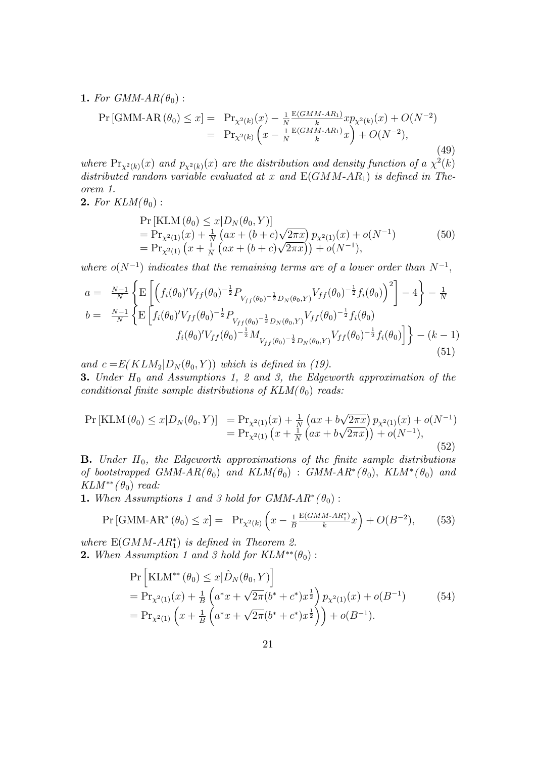**1.** For GMM- $AR(\theta_0)$ :

$$
\Pr\left[\text{GMM-AR}\left(\theta_{0}\right) \leq x\right] = \Pr_{\chi^{2}(k)}(x) - \frac{1}{N} \frac{E(GMM-AR_{1})}{k} x p_{\chi^{2}(k)}(x) + O(N^{-2})
$$
\n
$$
= \Pr_{\chi^{2}(k)}\left(x - \frac{1}{N} \frac{E(GMM-AR_{1})}{k} x\right) + O(N^{-2}),\tag{49}
$$

where  $Pr_{\chi^2(k)}(x)$  and  $p_{\chi^2(k)}(x)$  are the distribution and density function of a  $\chi^2(k)$ distributed random variable evaluated at x and  $E(GMM-AR_1)$  is defined in Theorem 1.

#### **2.** For  $KLM(\theta_0)$ :

$$
\Pr\left[\text{KLM}\left(\theta_{0}\right) \leq x | D_{N}(\theta_{0}, Y) \right] \n= \Pr_{\chi^{2}(1)}(x) + \frac{1}{N} \left(ax + (b+c)\sqrt{2\pi x}\right) p_{\chi^{2}(1)}(x) + o(N^{-1}) \n= \Pr_{\chi^{2}(1)}\left(x + \frac{1}{N}\left(ax + (b+c)\sqrt{2\pi x}\right)\right) + o(N^{-1}),
$$
\n(50)

where  $o(N^{-1})$  indicates that the remaining terms are of a lower order than  $N^{-1}$ ,

$$
a = \frac{N-1}{N} \left\{ \mathbf{E} \left[ \left( f_i(\theta_0)' V_{ff}(\theta_0)^{-\frac{1}{2}} P_{V_{ff}(\theta_0)^{-\frac{1}{2}} D_N(\theta_0, Y)} V_{ff}(\theta_0)^{-\frac{1}{2}} f_i(\theta_0) \right)^2 \right] - 4 \right\} - \frac{1}{N}
$$
  
\n
$$
b = \frac{N-1}{N} \left\{ \mathbf{E} \left[ f_i(\theta_0)' V_{ff}(\theta_0)^{-\frac{1}{2}} P_{V_{ff}(\theta_0)^{-\frac{1}{2}} D_N(\theta_0, Y)} V_{ff}(\theta_0)^{-\frac{1}{2}} f_i(\theta_0) \right. \right\} - (k-1)
$$
  
\n
$$
f_i(\theta_0)' V_{ff}(\theta_0)^{-\frac{1}{2}} M_{V_{ff}(\theta_0)^{-\frac{1}{2}} D_N(\theta_0, Y)} V_{ff}(\theta_0)^{-\frac{1}{2}} f_i(\theta_0) \right\} - (k-1)
$$
  
\n(51)

and  $c = E(KLM_2|D_N(\theta_0, Y))$  which is defined in (19).

**3.** Under  $H_0$  and Assumptions 1, 2 and 3, the Edgeworth approximation of the conditional finite sample distributions of  $KLM(\theta_0)$  reads:

$$
Pr\left[\text{KLM}\left(\theta_{0}\right) \leq x | D_{N}(\theta_{0}, Y) \right] = Pr_{\chi^{2}(1)}(x) + \frac{1}{N} \left(ax + b\sqrt{2\pi x}\right) p_{\chi^{2}(1)}(x) + o(N^{-1})
$$
  
= Pr\_{\chi^{2}(1)} \left(x + \frac{1}{N} \left(ax + b\sqrt{2\pi x}\right)\right) + o(N^{-1}), (52)

**B.** Under  $H_0$ , the Edgeworth approximations of the finite sample distributions of bootstrapped GMM-AR( $\theta_0$ ) and KLM( $\theta_0$ ) : GMM-AR<sup>\*</sup>( $\theta_0$ ), KLM<sup>\*</sup>( $\theta_0$ ) and  $KLM^{**}(\theta_0)$  read:

**1.** When Assumptions 1 and 3 hold for  $GMM-AR^*(\theta_0)$ :

$$
\Pr\left[\text{GMM-AR}^*(\theta_0) \le x\right] = \Pr_{\chi^2(k)}\left(x - \frac{1}{B} \frac{E(GMM - AR_1^*)}{k}x\right) + O(B^{-2}),\tag{53}
$$

where  $E(GMM-AR_1^*)$  is defined in Theorem 2. **2.** When Assumption 1 and 3 hold for  $KLM^{**}(\theta_0)$ :

$$
\Pr\left[\text{KLM}^{**}(\theta_0) \le x | \hat{D}_N(\theta_0, Y) \right] \n= \Pr_{\chi^2(1)}(x) + \frac{1}{B} \left( a^* x + \sqrt{2\pi} (b^* + c^*) x^{\frac{1}{2}} \right) p_{\chi^2(1)}(x) + o(B^{-1}) \n= \Pr_{\chi^2(1)} \left( x + \frac{1}{B} \left( a^* x + \sqrt{2\pi} (b^* + c^*) x^{\frac{1}{2}} \right) \right) + o(B^{-1}).
$$
\n(54)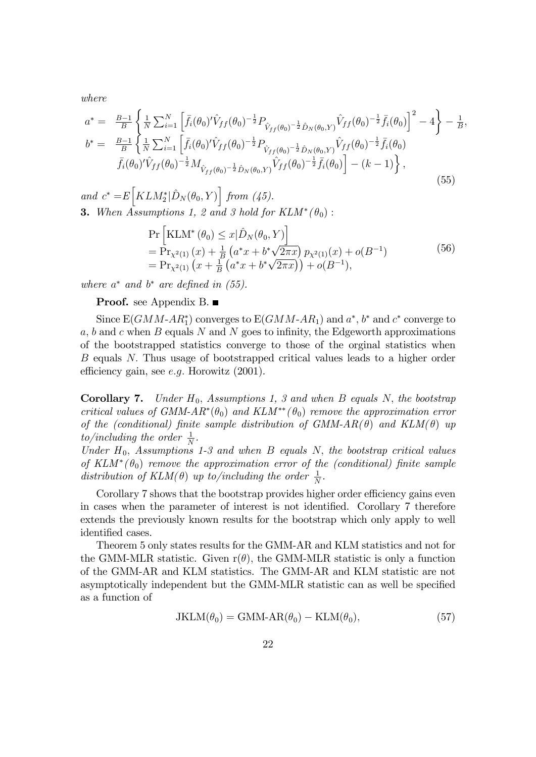where

$$
a^* = \frac{B-1}{B} \left\{ \frac{1}{N} \sum_{i=1}^N \left[ \bar{f}_i(\theta_0)' \hat{V}_{ff}(\theta_0)^{-\frac{1}{2}} P_{\hat{V}_{ff}(\theta_0)^{-\frac{1}{2}} \hat{D}_N(\theta_0, Y)} \hat{V}_{ff}(\theta_0)^{-\frac{1}{2}} \bar{f}_i(\theta_0) \right]^2 - 4 \right\} - \frac{1}{B},
$$
  
\n
$$
b^* = \frac{B-1}{B} \left\{ \frac{1}{N} \sum_{i=1}^N \left[ \bar{f}_i(\theta_0)' \hat{V}_{ff}(\theta_0)^{-\frac{1}{2}} P_{\hat{V}_{ff}(\theta_0)^{-\frac{1}{2}} \hat{D}_N(\theta_0, Y)} \hat{V}_{ff}(\theta_0)^{-\frac{1}{2}} \bar{f}_i(\theta_0) \right. \\ \left. \bar{f}_i(\theta_0)' \hat{V}_{ff}(\theta_0)^{-\frac{1}{2}} M_{\hat{V}_{ff}(\theta_0)^{-\frac{1}{2}} \hat{D}_N(\theta_0, Y)} \hat{V}_{ff}(\theta_0)^{-\frac{1}{2}} \bar{f}_i(\theta_0) \right] - (k - 1) \right\},
$$
\n(55)

and  $c^* = E\left[KLM_2^*|\hat{D}_N(\theta_0, Y)\right]$  from (45). **3.** When Assumptions 1, 2 and 3 hold for  $KLM^*(\theta_0)$ :

$$
\Pr\left[\text{KLM}^*(\theta_0) \le x|\hat{D}_N(\theta_0, Y)\right] \n= \Pr_{X^2(1)}(x) + \frac{1}{B} \left(a^*x + b^*\sqrt{2\pi x}\right) p_{X^2(1)}(x) + o(B^{-1}) \n= \Pr_{X^2(1)}\left(x + \frac{1}{B}\left(a^*x + b^*\sqrt{2\pi x}\right)\right) + o(B^{-1}),
$$
\n(56)

where  $a^*$  and  $b^*$  are defined in (55).

#### **Proof.** see Appendix B. ■

Since  $E(GMM-AR_1^*)$  converges to  $E(GMM-AR_1)$  and  $a^*, b^*$  and  $c^*$  converge to  $a, b$  and c when B equals N and N goes to infinity, the Edgeworth approximations of the bootstrapped statistics converge to those of the orginal statistics when B equals N: Thus usage of bootstrapped critical values leads to a higher order efficiency gain, see  $e.g.$  Horowitz  $(2001)$ .

**Corollary 7.** Under  $H_0$ , Assumptions 1, 3 and when B equals N, the bootstrap critical values of GMM- $AR^*(\theta_0)$  and  $KLM^{**}(\theta_0)$  remove the approximation error of the (conditional) finite sample distribution of GMM-AR( $\theta$ ) and KLM( $\theta$ ) up to/including the order  $\frac{1}{N}$ .

Under  $H_0$ , Assumptions 1-3 and when B equals N, the bootstrap critical values of  $KLM^*(\theta_0)$  remove the approximation error of the (conditional) finite sample distribution of  $KLM(\theta)$  up to/including the order  $\frac{1}{N}$ .

Corollary 7 shows that the bootstrap provides higher order efficiency gains even in cases when the parameter of interest is not identified. Corollary 7 therefore extends the previously known results for the bootstrap which only apply to well identified cases.

Theorem 5 only states results for the GMM-AR and KLM statistics and not for the GMM-MLR statistic. Given  $r(\theta)$ , the GMM-MLR statistic is only a function of the GMM-AR and KLM statistics. The GMM-AR and KLM statistic are not asymptotically independent but the GMM-MLR statistic can as well be specified as a function of

$$
JKLM(\theta_0) = GMM-AR(\theta_0) - KLM(\theta_0), \qquad (57)
$$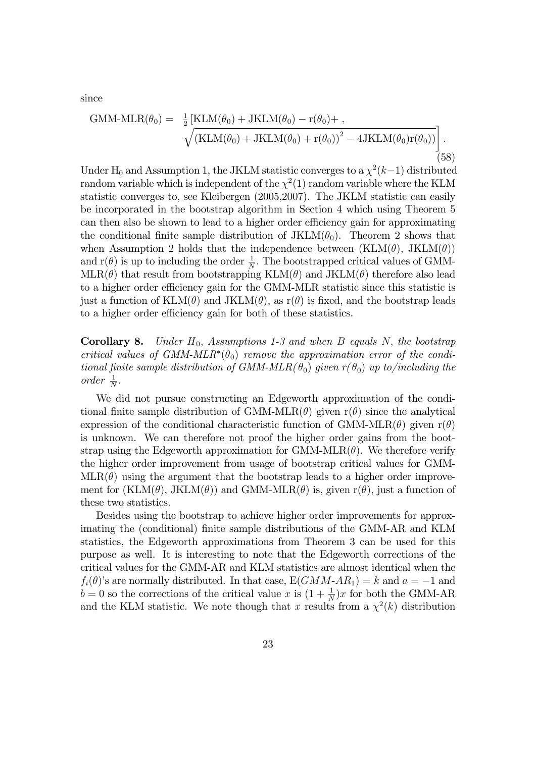since

GMM-MLR
$$
(\theta_0)
$$
 =  $\frac{1}{2}$  [KLM $(\theta_0)$  + JKLM $(\theta_0)$  -  $r(\theta_0)$  + ,  
\n
$$
\sqrt{(KLM(\theta_0) + JKLM(\theta_0) + r(\theta_0))^2 - 4JKLM(\theta_0)r(\theta_0))}
$$
(58)

Under H<sub>0</sub> and Assumption 1, the JKLM statistic converges to a  $\chi^2(k-1)$  distributed random variable which is independent of the  $\chi^2(1)$  random variable where the KLM statistic converges to, see Kleibergen (2005,2007). The JKLM statistic can easily be incorporated in the bootstrap algorithm in Section 4 which using Theorem 5 can then also be shown to lead to a higher order efficiency gain for approximating the conditional finite sample distribution of  $JKLM(\theta_0)$ . Theorem 2 shows that when Assumption 2 holds that the independence between  $(KLM(\theta), JKLM(\theta))$ and  $r(\theta)$  is up to including the order  $\frac{1}{N}$ . The bootstrapped critical values of GMM- $MLR(\theta)$  that result from bootstrapping  $KLM(\theta)$  and  $JKLM(\theta)$  therefore also lead to a higher order efficiency gain for the GMM-MLR statistic since this statistic is just a function of  $KLM(\theta)$  and  $JKLM(\theta)$ , as  $r(\theta)$  is fixed, and the bootstrap leads to a higher order efficiency gain for both of these statistics.

**Corollary 8.** Under  $H_0$ , Assumptions 1-3 and when B equals N, the bootstrap critical values of GMM-MLR<sup>\*</sup>( $\theta_0$ ) remove the approximation error of the conditional finite sample distribution of GMM-MLR( $\theta_0$ ) given  $r(\theta_0)$  up to/including the order  $\frac{1}{N}$ .

We did not pursue constructing an Edgeworth approximation of the conditional finite sample distribution of GMM-MLR( $\theta$ ) given r( $\theta$ ) since the analytical expression of the conditional characteristic function of GMM-MLR( $\theta$ ) given r( $\theta$ ) is unknown. We can therefore not proof the higher order gains from the bootstrap using the Edgeworth approximation for  $GMM-MLR(\theta)$ . We therefore verify the higher order improvement from usage of bootstrap critical values for GMM- $MLR(\theta)$  using the argument that the bootstrap leads to a higher order improvement for (KLM( $\theta$ ), JKLM( $\theta$ )) and GMM-MLR( $\theta$ ) is, given r( $\theta$ ), just a function of these two statistics.

Besides using the bootstrap to achieve higher order improvements for approximating the (conditional) Önite sample distributions of the GMM-AR and KLM statistics, the Edgeworth approximations from Theorem 3 can be used for this purpose as well. It is interesting to note that the Edgeworth corrections of the critical values for the GMM-AR and KLM statistics are almost identical when the  $f_i(\theta)$ 's are normally distributed. In that case,  $E(GMM-AR_1) = k$  and  $a = -1$  and  $b = 0$  so the corrections of the critical value x is  $(1 + \frac{1}{N})x$  for both the GMM-AR and the KLM statistic. We note though that x results from a  $\chi^2(k)$  distribution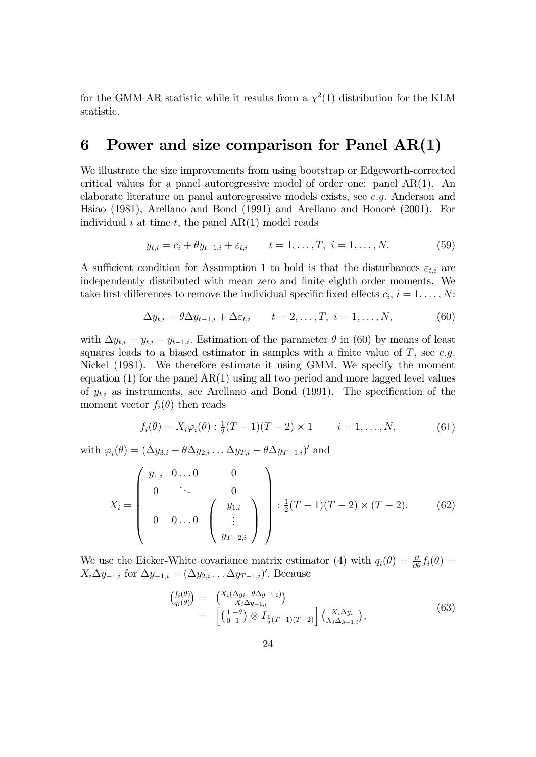for the GMM-AR statistic while it results from a  $\chi^2(1)$  distribution for the KLM statistic.

## 6 Power and size comparison for Panel  $AR(1)$

We illustrate the size improvements from using bootstrap or Edgeworth-corrected critical values for a panel autoregressive model of order one: panel  $AR(1)$ . An elaborate literature on panel autoregressive models exists, see e:g: Anderson and Hsiao (1981), Arellano and Bond (1991) and Arellano and HonorÈ (2001). For individual i at time t, the panel  $AR(1)$  model reads

$$
y_{t,i} = c_i + \theta y_{t-1,i} + \varepsilon_{t,i} \qquad t = 1, \dots, T, \ i = 1, \dots, N. \tag{59}
$$

A sufficient condition for Assumption 1 to hold is that the disturbances  $\varepsilon_{t,i}$  are independently distributed with mean zero and finite eighth order moments. We take first differences to remove the individual specific fixed effects  $c_i$ ,  $i = 1, \ldots, N$ :

$$
\Delta y_{t,i} = \theta \Delta y_{t-1,i} + \Delta \varepsilon_{t,i} \qquad t = 2, \dots, T, \ i = 1, \dots, N,
$$
\n(60)

with  $\Delta y_{t,i} = y_{t,i} - y_{t-1,i}$ . Estimation of the parameter  $\theta$  in (60) by means of least squares leads to a biased estimator in samples with a finite value of  $T$ , see e.g. Nickel (1981). We therefore estimate it using GMM. We specify the moment equation (1) for the panel AR(1) using all two period and more lagged level values of  $y_{t,i}$  as instruments, see Arellano and Bond (1991). The specification of the moment vector  $f_i(\theta)$  then reads

$$
f_i(\theta) = X_i \varphi_i(\theta) : \frac{1}{2}(T-1)(T-2) \times 1 \qquad i = 1, ..., N,
$$
 (61)

with  $\varphi_i(\theta) = (\Delta y_{3,i} - \theta \Delta y_{2,i} \dots \Delta y_{T,i} - \theta \Delta y_{T-1,i})'$  and

$$
X_i = \begin{pmatrix} y_{1,i} & 0 \dots 0 & 0 \\ 0 & \ddots & 0 \\ 0 & 0 \dots 0 & \begin{pmatrix} y_{1,i} \\ \vdots \\ y_{T-2,i} \end{pmatrix} \end{pmatrix} : \frac{1}{2}(T-1)(T-2) \times (T-2). \tag{62}
$$

We use the Eicker-White covariance matrix estimator (4) with  $q_i(\theta) = \frac{\partial}{\partial \theta} f_i(\theta) =$  $X_i \Delta y_{-1,i}$  for  $\Delta y_{-1,i} = (\Delta y_{2,i} \dots \Delta y_{T-1,i})'$ . Because

$$
\begin{array}{rcl}\n\left(\begin{array}{c}\nf_i(\theta) \\
q_i(\theta)\n\end{array}\right) & = & \left(\begin{array}{c}\nX_i(\Delta y_i - \theta \Delta y_{-1,i}) \\
X_i \Delta y_{-1,i}\n\end{array}\right) \\
& = & \left[\begin{array}{c}\n1 - \theta \\
0 & 1\n\end{array}\right) \otimes I_{\frac{1}{2}(T-1)(T-2)}\n\right] \left(\begin{array}{c}\nX_i \Delta y_i \\
X_i \Delta y_{-1,i}\n\end{array}\right),\n\end{array} \tag{63}
$$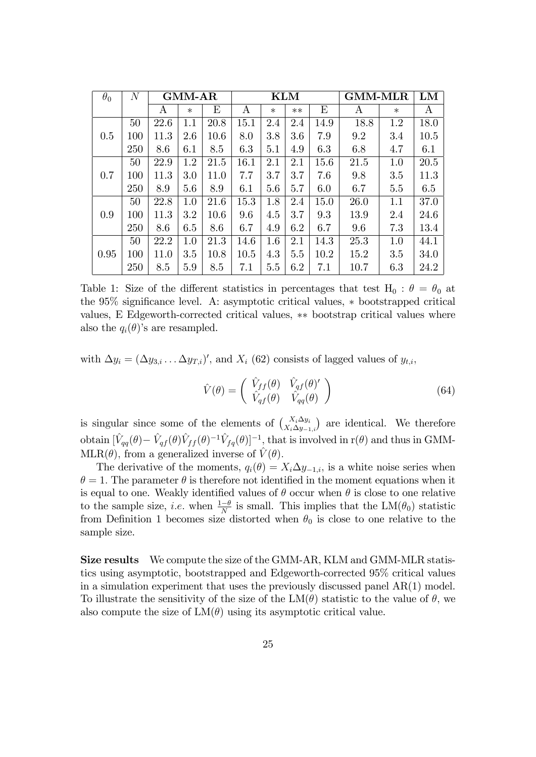| $\theta_0$ | $\cal N$ | <b>GMM-AR</b> |        |      | <b>KLM</b> |        |      |      | <b>GMM-MLR</b> |        | ${\rm LM}$ |
|------------|----------|---------------|--------|------|------------|--------|------|------|----------------|--------|------------|
|            |          | A             | $\ast$ | E    | Α          | $\ast$ | $**$ | E    | A              | $\ast$ | A          |
|            | 50       | 22.6          | 1.1    | 20.8 | 15.1       | 2.4    | 2.4  | 14.9 | 18.8           | 1.2    | 18.0       |
| 0.5        | 100      | 11.3          | 2.6    | 10.6 | 8.0        | 3.8    | 3.6  | 7.9  | 9.2            | 3.4    | 10.5       |
|            | 250      | 8.6           | 6.1    | 8.5  | 6.3        | 5.1    | 4.9  | 6.3  | 6.8            | 4.7    | 6.1        |
|            | 50       | 22.9          | 1.2    | 21.5 | 16.1       | 2.1    | 2.1  | 15.6 | 21.5           | 1.0    | 20.5       |
| 0.7        | 100      | 11.3          | 3.0    | 11.0 | 7.7        | 3.7    | 3.7  | 7.6  | 9.8            | 3.5    | 11.3       |
|            | 250      | 8.9           | 5.6    | 8.9  | 6.1        | 5.6    | 5.7  | 6.0  | 6.7            | 5.5    | 6.5        |
|            | 50       | 22.8          | 1.0    | 21.6 | 15.3       | 1.8    | 2.4  | 15.0 | 26.0           | 1.1    | 37.0       |
| 0.9        | 100      | 11.3          | 3.2    | 10.6 | 9.6        | 4.5    | 3.7  | 9.3  | 13.9           | 2.4    | 24.6       |
|            | 250      | 8.6           | 6.5    | 8.6  | 6.7        | 4.9    | 6.2  | 6.7  | 9.6            | 7.3    | 13.4       |
|            | 50       | 22.2          | 1.0    | 21.3 | 14.6       | 1.6    | 2.1  | 14.3 | 25.3           | 1.0    | 44.1       |
| 0.95       | 100      | 11.0          | 3.5    | 10.8 | 10.5       | 4.3    | 5.5  | 10.2 | 15.2           | 3.5    | 34.0       |
|            | 250      | 8.5           | 5.9    | 8.5  | 7.1        | 5.5    | 6.2  | 7.1  | 10.7           | 6.3    | 24.2       |

Table 1: Size of the different statistics in percentages that test  $H_0$ :  $\theta = \theta_0$  at the  $95\%$  significance level. A: asymptotic critical values,  $*$  bootstrapped critical values, E Edgeworth-corrected critical values,  $**$  bootstrap critical values where also the  $q_i(\theta)$ 's are resampled.

with  $\Delta y_i = (\Delta y_{3,i} \dots \Delta y_{T,i})'$ , and  $X_i$  (62) consists of lagged values of  $y_{t,i}$ ,

$$
\hat{V}(\theta) = \begin{pmatrix} \hat{V}_{ff}(\theta) & \hat{V}_{qf}(\theta)^{\prime} \\ \hat{V}_{qf}(\theta) & \hat{V}_{qq}(\theta) \end{pmatrix}
$$
\n(64)

is singular since some of the elements of  $\begin{pmatrix} X_i \Delta y_i \\ X_i \Delta y_{-1,i} \end{pmatrix}$ ) are identical. We therefore obtain  $[\hat{V}_{qq}(\theta) - \hat{V}_{qf}(\theta)\hat{V}_{ff}(\theta)^{-1}\hat{V}_{fq}(\theta)]^{-1}$ , that is involved in r( $\theta$ ) and thus in GMM-MLR( $\theta$ ), from a generalized inverse of  $\hat{V}(\theta)$ .

The derivative of the moments,  $q_i(\theta) = X_i \Delta y_{-1,i}$ , is a white noise series when  $\theta = 1$ . The parameter  $\theta$  is therefore not identified in the moment equations when it is equal to one. Weakly identified values of  $\theta$  occur when  $\theta$  is close to one relative to the sample size, *i.e.* when  $\frac{1-\theta}{N}$  is small. This implies that the  $LM(\theta_0)$  statistic from Definition 1 becomes size distorted when  $\theta_0$  is close to one relative to the sample size.

Size results We compute the size of the GMM-AR, KLM and GMM-MLR statistics using asymptotic, bootstrapped and Edgeworth-corrected 95% critical values in a simulation experiment that uses the previously discussed panel AR(1) model. To illustrate the sensitivity of the size of the  $LM(\theta)$  statistic to the value of  $\theta$ , we also compute the size of  $LM(\theta)$  using its asymptotic critical value.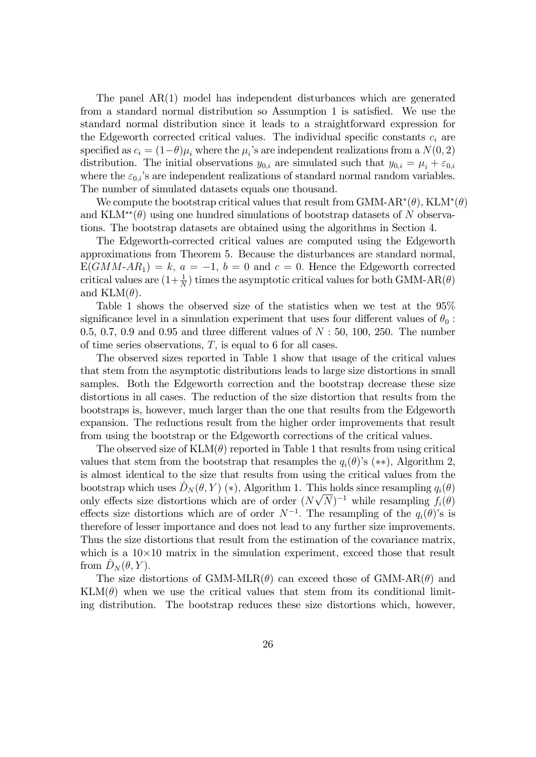The panel AR(1) model has independent disturbances which are generated from a standard normal distribution so Assumption 1 is satisfied. We use the standard normal distribution since it leads to a straightforward expression for the Edgeworth corrected critical values. The individual specific constants  $c_i$  are specified as  $c_i = (1-\theta)\mu_i$  where the  $\mu_i$ 's are independent realizations from a  $N(0, 2)$ distribution. The initial observations  $y_{0,i}$  are simulated such that  $y_{0,i} = \mu_i + \varepsilon_{0,i}$ where the  $\varepsilon_{0,i}$ 's are independent realizations of standard normal random variables. The number of simulated datasets equals one thousand.

We compute the bootstrap critical values that result from GMM-AR<sup>\*</sup>( $\theta$ ), KLM<sup>\*</sup>( $\theta$ ) and  $KLM^{**}(\theta)$  using one hundred simulations of bootstrap datasets of N observations. The bootstrap datasets are obtained using the algorithms in Section 4.

The Edgeworth-corrected critical values are computed using the Edgeworth approximations from Theorem 5. Because the disturbances are standard normal,  $E(GMM-AR_1) = k, a = -1, b = 0$  and  $c = 0$ . Hence the Edgeworth corrected critical values are  $(1+\frac{1}{N})$  times the asymptotic critical values for both GMM-AR( $\theta$ ) and  $KLM(\theta)$ .

Table 1 shows the observed size of the statistics when we test at the 95% significance level in a simulation experiment that uses four different values of  $\theta_0$ : 0.5, 0.7, 0.9 and 0.95 and three different values of  $N: 50, 100, 250$ . The number of time series observations,  $T$ , is equal to 6 for all cases.

The observed sizes reported in Table 1 show that usage of the critical values that stem from the asymptotic distributions leads to large size distortions in small samples. Both the Edgeworth correction and the bootstrap decrease these size distortions in all cases. The reduction of the size distortion that results from the bootstraps is, however, much larger than the one that results from the Edgeworth expansion. The reductions result from the higher order improvements that result from using the bootstrap or the Edgeworth corrections of the critical values.

The observed size of  $KLM(\theta)$  reported in Table 1 that results from using critical values that stem from the bootstrap that resamples the  $q_i(\theta)$ 's (\*\*), Algorithm 2, is almost identical to the size that results from using the critical values from the bootstrap which uses  $\hat{D}_N (\theta, Y )$  (\*), Algorithm 1. This holds since resampling  $q_i(\theta)$ only effects size distortions which are of order  $(N\sqrt{N})^{-1}$  while resampling  $f_i(\theta)$ effects size distortions which are of order  $N^{-1}$ . The resampling of the  $q_i(\theta)$ 's is therefore of lesser importance and does not lead to any further size improvements. Thus the size distortions that result from the estimation of the covariance matrix, which is a  $10\times10$  matrix in the simulation experiment, exceed those that result from  $\tilde{D}_N (\theta, Y)$ .

The size distortions of GMM-MLR $(\theta)$  can exceed those of GMM-AR $(\theta)$  and  $KLM(\theta)$  when we use the critical values that stem from its conditional limiting distribution. The bootstrap reduces these size distortions which, however,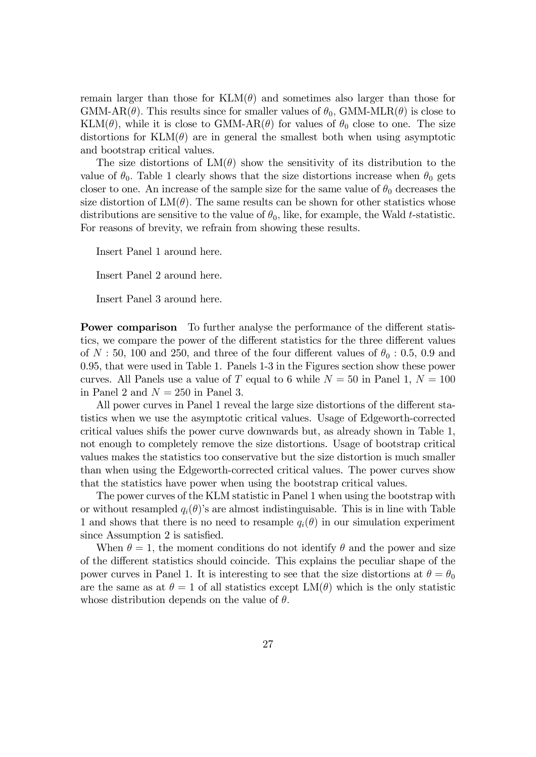remain larger than those for  $KLM(\theta)$  and sometimes also larger than those for GMM-AR( $\theta$ ). This results since for smaller values of  $\theta_0$ , GMM-MLR( $\theta$ ) is close to KLM( $\theta$ ), while it is close to GMM-AR( $\theta$ ) for values of  $\theta_0$  close to one. The size distortions for  $KLM(\theta)$  are in general the smallest both when using asymptotic and bootstrap critical values.

The size distortions of  $LM(\theta)$  show the sensitivity of its distribution to the value of  $\theta_0$ . Table 1 clearly shows that the size distortions increase when  $\theta_0$  gets closer to one. An increase of the sample size for the same value of  $\theta_0$  decreases the size distortion of  $LM(\theta)$ . The same results can be shown for other statistics whose distributions are sensitive to the value of  $\theta_0$ , like, for example, the Wald t-statistic. For reasons of brevity, we refrain from showing these results.

Insert Panel 1 around here.

Insert Panel 2 around here.

Insert Panel 3 around here.

**Power comparison** To further analyse the performance of the different statistics, we compare the power of the different statistics for the three different values of  $N: 50$ , 100 and 250, and three of the four different values of  $\theta_0: 0.5, 0.9$  and 0.95, that were used in Table 1. Panels 1-3 in the Figures section show these power curves. All Panels use a value of T equal to 6 while  $N = 50$  in Panel 1,  $N = 100$ in Panel 2 and  $N = 250$  in Panel 3.

All power curves in Panel 1 reveal the large size distortions of the different statistics when we use the asymptotic critical values. Usage of Edgeworth-corrected critical values shifs the power curve downwards but, as already shown in Table 1, not enough to completely remove the size distortions. Usage of bootstrap critical values makes the statistics too conservative but the size distortion is much smaller than when using the Edgeworth-corrected critical values. The power curves show that the statistics have power when using the bootstrap critical values.

The power curves of the KLM statistic in Panel 1 when using the bootstrap with or without resampled  $q_i(\theta)$ 's are almost indistinguisable. This is in line with Table 1 and shows that there is no need to resample  $q_i(\theta)$  in our simulation experiment since Assumption 2 is satisfied.

When  $\theta = 1$ , the moment conditions do not identify  $\theta$  and the power and size of the different statistics should coincide. This explains the peculiar shape of the power curves in Panel 1. It is interesting to see that the size distortions at  $\theta = \theta_0$ are the same as at  $\theta = 1$  of all statistics except  $LM(\theta)$  which is the only statistic whose distribution depends on the value of  $\theta$ .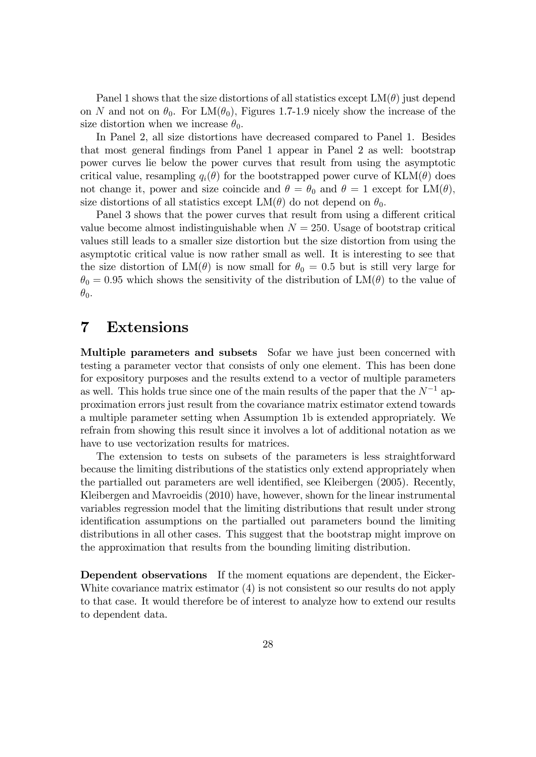Panel 1 shows that the size distortions of all statistics except  $LM(\theta)$  just depend on N and not on  $\theta_0$ . For LM( $\theta_0$ ), Figures 1.7-1.9 nicely show the increase of the size distortion when we increase  $\theta_0$ .

In Panel 2, all size distortions have decreased compared to Panel 1. Besides that most general Öndings from Panel 1 appear in Panel 2 as well: bootstrap power curves lie below the power curves that result from using the asymptotic critical value, resampling  $q_i(\theta)$  for the bootstrapped power curve of  $KLM(\theta)$  does not change it, power and size coincide and  $\theta = \theta_0$  and  $\theta = 1$  except for  $LM(\theta)$ , size distortions of all statistics except  $LM(\theta)$  do not depend on  $\theta_0$ .

Panel 3 shows that the power curves that result from using a different critical value become almost indistinguishable when  $N = 250$ . Usage of bootstrap critical values still leads to a smaller size distortion but the size distortion from using the asymptotic critical value is now rather small as well. It is interesting to see that the size distortion of  $LM(\theta)$  is now small for  $\theta_0 = 0.5$  but is still very large for  $\theta_0 = 0.95$  which shows the sensitivity of the distribution of LM( $\theta$ ) to the value of  $\theta_0$ .

### 7 Extensions

Multiple parameters and subsets Sofar we have just been concerned with testing a parameter vector that consists of only one element. This has been done for expository purposes and the results extend to a vector of multiple parameters as well. This holds true since one of the main results of the paper that the  $N^{-1}$  approximation errors just result from the covariance matrix estimator extend towards a multiple parameter setting when Assumption 1b is extended appropriately. We refrain from showing this result since it involves a lot of additional notation as we have to use vectorization results for matrices.

The extension to tests on subsets of the parameters is less straightforward because the limiting distributions of the statistics only extend appropriately when the partialled out parameters are well identified, see Kleibergen (2005). Recently, Kleibergen and Mavroeidis (2010) have, however, shown for the linear instrumental variables regression model that the limiting distributions that result under strong identification assumptions on the partialled out parameters bound the limiting distributions in all other cases. This suggest that the bootstrap might improve on the approximation that results from the bounding limiting distribution.

Dependent observations If the moment equations are dependent, the Eicker-White covariance matrix estimator  $(4)$  is not consistent so our results do not apply to that case. It would therefore be of interest to analyze how to extend our results to dependent data.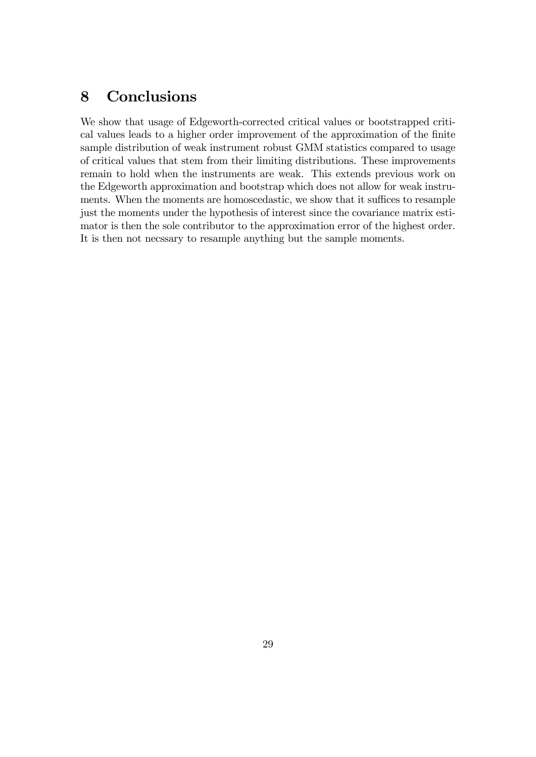## 8 Conclusions

We show that usage of Edgeworth-corrected critical values or bootstrapped critical values leads to a higher order improvement of the approximation of the finite sample distribution of weak instrument robust GMM statistics compared to usage of critical values that stem from their limiting distributions. These improvements remain to hold when the instruments are weak. This extends previous work on the Edgeworth approximation and bootstrap which does not allow for weak instruments. When the moments are homoscedastic, we show that it suffices to resample just the moments under the hypothesis of interest since the covariance matrix estimator is then the sole contributor to the approximation error of the highest order. It is then not necssary to resample anything but the sample moments.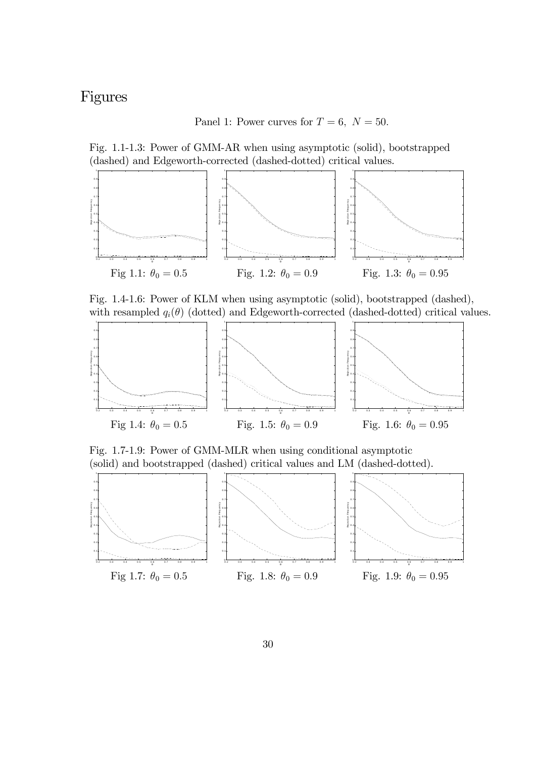# Figures

Panel 1: Power curves for  $T = 6$ ,  $N = 50$ .

Fig. 1.1-1.3: Power of GMM-AR when using asymptotic (solid), bootstrapped (dashed) and Edgeworth-corrected (dashed-dotted) critical values.



Fig. 1.4-1.6: Power of KLM when using asymptotic (solid), bootstrapped (dashed), with resampled  $q_i(\theta)$  (dotted) and Edgeworth-corrected (dashed-dotted) critical values.



Fig. 1.7-1.9: Power of GMM-MLR when using conditional asymptotic (solid) and bootstrapped (dashed) critical values and LM (dashed-dotted).

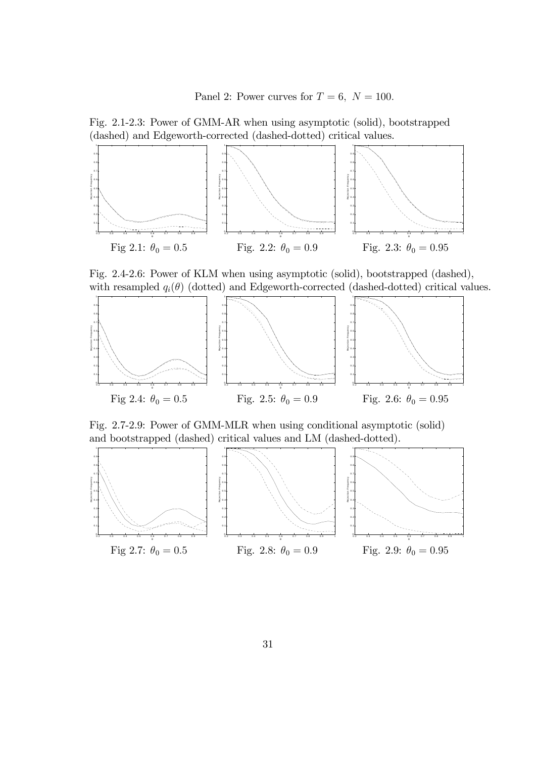Panel 2: Power curves for  $T = 6$ ,  $N = 100$ .

Fig. 2.1-2.3: Power of GMM-AR when using asymptotic (solid), bootstrapped (dashed) and Edgeworth-corrected (dashed-dotted) critical values.



Fig. 2.4-2.6: Power of KLM when using asymptotic (solid), bootstrapped (dashed), with resampled  $q_i(\theta)$  (dotted) and Edgeworth-corrected (dashed-dotted) critical values.



Fig. 2.7-2.9: Power of GMM-MLR when using conditional asymptotic (solid) and bootstrapped (dashed) critical values and LM (dashed-dotted).

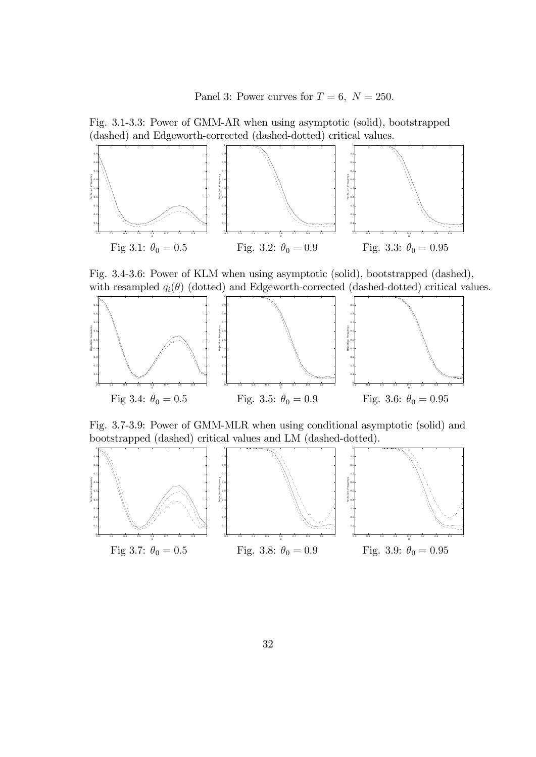Panel 3: Power curves for  $T = 6$ ,  $N = 250$ .

Fig. 3.1-3.3: Power of GMM-AR when using asymptotic (solid), bootstrapped (dashed) and Edgeworth-corrected (dashed-dotted) critical values.



Fig. 3.4-3.6: Power of KLM when using asymptotic (solid), bootstrapped (dashed), with resampled  $q_i(\theta)$  (dotted) and Edgeworth-corrected (dashed-dotted) critical values.



Fig. 3.7-3.9: Power of GMM-MLR when using conditional asymptotic (solid) and bootstrapped (dashed) critical values and LM (dashed-dotted).

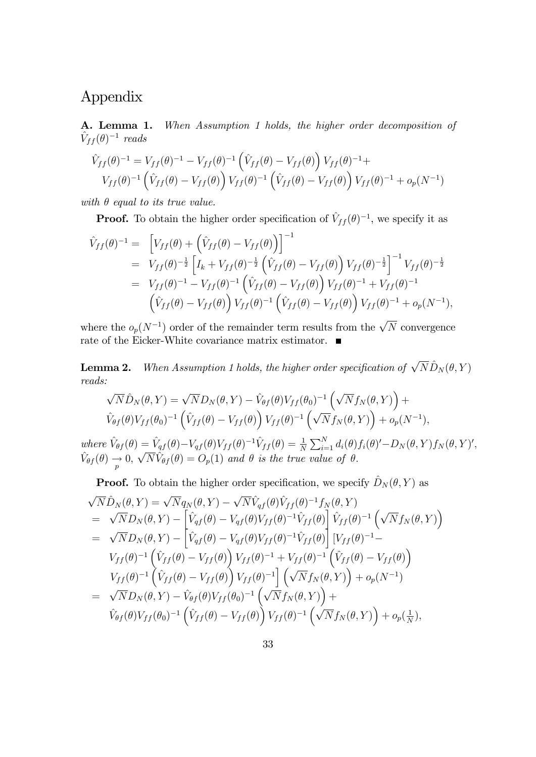# Appendix

A. Lemma 1. When Assumption 1 holds, the higher order decomposition of  $\hat{V}_{ff} (\theta)^{-1}$  reads

$$
\hat{V}_{ff}(\theta)^{-1} = V_{ff}(\theta)^{-1} - V_{ff}(\theta)^{-1} \left( \hat{V}_{ff}(\theta) - V_{ff}(\theta) \right) V_{ff}(\theta)^{-1} +
$$
\n
$$
V_{ff}(\theta)^{-1} \left( \hat{V}_{ff}(\theta) - V_{ff}(\theta) \right) V_{ff}(\theta)^{-1} \left( \hat{V}_{ff}(\theta) - V_{ff}(\theta) \right) V_{ff}(\theta)^{-1} + o_p(N^{-1})
$$

with  $\theta$  equal to its true value.

**Proof.** To obtain the higher order specification of  $\hat{V}_{ff} (\theta)^{-1}$ , we specify it as

$$
\hat{V}_{ff}(\theta)^{-1} = \left[V_{ff}(\theta) + \left(\hat{V}_{ff}(\theta) - V_{ff}(\theta)\right)\right]^{-1} \n= V_{ff}(\theta)^{-\frac{1}{2}} \left[I_k + V_{ff}(\theta)^{-\frac{1}{2}} \left(\hat{V}_{ff}(\theta) - V_{ff}(\theta)\right) V_{ff}(\theta)^{-\frac{1}{2}}\right]^{-1} V_{ff}(\theta)^{-\frac{1}{2}} \n= V_{ff}(\theta)^{-1} - V_{ff}(\theta)^{-1} \left(\hat{V}_{ff}(\theta) - V_{ff}(\theta)\right) V_{ff}(\theta)^{-1} + V_{ff}(\theta)^{-1} \n\left(\hat{V}_{ff}(\theta) - V_{ff}(\theta)\right) V_{ff}(\theta)^{-1} \left(\hat{V}_{ff}(\theta) - V_{ff}(\theta)\right) V_{ff}(\theta)^{-1} + o_p(N^{-1}),
$$

where the  $o_p(N^{-1})$  order of the remainder term results from the  $\sqrt{N}$  convergence rate of the Eicker-White covariance matrix estimator. ■

**Lemma 2.** When Assumption 1 holds, the higher order specification of  $\sqrt{N} \hat{D}_N (\theta, Y)$ reads:

$$
\sqrt{N}\hat{D}_N(\theta, Y) = \sqrt{N}D_N(\theta, Y) - \hat{V}_{\theta f}(\theta)V_{ff}(\theta_0)^{-1} \left(\sqrt{N}f_N(\theta, Y)\right) +
$$
  

$$
\hat{V}_{\theta f}(\theta)V_{ff}(\theta_0)^{-1} \left(\hat{V}_{ff}(\theta) - V_{ff}(\theta)\right)V_{ff}(\theta)^{-1} \left(\sqrt{N}f_N(\theta, Y)\right) + o_p(N^{-1}),
$$
  

$$
\hat{V}_{\theta f}(\theta) = \hat{V}_{\theta f}(\theta) - V_{\theta f}(\theta)V_{ff}(\theta)^{-1}\hat{V}_{\theta f}(\theta) = \frac{1}{N} \sum_{j=1}^{N} d_j(\theta) f_j(\theta) - D_N(\theta, Y) f_N(\theta, Y)^{j}
$$

where  $\hat{V}_{\theta f}(\theta) = \hat{V}_{qf}(\theta) - V_{qf}(\theta)V_{ff} (\theta)^{-1} \hat{V}_{ff} (\theta) = \frac{1}{N} \sum_{i=1}^{N} d_i(\theta) f_i(\theta)' - D_N(\theta, Y) f_N(\theta, Y)'$  $\hat{V}_{\theta f}(\theta) \rightarrow 0, \sqrt{N} \hat{V}_{\theta f}(\theta) = O_p(1)$  and  $\theta$  is the true value of  $\theta$ .

**Proof.** To obtain the higher order specification, we specify  $\hat{D}_N (\theta, Y)$  as

$$
\sqrt{N}\hat{D}_{N}(\theta,Y) = \sqrt{N}q_{N}(\theta,Y) - \sqrt{N}\hat{V}_{qf}(\theta)\hat{V}_{ff}(\theta)^{-1}f_{N}(\theta,Y) \n= \sqrt{N}D_{N}(\theta,Y) - \left[\hat{V}_{qf}(\theta) - V_{qf}(\theta)V_{ff}(\theta)^{-1}\hat{V}_{ff}(\theta)\right]\hat{V}_{ff}(\theta)^{-1} \left(\sqrt{N}f_{N}(\theta,Y)\right) \n= \sqrt{N}D_{N}(\theta,Y) - \left[\hat{V}_{qf}(\theta) - V_{qf}(\theta)V_{ff}(\theta)^{-1}\hat{V}_{ff}(\theta)\right][V_{ff}(\theta)^{-1} - \nV_{ff}(\theta)^{-1} \left(\hat{V}_{ff}(\theta) - V_{ff}(\theta)\right)V_{ff}(\theta)^{-1} + V_{ff}(\theta)^{-1} \left(\hat{V}_{ff}(\theta) - V_{ff}(\theta)\right) \nV_{ff}(\theta)^{-1} \left(\hat{V}_{ff}(\theta) - V_{ff}(\theta)\right)V_{ff}(\theta)^{-1} \left(\sqrt{N}f_{N}(\theta,Y)\right) + o_{p}(N^{-1}) \n= \sqrt{N}D_{N}(\theta,Y) - \hat{V}_{\theta f}(\theta)V_{ff}(\theta_{0})^{-1} \left(\sqrt{N}f_{N}(\theta,Y)\right) + \n\hat{V}_{\theta f}(\theta)V_{ff}(\theta_{0})^{-1} \left(\hat{V}_{ff}(\theta) - V_{ff}(\theta)\right)V_{ff}(\theta)^{-1} \left(\sqrt{N}f_{N}(\theta,Y)\right) + o_{p}(\frac{1}{N}),
$$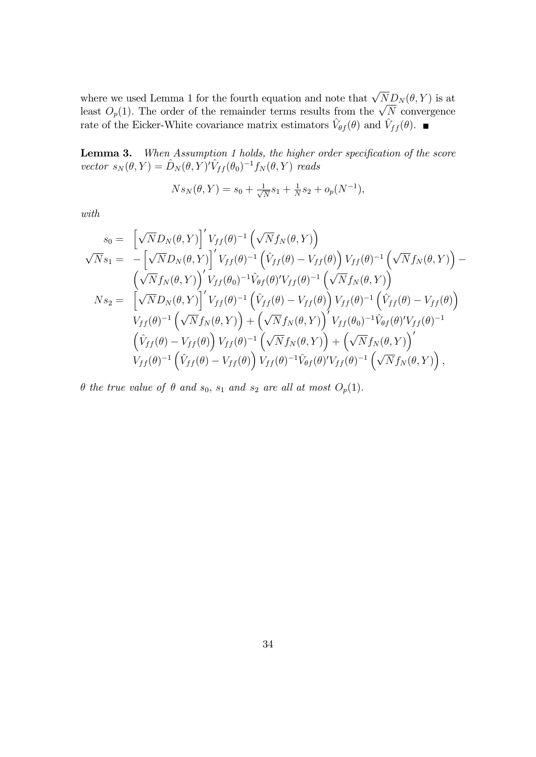where we used Lemma 1 for the fourth equation and note that  $\sqrt{N}D_N(\theta, Y)$  is at least  $O_p(1)$ . The order of the remainder terms results from the  $\sqrt{N}$  convergence rate of the Eicker-White covariance matrix estimators  $\hat{V}_{\theta f}(\theta)$  and  $\hat{V}_{ff}(\theta)$ .

**Lemma 3.** When Assumption 1 holds, the higher order specification of the score vector  $s_N(\theta, Y) = \hat{D}_N (\theta, Y)'\hat{V}_{ff} (\theta_0)^{-1} f_N(\theta, Y)$  reads

$$
Ns_N(\theta, Y) = s_0 + \frac{1}{\sqrt{N}}s_1 + \frac{1}{N}s_2 + o_p(N^{-1}),
$$

with

$$
s_0 = \left[\sqrt{N}D_N(\theta, Y)\right]' V_{ff}(\theta)^{-1} \left(\sqrt{N}f_N(\theta, Y)\right)
$$
  
\n
$$
\sqrt{N} s_1 = -\left[\sqrt{N}D_N(\theta, Y)\right]' V_{ff}(\theta)^{-1} \left(\hat{V}_{ff}(\theta) - V_{ff}(\theta)\right) V_{ff}(\theta)^{-1} \left(\sqrt{N}f_N(\theta, Y)\right) - \left(\sqrt{N}f_N(\theta, Y)\right)' V_{ff}(\theta)^{-1} \hat{V}_{\theta f}(\theta)' V_{ff}(\theta)^{-1} \left(\sqrt{N}f_N(\theta, Y)\right)
$$
  
\n
$$
N s_2 = \left[\sqrt{N}D_N(\theta, Y)\right]' V_{ff}(\theta)^{-1} \left(\hat{V}_{ff}(\theta) - V_{ff}(\theta)\right) V_{ff}(\theta)^{-1} \left(\hat{V}_{ff}(\theta) - V_{ff}(\theta)\right)
$$
  
\n
$$
V_{ff}(\theta)^{-1} \left(\sqrt{N}f_N(\theta, Y)\right) + \left(\sqrt{N}f_N(\theta, Y)\right)' V_{ff}(\theta_0)^{-1} \hat{V}_{\theta f}(\theta)' V_{ff}(\theta)^{-1}
$$
  
\n
$$
\left(\hat{V}_{ff}(\theta) - V_{ff}(\theta)\right) V_{ff}(\theta)^{-1} \left(\sqrt{N}f_N(\theta, Y)\right) + \left(\sqrt{N}f_N(\theta, Y)\right)'
$$
  
\n
$$
V_{ff}(\theta)^{-1} \left(\hat{V}_{ff}(\theta) - V_{ff}(\theta)\right) V_{ff}(\theta)^{-1} \hat{V}_{\theta f}(\theta)' V_{ff}(\theta)^{-1} \left(\sqrt{N}f_N(\theta, Y)\right),
$$

 $\theta$  the true value of  $\theta$  and  $s_0$ ,  $s_1$  and  $s_2$  are all at most  $O_p(1)$ .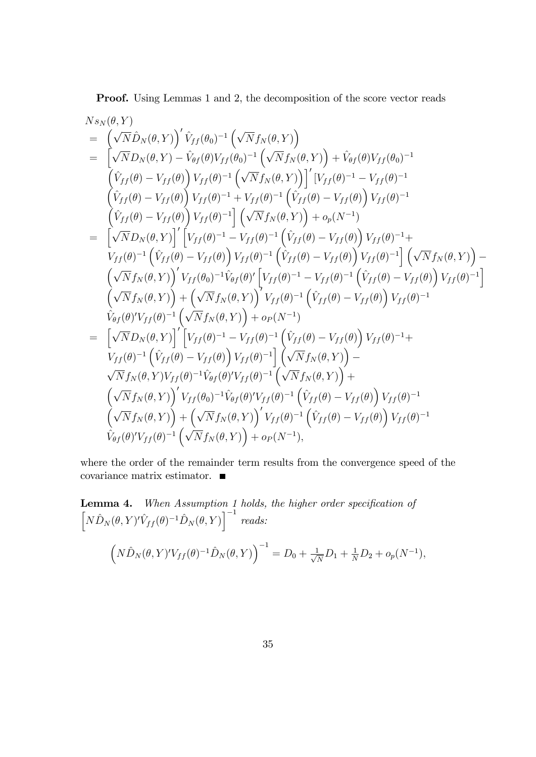Proof. Using Lemmas 1 and 2, the decomposition of the score vector reads

$$
N_{sN}(\theta, Y)
$$
\n
$$
= (\sqrt{N}\hat{D}_{N}(\theta, Y))' \hat{V}_{ff}(\theta_{0})^{-1} (\sqrt{N}f_{N}(\theta, Y))
$$
\n
$$
= [\sqrt{N}D_{N}(\theta, Y) - \hat{V}_{\theta f}(\theta) V_{ff}(\theta_{0})^{-1} (\sqrt{N}f_{N}(\theta, Y)) + \hat{V}_{\theta f}(\theta) V_{ff}(\theta_{0})^{-1}
$$
\n
$$
(\hat{V}_{ff}(\theta) - V_{ff}(\theta)) V_{ff}(\theta)^{-1} (\sqrt{N}f_{N}(\theta, Y))]' [V_{ff}(\theta)^{-1} - V_{ff}(\theta)^{-1}
$$
\n
$$
(\hat{V}_{ff}(\theta) - V_{ff}(\theta)) V_{ff}(\theta)^{-1} + V_{ff}(\theta)^{-1} (\hat{V}_{ff}(\theta) - V_{ff}(\theta)) V_{ff}(\theta)^{-1}
$$
\n
$$
(\hat{V}_{ff}(\theta) - V_{ff}(\theta)) V_{ff}(\theta)^{-1} [\sqrt{N}f_{N}(\theta, Y)) + o_{p}(N^{-1})
$$
\n
$$
= [\sqrt{N}D_{N}(\theta, Y)]' [V_{ff}(\theta)^{-1} - V_{ff}(\theta)^{-1} (\hat{V}_{ff}(\theta) - V_{ff}(\theta)) V_{ff}(\theta)^{-1} + V_{ff}(\theta)^{-1} (\hat{V}_{ff}(\theta) - V_{ff}(\theta)) V_{ff}(\theta)^{-1}] (\sqrt{N}f_{N}(\theta, Y)) - (\sqrt{N}f_{N}(\theta, Y))' V_{ff}(\theta)^{-1} \hat{V}_{ff}(\theta)^{-1} (\hat{V}_{ff}(\theta)^{-1} - V_{ff}(\theta)^{-1} (\hat{V}_{ff}(\theta) - V_{ff}(\theta)) V_{ff}(\theta)^{-1}]
$$
\n
$$
(\sqrt{N}f_{N}(\theta, Y))' V_{ff}(\theta_{0})^{-1} \hat{V}_{\theta f}(\theta)' [\hat{V}_{ff}(\theta)^{-1} - V_{ff}(\theta)^{-1} (\hat{V}_{ff}(\theta) - V_{ff}(\theta)) V_{ff}(\theta)^{-1}]
$$
\n
$$
\hat{V}_{\theta f}(\theta) V_{ff}(\theta, Y) + (\sqrt{N}f_{N}(\theta, Y))' V_{ff}(\theta)^{-1} (\hat{V}_{ff}(\theta) - V_{ff}(\theta
$$

where the order of the remainder term results from the convergence speed of the covariance matrix estimator.

Lemma 4. When Assumption 1 holds, the higher order specification of  $\left[N\hat{D}_N(\theta,Y)'\hat{V}_{ff}(\theta)^{-1}\hat{D}_N(\theta,Y)\right]^{-1} \ reads:$  $\left(N\hat{D}_N(\theta, Y)'V_{ff}(\theta)^{-1}\hat{D}_N(\theta, Y)\right)^{-1} = D_0 + \frac{1}{\sqrt{2}}$  $\frac{1}{N}D_1 + \frac{1}{N}D_2 + o_p(N^{-1}),$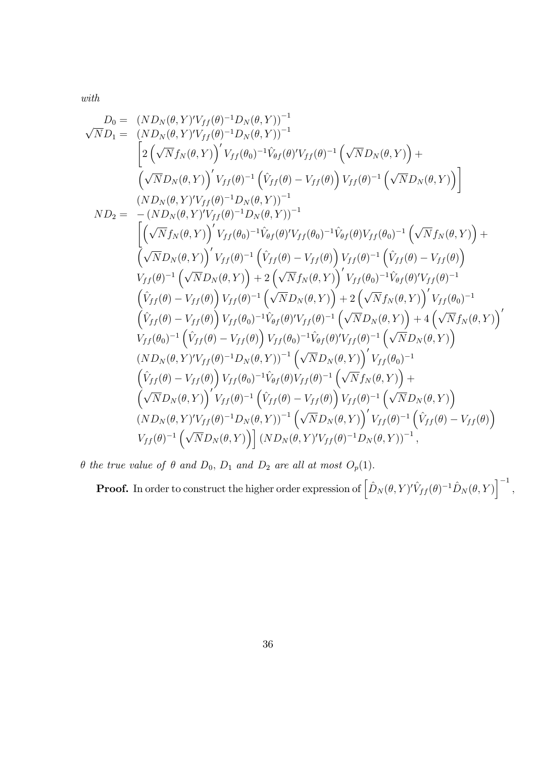with

$$
D_{0} = (ND_{N}(\theta, Y)'V_{ff}(\theta)^{-1}D_{N}(\theta, Y))^{-1}
$$
\n
$$
\sqrt{N}D_{1} = (ND_{N}(\theta, Y)'V_{ff}(\theta)^{-1}D_{N}(\theta, Y))^{-1}
$$
\n
$$
= (2(\sqrt{N}f_{N}(\theta, Y))'V_{ff}(\theta)^{-1}\hat{V}_{\theta f}(\theta)'V_{ff}(\theta)^{-1}(\sqrt{N}D_{N}(\theta, Y)) + (\sqrt{N}D_{N}(\theta, Y))'V_{ff}(\theta)^{-1}D_{N}(\theta, Y))^{-1}
$$
\n
$$
ND_{2} = -(ND_{N}(\theta, Y)'V_{ff}(\theta)^{-1}D_{N}(\theta, Y))^{-1}
$$
\n
$$
= (ND_{N}(\theta, Y)'V_{ff}(\theta)^{-1}D_{N}(\theta, Y))^{-1}
$$
\n
$$
= (\sqrt{N}f_{N}(\theta, Y))'V_{ff}(\theta)^{-1}\hat{V}_{\theta f}(\theta)'V_{ff}(\theta)^{-1}\hat{V}_{\theta f}(\theta)V_{ff}(\theta)^{-1}(\sqrt{N}f_{N}(\theta, Y)) + (\sqrt{N}f_{N}(\theta, Y))'V_{ff}(\theta)^{-1}(\hat{V}_{ff}(\theta)^{-1}\hat{V}_{\theta f}(\theta)V_{ff}(\theta)^{-1}(\hat{V}_{ff}(\theta)^{-1}(\theta)^{-1}(\theta)^{-1}(\theta)^{-1}(\theta)^{-1}(\theta)^{-1}(\theta)^{-1}(\theta)^{-1}(\theta)^{-1}(\theta)^{-1}(\theta)^{-1}(\theta)^{-1}(\theta)^{-1}(\theta)^{-1}(\theta)^{-1}(\theta)^{-1}(\theta)^{-1}(\theta)^{-1}(\theta)^{-1}(\theta)^{-1}(\theta)^{-1}(\theta)^{-1}(\theta)^{-1}(\theta)^{-1}(\theta)^{-1}(\theta)^{-1}(\theta)^{-1}(\theta)^{-1}(\theta)^{-1}(\theta)^{-1}(\theta)^{-1}(\theta)^{-1}(\theta)^{-1}(\theta)^{-1}(\theta)^{-1}(\theta)^{-1}(\theta)^{-1}(\theta)^{-1}(\theta)^{-1}(\theta)^{-1}(\theta)^{-1}(\theta)^{-1}(\theta)^{-1}(\theta)^{-1}(\theta)^{-1}(\theta)^{-1}(\theta)^{-1}(\theta)^{-1}(\theta)^{-1}(\theta)^{-1}(\theta)^{-1}(\theta)^{-1}(\theta)^{-1}
$$

 $\theta$  the true value of  $\theta$  and  $D_0$ ,  $D_1$  and  $D_2$  are all at most  $O_p(1)$ .

**Proof.** In order to construct the higher order expression of  $\left[ \hat{D}_N (\theta, Y)'\hat{V}_{ff} (\theta)^{-1} \hat{D}_N (\theta, Y) \right]^{-1}$ ,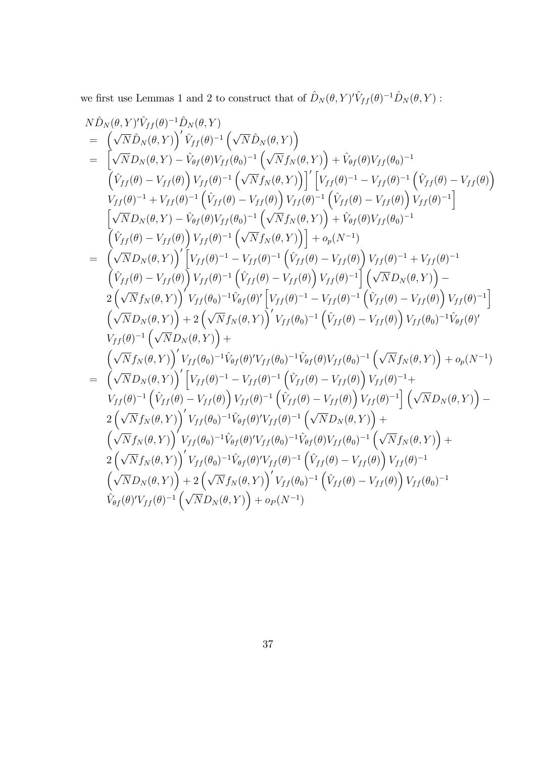we first use Lemmas 1 and 2 to construct that of  $\hat{D}_N(\theta, Y)' \hat{V}_{ff} (\theta)^{-1} \hat{D}_N (\theta, Y)$ :

$$
N\hat{D}_{N}(\theta,Y)^{i}\hat{V}_{ff}(\theta)^{-1}\hat{D}_{N}(\theta,Y)
$$
\n
$$
= \left(\sqrt{N}\hat{D}_{N}(\theta,Y)\right)^{i}\hat{V}_{ff}(\theta)^{-1}\left(\sqrt{N}\hat{D}_{N}(\theta,Y)\right)
$$
\n
$$
= \left[\sqrt{N}D_{N}(\theta,Y)-\hat{V}_{\theta f}(\theta)V_{ff}(\theta_{0})^{-1}\left(\sqrt{N}f_{N}(\theta,Y)\right)+\hat{V}_{\theta f}(\theta)V_{ff}(\theta_{0})^{-1}\right.\left(\hat{V}_{ff}(\theta)-V_{ff}(\theta)\right)\right]
$$
\n
$$
V_{ff}(\theta)^{-1}+V_{ff}(\theta)^{-1}\left(\hat{V}_{ff}(\theta)-V_{ff}(\theta)\right)V_{ff}(\theta)^{-1}\left(\hat{V}_{ff}(\theta)-V_{ff}(\theta)\right)V_{ff}(\theta)^{-1}\right]
$$
\n
$$
= \left(\sqrt{N}D_{N}(\theta,Y)-\hat{V}_{\theta f}(\theta)V_{ff}(\theta_{0})^{-1}\left(\sqrt{N}f_{N}(\theta,Y)\right)+\hat{V}_{\theta f}(\theta)V_{ff}(\theta_{0})^{-1}\right]
$$
\n
$$
\left(\hat{V}_{ff}(\theta)-V_{ff}(\theta)\right)V_{ff}(\theta)^{-1}\left(\sqrt{N}f_{N}(\theta,Y)\right)+\hat{V}_{\theta f}(\theta)V_{ff}(\theta_{0})^{-1}
$$
\n
$$
\left(\hat{V}_{ff}(\theta)-V_{ff}(\theta)\right)V_{ff}(\theta)^{-1}\left(\sqrt{N}f_{N}(\theta,Y)\right)\right] + o_{p}(N^{-1})
$$
\n
$$
= \left(\sqrt{N}D_{N}(\theta,Y)\right)^{i}\left[V_{ff}(\theta)^{-1}-V_{ff}(\theta)^{-1}\left(\hat{V}_{ff}(\theta)-V_{ff}(\theta)\right)V_{ff}(\theta)^{-1}\right]\left(\sqrt{N}D_{N}(\theta,Y)\right)-
$$
\n
$$
2\left(\sqrt{N}f_{N}(\theta,Y)\right)V_{ff}(\theta)^{-1}\left(\hat{V}_{ff}(\theta)-V_{ff}(\theta)\right)V_{ff}(\theta)^{-1}\right]\left(\sqrt{N}D_{N}(\theta,Y)\right)-
$$
\n
$$
2\left(\sqrt{N}f_{N}(\theta,Y)\right)V_{ff}(\theta)^{-1}\hat{V}_{\theta f}
$$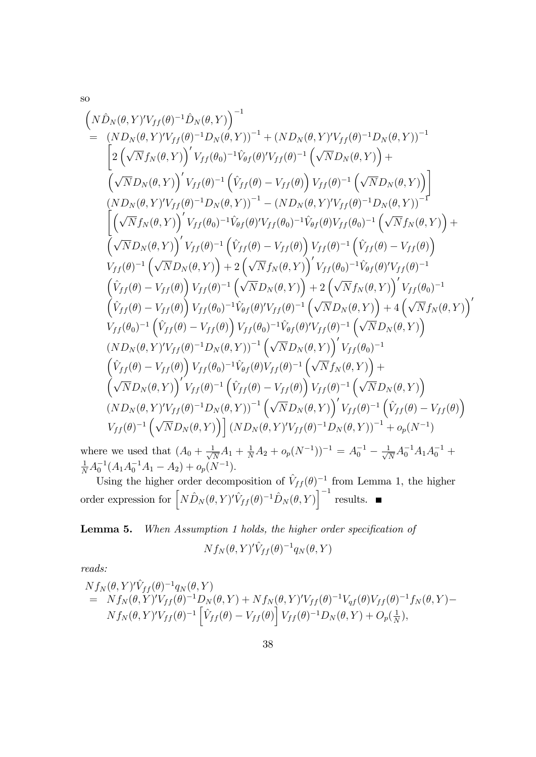so

$$
\begin{array}{l} \left( N\hat{D}_{N}(\theta,Y)'V_{ff}(\theta)^{-1}\hat{D}_{N}(\theta,Y) \right)^{-1} \\ \hskip0.3cm = \left( ND_{N}(\theta,Y)'V_{ff}(\theta)^{-1}D_{N}(\theta,Y) \right)^{-1} + \left( ND_{N}(\theta,Y)'V_{ff}(\theta)^{-1}D_{N}(\theta,Y) \right)^{-1} \\ \hskip0.3cm \left[ 2\left( \sqrt{N}f_{N}(\theta,Y) \right)'V_{ff}(\theta_{0})^{-1}\hat{V}_{\theta f}(\theta)'V_{ff}(\theta)^{-1}\left( \sqrt{N}D_{N}(\theta,Y) \right) + \\ \left( \sqrt{N}D_{N}(\theta,Y) \right)'V_{ff}(\theta)^{-1}\left( \hat{V}_{ff}(\theta) - V_{ff}(\theta) \right)V_{ff}(\theta)^{-1}\left( \sqrt{N}D_{N}(\theta,Y) \right) \right]\\ \hskip0.3cm \left( ND_{N}(\theta,Y)'V_{ff}(\theta)^{-1}D_{N}(\theta,Y) \right)^{-1} - \left( ND_{N}(\theta,Y)'V_{ff}(\theta)^{-1}D_{N}(\theta,Y) \right)^{-1} \\ \hskip0.3cm \left[ \left( \sqrt{N}f_{N}(\theta,Y) \right)'V_{ff}(\theta_{0})^{-1}\hat{V}_{\theta f}(\theta)'V_{ff}(\theta_{0})^{-1}\hat{V}_{\theta f}(\theta)V_{ff}(\theta_{0})^{-1}\left( \sqrt{N}f_{N}(\theta,Y) \right) + \\ \left( \sqrt{N}D_{N}(\theta,Y) \right)'V_{ff}(\theta)^{-1}\left( \hat{V}_{ff}(\theta) - V_{ff}(\theta) \right)V_{ff}(\theta)^{-1}\left( \hat{V}_{ff}(\theta) - V_{ff}(\theta) \right) \\ V_{ff}(\theta)^{-1}\left( \sqrt{N}D_{N}(\theta,Y) \right) + 2\left( \sqrt{N}f_{N}(\theta,Y) \right)'V_{ff}(\theta_{0})^{-1}\hat{V}_{\theta f}(\theta)'V_{ff}(\theta)^{-1} \\ \hskip0.3cm \left( \hat{V}_{ff}(\theta) - V_{ff}(\theta) \right)V_{ff}(\theta)^{-1}\left( \sqrt{N}D_{N}(\theta,Y) \right) \right) + 2\left( \sqrt{N}f_{N}(\theta,Y) \right)'V_{ff}(\theta_{0})^{-1} \\ \hskip0.3cm \left( \
$$

where we used that  $(A_0 + \frac{1}{\sqrt{2}})$  $\frac{1}{N}A_1 + \frac{1}{N}A_2 + o_p(N^{-1}))^{-1} = A_0^{-1} - \frac{1}{\sqrt{2}}$  $\frac{1}{N}A_0^{-1}A_1A_0^{-1} +$  $\frac{1}{N}A_0^{-1}(A_1A_0^{-1}A_1 - A_2) + o_p(N^{-1}).$ 

Using the higher order decomposition of  $\hat{V}_{ff} (\theta)^{-1}$  from Lemma 1, the higher order expression for  $\left[ N \hat{D}_N (\theta, Y)'\hat{V}_{ff} (\theta)^{-1} \hat{D}_N (\theta, Y) \right]^{-1}$  results.

Lemma 5. When Assumption 1 holds, the higher order specification of

$$
N f_N(\theta, Y)' \hat{V}_{ff}(\theta)^{-1} q_N(\theta, Y)
$$

reads:

$$
N f_N(\theta, Y)^{\prime} \hat{V}_{ff}(\theta)^{-1} q_N(\theta, Y) = N f_N(\theta, Y)^{\prime} V_{ff}(\theta)^{-1} D_N(\theta, Y) + N f_N(\theta, Y)^{\prime} V_{ff}(\theta)^{-1} V_{qf}(\theta) V_{ff}(\theta)^{-1} f_N(\theta, Y) - N f_N(\theta, Y)^{\prime} V_{ff}(\theta)^{-1} \left[ \hat{V}_{ff}(\theta) - V_{ff}(\theta) \right] V_{ff}(\theta)^{-1} D_N(\theta, Y) + O_p(\frac{1}{N}),
$$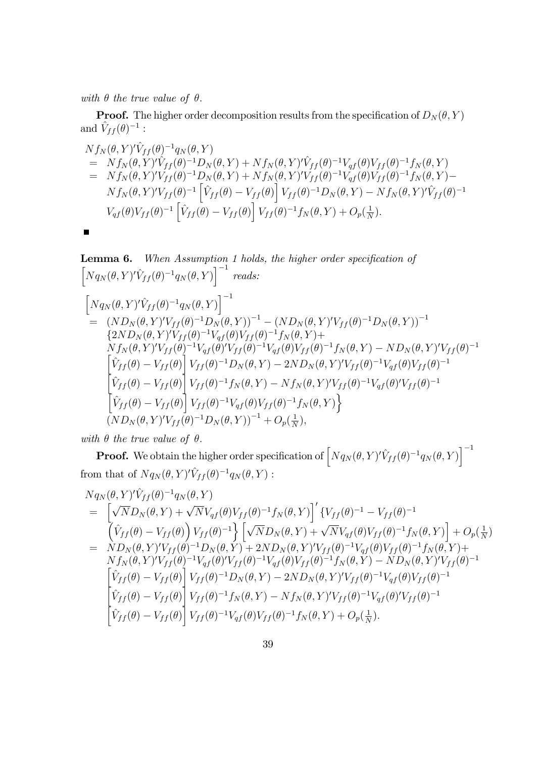with  $\theta$  the true value of  $\theta$ .

**Proof.** The higher order decomposition results from the specification of  $D_N(\theta, Y)$ and  $\hat{V}_{ff} (\theta)^{-1}$  :

$$
Nf_N(\theta, Y)^{t} \hat{V}_{ff}(\theta)^{-1} q_N(\theta, Y) = Nf_N(\theta, Y)^{t} \hat{V}_{ff}(\theta)^{-1} D_N(\theta, Y) + Nf_N(\theta, Y)^{t} \hat{V}_{ff}(\theta)^{-1} V_{qf}(\theta) V_{ff}(\theta)^{-1} f_N(\theta, Y) = Nf_N(\theta, Y)^{t} V_{ff}(\theta)^{-1} D_N(\theta, Y) + Nf_N(\theta, Y)^{t} V_{ff}(\theta)^{-1} V_{qf}(\theta) V_{ff}(\theta)^{-1} f_N(\theta, Y) -Nf_N(\theta, Y)^{t} V_{ff}(\theta)^{-1} \left[ \hat{V}_{ff}(\theta) - V_{ff}(\theta) \right] V_{ff}(\theta)^{-1} D_N(\theta, Y) - Nf_N(\theta, Y)^{t} \hat{V}_{ff}(\theta)^{-1} V_{qf}(\theta) V_{ff}(\theta)^{-1} \left[ \hat{V}_{ff}(\theta) - V_{ff}(\theta) \right] V_{ff}(\theta)^{-1} f_N(\theta, Y) + O_p(\frac{1}{N}).
$$

$$
\blacksquare
$$

Lemma 6. When Assumption 1 holds, the higher order specification of  $\left[ N q_N(\theta, Y)' \hat{V}_{ff} (\theta)^{-1} q_N(\theta, Y) \right]^{-1}$  reads:  $\left[ N q_N(\theta, Y)' \hat{V}_{ff} (\theta)^{-1} q_N(\theta, Y) \right]^{-1}$  $=\quad \left(ND_{N}(\theta,Y)'V_{ff}(\theta)^{-1}D_{N}(\theta,Y)\right)^{-1}-\left(ND_{N}(\theta,Y)'V_{ff}(\theta)^{-1}D_{N}(\theta,Y)\right)^{-1}$  $\{2ND_N(\theta,Y)'V_{ff}(\theta)^{-1}V_{gf}(\theta)V_{ff}(\theta)^{-1}f_N(\theta,Y)+$  $Nf_N(\theta,Y)'V_{ff}(\theta)^{-1}V_{qf}(\theta)'V_{ff}(\theta)^{-1}V_{qf}(\theta)V_{ff}(\theta)^{-1}f_N(\theta,Y)-ND_N(\theta,Y)'V_{ff}(\theta)^{-1}$  $\left[\hat{V}_{ff}(\theta) - V_{ff}(\theta)\right]V_{ff}(\theta)^{-1}D_N(\theta, Y) - 2ND_N(\theta, Y)'V_{ff}(\theta)^{-1}V_{qf}(\theta)V_{ff}(\theta)^{-1}$  $\left[\hat{V}_{ff} (\theta) - V_{ff} (\theta)\right] V_{ff} (\theta)^{-1} f_N (\theta, Y) - N f_N (\theta, Y)' V_{ff} (\theta)^{-1} V_{qf} (\theta)' V_{ff} (\theta)^{-1}$  $\left[\hat{V}_{ff} (\theta) - V_{ff} (\theta)\right] V_{ff} (\theta)^{-1} V_{qf} (\theta) V_{ff} (\theta)^{-1} f_N (\theta, Y) \right\}$  $\left(ND_N(\theta,Y)'V_{ff}(\theta)^{-1}D_N(\theta,Y)\right)^{-1}+O_p(\frac{1}{N})$  $\frac{1}{N}$ ),

with  $\theta$  the true value of  $\theta$ .

**Proof.** We obtain the higher order specification of  $\left[N_{q_N}(\theta, Y)' \hat{V}_{ff}(\theta)^{-1} q_N(\theta, Y)\right]^{-1}$ from that of  $N q_N(\theta, Y)' \hat{V}_{ff} (\theta)^{-1} q_N(\theta, Y)$ :

$$
Nq_N(\theta, Y)^{\prime}\hat{V}_{ff}(\theta)^{-1}q_N(\theta, Y)
$$
\n
$$
= \left[\sqrt{N}D_N(\theta, Y) + \sqrt{N}V_{qf}(\theta)V_{ff}(\theta)^{-1}f_N(\theta, Y)\right]^{\prime}\{V_{ff}(\theta)^{-1} - V_{ff}(\theta)^{-1}\}\left[\sqrt{r}D_N(\theta, Y) + \sqrt{N}V_{qf}(\theta)V_{ff}(\theta)^{-1}f_N(\theta, Y)\right] + O_p(\frac{1}{N})
$$
\n
$$
= \frac{N D_N(\theta, Y)^{\prime}V_{ff}(\theta)^{-1}D_N(\theta, Y) + 2ND_N(\theta, Y)^{\prime}V_{ff}(\theta)^{-1}V_{qf}(\theta)V_{ff}(\theta)^{-1}f_N(\theta, Y) + Nf_N(\theta, Y)^{\prime}V_{ff}(\theta)^{-1}V_{qf}(\theta)V_{ff}(\theta)^{-1}f_N(\theta, Y) +
$$
\n
$$
Nf_N(\theta, Y)^{\prime}V_{ff}(\theta)^{-1}V_{qf}(\theta)^{\prime}V_{ff}(\theta)^{-1}V_{qf}(\theta)V_{ff}(\theta)^{-1}f_N(\theta, Y) - ND_N(\theta, Y)^{\prime}V_{ff}(\theta)^{-1}
$$
\n
$$
\left[\hat{V}_{ff}(\theta) - V_{ff}(\theta)\right]V_{ff}(\theta)^{-1}D_N(\theta, Y) - 2ND_N(\theta, Y)^{\prime}V_{ff}(\theta)^{-1}V_{qf}(\theta)V_{ff}(\theta)^{-1}
$$
\n
$$
\left[\hat{V}_{ff}(\theta) - V_{ff}(\theta)\right]V_{ff}(\theta)^{-1}f_N(\theta, Y) - Nf_N(\theta, Y)^{\prime}V_{ff}(\theta)^{-1}V_{qf}(\theta)^{\prime}V_{ff}(\theta)^{-1}
$$
\n
$$
\left[\hat{V}_{ff}(\theta) - V_{ff}(\theta)\right]V_{ff}(\theta)^{-1}V_{qf}(\theta)V_{ff}(\theta)^{-1}f_N(\theta, Y) + O_p(\frac{1}{N}).
$$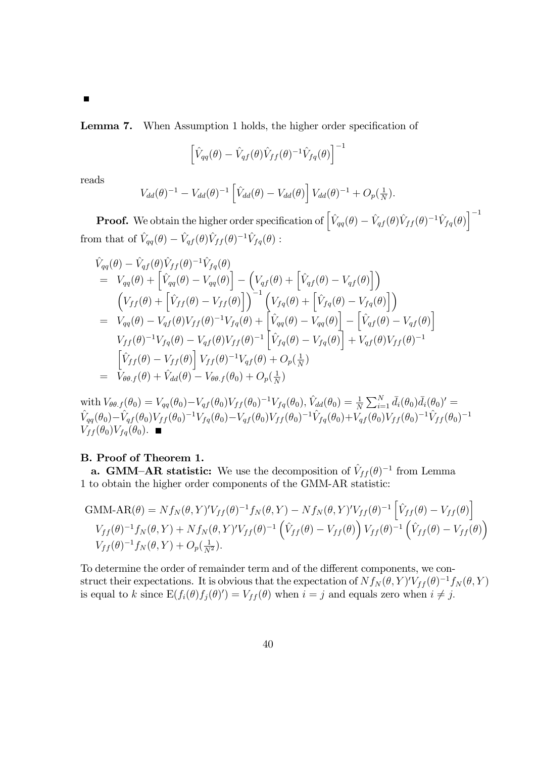Lemma 7. When Assumption 1 holds, the higher order specification of

$$
\left[\hat{V}_{qq}(\theta) - \hat{V}_{qf}(\theta)\hat{V}_{ff}(\theta)^{-1}\hat{V}_{fq}(\theta)\right]^{-1}
$$

reads

Г

$$
V_{dd}(\theta)^{-1} - V_{dd}(\theta)^{-1} \left[ \hat{V}_{dd}(\theta) - V_{dd}(\theta) \right] V_{dd}(\theta)^{-1} + O_p(\frac{1}{N}).
$$

**Proof.** We obtain the higher order specification of  $\left[ \hat{V}_{qq}(\theta) - \hat{V}_{qf}(\theta) \hat{V}_{ff}(\theta)^{-1} \hat{V}_{fq}(\theta) \right]^{-1}$ from that of  $\hat{V}_{qq}(\theta) - \hat{V}_{qf}(\theta)\hat{V}_{ff}(\theta)^{-1}\hat{V}_{fq}(\theta)$ :

$$
\hat{V}_{qq}(\theta) - \hat{V}_{qf}(\theta)\hat{V}_{ff}(\theta)^{-1}\hat{V}_{fq}(\theta) \n= V_{qq}(\theta) + \left[\hat{V}_{qq}(\theta) - V_{qq}(\theta)\right] - \left(V_{qf}(\theta) + \left[\hat{V}_{qf}(\theta) - V_{qf}(\theta)\right]\right) \n\left(V_{ff}(\theta) + \left[\hat{V}_{ff}(\theta) - V_{ff}(\theta)\right]\right)^{-1} \left(V_{fq}(\theta) + \left[\hat{V}_{fq}(\theta) - V_{fq}(\theta)\right]\right) \n= V_{qq}(\theta) - V_{qf}(\theta)V_{ff}(\theta)^{-1}V_{fq}(\theta) + \left[\hat{V}_{qq}(\theta) - V_{qq}(\theta)\right] - \left[\hat{V}_{qf}(\theta) - V_{qf}(\theta)\right] \nV_{ff}(\theta)^{-1}V_{fq}(\theta) - V_{qf}(\theta)V_{ff}(\theta)^{-1} \left[\hat{V}_{fq}(\theta) - V_{fq}(\theta)\right] + V_{qf}(\theta)V_{ff}(\theta)^{-1} \n\left[\hat{V}_{ff}(\theta) - V_{ff}(\theta)\right]V_{ff}(\theta)^{-1}V_{qf}(\theta) + O_p(\frac{1}{N}) \n= V_{\theta\theta.f}(\theta) + \hat{V}_{dd}(\theta) - V_{\theta\theta.f}(\theta_0) + O_p(\frac{1}{N})
$$

with  $V_{\theta\theta.f}(\theta_0) = V_{qq}(\theta_0) - V_{qf}(\theta_0)V_{ff}(\theta_0)^{-1}V_{fq}(\theta_0), \hat{V}_{dd}(\theta_0) = \frac{1}{N}\sum_{i=1}^N \bar{d}_i(\theta_0)\bar{d}_i(\theta_0)' =$  $\hat{V}_{qq}(\theta_0)-\hat{V}_{qf}(\theta_0)V_{ff}(\theta_0)^{-1}V_{fq}(\theta_0)-V_{qf}(\theta_0)V_{ff}(\theta_0)^{-1}\hat{V}_{fq}(\theta_0)+V_{qf}(\theta_0)V_{ff}(\theta_0)^{-1}\hat{V}_{ff}(\theta_0)^{-1}$  $V_{ff}(\theta_0)V_{fq}(\theta_0)$ .

## B. Proof of Theorem 1.

**a. GMM-AR statistic:** We use the decomposition of  $\hat{V}_{ff}(\theta)^{-1}$  from Lemma 1 to obtain the higher order components of the GMM-AR statistic:

GMM-AR
$$
(\theta)
$$
 =  $Nf_N(\theta, Y)'V_{ff}(\theta)^{-1}f_N(\theta, Y) - Nf_N(\theta, Y)'V_{ff}(\theta)^{-1} \left[\hat{V}_{ff}(\theta) - V_{ff}(\theta)\right]$   
\n
$$
V_{ff}(\theta)^{-1}f_N(\theta, Y) + Nf_N(\theta, Y)'V_{ff}(\theta)^{-1} \left(\hat{V}_{ff}(\theta) - V_{ff}(\theta)\right) V_{ff}(\theta)^{-1} \left(\hat{V}_{ff}(\theta) - V_{ff}(\theta)\right)
$$
\n
$$
V_{ff}(\theta)^{-1}f_N(\theta, Y) + O_p(\frac{1}{N^2}).
$$

To determine the order of remainder term and of the different components, we construct their expectations. It is obvious that the expectation of  $N f_N(\theta, Y)' V_{ff}(\theta)^{-1} f_N(\theta, Y)$ is equal to k since  $E(f_i(\theta)f_j(\theta)') = V_{ff}(\theta)$  when  $i = j$  and equals zero when  $i \neq j$ .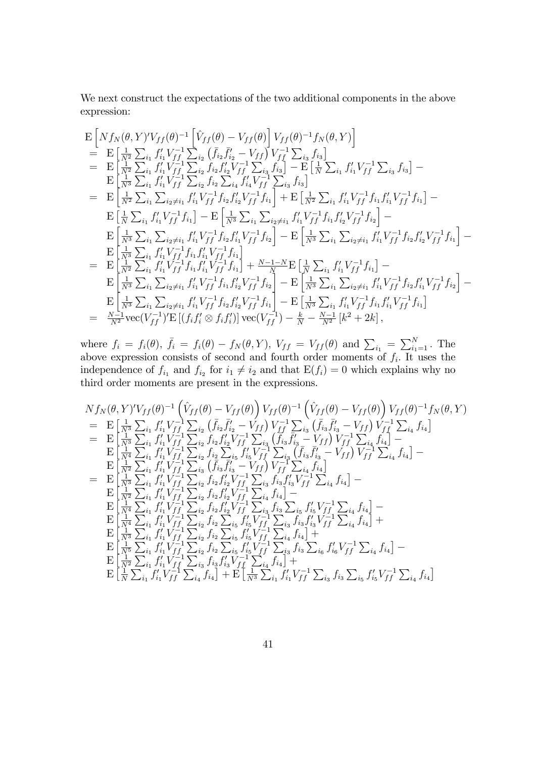We next construct the expectations of the two additional components in the above expression:

$$
\begin{split}\n& \mathbf{E}\left[Nf_{N}(\theta,Y)'V_{ff}(\theta)^{-1}\left[\hat{V}_{ff}(\theta)-V_{ff}(\theta)\right]V_{ff}(\theta)^{-1}f_{N}(\theta,Y)\right] \\
&= \mathbf{E}\left[\frac{1}{N^{2}}\sum_{i_{1}}f'_{i_{1}}V_{ff}^{-1}\sum_{i_{2}}\left(\bar{f}_{i_{2}}\bar{f}'_{i_{2}}-V_{ff}\right)V_{ff}^{-1}\sum_{i_{3}}f_{i_{3}}\right] \\
&= \mathbf{E}\left[\frac{1}{N^{2}}\sum_{i_{1}}f'_{i_{1}}V_{ff}^{-1}\sum_{i_{2}}f_{i_{2}}f'_{i_{2}}V_{ff}^{-1}\sum_{i_{3}}f_{i_{3}}\right]-\mathbf{E}\left[\frac{1}{N}\sum_{i_{1}}f'_{i_{1}}V_{ff}^{-1}\sum_{i_{3}}f_{i_{3}}\right]- \\
&= \mathbf{E}\left[\frac{1}{N^{3}}\sum_{i_{1}}f'_{i_{1}}V_{ff}^{-1}\sum_{i_{2}}f_{i_{2}}\sum_{i_{4}}f'_{i_{4}}V_{ff}^{-1}\sum_{i_{3}}f_{i_{3}}\right] \\
&= \mathbf{E}\left[\frac{1}{N^{2}}\sum_{i_{1}}\sum_{i_{2}\neq i_{1}}f'_{i_{1}}V_{ff}^{-1}f_{i_{2}}f'_{i_{2}}V_{ff}^{-1}f_{i_{1}}\right] + \mathbf{E}\left[\frac{1}{N^{2}}\sum_{i_{1}}f'_{i_{1}}V_{ff}^{-1}f_{i_{1}}V_{ff}^{-1}f_{i_{1}}\right] - \\
&= \mathbf{E}\left[\frac{1}{N^{2}}\sum_{i_{1}}f'_{i_{1}}V_{ff}^{-1}f_{i_{1}}\right]-\mathbf{E}\left[\frac{1}{N^{3}}\sum_{i_{2}\neq i_{1}}f'_{i_{1}}V_{ff}^{-1}f_{i_{2}}\right]- \\
&= \mathbf{E}\left[\frac{1}{N^{3}}\sum_{i_{1}}\sum_{i_{2}\neq i_{1}}f'_{i_{1}}V_{ff}^{-1}f_{i_{2}}f'_{i_{2}}V_{ff}^{-1}f_{i_{1}}\right] - \\
&= \mathbf{E}\left[\frac{1}{N^{3}}\sum_{i_{1}}\sum_{i_{2}\neq i_{1
$$

where  $f_i = f_i(\theta)$ ,  $\bar{f}_i = f_i(\theta) - f_N(\theta, Y)$ ,  $V_{ff} = V_{ff}(\theta)$  and  $\sum_{i_1} = \sum_{i_1=1}^N$ . The above expression consists of second and fourth order moments of  $f_i$ . It uses the independence of  $f_{i_1}$  and  $f_{i_2}$  for  $i_1 \neq i_2$  and that  $E(f_i) = 0$  which explains why no third order moments are present in the expressions.

$$
Nf_N(\theta, Y)'V_{ff}(\theta)^{-1} (\hat{V}_{ff}(\theta) - V_{ff}(\theta)) V_{ff}(\theta)^{-1} (\hat{V}_{ff}(\theta) - V_{ff}(\theta)) V_{ff}(\theta)^{-1} f_N(\theta, Y)
$$
  
\n
$$
= \mathbf{E} \begin{bmatrix} \frac{1}{N^3} \sum_{i_1} f'_{i_1} V_{f1}^{-1} \sum_{i_2} (\bar{f}_{i_2} \bar{f}'_{i_2} - V_{ff}) V_{f1}^{-1} \sum_{i_3} (\bar{f}_{i_3} \bar{f}'_{i_3} - V_{ff}) V_{f1}^{-1} \sum_{i_4} f_{i_4} \end{bmatrix}
$$
  
\n
$$
= \mathbf{E} \begin{bmatrix} \frac{1}{N^3} \sum_{i_1} f'_{i_1} V_{f1}^{-1} \sum_{i_2} f_{i_2} V_{i_2}^{-1} V_{f1}^{-1} \sum_{i_3} (\bar{f}_{i_3} \bar{f}'_{i_3} - V_{ff}) V_{f1}^{-1} \sum_{i_4} f_{i_4} \end{bmatrix} -
$$
  
\n
$$
\mathbf{E} \begin{bmatrix} \frac{1}{N^3} \sum_{i_1} f'_{i_1} V_{f1}^{-1} \sum_{i_2} f_{i_2} V_{i_2} V_{f1}^{-1} \sum_{i_3} (\bar{f}_{i_3} \bar{f}'_{i_3} - V_{ff}) V_{f1}^{-1} \sum_{i_4} f_{i_4} \end{bmatrix} -
$$
  
\n
$$
\mathbf{E} \begin{bmatrix} \frac{1}{N^2} \sum_{i_1} f'_{i_1} V_{f1}^{-1} \sum_{i_2} f_{i_2} V_{i_2} V_{f1}^{-1} \sum_{i_3} f'_{i_3} V_{f1}^{-1} \sum_{i_4} f_{i_4} \end{bmatrix} -
$$
  
\n
$$
\mathbf{E} \begin{bmatrix} \frac{1}{N^2} \sum_{i_1} f'_{i_1} V_{f1}^{-1} \sum_{i_2} f_{i_2} f'_{i_2} V_{f1}^{-1} \sum_{i_3} f'_{i_3} V_{f1}^{-1} \sum_{i_4} f_{i_4} \end
$$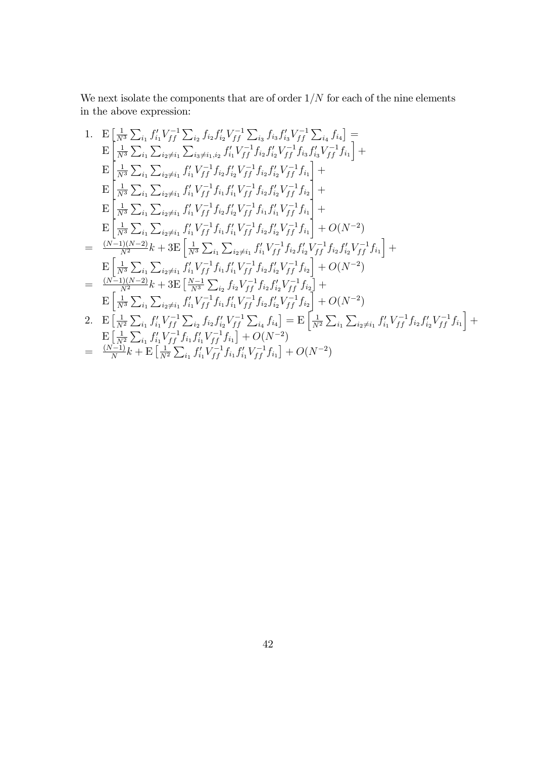We next isolate the components that are of order  $1/N$  for each of the nine elements in the above expression:

1. 
$$
E\left[\frac{1}{N^3}\sum_{i_1} f'_{i_1} V_{ff}^{-1} \sum_{i_2} f_{i_2} f'_{i_2} V_{ff}^{-1} \sum_{i_3} f_{i_3} f'_{i_3} V_{ff}^{-1} \sum_{i_4} f_{i_4}\right] =
$$
\n
$$
E\left[\frac{1}{N^3}\sum_{i_1} \sum_{i_2 \neq i_1} \sum_{i_3 \neq i_1, i_2} f'_{i_1} V_{ff}^{-1} f_{i_2} f'_{i_2} V_{ff}^{-1} f_{i_3} f'_{i_3} V_{ff}^{-1} f_{i_1}\right] +
$$
\n
$$
E\left[\frac{1}{N^3}\sum_{i_1} \sum_{i_2 \neq i_1} f'_{i_1} V_{ff}^{-1} f_{i_2} f'_{i_2} V_{ff}^{-1} f_{i_2} f'_{i_2} V_{ff}^{-1} f_{i_1}\right] +
$$
\n
$$
E\left[\frac{1}{N^3}\sum_{i_1} \sum_{i_2 \neq i_1} f'_{i_1} V_{ff}^{-1} f_{i_1} f'_{i_1} V_{ff}^{-1} f_{i_2} f'_{i_2} V_{ff}^{-1} f_{i_2}\right] +
$$
\n
$$
E\left[\frac{1}{N^3}\sum_{i_1} \sum_{i_2 \neq i_1} f'_{i_1} V_{ff}^{-1} f_{i_2} f'_{i_2} V_{ff}^{-1} f_{i_1} f'_{i_1} V_{ff}^{-1} f_{i_1}\right] +
$$
\n
$$
E\left[\frac{1}{N^3}\sum_{i_1} \sum_{i_2 \neq i_1} f'_{i_1} V_{ff}^{-1} f_{i_1} f'_{i_1} V_{ff}^{-1} f_{i_2} f'_{i_2} V_{ff}^{-1} f_{i_1}\right] + O(N^{-2})
$$
\n
$$
= \frac{(N-1)(N-2)}{N^2}k + 3E\left[\frac{1}{N^3}\sum_{i_1} \sum_{i_2 \neq i_1} f'_{i_1} V_{ff}^{-1} f_{i_2} f'_{i_2} V_{ff}^{-1} f_{i_2}\right] + O(N^{-2})
$$
\

$$
= \frac{(N-1)}{N}k + \mathbf{E} \left[ \frac{1}{N^2} \sum_{i_1} f'_{i_1} V_{ff}^{-1} f_{i_1} f'_{i_1} V_{ff}^{-1} f_{i_1} \right] + O(N^{-2})
$$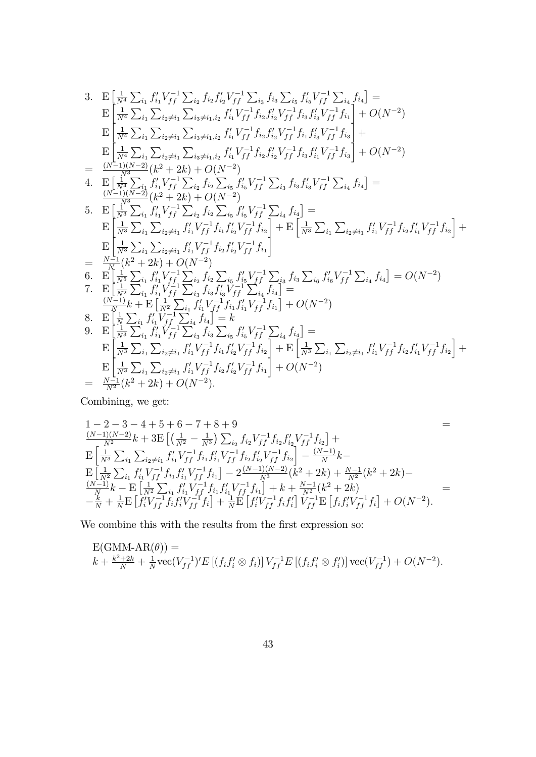3. 
$$
E\left[\frac{1}{N^4}\sum_{i_1} f'_{i_1} V_{ff}^{-1} \sum_{i_2} f_{i_2} f'_{i_2} V_{ff}^{-1} \sum_{i_3} f_{i_3} \sum_{i_5} f'_{i_5} V_{ff}^{-1} \sum_{i_4} f_{i_4}\right] =
$$
\n
$$
E\left[\frac{1}{N^4}\sum_{i_1} \sum_{i_2 \neq i_1} \sum_{i_3 \neq i_1, i_2} f'_{i_1} V_{ff}^{-1} f_{i_2} f'_{i_2} V_{ff}^{-1} f_{i_3} f'_{i_3} V_{ff}^{-1} f_{i_1}\right] + O(N^{-2})
$$
\n
$$
E\left[\frac{1}{N^4}\sum_{i_1} \sum_{i_2 \neq i_1} \sum_{i_3 \neq i_1, i_2} f'_{i_1} V_{ff}^{-1} f_{i_2} f'_{i_2} V_{ff}^{-1} f_{i_3} f'_{i_4} V_{ff}^{-1} f_{i_3}\right] +
$$
\n
$$
E\left[\frac{1}{N^4}\sum_{i_1} \sum_{i_2 \neq i_1} \sum_{i_3 \neq i_1, i_2} f'_{i_1} V_{ff}^{-1} f_{i_2} f'_{i_2} V_{ff}^{-1} f_{i_3} f'_{i_1} V_{ff}^{-1} f_{i_3}\right] + O(N^{-2})
$$
\n
$$
= \frac{(N^{-1})(N^{-2})}{N^3} (k^2 + 2k) + O(N^{-2})
$$
\n
$$
= \frac{(N^{-1})(N^{-2})}{N^3} (k^2 + 2k) + O(N^{-2})
$$
\n
$$
= \frac{1}{N^3} \sum_{i_1} f'_{i_1} V_{ff}^{-1} \sum_{i_2} f_{i_2} \sum_{i_5} f'_{i_5} V_{ff}^{-1} \sum_{i_4} f_{i_4}\right] =
$$
\n
$$
E\left[\frac{1}{N^3} \sum_{i_1} f'_{i_1} V_{ff}^{-1} \sum_{i_2} f_{i_2} \sum_{i_5} f'_{i_5} V_{ff}^{-1} \sum_{i_4} f_{i_4}\right] =
$$
\n $$ 

Combining, we get:

$$
1 - 2 - 3 - 4 + 5 + 6 - 7 + 8 + 9
$$
  
\n
$$
\frac{(N-1)(N-2)}{N^2}k + 3E\left[\left(\frac{1}{N^2} - \frac{1}{N^3}\right)\sum_{i_2} f_{i_2}V_{ff}^{-1}f_{i_2}f'_{i_2}V_{ff}^{-1}f_{i_2}\right] +
$$
  
\n
$$
E\left[\frac{1}{N^3}\sum_{i_1} \sum_{i_2 \neq i_1} f'_{i_1}V_{ff}^{-1}f_{i_1}f'_{i_1}V_{ff}^{-1}f_{i_2}f'_{i_2}V_{ff}^{-1}f_{i_2}\right] - \frac{(N-1)}{N}k -
$$
  
\n
$$
E\left[\frac{1}{N^2}\sum_{i_1} f'_{i_1}V_{ff}^{-1}f_{i_1}f'_{i_1}V_{ff}^{-1}f_{i_1}\right] - 2\frac{(N-1)(N-2)}{N^3}(k^2 + 2k) + \frac{N-1}{N^2}(k^2 + 2k) -
$$
  
\n
$$
\frac{(N-1)}{N}k - E\left[\frac{1}{N^2}\sum_{i_1} f'_{i_1}V_{ff}^{-1}f_{i_1}f'_{i_1}V_{ff}^{-1}f_{i_1}\right] + k + \frac{N-1}{N^2}(k^2 + 2k) -
$$
  
\n
$$
-\frac{k}{N} + \frac{1}{N}E\left[f'_{i}V_{ff}^{-1}f_{i}f'_{i}V_{ff}^{-1}f_{i}\right] + \frac{1}{N}E\left[f'_{i}V_{ff}^{-1}f_{i}f'_{i}\right]V_{ff}^{-1}E\left[f_{i}f'_{i}V_{ff}^{-1}f_{i}\right] + O(N^{-2}).
$$

We combine this with the results from the first expression so:

$$
E(GMM-AR(\theta)) =
$$
  

$$
k + \frac{k^2 + 2k}{N} + \frac{1}{N}\text{vec}(V_{ff}^{-1})'E[(f_i f'_i \otimes f_i)]V_{ff}^{-1}E[(f_i f'_i \otimes f'_i)]\text{vec}(V_{ff}^{-1}) + O(N^{-2}).
$$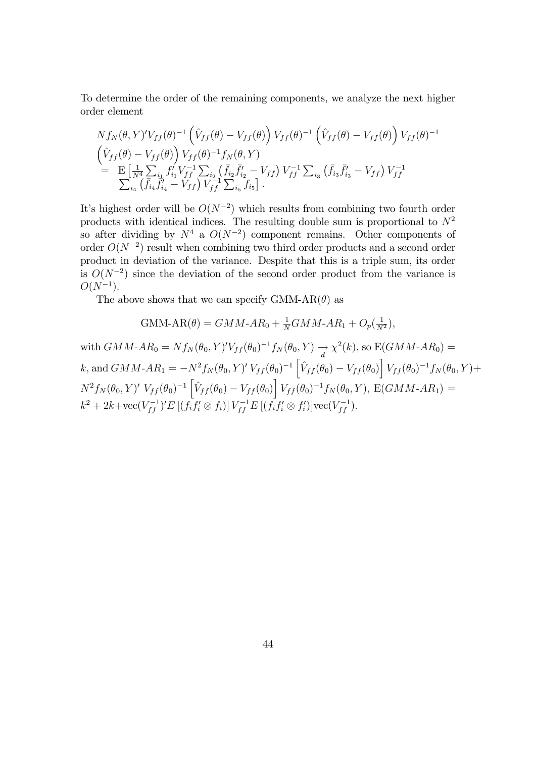To determine the order of the remaining components, we analyze the next higher order element

$$
N f_N(\theta, Y)^{\prime} V_{ff}(\theta)^{-1} \left( \hat{V}_{ff}(\theta) - V_{ff}(\theta) \right) V_{ff}(\theta)^{-1} \left( \hat{V}_{ff}(\theta) - V_{ff}(\theta) \right) V_{ff}(\theta)^{-1}
$$
  
\n
$$
\begin{aligned}\n&\left( \hat{V}_{ff}(\theta) - V_{ff}(\theta) \right) V_{ff}(\theta)^{-1} f_N(\theta, Y) \\
&= \mathbf{E} \left[ \frac{1}{N^4} \sum_{i_1} f'_{i_1} V_{ff}^{-1} \sum_{i_2} \left( \bar{f}_{i_2} \bar{f}'_{i_2} - V_{ff} \right) V_{ff}^{-1} \sum_{i_3} \left( \bar{f}_{i_3} \bar{f}'_{i_3} - V_{ff} \right) V_{ff}^{-1} \\
&\sum_{i_4} \left( \bar{f}_{i_4} \bar{f}'_{i_4} - V_{ff} \right) V_{ff}^{-1} \sum_{i_5} f_{i_5} \right].\n\end{aligned}
$$

It's highest order will be  $O(N^{-2})$  which results from combining two fourth order products with identical indices. The resulting double sum is proportional to  $N^2$ so after dividing by  $N^4$  a  $O(N^{-2})$  component remains. Other components of order  $O(N^{-2})$  result when combining two third order products and a second order product in deviation of the variance. Despite that this is a triple sum, its order is  $O(N^{-2})$  since the deviation of the second order product from the variance is  $O(N^{-1}).$ 

The above shows that we can specify GMM-AR $(\theta)$  as

$$
\text{GMM-AR}(\theta) = GMM - AR_0 + \frac{1}{N} GMM - AR_1 + O_p(\frac{1}{N^2}),
$$

with  $GMM$ - $AR_0 = Nf_N(\theta_0, Y)'V_{ff}(\theta_0)^{-1}f_N(\theta_0, Y) \rightarrow \chi^2(k)$ , so  $E(GMM$ - $AR_0) =$ k, and  $GMM$ - $AR_1 = -N^2 f_N(\theta_0, Y)' V_{ff} (\theta_0)^{-1} \left[ \hat{V}_{ff} (\theta_0) - V_{ff} (\theta_0) \right] V_{ff} (\theta_0)^{-1} f_N (\theta_0, Y) +$  $N^2 f_N(\theta_0, Y)' V_{ff}(\theta_0)^{-1} \left[ \hat{V}_{ff}(\theta_0) - V_{ff}(\theta_0) \right] V_{ff}(\theta_0)^{-1} f_N(\theta_0, Y), E(GMM-AR_1) =$  $k^2 + 2k + \text{vec}(V_{ff}^{-1})' E [(f_i f'_i \otimes f_i)] V_{ff}^{-1} E [(f_i f'_i \otimes f'_i)] \text{vec}(V_{ff}^{-1}).$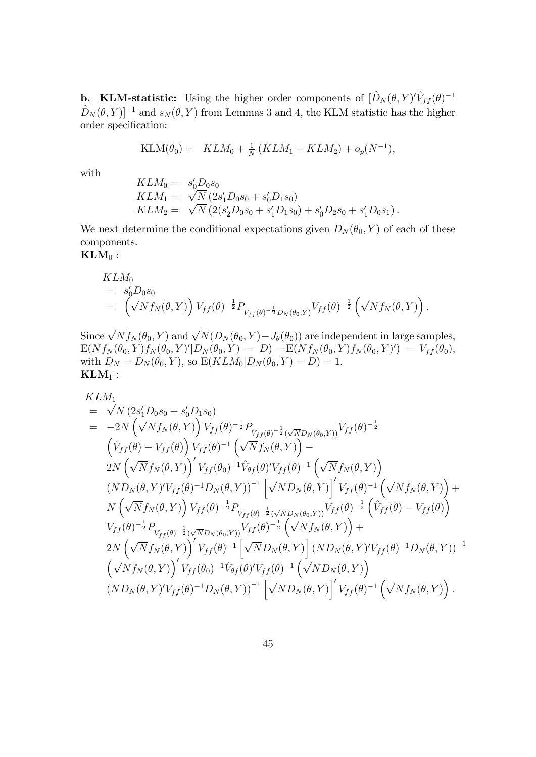**b.** KLM-statistic: Using the higher order components of  $[\hat{D}_N(\theta, Y)'\hat{V}_{ff}(\theta)]^{-1}$  $\hat{D}_N (\theta, Y )^{-1}$  and  $s_N (\theta, Y )$  from Lemmas 3 and 4, the KLM statistic has the higher order specification:

$$
KLM(\theta_0) = KL M_0 + \frac{1}{N} (KLM_1 + KLM_2) + o_p(N^{-1}),
$$

with

$$
KLM_0 = s'_0D_0s_0
$$
  
\n
$$
KLM_1 = \sqrt{N} (2s'_1D_0s_0 + s'_0D_1s_0)
$$
  
\n
$$
KLM_2 = \sqrt{N} (2(s'_2D_0s_0 + s'_1D_1s_0) + s'_0D_2s_0 + s'_1D_0s_1).
$$

We next determine the conditional expectations given  $D_N(\theta_0, Y)$  of each of these components.

 $\mathbf{KLM}_0$ :

$$
KLM_0= s'_0D_0s_0= \left(\sqrt{N}f_N(\theta,Y)\right)V_{ff}(\theta)^{-\frac{1}{2}}P_{V_{ff}(\theta)^{-\frac{1}{2}}D_N(\theta_0,Y)}V_{ff}(\theta)^{-\frac{1}{2}}\left(\sqrt{N}f_N(\theta,Y)\right).
$$

Since  $\sqrt{N} f_N(\theta_0, Y)$  and  $\sqrt{N}(D_N(\theta_0, Y) - J_\theta(\theta_0))$  are independent in large samples,  $\text{E}(Nf_N(\theta_0,Y)f_N(\theta_0,Y)'|D_N(\theta_0,Y) = D) = \text{E}(Nf_N(\theta_0,Y)f_N(\theta_0,Y)' ) = V_{ff}(\theta_0),$ with  $D_N = D_N(\theta_0, Y)$ , so  $E(KLM_0|D_N(\theta_0, Y) = D) = 1$ .  $KLM_1$ :

$$
KLM_1 = \sqrt{N} (2s'_1D_0s_0 + s'_0D_1s_0)
$$
  
\n
$$
= -2N \left( \sqrt{N}f_N(\theta, Y) \right) V_{ff}(\theta)^{-\frac{1}{2}} P_{V_{ff}(\theta)^{-\frac{1}{2}}(\sqrt{N}D_N(\theta, Y))} V_{ff}(\theta)^{-\frac{1}{2}}
$$
  
\n
$$
\left( \hat{V}_{ff}(\theta) - V_{ff}(\theta) \right) V_{ff}(\theta)^{-1} \left( \sqrt{N}f_N(\theta, Y) \right) -
$$
  
\n
$$
2N \left( \sqrt{N}f_N(\theta, Y) \right)' V_{ff}(\theta_0)^{-1} \hat{V}_{\theta f}(\theta)' V_{ff}(\theta)^{-1} \left( \sqrt{N}f_N(\theta, Y) \right)
$$
  
\n
$$
(ND_N(\theta, Y)' V_{ff}(\theta)^{-1} D_N(\theta, Y))^{-1} \left[ \sqrt{N} D_N(\theta, Y) \right]' V_{ff}(\theta)^{-1} \left( \sqrt{N}f_N(\theta, Y) \right) +
$$
  
\n
$$
N \left( \sqrt{N}f_N(\theta, Y) \right) V_{ff}(\theta)^{-\frac{1}{2}} P_{V_{ff}(\theta)^{-\frac{1}{2}}(\sqrt{N}D_N(\theta, Y))} V_{ff}(\theta)^{-\frac{1}{2}} \left( \hat{V}_{ff}(\theta) - V_{ff}(\theta) \right)
$$
  
\n
$$
V_{ff}(\theta)^{-\frac{1}{2}} P_{V_{ff}(\theta)^{-\frac{1}{2}}(\sqrt{N}D_N(\theta, Y))} V_{ff}(\theta)^{-\frac{1}{2}} \left( \sqrt{N}f_N(\theta, Y) \right) +
$$
  
\n
$$
2N \left( \sqrt{N}f_N(\theta, Y) \right)' V_{ff}(\theta)^{-1} \left[ \sqrt{N}D_N(\theta, Y) \right] (ND_N(\theta, Y)' V_{ff}(\theta)^{-1} D_N(\theta, Y))^{-1}
$$
  
\n
$$
\left( \sqrt{N}f_N(\theta, Y) \right)' V_{ff}(\theta)^{-1} \hat{V}_{\theta f}(\theta)' V_{ff}(\theta)^{-1} \left( \sqrt{N}D_N(\theta, Y) \right) \right)
$$
  
\n
$$
(ND_N(\theta, Y)' V_{ff}(\theta)^{-1}
$$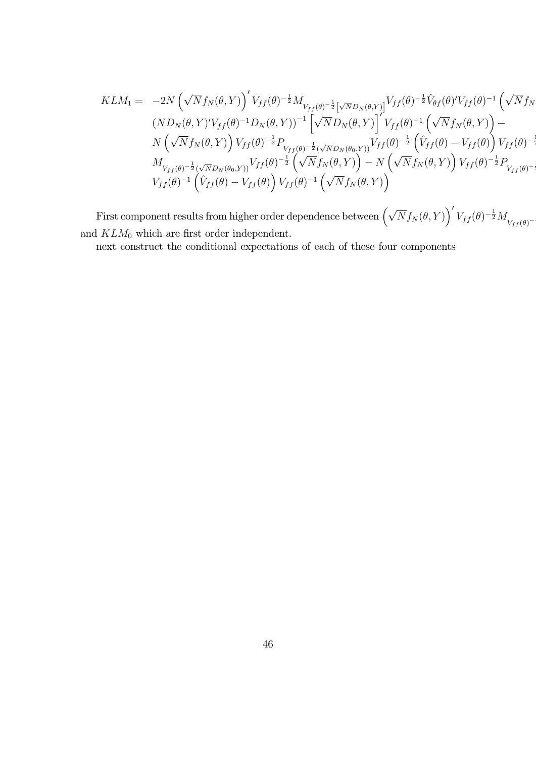$$
KLM_{1} = -2N \left(\sqrt{N} f_{N}(\theta, Y)\right)^{\prime} V_{ff}(\theta)^{-\frac{1}{2}} M_{V_{ff}(\theta)^{-\frac{1}{2}}\left[\sqrt{N} D_{N}(\theta, Y)\right]} V_{ff}(\theta)^{-\frac{1}{2}} \hat{V}_{\theta f}(\theta)^{\prime} V_{ff}(\theta)^{-1} \left(\sqrt{N} f_{N}(\theta, Y)\right)^{2} V_{ff}(\theta)^{-1} \left[\sqrt{N} D_{N}(\theta, Y)\right]^{\prime} V_{ff}(\theta)^{-1} \left(\sqrt{N} f_{N}(\theta, Y)\right)^{2} - N \left(\sqrt{N} f_{N}(\theta, Y)\right) V_{ff}(\theta)^{-\frac{1}{2}} P_{V_{ff}(\theta)^{-\frac{1}{2}}\left(\sqrt{N} D_{N}(\theta, Y)\right)} V_{ff}(\theta)^{-\frac{1}{2}} \left(\hat{V}_{ff}(\theta) - V_{ff}(\theta)\right) V_{ff}(\theta)^{-\frac{1}{2}} \\ M_{V_{ff}(\theta)^{-\frac{1}{2}}\left(\sqrt{N} D_{N}(\theta, Y)\right)} V_{ff}(\theta)^{-\frac{1}{2}} \left(\sqrt{N} f_{N}(\theta, Y)\right) - N \left(\sqrt{N} f_{N}(\theta, Y)\right) V_{ff}(\theta)^{-\frac{1}{2}} P_{V_{ff}(\theta)^{-\frac{1}{2}}}\n V_{ff}(\theta)^{-1} \left(\hat{V}_{ff}(\theta) - V_{ff}(\theta)\right) V_{ff}(\theta)^{-1} \left(\sqrt{N} f_{N}(\theta, Y)\right)^{2} \left(\sqrt{N} f_{N}(\theta, Y)\right)^{2} \left(\sqrt{N} f_{N}(\theta, Y)\right)^{2} \left(\sqrt{N} f_{N}(\theta, Y)\right)^{2} \left(\sqrt{N} f_{N}(\theta, Y)\right)^{2} \left(\sqrt{N} f_{N}(\theta, Y)\right)^{2} \left(\sqrt{N} f_{N}(\theta, Y)\right)^{2} \left(\sqrt{N} f_{N}(\theta, Y)\right)^{2} \left(\sqrt{N} f_{N}(\theta, Y)\right)^{2} \left(\sqrt{N} f_{N}(\theta, Y)\right)^{2} \left(\sqrt{N} f_{N}(\theta, Y)\right)^{2} \left(\sqrt{N} f_{N}(\theta, Y)\right)^{2} \left(\sqrt{N} f_{N}(\theta, Y)\right
$$

.<br>.<br>.

First component results from higher order dependence between  $(\sqrt{N}f_N(\theta, Y))'V_{ff}(\theta)^{-\frac{1}{2}}M_{V_{ff}(\theta)^{-\frac{1}{2}}}$ |<br>|<br>| and  $KLM_0$  which are first order independent.

next construct the conditional expectations of each of these four components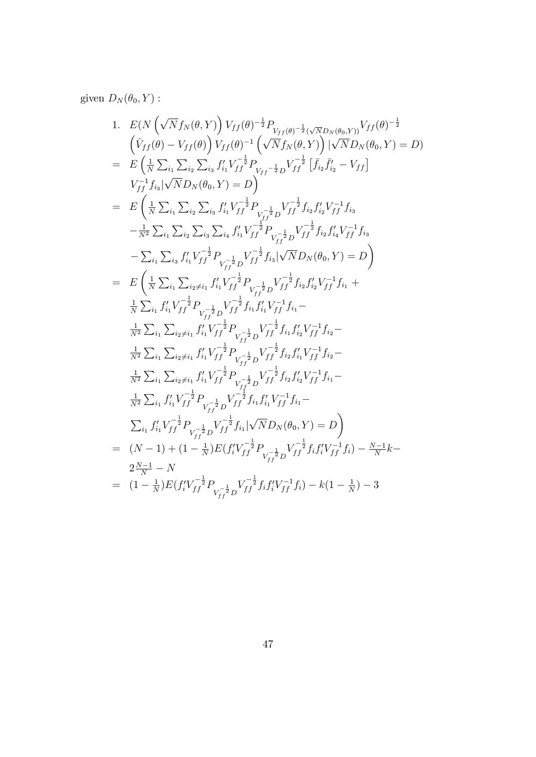given  $D_N(\theta_0, Y)$ :

1. 
$$
E(N(\sqrt{N}f_N(\theta,Y))V_{ff}(\theta)^{-\frac{1}{2}}P_{V_{ff}(\theta)^{-\frac{1}{2}}(\sqrt{N}D_N(\theta_0,Y))}V_{ff}(\theta)^{-\frac{1}{2}}(\sqrt{N}f_N(\theta,Y))|V_{f}(\theta)^{-\frac{1}{2}}(\sqrt{N}f_N(\theta,Y))|V_{f}(\theta_0,Y)=D) = E(\frac{1}{N}\sum_{i_1}\sum_{i_2}\sum_{i_3}f'_{i_1}V_{ff}^{-\frac{1}{2}}P_{V_{ff}-\frac{1}{2}D}V_{ff}^{-\frac{1}{2}}[f_{i_2}\bar{f}'_{i_2}-V_{ff}]
$$
  
\n
$$
V_{ff}^{-1}f_{i_3}|\sqrt{N}D_N(\theta_0,Y)=D)
$$
  
\n
$$
= E(\frac{1}{N}\sum_{i_1}\sum_{i_2}\sum_{i_3}f'_{i_1}V_{ff}^{-\frac{1}{2}}P_{V_{ff}^{-\frac{1}{2}}D}V_{ff}^{-\frac{1}{2}}f_{i_2}f'_{i_2}V_{ff}^{-1}f_{i_3}
$$
  
\n
$$
-\frac{1}{N^2}\sum_{i_1}\sum_{i_2}\sum_{i_3}\sum_{i_4}f'_{i_1}V_{ff}^{-\frac{1}{2}}P_{V_{ff}^{-\frac{1}{2}}D}V_{ff}^{-\frac{1}{2}}f_{i_2}f'_{i_4}V_{ff}^{-1}f_{i_3}
$$
  
\n
$$
-\sum_{i_1}\sum_{i_3}f'_{i_1}V_{ff}^{-\frac{1}{2}}P_{V_{ff}^{-\frac{1}{2}}D}V_{ff}^{-\frac{1}{2}}f_{i_3}|\sqrt{N}D_N(\theta_0,Y)=D)
$$
  
\n
$$
= E(\frac{1}{N}\sum_{i_1}\sum_{i_2\neq i_1}f'_{i_1}V_{ff}^{-\frac{1}{2}}P_{V_{ff}^{-\frac{1}{2}}D}V_{ff}^{-\frac{1}{2}}f_{i_2}f'_{i_2}V_{ff}^{-1}f_{i_3}
$$
  
\n
$$
-\sum_{i_1}\sum_{i_2\neq i_1}f'_{i_1}V_{ff}^{-\frac{1}{2}}P_{V_{ff}^{-\frac{1}{2}}D}V_{ff
$$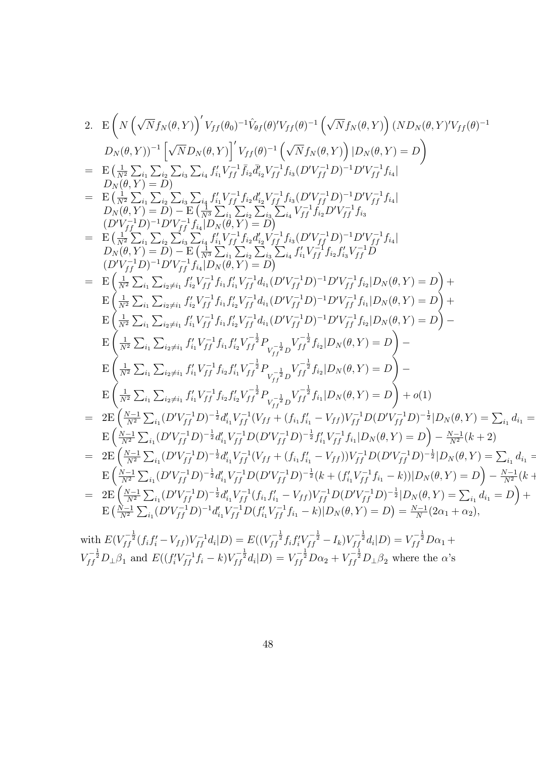2. 
$$
E\left(N\left(\sqrt{N}f_{N}(\theta,Y)\right)'V_{ff}(\theta_{0})^{-1}\hat{V}_{\theta f}(\theta)'V_{ff}(\theta)^{-1}\left(\sqrt{N}f_{N}(\theta,Y)\right)(ND_{N}(\theta,Y)'V_{ff}(\theta)^{-1} \nD_{N}(\theta,Y))^{-1}\left[\sqrt{N}D_{N}(\theta,Y)\right]^{1}V_{ff}(\theta)^{-1}\left(\sqrt{N}f_{N}(\theta,Y)\right)|D_{N}(\theta,Y)=D\right) \n= 
$$
E\left(\frac{1}{N^{2}}\sum_{i_{1}}\sum_{i_{2}}\sum_{i_{3}}\sum_{i_{4}}f'_{ii}V_{ff}^{-1}\bar{f}_{i_{2}}\bar{d}'_{i_{2}}V_{ff}^{-1}f_{i_{3}}(D'V_{ff}^{-1}D)^{-1}D'V_{ff}^{-1}f_{i_{4}}|
$$
\n
$$
D_{N}(\theta,Y)=D
$$
\n
$$
= 
$$
E\left(\frac{1}{N^{2}}\sum_{i_{1}}\sum_{i_{2}}\sum_{i_{3}}\sum_{i_{4}}f'_{ii}V_{ff}^{-1}f_{i_{2}}d'_{i_{2}}V_{ff}^{-1}f_{i_{3}}(D'V_{ff}^{-1}D)^{-1}D'V_{ff}^{-1}f_{i_{4}}|
$$
\n
$$
D_{N}(\theta,Y)=D
$$
\n
$$
= D\left(\frac{1}{N^{2}}\sum_{i_{1}}\sum_{i_{2}}\sum_{i_{3}}\sum_{i_{4}}f'_{ii}V_{ff}^{-1}f_{i_{2}}d'_{i_{2}}V_{ff}^{-1}f_{i_{2}}D'V_{ff}^{-1}f_{i_{3}}
$$
\n
$$
(D'V_{ff}^{-1}D)^{-1}D'V_{ff}^{-1}f_{i_{4}}|D_{N}(\theta,Y)=D\right) = D\left(\frac{1}{N^{2}}\sum_{i_{1}}\sum_{i_{2}}\sum_{i_{3}}\sum_{i_{4}}\sum_{i_{4}}V_{ff}^{-1}f_{i_{2}}D'V_{ff}^{-1}f_{i_{3}}
$$
\n
$$
D_{N}(\theta,Y)=D)-E\left(\frac{1}{N^{2}}\sum_{i_{1}}\sum_{i_{2}}\sum_{i_{3}}\sum_{i_{4}}\sum_{i_{4}}V_{ff}^{-1}f_{i_{
$$
$$
$$

 $\equiv$ 

with  $E(V_{ff}^{-\frac{1}{2}}(f_if'_i-V_{ff})V_{ff}^{-1}d_i|D) = E((V_{ff}^{-\frac{1}{2}}f_if'_iV_{ff}^{-\frac{1}{2}}-I_k)V_{ff}^{-\frac{1}{2}}d_i|D) = V_{ff}^{-\frac{1}{2}}D\alpha_1 +$  $V_{ff}^{-\frac{1}{2}}D_{\perp}\beta_1$  and  $E((f_i'V_{ff}^{-1}f_i-k)V_{ff}^{-\frac{1}{2}}d_i|D) = V_{ff}^{-\frac{1}{2}}D\alpha_2 + V_{ff}^{-\frac{1}{2}}D_{\perp}\beta_2$  where the  $\alpha$ 's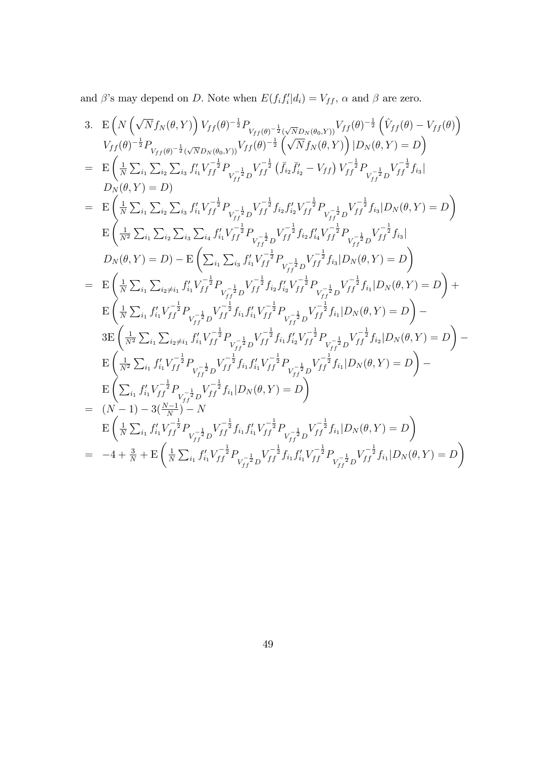and  $\beta$ 's may depend on D. Note when  $E(f_i f'_i | d_i) = V_{ff}$ ,  $\alpha$  and  $\beta$  are zero.

3. 
$$
E\left(N\left(\sqrt{N}f_{N}(\theta,Y)\right)V_{ff}(\theta)^{-\frac{1}{2}}P_{V_{ff}(\theta)-\frac{1}{2}}(\sqrt{N}D_{N}(\theta_{0},Y))V_{ff}(\theta)^{-\frac{1}{2}}\left(\hat{V}_{ff}(\theta)-V_{ff}(\theta)\right)\right)
$$
  
\n
$$
V_{ff}(\theta)^{-\frac{1}{2}}P_{V_{ff}(\theta)-\frac{1}{2}}(\sqrt{N}D_{N}(\theta_{0},Y))V_{ff}(\theta)^{-\frac{1}{2}}\left(\sqrt{N}f_{N}(\theta,Y)\right)|D_{N}(\theta,Y)=D\right)
$$
  
\n
$$
= E\left(\frac{1}{N}\sum_{i_{1}}\sum_{i_{2}}\sum_{i_{3}}f'_{i_{1}}V_{ff}^{-\frac{1}{2}}P_{V_{fj}^{-\frac{1}{2}}D}V_{ff}^{-\frac{1}{2}}(\bar{f}_{i_{2}}\bar{f}'_{i_{2}}-V_{ff})V_{ff}^{-\frac{1}{2}}P_{V_{fj}^{-\frac{1}{2}}D}V_{ff}^{-\frac{1}{2}}f_{i_{3}}|
$$
  
\n
$$
D_{N}(\theta,Y)=D)
$$
  
\n
$$
= E\left(\frac{1}{N}\sum_{i_{1}}\sum_{i_{2}}\sum_{i_{3}}f'_{i_{1}}V_{ff}^{-\frac{1}{2}}P_{V_{fj}^{-\frac{1}{2}}D}V_{ff}^{-\frac{1}{2}}f_{i_{2}}f'_{i_{2}}V_{ff}^{-\frac{1}{2}}P_{V_{fj}^{-\frac{1}{2}}D}V_{ff}^{-\frac{1}{2}}f_{i_{3}}|D_{N}(\theta,Y)=D\right)
$$
  
\n
$$
E\left(\frac{1}{N^{2}}\sum_{i_{1}}\sum_{i_{2}}\sum_{i_{3}}\sum_{i_{4}}f'_{i_{1}}V_{ff}^{-\frac{1}{2}}P_{V_{fj}^{-\frac{1}{2}}D}V_{ff}^{-\frac{1}{2}}f_{i_{2}}f'_{i_{4}}V_{ff}^{-\frac{1}{2}}P_{V_{fj}^{-\frac{1}{2}}D}V_{ff}^{-\frac{1}{2}}f_{i_{3}}|
$$
  
\n
$$
D_{N}(\theta,Y)=D)-E\left(\sum_{i_{1}}\sum_{i_{3}}f'_{i
$$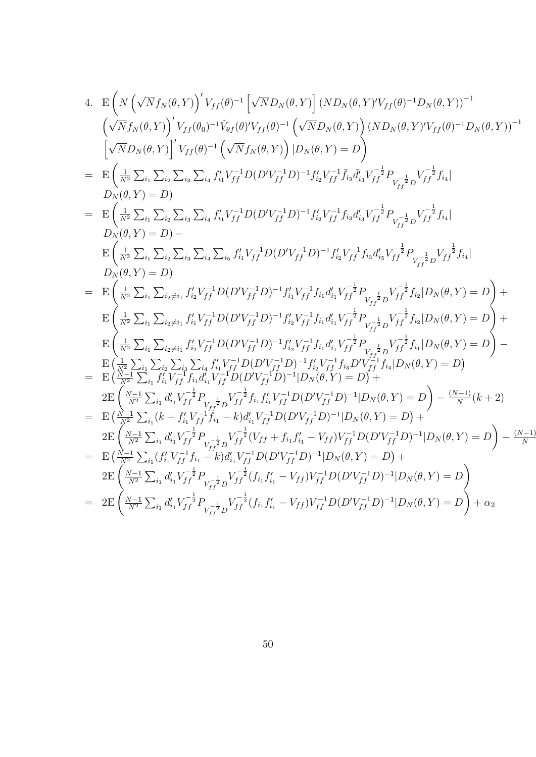4. 
$$
E\left(N\left(\sqrt{N}f_{N}(\theta,Y)\right)'V_{ff}(\theta)^{-1}\left[\sqrt{N}D_{N}(\theta,Y)\right](ND_{N}(\theta,Y)')V_{ff}(\theta)^{-1}D_{N}(\theta,Y))^{-1} \left(\sqrt{N}f_{N}(\theta,Y)\right)'V_{ff}(\theta)^{-1}\left(\sqrt{N}D_{N}(\theta,Y)\right)(ND_{N}(\theta,Y)')V_{ff}(\theta)^{-1}D_{N}(\theta,Y))^{-1} \left[\sqrt{N}D_{N}(\theta,Y)\right]'\left(V_{ff}(\theta)^{-1}\left(\sqrt{N}f_{N}(\theta,Y)\right)(ND_{N}(\theta,Y)')V_{ff}(\theta)^{-1}D_{N}(\theta,Y))^{-1} \left[\sqrt{N}D_{N}(\theta,Y)\right]'\left(V_{ff}(\theta)^{-1}\left(\sqrt{N}f_{N}(\theta,Y)\right)(DN_{N}(\theta,Y)')D_{N}(\theta,Y')D_{N}(\theta,Y')D_{N}(\theta,Y')D_{N}(\theta,Y')D_{N}(\theta,Y')D_{N}(\theta,Y')D_{N}(\theta,Y')D_{N}(\theta,Y')D_{N}(\theta,Y')D_{N}(\theta,Y')D_{N}(\theta,Y')D_{N}(\theta,Y')D_{N}(\theta,Y')D_{N}(\theta,Y')D_{N}(\theta,Y')D_{N}(\theta,Y')D_{N}(\theta,Y')D_{N}(\theta,Y')D_{N}(\theta,Y')D_{N}(\theta,Y')D_{N}(\theta,Y')D_{N}(\theta,Y')D_{N}(\theta,Y')D_{N}(\theta,Y')D_{N}(\theta,Y')D_{N}(\theta,Y')D_{N}(\theta,Y')D_{N}(\theta,Y')D_{N}(\theta,Y')D_{N}(\theta,Y')D_{N}(\theta,Y')D_{N}(\theta,Y')D_{N}(\theta,Y')D_{N}(\theta,Y')D_{N}(\theta,Y')D_{N}(\theta,Y')D_{N}(\theta,Y')D_{N}(\theta,Y')D_{N}(\theta,Y')D_{N}(\theta,Y')D_{N}(\theta,Y')D_{N}(\theta,Y')D_{N}(\theta,Y')D_{N}(\theta,Y')D_{N}(\theta,Y')D_{N}(\theta,Y')D_{N}(\theta,Y')D_{N}(\theta,Y')D_{N}(\theta,Y')D_{N}(\theta,Y')D_{N}(\theta,Y')D_{N}(\theta,Y')D_{N}(\theta,Y')D_{N}(\theta,Y')D_{N}(\theta,Y')D_{N}(\theta,Y')D_{N}(\theta,Y')D_{N}(\theta,Y')D_{N}(\theta,Y')D_{N}(\theta
$$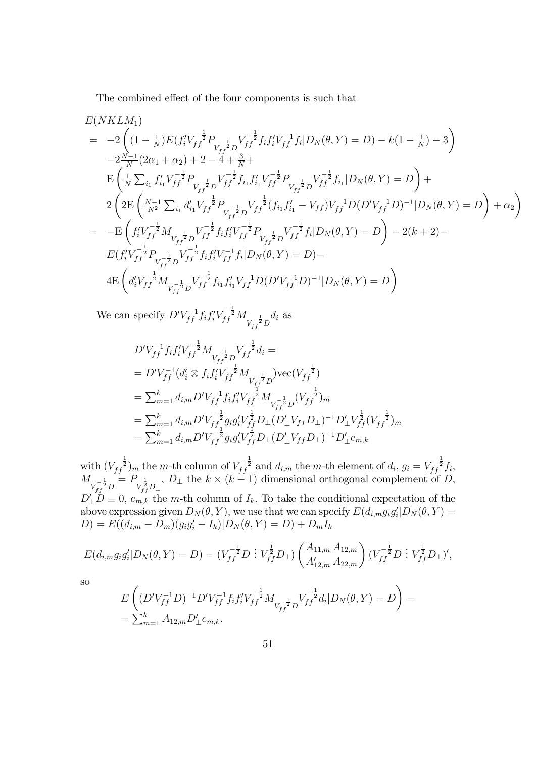The combined effect of the four components is such that

$$
E(NKLM_1)
$$
\n
$$
= -2\left((1 - \frac{1}{N})E(f_i'V_{ff}^{-\frac{1}{2}}P_{V_{ff}^{-\frac{1}{2}}}V_{ff}^{-\frac{1}{2}}f_if_i'V_{ff}^{-1}f_i|D_N(\theta,Y) = D) - k(1 - \frac{1}{N}) - 3\right)
$$
\n
$$
-2\frac{N-1}{N}(2\alpha_1 + \alpha_2) + 2 - 4 + \frac{3}{N} +
$$
\n
$$
E\left(\frac{1}{N}\sum_{i_1}f_{i_1}'V_{ff}^{-\frac{1}{2}}P_{V_{ff}^{-\frac{1}{2}}}V_{ff}^{-\frac{1}{2}}f_{i_1}f_{i_1}'V_{ff}^{-\frac{1}{2}}P_{V_{ff}^{-\frac{1}{2}}}V_{ff}^{-\frac{1}{2}}f_{i_1}|D_N(\theta,Y) = D\right) +
$$
\n
$$
2\left(2E\left(\frac{N-1}{N^2}\sum_{i_1}d_{i_1}'V_{ff}^{-\frac{1}{2}}P_{V_{ff}^{-\frac{1}{2}}}V_{ff}^{-\frac{1}{2}}(f_i,f_i' - V_{ff})V_{ff}^{-1}D(D'V_{ff}^{-1}D)^{-1}|D_N(\theta,Y) = D\right) + \alpha_2\right)
$$
\n
$$
= -E\left(f_i'V_{ff}^{-\frac{1}{2}}M_{V_{ff}^{-\frac{1}{2}}}V_{ff}^{-\frac{1}{2}}f_if_i'V_{ff}^{-\frac{1}{2}}P_{V_{ff}^{-\frac{1}{2}}}V_{ff}^{-\frac{1}{2}}f_i|D_N(\theta,Y) = D\right) - 2(k+2) -
$$
\n
$$
E(f_i'V_{ff}^{-\frac{1}{2}}P_{V_{ff}^{-\frac{1}{2}}}V_{ff}^{-\frac{1}{2}}f_if_i'V_{ff}^{-1}f_i|D_N(\theta,Y) = D) -
$$
\n
$$
4E\left(d_i'V_{ff}^{-\frac{1}{2}}M_{V_{ff}^{-\frac{1}{2}}}V_{ff}^{-\frac{1}{2}}f_{i_1}f_{i_1}'V_{ff}^{-1}D(D'V_{ff}^{-1}D)^{-1}|D_N(\theta,Y) = D\right)
$$

We can specify  $D'V_{ff}^{-1}f_i f_i' V_{ff}^{-\frac{1}{2}} M_{V_{ff}^{-\frac{1}{2}}D}$  $d_i$  as

$$
\begin{split} &D'V_{ff}^{-1}f_if_i'V_{ff}^{-\frac{1}{2}}M_{V_{ff}^{-\frac{1}{2}}D}V_{ff}^{-\frac{1}{2}}d_i=\\ &=D'V_{ff}^{-1}(d_i'\otimes f_if_i'V_{ff}^{-\frac{1}{2}}M_{V_{ff}^{-\frac{1}{2}}D})\text{vec}(V_{ff}^{-\frac{1}{2}})\\ &=\sum_{m=1}^k d_{i,m}D'V_{ff}^{-1}f_if_i'V_{ff}^{-\frac{1}{2}}M_{V_{ff}^{-\frac{1}{2}}D}(V_{ff}^{-\frac{1}{2}})_{m}\\ &=\sum_{m=1}^k d_{i,m}D'V_{ff}^{-\frac{1}{2}}g_ig_i'V_{ff}^{\frac{1}{2}}D_\perp(D'_\perp V_{ff}D_\perp)^{-1}D'_\perp V_{ff}^{\frac{1}{2}}(V_{ff}^{-\frac{1}{2}})_{m}\\ &=\sum_{m=1}^k d_{i,m}D'V_{ff}^{-\frac{1}{2}}g_ig_i'V_{ff}^{\frac{1}{2}}D_\perp(D'_\perp V_{ff}D_\perp)^{-1}D'_\perp e_{m,k} \end{split}
$$

with  $(V_{ff}^{-\frac{1}{2}})_m$  the m-th column of  $V_{ff}^{-\frac{1}{2}}$  and  $d_{i,m}$  the m-th element of  $d_i$ ,  $g_i = V_{ff}^{-\frac{1}{2}} f_i$ ,  $M_{V_{ff}^{-\frac{1}{2}}D}$  $= P_{V_{ff}^{\frac{1}{2}}D_{\perp}}$ ,  $D_{\perp}$  the  $k \times (k-1)$  dimensional orthogonal complement of  $D$ ,  $D'_{\perp}D \equiv 0$ ,  $e_{m,k}$  the m-th column of  $I_k$ . To take the conditional expectation of the above expression given  $D_N(\theta, Y)$ , we use that we can specify  $E(d_{i,m}g_i g_i' | D_N(\theta, Y) =$  $(D) = E((d_{i,m} - D_m)(g_i g'_i - I_k)|D_N(\theta, Y) = D) + D_m I_k$ 

$$
E(d_{i,m}g_{i}g'_{i}|D_{N}(\theta,Y) = D) = (V_{ff}^{-\frac{1}{2}}D \; : \; V_{ff}^{\frac{1}{2}}D_{\perp}) \begin{pmatrix} A_{11,m} A_{12,m} \\ A'_{12,m} A_{22,m} \end{pmatrix} (V_{ff}^{-\frac{1}{2}}D \; : \; V_{ff}^{\frac{1}{2}}D_{\perp})',
$$

so

$$
E\left((D'V_{ff}^{-1}D)^{-1}D'V_{ff}^{-1}f_i f_i' V_{ff}^{-\frac{1}{2}} M_{V_{ff}^{-\frac{1}{2}}} V_{ff}^{-\frac{1}{2}} d_i | D_N(\theta, Y) = D\right) = \sum_{m=1}^k A_{12,m} D'_\perp e_{m,k}.
$$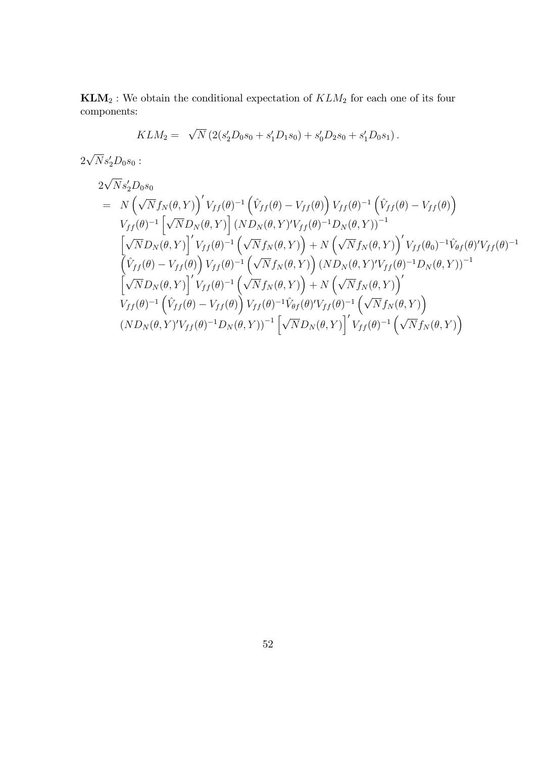$\mathbf{KLM}_2$  : We obtain the conditional expectation of  $KLM_2$  for each one of its four components:

$$
KLM_2 = \sqrt{N} \left( 2(s'_2D_0s_0 + s'_1D_1s_0) + s'_0D_2s_0 + s'_1D_0s_1 \right).
$$

 $2\sqrt{N}s'_{2}D_{0}s_{0}$ :

$$
2\sqrt{N}s'_{2}D_{0}s_{0}
$$
\n
$$
= N\left(\sqrt{N}f_{N}(\theta,Y)\right)'V_{ff}(\theta)^{-1}\left(\hat{V}_{ff}(\theta)-V_{ff}(\theta)\right)V_{ff}(\theta)^{-1}\left(\hat{V}_{ff}(\theta)-V_{ff}(\theta)\right)
$$
\n
$$
V_{ff}(\theta)^{-1}\left[\sqrt{N}D_{N}(\theta,Y)\right](ND_{N}(\theta,Y)')'V_{ff}(\theta)^{-1}D_{N}(\theta,Y))^{-1}
$$
\n
$$
\left[\sqrt{N}D_{N}(\theta,Y)\right]'V_{ff}(\theta)^{-1}\left(\sqrt{N}f_{N}(\theta,Y)\right)+N\left(\sqrt{N}f_{N}(\theta,Y)\right)'V_{ff}(\theta_{0})^{-1}\hat{V}_{\theta f}(\theta)'\hat{V}_{ff}(\theta)^{-1}
$$
\n
$$
\left(\hat{V}_{ff}(\theta)-V_{ff}(\theta)\right)V_{ff}(\theta)^{-1}\left(\sqrt{N}f_{N}(\theta,Y)\right)(ND_{N}(\theta,Y)')'V_{ff}(\theta)^{-1}D_{N}(\theta,Y))^{-1}
$$
\n
$$
\left[\sqrt{N}D_{N}(\theta,Y)\right]'V_{ff}(\theta)^{-1}\left(\sqrt{N}f_{N}(\theta,Y)\right)+N\left(\sqrt{N}f_{N}(\theta,Y)\right)'
$$
\n
$$
V_{ff}(\theta)^{-1}\left(\hat{V}_{ff}(\theta)-V_{ff}(\theta)\right)V_{ff}(\theta)^{-1}\hat{V}_{\theta f}(\theta)'\hat{V}_{ff}(\theta)^{-1}\left(\sqrt{N}f_{N}(\theta,Y)\right)
$$
\n
$$
(ND_{N}(\theta,Y)')'V_{ff}(\theta)^{-1}D_{N}(\theta,Y))^{-1}\left[\sqrt{N}D_{N}(\theta,Y)\right]'\hat{V}_{ff}(\theta)^{-1}\left(\sqrt{N}f_{N}(\theta,Y)\right)
$$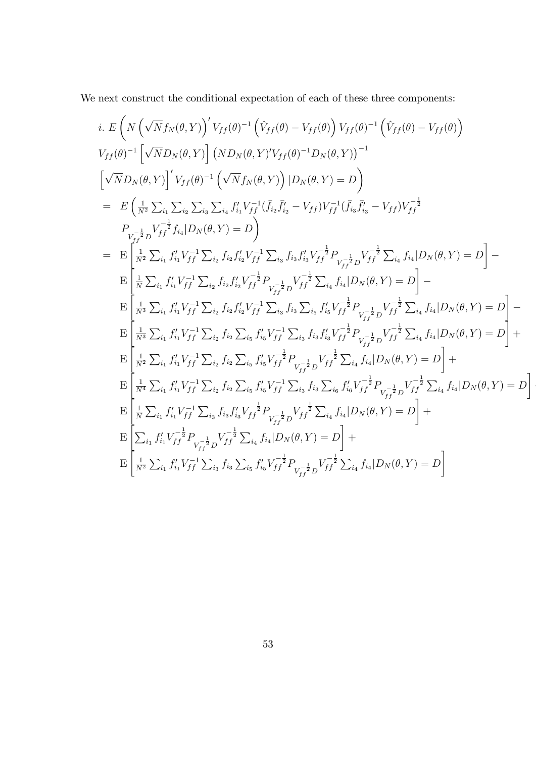We next construct the conditional expectation of each of these three components:

$$
i. E\left(N\left(\sqrt{N}f_{N}(\theta,Y)\right)'V_{ff}(\theta)^{-1}\left(\hat{V}_{ff}(\theta)-V_{ff}(\theta)\right)V_{ff}(\theta)^{-1}\left(\hat{V}_{ff}(\theta)-V_{ff}(\theta)\right) V_{ff}(\theta)\right)
$$
\n
$$
V_{ff}(\theta)^{-1}\left[\sqrt{N}D_{N}(\theta,Y)\right](ND_{N}(\theta,Y)'V_{ff}(\theta)^{-1}D_{N}(\theta,Y))^{-1}
$$
\n
$$
\left[\sqrt{N}D_{N}(\theta,Y)\right]'V_{ff}(\theta)^{-1}\left(\sqrt{N}f_{N}(\theta,Y)\right)|D_{N}(\theta,Y)=D\right)
$$
\n
$$
= E\left(\frac{1}{N^{2}}\sum_{i_{1}}\sum_{i_{2}}\sum_{i_{3}}\sum_{i_{4}}f'_{i_{1}}V_{ff}^{-1}(\bar{f}_{i_{2}}\bar{f}'_{i_{2}}-V_{ff})V_{ff}^{-1}(\bar{f}_{i_{3}}\bar{f}'_{i_{3}}-V_{ff})V_{ff}^{-\frac{1}{2}}
$$
\n
$$
P_{V_{ff}^{-\frac{1}{2}}D_{ff}^{-\frac{1}{2}}\bar{V}_{i_{4}}|D_{N}(\theta,Y)=D\right)
$$
\n
$$
= E\left[\frac{1}{N^{2}}\sum_{i_{1}}f'_{i_{1}}V_{ff}^{-1}\sum_{i_{2}}f_{i_{2}}f'_{i_{2}}V_{ff}^{-1}\sum_{i_{3}}f_{i_{3}}f'_{i_{3}}V_{ff}^{-\frac{1}{2}}P_{V_{ff}^{-\frac{1}{2}}D}V_{ff}^{-\frac{1}{2}}\sum_{i_{4}}f_{i_{4}}|D_{N}(\theta,Y)=D\right]-E\left[\frac{1}{N}\sum_{i_{1}}f'_{i_{1}}V_{ff}^{-1}\sum_{i_{2}}f_{i_{2}}f'_{i_{2}}V_{ff}^{-\frac{1}{2}}P_{V_{ff}^{-\frac{1}{2}}D}V_{ff}^{-\frac{1}{2}}\sum_{i_{4}}f_{i_{4}}|D_{N}(\theta,Y)=D\right]-E\left[\frac{1}{N^{3}}\sum_{i_{1}}f'_{i_{1}}V_{ff}^{-1}\sum_{i_{2}}f_{i_{2}}f'_{i_{2}}V_{ff}^{-\frac{1}{2}}P_{V_{ff}^{-\frac{1}{2}}D}V_{ff}
$$

j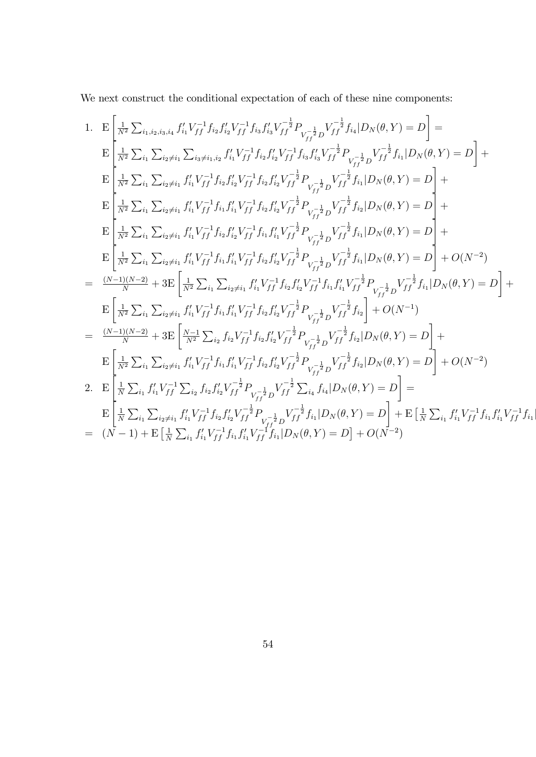We next construct the conditional expectation of each of these nine components:

1. 
$$
E\left[\frac{1}{N^{2}}\sum_{i_{1},i_{2},i_{3},i_{4}}f'_{i_{1}}V_{f}^{-1}f_{i_{2}}f'_{i_{2}}V_{f}^{-1}f_{i_{3}}f'_{i_{3}}V_{f}^{-\frac{1}{2}}P_{V_{f}^{-\frac{1}{2}}D}V_{f}^{-\frac{1}{2}}f_{i_{4}}|D_{N}(\theta,Y)=D\right]=\nE\left[\frac{1}{N^{2}}\sum_{i_{1}}\sum_{i_{2}\neq i_{1}}\sum_{i_{3}\neq i_{1},i_{2}}f'_{i_{1}}V_{f}^{-1}f_{i_{2}}f'_{i_{2}}V_{f}^{-1}f_{i_{3}}f'_{i_{3}}V_{f}^{-\frac{1}{2}}P_{V_{f}^{-\frac{1}{2}}D}V_{f}^{-\frac{1}{2}}f_{i_{1}}|D_{N}(\theta,Y)=D\right]+\nE\left[\frac{1}{N^{2}}\sum_{i_{1}}\sum_{i_{2}\neq i_{1}}f'_{i_{1}}V_{f}^{-1}f_{i_{2}}f'_{i_{2}}V_{f}^{-1}f_{i_{2}}f'_{i_{2}}V_{f}^{-\frac{1}{2}}P_{V_{f}^{-\frac{1}{2}}D}V_{f}^{-\frac{1}{2}}f_{i_{1}}|D_{N}(\theta,Y)=D\right]+\nE\left[\frac{1}{N^{2}}\sum_{i_{1}}\sum_{i_{2}\neq i_{1}}f'_{i_{1}}V_{f}^{-1}f_{i_{2}}f'_{i_{2}}V_{f}^{-1}f_{i_{2}}f'_{i_{2}}V_{f}^{-\frac{1}{2}}P_{V_{f}^{-\frac{1}{2}}D}V_{f}^{-\frac{1}{2}}f_{i_{1}}|D_{N}(\theta,Y)=D\right]+\nE\left[\frac{1}{N^{2}}\sum_{i_{1}}\sum_{i_{2}\neq i_{1}}f'_{i_{1}}V_{f}^{-1}f_{i_{2}}f'_{i_{2}}V_{f}^{-1}f_{i_{2}}f'_{i_{2}}V_{f}^{-\frac{1}{2}}P_{V_{f}^{-\frac{1}{2}}D}V_{f}^{-\frac{1}{2}}f_{i_{1}}|D_{N}(\theta,Y)=D\right]+\nE\left[\frac{1}{N^{2}}\sum_{i_{1}}\sum_{i_{2}\neq i_{1}}f'_{i_{1}}V_{f}^{-1
$$

 $\overline{\phantom{a}}$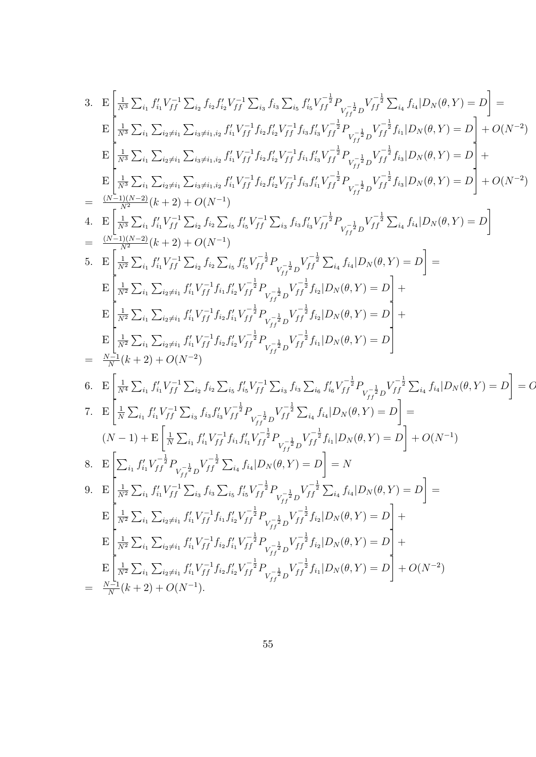3. 
$$
E\left[\frac{1}{N^{3}}\sum_{i_{1}}f'_{i_{1}}V_{ff}^{-1}\sum_{i_{2}}f_{i_{2}}f'_{i_{2}}V_{ff}^{-1}\sum_{i_{3}}f_{i_{3}}\sum_{i_{5}}f'_{i_{6}}V_{ff}^{-1}P_{V_{ff}^{-1}}P_{V_{ff}^{-1}}P_{V_{ff}^{-1}}P_{V_{ff}^{-1}}P_{V_{ff}^{-1}}P_{V_{ff}^{-1}}P_{V_{ff}^{-1}}P_{V_{ff}^{-1}}P_{V_{ff}^{-1}}P_{V_{ff}^{-1}}P_{V_{ff}^{-1}}P_{V_{ff}^{-1}}P_{V_{ff}^{-1}}P_{V_{ff}^{-1}}P_{V_{ff}^{-1}}P_{V_{ff}^{-1}}P_{V_{ff}^{-1}}P_{V_{ff}^{-1}}P_{V_{ff}^{-1}}P_{V_{ff}^{-1}}P_{V_{ff}^{-1}}P_{V_{f}^{-1}}P_{V_{f}^{-1}}P_{V_{f}^{-1}}P_{V_{f}^{-1}}P_{V_{f}^{-1}}P_{V_{f}^{-1}}P_{V_{f}^{-1}}P_{V_{f}^{-1}}P_{V_{f}^{-1}}P_{V_{f}^{-1}}P_{V_{f}^{-1}}P_{V_{f}^{-1}}P_{V_{f}^{-1}}P_{V_{f}^{-1}}P_{V_{f}^{-1}}P_{V_{f}^{-1}}P_{V_{f}^{-1}}P_{V_{f}^{-1}}P_{V_{f}^{-1}}P_{V_{f}^{-1}}P_{V_{f}^{-1}}P_{V_{f}^{-1}}P_{V_{f}^{-1}}P_{V_{f}^{-1}}P_{V_{f}^{-1}}P_{V_{f}^{-1}}P_{V_{f}^{-1}}P_{V_{f}^{-1}}P_{V_{f}^{-1}}P_{V_{f}^{-1}}P_{V_{f}^{-1}}P_{V_{f}^{-1}}P_{V_{f}^{-1}}P_{V_{f}^{-1}}P_{V_{f}^{-1}}P_{V_{f}^{-1}}P_{V_{f}^{-1}}P_{V_{f}^{-1}}P_{V_{f}^{-1}}P_{V_{f}^{-1}}P_{V_{f}^{-1}}P_{V_{f}^{-1}}P_{V_{f}^{-1}}P_{V_{f}^{-1}}P_{V_{f}^{-1}}P_{V_{f}^{-1}}P_{V_{f}^{-1}}P_{V_{f}^{-1}}P_{V_{f}^{-1}}P_{V_{f}^{-1}}P_{
$$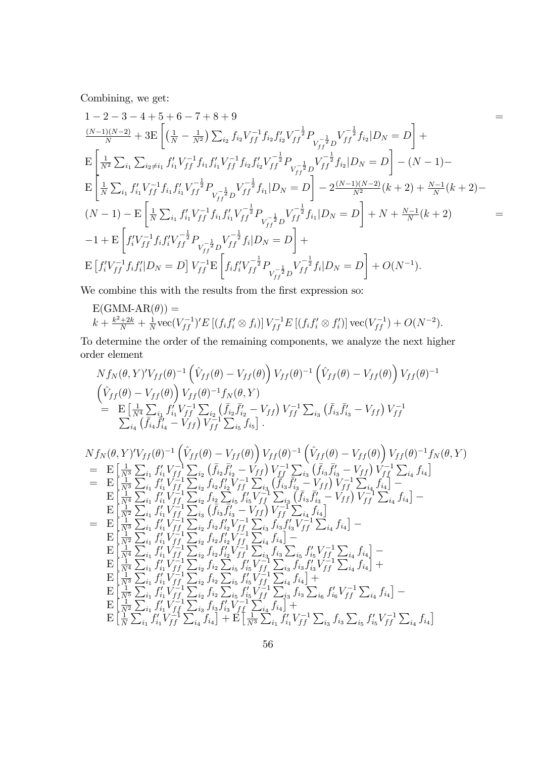Combining, we get:

$$
1-2-3-4+5+6-7+8+9
$$
\n
$$
\frac{(N-1)(N-2)}{N}+3E\left[\left(\frac{1}{N}-\frac{1}{N^2}\right)\sum_{i_2}f_{i_2}V_{ff}^{-1}f_{i_2}f'_{i_2}V_{ff}^{-\frac{1}{2}}P_{V_{ff}^{-\frac{1}{2}}}V_{ff}^{-\frac{1}{2}}f_{i_2}|D_N=D\right]+
$$
\n
$$
E\left[\frac{1}{N^2}\sum_{i_1}\sum_{i_2\neq i_1}f'_{i_1}V_{ff}^{-1}f_{i_1}f'_{i_1}V_{ff}^{-1}f_{i_2}f'_{i_2}V_{ff}^{-\frac{1}{2}}P_{V_{ff}^{-\frac{1}{2}}}V_{ff}^{-\frac{1}{2}}f_{i_2}|D_N=D\right]-(N-1)-
$$
\n
$$
E\left[\frac{1}{N}\sum_{i_1}f'_{i_1}V_{ff}^{-1}f_{i_1}f'_{i_1}V_{ff}^{-\frac{1}{2}}P_{V_{ff}^{-\frac{1}{2}}}V_{ff}^{-\frac{1}{2}}f_{i_1}|D_N=D\right]-2\frac{(N-1)(N-2)}{N^2}(k+2)+\frac{N-1}{N}(k+2)-
$$
\n
$$
(N-1)-E\left[\frac{1}{N}\sum_{i_1}f'_{i_1}V_{ff}^{-1}f_{i_1}f'_{i_1}V_{ff}^{-\frac{1}{2}}P_{V_{ff}^{-\frac{1}{2}}}V_{ff}^{-\frac{1}{2}}f_{i_1}|D_N=D\right]+N+\frac{N-1}{N}(k+2)
$$
\n
$$
-1+E\left[f'_{if}V_{ff}^{-1}f_{if}f'_{if}V_{ff}^{-\frac{1}{2}}P_{V_{ff}^{-\frac{1}{2}}}V_{ff}^{-\frac{1}{2}}f_{i}|D_N=D\right]+
$$
\n
$$
E\left[f'_{if}V_{ff}^{-1}f_{i_1}f'_{i_1}V_{ff}^{-\frac{1}{2}}P_{V_{ff}^{-\frac{1}{2}}}V_{ff}^{-\frac{1}{2}}P_{V_{ff}^{-\frac{1}{2}}f_{i}|D_N=D\right]+O(N^{-1}).
$$

We combine this with the results from the first expression so:

$$
E(GMM-AR(\theta)) =
$$
  

$$
k + \frac{k^2 + 2k}{N} + \frac{1}{N}\text{vec}(V_{ff}^{-1})'E[(f_i f_i' \otimes f_i)]V_{ff}^{-1}E[(f_i f_i' \otimes f_i')] \text{vec}(V_{ff}^{-1}) + O(N^{-2}).
$$

To determine the order of the remaining components, we analyze the next higher order element

$$
N f_N(\theta, Y)^{\prime} V_{ff}(\theta)^{-1} \left( \hat{V}_{ff}(\theta) - V_{ff}(\theta) \right) V_{ff}(\theta)^{-1} \left( \hat{V}_{ff}(\theta) - V_{ff}(\theta) \right) V_{ff}(\theta)^{-1}
$$
  
\n
$$
\begin{aligned}\n&\left( \hat{V}_{ff}(\theta) - V_{ff}(\theta) \right) V_{ff}(\theta)^{-1} f_N(\theta, Y) \\
&= \mathbf{E} \left[ \frac{1}{N^4} \sum_{i_1} f'_{i_1} V_{ff}^{-1} \sum_{i_2} \left( \bar{f}_{i_2} \bar{f}'_{i_2} - V_{ff} \right) V_{ff}^{-1} \sum_{i_3} \left( \bar{f}_{i_3} \bar{f}'_{i_3} - V_{ff} \right) V_{ff}^{-1} \\
&\sum_{i_4} \left( \bar{f}_{i_4} \bar{f}'_{i_4} - V_{ff} \right) V_{ff}^{-1} \sum_{i_5} f_{i_5} \right].\n\end{aligned}
$$

$$
Nf_N(\theta, Y)'V_{ff}(\theta)^{-1} (\hat{V}_{ff}(\theta) - V_{ff}(\theta)) V_{ff}(\theta)^{-1} (\hat{V}_{ff}(\theta) - V_{ff}(\theta)) V_{ff}(\theta)^{-1} f_N(\theta, Y)
$$
  
\n
$$
= \mathbf{E} \left[ \frac{1}{N^3} \sum_{i_1} f'_{i_1} V_{ff}^{-1} \sum_{i_2} (\bar{f}_{i_2} \bar{f}'_{i_2} - V_{ff}) V_{ff}^{-1} \sum_{i_3} (\bar{f}_{i_3} \bar{f}'_{i_3} - V_{ff}) V_{ff}^{-1} \sum_{i_4} f_{i_4} \right]
$$
  
\n
$$
= \mathbf{E} \left[ \frac{1}{N^3} \sum_{i_1} f'_{i_1} V_{ff}^{-1} \sum_{i_2} f_{i_2} f'_{i_2} V_{f}^{-1} \sum_{i_3} (\bar{f}_{i_3} \bar{f}'_{i_3} - V_{ff}) V_{ff}^{-1} \sum_{i_4} f_{i_4} \right]
$$
  
\n
$$
= \mathbf{E} \left[ \frac{1}{N^2} \sum_{i_1} f'_{i_1} V_{ff}^{-1} \sum_{i_2} f_{i_2} \sum_{i_5} f'_{i_5} V_{ff}^{-1} \sum_{i_3} (\bar{f}_{i_3} \bar{f}'_{i_3} - V_{ff}) V_{ff}^{-1} \sum_{i_4} f_{i_4} \right]
$$
  
\n
$$
= \mathbf{E} \left[ \frac{1}{N^2} \sum_{i_1} f'_{i_1} V_{ff}^{-1} \sum_{i_3} (\bar{f}_{i_3} \bar{f}'_{i_3} - V_{ff}) V_{ff}^{-1} \sum_{i_4} f_{i_4} \right]
$$
  
\n
$$
= \mathbf{E} \left[ \frac{1}{N^2} \sum_{i_1} f'_{i_1} V_{ff}^{-1} \sum_{i_2} f_{i_2} f'_{i_2} V_{f}^{-1} \sum_{i_3} f_{i_3} f'_{i_3} V_{ff}^{-1} \sum_{i_4} f_{i_4} \right]
$$
  
\n
$$
= \mathbf{E} \left[ \frac{1}{N^2} \sum_{i_1} f
$$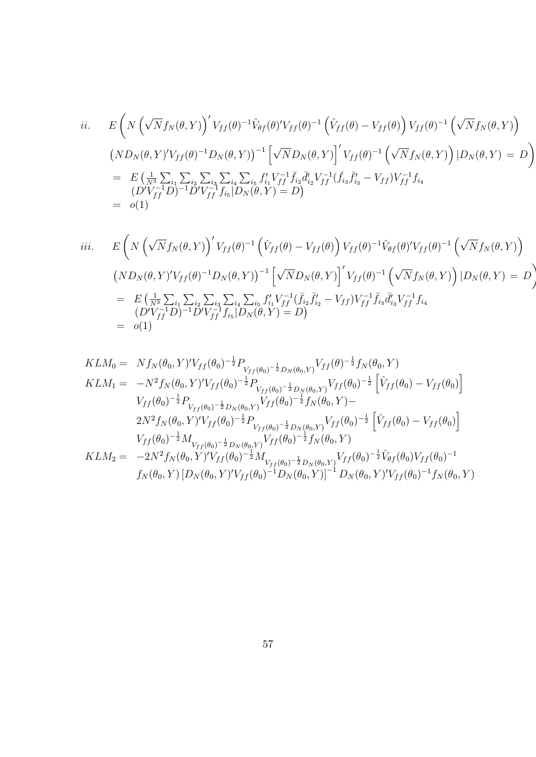$$
ii. \qquad E\left(N\left(\sqrt{N}f_N(\theta,Y)\right)'V_{ff}(\theta)^{-1}\hat{V}_{\theta f}(\theta)'V_{ff}(\theta)^{-1}\left(\hat{V}_{ff}(\theta)-V_{ff}(\theta)\right)V_{ff}(\theta)^{-1}\left(\sqrt{N}f_N(\theta,Y)\right)\right) \n\left(ND_N(\theta,Y)'V_{ff}(\theta)^{-1}D_N(\theta,Y)\right)^{-1}\left[\sqrt{N}D_N(\theta,Y)\right]'V_{ff}(\theta)^{-1}\left(\sqrt{N}f_N(\theta,Y)\right)|D_N(\theta,Y)=D\right) \n= E\left(\frac{1}{N^3}\sum_{i_1}\sum_{i_2}\sum_{i_3}\sum_{i_4}\sum_{i_5}f'_{i_1}V_{ff}^{-1}\bar{f}_{i_2}\bar{d}'_{i_2}V_{ff}^{-1}(\bar{f}_{i_3}\bar{f}'_{i_3}-V_{ff})V_{ff}^{-1}f_{i_4} \n(D'V_{ff}^{-1}D)^{-1}D'V_{ff}^{-1}f_{i_5}|D_N(\theta,Y)=D\right) \n= o(1)
$$

$$
iii. \qquad E\left(N\left(\sqrt{N}f_N(\theta,Y)\right)'V_{ff}(\theta)^{-1}\left(\hat{V}_{ff}(\theta)-V_{ff}(\theta)\right)V_{ff}(\theta)^{-1}\hat{V}_{\theta f}(\theta)'V_{ff}(\theta)^{-1}\left(\sqrt{N}f_N(\theta,Y)\right)\right)\right)
$$

$$
\left(ND_N(\theta,Y)'V_{ff}(\theta)^{-1}D_N(\theta,Y)\right)^{-1}\left[\sqrt{N}D_N(\theta,Y)\right]'V_{ff}(\theta)^{-1}\left(\sqrt{N}f_N(\theta,Y)\right)|D_N(\theta,Y)=D\right)
$$

$$
= E\left(\frac{1}{N^3}\sum_{i_1}\sum_{i_2}\sum_{i_3}\sum_{i_4}\sum_{i_5}f'_{i_1}V_{ff}^{-1}(\bar{f}_{i_2}\bar{f}'_{i_2}-V_{ff})V_{ff}^{-1}\bar{f}_{i_3}\bar{d}'_{i_3}V_{ff}^{-1}f_{i_4}
$$

$$
\left(D'V_{ff}^{-1}D\right)^{-1}D'V_{ff}^{-1}f_{i_5}|D_N(\theta,Y)=D\right)
$$

$$
= o(1)
$$

$$
KLM_{0} = Nf_{N}(\theta_{0}, Y)'V_{ff}(\theta_{0})^{-\frac{1}{2}}P_{V_{ff}(\theta_{0})^{-\frac{1}{2}}D_{N}(\theta_{0}, Y)}V_{ff}(\theta)^{-\frac{1}{2}}f_{N}(\theta_{0}, Y)
$$
  
\n
$$
KLM_{1} = -N^{2}f_{N}(\theta_{0}, Y)'V_{ff}(\theta_{0})^{-\frac{1}{2}}P_{V_{ff}(\theta_{0})^{-\frac{1}{2}}D_{N}(\theta_{0}, Y)}V_{ff}(\theta_{0})^{-\frac{1}{2}}\left[\hat{V}_{ff}(\theta_{0}) - V_{ff}(\theta_{0})\right]
$$
  
\n
$$
V_{ff}(\theta_{0})^{-\frac{1}{2}}P_{V_{ff}(\theta_{0})^{-\frac{1}{2}}D_{N}(\theta_{0}, Y)}V_{ff}(\theta_{0})^{-\frac{1}{2}}f_{N}(\theta_{0}, Y) -
$$
  
\n
$$
2N^{2}f_{N}(\theta_{0}, Y)'V_{ff}(\theta_{0})^{-\frac{1}{2}}P_{V_{ff}(\theta_{0})^{-\frac{1}{2}}D_{N}(\theta_{0}, Y)}V_{ff}(\theta_{0})^{-\frac{1}{2}}\left[\hat{V}_{ff}(\theta_{0}) - V_{ff}(\theta_{0})\right]
$$
  
\n
$$
V_{ff}(\theta_{0})^{-\frac{1}{2}}M_{V_{ff}(\theta_{0})^{-\frac{1}{2}}D_{N}(\theta_{0}, Y)}V_{ff}(\theta_{0})^{-\frac{1}{2}}f_{N}(\theta_{0}, Y)
$$
  
\n
$$
KLM_{2} = -2N^{2}f_{N}(\theta_{0}, Y)'V_{ff}(\theta_{0})^{-\frac{1}{2}}M_{V_{ff}(\theta_{0})^{-\frac{1}{2}}D_{N}(\theta_{0}, Y)}V_{ff}(\theta_{0})^{-\frac{1}{2}}\hat{V}_{\theta f}(\theta_{0})V_{ff}(\theta_{0})^{-1}
$$
  
\n
$$
f_{N}(\theta_{0}, Y) [D_{N}(\theta_{0}, Y)'V_{ff}(\theta_{0})^{-1}D_{N}(\theta_{0}, Y)]^{-1}D_{N}(\theta_{0}, Y)'V_{ff}(\theta_{0})^{-1}f_{N}(\theta_{0}, Y)
$$

$$
f_{\rm{max}}
$$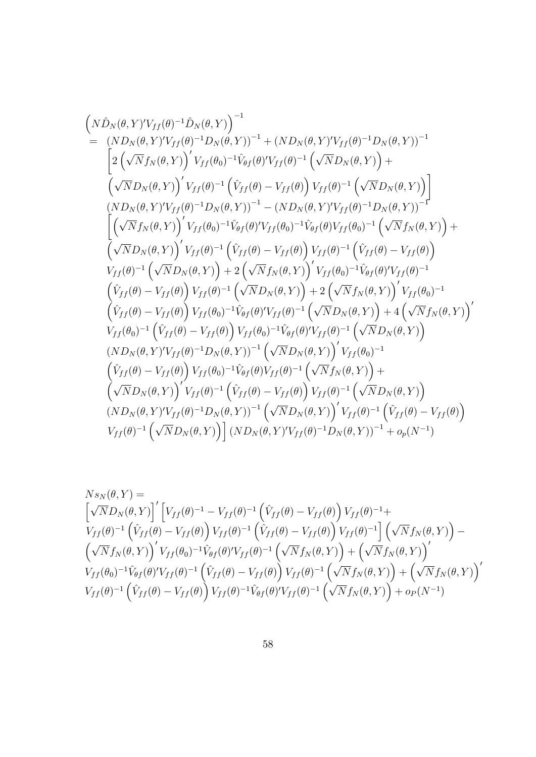ND^<sup>N</sup> (; Y ) <sup>0</sup>Vf f () <sup>1</sup>D^<sup>N</sup> (; Y ) <sup>1</sup> = (ND<sup>N</sup> (; Y ) <sup>0</sup>Vf f () <sup>1</sup>D<sup>N</sup> (; Y ))<sup>1</sup> + (ND<sup>N</sup> (; Y ) <sup>0</sup>Vf f () <sup>1</sup>D<sup>N</sup> (; Y ))<sup>1</sup> 2 p Nf<sup>N</sup> (; Y ) 0 Vf f (0) <sup>1</sup>V^ f () <sup>0</sup>Vf f () 1 p ND<sup>N</sup> (; Y ) + p ND<sup>N</sup> (; Y ) 0 Vf f () 1 V^ f f () Vf f () Vf f () 1 p ND<sup>N</sup> (; Y ) (ND<sup>N</sup> (; Y ) <sup>0</sup>Vf f () <sup>1</sup>D<sup>N</sup> (; Y ))<sup>1</sup> (ND<sup>N</sup> (; Y ) <sup>0</sup>Vf f () <sup>1</sup>D<sup>N</sup> (; Y ))<sup>1</sup> p Nf<sup>N</sup> (; Y ) 0 Vf f (0) <sup>1</sup>V^ f () <sup>0</sup>Vf f (0) <sup>1</sup>V^ f ()Vf f (0) 1 p Nf<sup>N</sup> (; Y ) + p ND<sup>N</sup> (; Y ) 0 Vf f () 1 V^ f f () Vf f () Vf f () 1 V^ f f () Vf f () Vf f () 1 p ND<sup>N</sup> (; Y ) + 2 <sup>p</sup> Nf<sup>N</sup> (; Y ) 0 Vf f (0) <sup>1</sup>V^ f () <sup>0</sup>Vf f () 1 V^ f f () Vf f () Vf f () 1 p ND<sup>N</sup> (; Y ) + 2 <sup>p</sup> Nf<sup>N</sup> (; Y ) 0 Vf f (0) 1 V^ f f () Vf f () Vf f (0) <sup>1</sup>V^ f () <sup>0</sup>Vf f () 1 p ND<sup>N</sup> (; Y ) + 4 <sup>p</sup> Nf<sup>N</sup> (; Y ) 0 Vf f (0) 1 V^ f f () Vf f () Vf f (0) <sup>1</sup>V^ f () <sup>0</sup>Vf f () 1 p ND<sup>N</sup> (; Y ) (ND<sup>N</sup> (; Y ) <sup>0</sup>Vf f () <sup>1</sup>D<sup>N</sup> (; Y ))<sup>1</sup> p ND<sup>N</sup> (; Y ) 0 Vf f (0) 1 V^ f f () Vf f () Vf f (0) <sup>1</sup>V^ f ()Vf f () 1 p Nf<sup>N</sup> (; Y ) + p ND<sup>N</sup> (; Y ) 0 Vf f () 1 V^ f f () Vf f () Vf f () 1 p ND<sup>N</sup> (; Y ) (ND<sup>N</sup> (; Y ) <sup>0</sup>Vf f () <sup>1</sup>D<sup>N</sup> (; Y ))<sup>1</sup> p ND<sup>N</sup> (; Y ) 0 Vf f () 1 V^ f f () Vf f () Vf f () 1 p ND<sup>N</sup> (; Y ) i (ND<sup>N</sup> (; Y ) <sup>0</sup>Vf f () <sup>1</sup>D<sup>N</sup> (; Y ))<sup>1</sup> + op(N <sup>1</sup> )

$$
N s_N(\theta, Y) =
$$
\n
$$
\left[\sqrt{N}D_N(\theta, Y)\right]' \left[V_{ff}(\theta)^{-1} - V_{ff}(\theta)^{-1} \left(\hat{V}_{ff}(\theta) - V_{ff}(\theta)\right) V_{ff}(\theta)^{-1} +
$$
\n
$$
V_{ff}(\theta)^{-1} \left(\hat{V}_{ff}(\theta) - V_{ff}(\theta)\right) V_{ff}(\theta)^{-1} \left(\hat{V}_{ff}(\theta) - V_{ff}(\theta)\right) V_{ff}(\theta)^{-1}\right] \left(\sqrt{N}f_N(\theta, Y)\right) -
$$
\n
$$
\left(\sqrt{N}f_N(\theta, Y)\right)' V_{ff}(\theta_0)^{-1} \hat{V}_{\theta f}(\theta)' V_{ff}(\theta)^{-1} \left(\sqrt{N}f_N(\theta, Y)\right) + \left(\sqrt{N}f_N(\theta, Y)\right)'
$$
\n
$$
V_{ff}(\theta_0)^{-1} \hat{V}_{\theta f}(\theta)' V_{ff}(\theta)^{-1} \left(\hat{V}_{ff}(\theta) - V_{ff}(\theta)\right) V_{ff}(\theta)^{-1} \left(\sqrt{N}f_N(\theta, Y)\right) + \left(\sqrt{N}f_N(\theta, Y)\right)'
$$
\n
$$
V_{ff}(\theta)^{-1} \left(\hat{V}_{ff}(\theta) - V_{ff}(\theta)\right) V_{ff}(\theta)^{-1} \hat{V}_{\theta f}(\theta)' V_{ff}(\theta)^{-1} \left(\sqrt{N}f_N(\theta, Y)\right) + o_P(N^{-1})
$$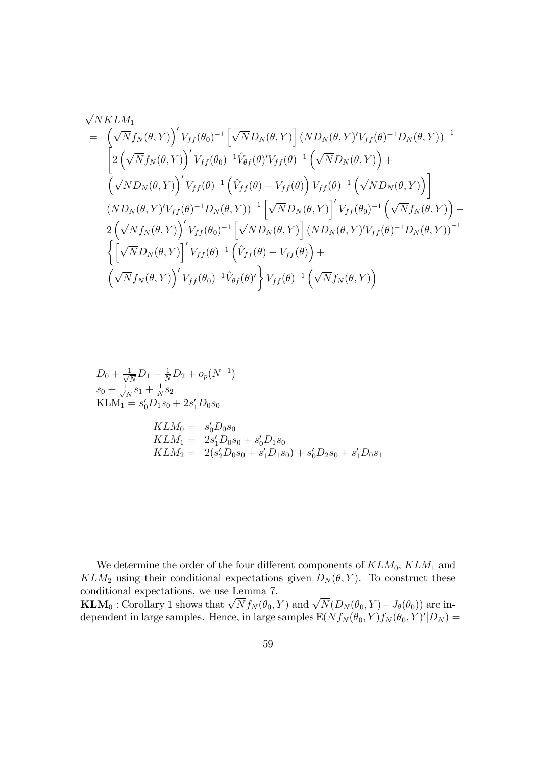$$
\sqrt{N}KLM_1
$$
\n
$$
= \left(\sqrt{N}f_N(\theta, Y)\right)' V_{ff}(\theta_0)^{-1} \left[\sqrt{N}D_N(\theta, Y)\right] (ND_N(\theta, Y)'V_{ff}(\theta)^{-1}D_N(\theta, Y))^{-1}
$$
\n
$$
\left[2\left(\sqrt{N}f_N(\theta, Y)\right)' V_{ff}(\theta_0)^{-1}\hat{V}_{\theta f}(\theta)'V_{ff}(\theta)^{-1}\left(\sqrt{N}D_N(\theta, Y)\right) + \left(\sqrt{N}D_N(\theta, Y)\right)' V_{ff}(\theta)^{-1}\left(\hat{V}_{ff}(\theta) - V_{ff}(\theta)\right)V_{ff}(\theta)^{-1}\left(\sqrt{N}D_N(\theta, Y)\right)\right]
$$
\n
$$
(ND_N(\theta, Y)'V_{ff}(\theta)^{-1}D_N(\theta, Y))^{-1} \left[\sqrt{N}D_N(\theta, Y)\right]' V_{ff}(\theta_0)^{-1}\left(\sqrt{N}f_N(\theta, Y)\right) - 2\left(\sqrt{N}f_N(\theta, Y)\right)' V_{ff}(\theta_0)^{-1}\left[\sqrt{N}D_N(\theta, Y)\right] (ND_N(\theta, Y)'V_{ff}(\theta)^{-1}D_N(\theta, Y))^{-1}
$$
\n
$$
\left\{\left[\sqrt{N}D_N(\theta, Y)\right]' V_{ff}(\theta)^{-1}\left(\hat{V}_{ff}(\theta) - V_{ff}(\theta)\right) + \left(\sqrt{N}f_N(\theta, Y)\right)' V_{ff}(\theta_0)^{-1}\hat{V}_{\theta f}(\theta) \right] V_{ff}(\theta)^{-1}\left(\sqrt{N}f_N(\theta, Y)\right) \right\}
$$

$$
D_0 + \frac{1}{\sqrt{N}} D_1 + \frac{1}{N} D_2 + o_p(N^{-1})
$$
  
\n
$$
s_0 + \frac{1}{\sqrt{N}} s_1 + \frac{1}{N} s_2
$$
  
\n
$$
KLM_1 = s'_0 D_1 s_0 + 2s'_1 D_0 s_0
$$
  
\n
$$
KLM_0 = s'_0 D_0 s_0
$$
  
\n
$$
KLM_1 = 2s'_1 D_0 s_0 + s'_0 D_1 s_0
$$
  
\n
$$
KLM_2 = 2(s'_2 D_0 s_0 + s'_1 D_1 s_0) + s'_0 D_2 s_0 + s'_1 D_0 s_1
$$

We determine the order of the four different components of  $KLM_0$ ,  $KLM_1$  and  $KLM_2$  using their conditional expectations given  $D_N(\theta, Y)$ . To construct these conditional expectations, we use Lemma 7.

**KLM**<sub>0</sub>: Corollary 1 shows that  $\sqrt{N} f_N(\theta_0, Y)$  and  $\sqrt{N}(D_N(\theta_0, Y) - J_{\theta}(\theta_0))$  are independent in large samples. Hence, in large samples  $E(Nf_N(\theta_0, Y)f_N(\theta_0, Y)'|D_N) =$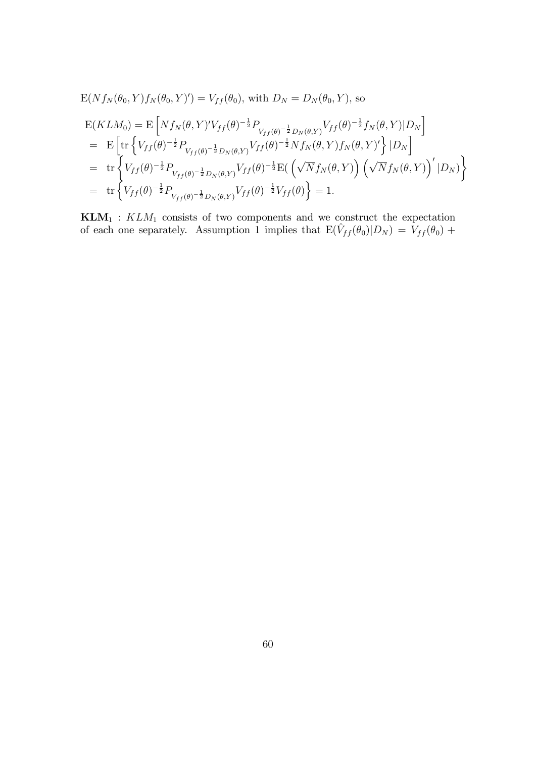$$
E(Nf_N(\theta_0, Y)f_N(\theta_0, Y)') = V_{ff}(\theta_0), \text{ with } D_N = D_N(\theta_0, Y), \text{ so}
$$
  
\n
$$
E(KLM_0) = E\left[Nf_N(\theta, Y)'V_{ff}(\theta)^{-\frac{1}{2}}P_{V_{ff}(\theta)^{-\frac{1}{2}}D_N(\theta, Y)}V_{ff}(\theta)^{-\frac{1}{2}}f_N(\theta, Y)|D_N\right]
$$
  
\n
$$
= E\left[\text{tr}\left\{V_{ff}(\theta)^{-\frac{1}{2}}P_{V_{ff}(\theta)^{-\frac{1}{2}}D_N(\theta, Y)}V_{ff}(\theta)^{-\frac{1}{2}}Nf_N(\theta, Y)f_N(\theta, Y)'\right\}|D_N\right]
$$
  
\n
$$
= \text{tr}\left\{V_{ff}(\theta)^{-\frac{1}{2}}P_{V_{ff}(\theta)^{-\frac{1}{2}}D_N(\theta, Y)}V_{ff}(\theta)^{-\frac{1}{2}}E\left(\sqrt{N}f_N(\theta, Y)\right)\left(\sqrt{N}f_N(\theta, Y)\right)'|D_N\right\}
$$
  
\n
$$
= \text{tr}\left\{V_{ff}(\theta)^{-\frac{1}{2}}P_{V_{ff}(\theta)^{-\frac{1}{2}}D_N(\theta, Y)}V_{ff}(\theta)^{-\frac{1}{2}}V_{ff}(\theta)\right\} = 1.
$$

 $KLM_1 : KLM_1$  consists of two components and we construct the expectation of each one separately. Assumption 1 implies that  $E(\hat{V}_{ff}(\theta_0)|D_N) = V_{ff}(\theta_0) +$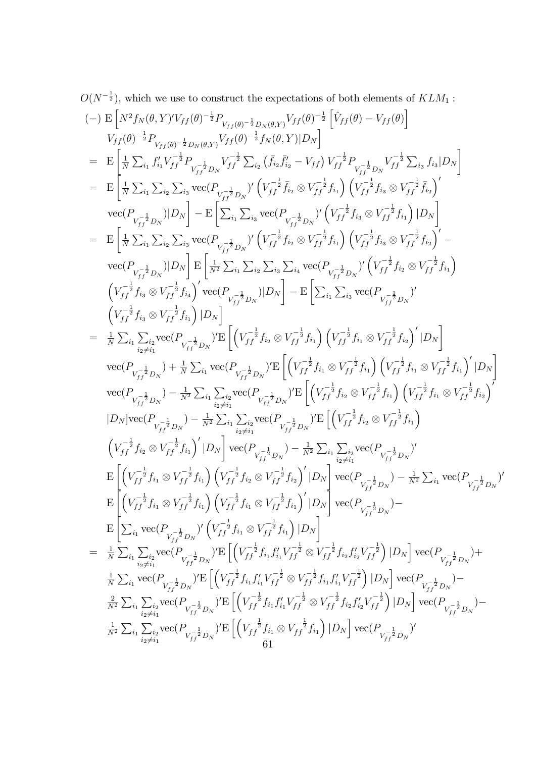$$
O(N^{-\frac{1}{2}}),
$$
 which we use to construct the expectations of both elements of  $KLM_1$ :  
\n
$$
(-) \mathbf{E} \left[ N^2 f_N(\theta, Y) V_{ff}(\theta)^{-\frac{1}{2}} P_{V_{ff}(\theta)^{-\frac{1}{2}} P_{V_{ff}(\theta)^{-\frac{1}{2}}} Y_{ff}(\theta, Y) |I\theta \rangle^{-\frac{1}{2}} \left[ \hat{V}_{ff}(\theta) - V_{ff}(\theta) \right] \right]
$$
\n
$$
V_{ff}(\theta)^{-\frac{1}{2}} P_{V_{ff}(\theta)^{-\frac{1}{2}} D_N(\theta, Y) V_{ff}(\theta)^{-\frac{1}{2}}} \left[ \hat{V}_{ff}(\theta) - V_{ff}(\theta) \right]
$$
\n
$$
= \mathbf{E} \left[ \frac{1}{N} \sum_{i} f'_{i} V_{fj}^{-\frac{1}{2}} P_{V_{fj}^{-\frac{1}{2}} D_N} V_{ff}^{-\frac{1}{2}} \sum_{i} (f_{i} f'_{i2} - V_{ff}) V_{ff}^{-\frac{1}{2}} P_{V_{fj}^{-\frac{1}{2}} D_N} V_{fj}^{-\frac{1}{2}} \sum_{i} f_{i} f_{i} |D_N \right]
$$
\n
$$
= \mathbf{E} \left[ \frac{1}{N} \sum_{i} \sum_{i} \sum_{i} \sum_{i} \sum_{i} \text{vec}(P_{V_{fj}^{-\frac{1}{2}} D_N} \left( V_{ff}^{-\frac{1}{2}} f_{i3} \otimes V_{ff}^{-\frac{1}{2}} f_{i1} \right) \left( V_{ff}^{-\frac{1}{2}} f_{i3} \otimes V_{ff}^{-\frac{1}{2}} f_{i1} \right) \right]
$$
\n
$$
\text{vec}(P_{V_{ff}^{-\frac{1}{2}} D_N} |D_N| = \mathbf{E} \left[ \sum_{i} \sum_{i} \sum_{i} \text{vec}(P_{V_{fj}^{-\frac{1}{2}} D_N} \left( V_{ff}^{-\frac{1}{2}} f_{i3} \otimes V_{ff}^{-\frac{1}{2}} f_{i1} \right) \left( V_{ff}^{-\frac{1}{2}} f_{i3} \otimes V_{ff}^{-\frac{1}{2}} f_{i1} \right) \right]
$$
\n<math display="block</math>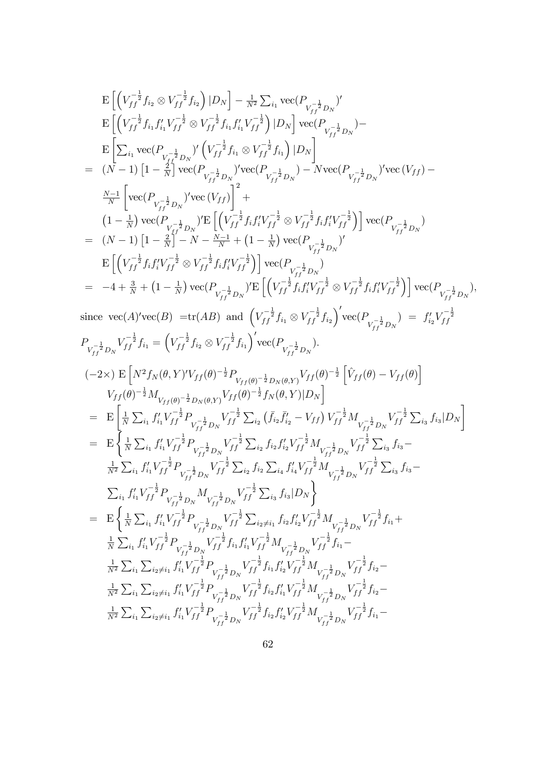$$
\begin{array}{ll} &\textrm{E}\left[(V_{ff}^{-\frac{1}{2}}f_{6}\otimes V_{ff}^{-\frac{1}{2}}f_{6})\,|D_{N}\right]-\frac{1}{N^{2}}\sum_{i_{1}}\textrm{vec}\left(P_{V_{ff}^{-\frac{1}{2}}D_{8}})^{l}\\[2mm] &\textrm{E}\left[(V_{ff}^{-\frac{1}{2}}f_{i_{1}}f_{i_{1}}V_{ff}^{-\frac{1}{2}}\otimes V_{ff}^{-\frac{1}{2}}f_{i_{1}}f_{i_{1}}V_{ff}^{-\frac{1}{2}}\right)|D_{N}\right]\textrm{vec}\left(P_{V_{ff}^{-\frac{1}{2}}D_{8}})^{-1}\\[2mm] &\textrm{E}\left[\sum_{i_{1}}\textrm{vec}\left(P_{V_{ff}^{-\frac{1}{2}}D_{8}})^{l}\left(V_{ff}^{-\frac{1}{2}}f_{1}\otimes V_{ff}^{-\frac{1}{2}}f_{1}\right)|D_{N}\right]\textrm{vec}\left(P_{V_{ff}^{-\frac{1}{2}}D_{8}}\right)\textrm{vec}\left(V_{ff}\right)-\\[2mm] &\textrm{A}\left[(V_{ff}^{-\frac{1}{2}}V_{f}^{-\frac{1}{2}}D_{8})^{l}\textrm{vec}\left(P_{V_{ff}^{-\frac{1}{2}}D_{8}}\right)\textrm{vec}\left(P_{V_{ff}^{-\frac{1}{2}}D_{8}}\right)-\textrm{Nvec}\left(P_{V_{ff}^{-\frac{1}{2}}D_{8}}\right)\textrm{vec}\left(V_{ff}\right)-\\[2mm] &\frac{N-1}{N}\left[\textrm{vec}\left(P_{V_{f}^{-\frac{1}{2}}D_{8}}\right)\textrm{vec}\left(\left(V_{ff}^{-\frac{1}{2}}f_{f,f_{1}^{2}}V_{ff}^{-\frac{1}{2}}\right)\otimes V_{ff}^{-\frac{1}{2}}f_{f,f_{1}^{2}}V_{ff}^{-\frac{1}{2}}\right)\right]\textrm{vec}\left(P_{V_{ff}^{-\frac{1}{2}}D_{8}}\right)\\[2mm] &\textrm{E}\left[\left(V_{ff}^{-\frac{1}{2}}f_{f,f_{1}^{2}}V_{ff}^{-\frac{1}{2}}\otimes V_{ff}^{-\frac{1
$$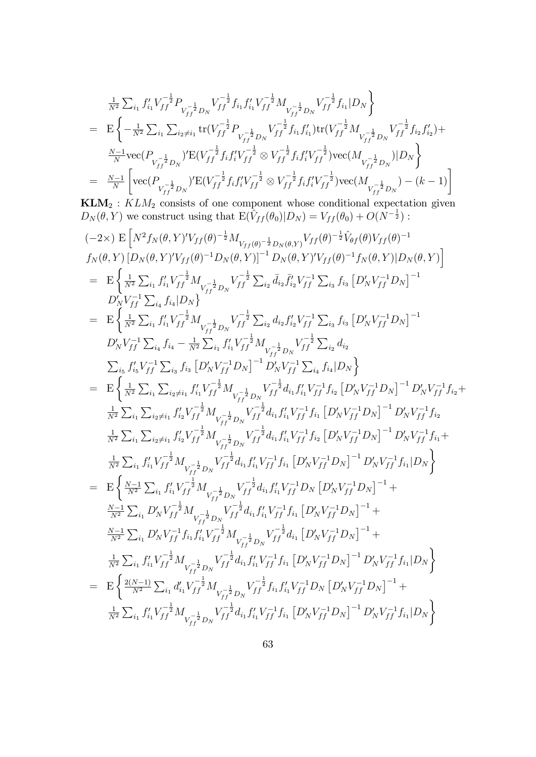$$
\begin{split} &\frac{1}{N^2}\sum_{i_1}f'_{i_1}V_{ff}^{-\frac{1}{2}}P_{V_{ff}^{-\frac{1}{2}}D_{N}}V_{ff}^{-\frac{1}{2}}f_{i_1}f'_{i_1}V_{ff}^{-\frac{1}{2}}M_{V_{ff}^{-\frac{1}{2}}D_{N}}V_{ff}^{-\frac{1}{2}}f_{i_1}|D_{N} \\ =&\mathbf{E}\left\{-\frac{1}{N^2}\sum_{i_1}\sum_{i_2\neq i_1}\text{tr}(V_{ff}^{-\frac{1}{2}}P_{V_{ff}^{-\frac{1}{2}}D_{N}}V_{ff}^{-\frac{1}{2}}f_{i_1}f'_{i_1})\text{tr}(V_{ff}^{-\frac{1}{2}}M_{V_{ff}^{-\frac{1}{2}}D_{N}}V_{ff}^{-\frac{1}{2}}f_{i_2}f'_{i_2})+\right.\\ &\frac{N-1}{N}\text{vec}(P_{V_{ff}^{-\frac{1}{2}}D_{N}})^{\prime}\text{E}(V_{ff}^{-\frac{1}{2}}f_{i_1}f'_{i_1}V_{ff}^{-\frac{1}{2}}\otimes V_{ff}^{-\frac{1}{2}}f_{i_1}f'_{i_1}V_{ff}^{-\frac{1}{2}})\text{vec}(M_{V_{ff}^{-\frac{1}{2}}D_{N}})|D_{N}\right\} \\ =&\frac{N-1}{N}\left[\text{vec}(P_{V_{ff}^{-\frac{1}{2}}D_{N}})^{\prime}\text{E}(V_{ff}^{-\frac{1}{2}}f_{i_1}f'_{i_1}V_{ff}^{-\frac{1}{2}}\otimes V_{ff}^{-\frac{1}{2}}f_{i_1}f'_{i_1}V_{ff}^{-\frac{1}{2}})\text{vec}(M_{V_{ff}^{-\frac{1}{2}}D_{N}})-(k-1)\right] \end{split}
$$

 $KLM_2: KLM_2$  consists of one component whose conditional expectation given  $D_N(\theta, Y)$  we construct using that  $E(\tilde{V}_{ff}(\theta_0)|D_N) = V_{ff}(\theta_0) + O(N^{-\frac{1}{2}})$ :

$$
(-2 \times) E\left[N^{2}f_{N}(\theta, Y)'V_{ff}(\theta)^{-\frac{1}{2}}M_{V_{ff}(\theta)^{-\frac{1}{2}}D_{N}(\theta,Y)}V_{ff}(\theta)^{-\frac{1}{2}}\hat{V}_{\theta f}(\theta)V_{ff}(\theta)^{-1} f_{N}(\theta, Y) [D_{N}(\theta, Y)'V_{ff}(\theta)^{-1}D_{N}(\theta,Y)]^{-1} D_{N}(\theta, Y)'V_{ff}(\theta)^{-1}f_{N}(\theta,Y)|D_{N}(\theta,Y)]\right] = E\left\{\frac{1}{N^{2}}\sum_{i_{1}}f'_{i_{1}}V_{fj}^{-\frac{1}{2}}M_{V_{fj}^{-\frac{1}{2}}D_{N}}V_{ff}^{-\frac{1}{2}}\sum_{i_{2}}\bar{d}_{i_{2}}\bar{f}'_{i_{2}}V_{ff}^{-1}\sum_{i_{3}}f_{i_{3}}\left[D'_{N}V_{ff}^{-1}D_{N}\right]^{-1} D'_{N}V_{ff}^{-1}\sum_{i_{4}}f'_{i_{4}}|D_{N}\right\} = E\left\{\frac{1}{N^{2}}\sum_{i_{1}}f'_{i_{1}}V_{fj}^{-\frac{1}{2}}M_{V_{fj}^{-\frac{1}{2}}D_{N}}V_{ff}^{-\frac{1}{2}}\sum_{i_{2}}d_{i_{2}}f'_{i_{2}}V_{ff}^{-1}\sum_{i_{3}}f_{i_{3}}\left[D'_{N}V_{ff}^{-1}D_{N}\right]^{-1} D'_{N}V_{ff}^{-1}\sum_{i_{4}}f_{i_{4}}-\frac{1}{N^{2}}\sum_{i_{1}}f'_{i_{1}}V_{fj}^{-\frac{1}{2}}D_{N}V_{ff}^{-\frac{1}{2}}\sum_{i_{3}}d_{i_{2}}= \sum_{i_{5}}f'_{i_{5}}V_{fj}^{-1}\sum_{i_{3}}f_{i_{3}}\left[D'_{N}V_{fj}^{-1}D_{N}\right]^{-1}D'_{N}V_{ff}^{-1}\sum_{i_{4}}f_{i_{4}}|D_{N}\right\} = E\left\{\frac{1}{N^{2}}\sum_{i_{1}}\sum_{i_{2}i_{1}}f'_{i_{1}}V_{ff}^{-\frac{1}{2}}M_{V_{fj}^{-\frac{1}{2}}D_{N}V_{ff}^{-\frac{1}{2}}\
$$

1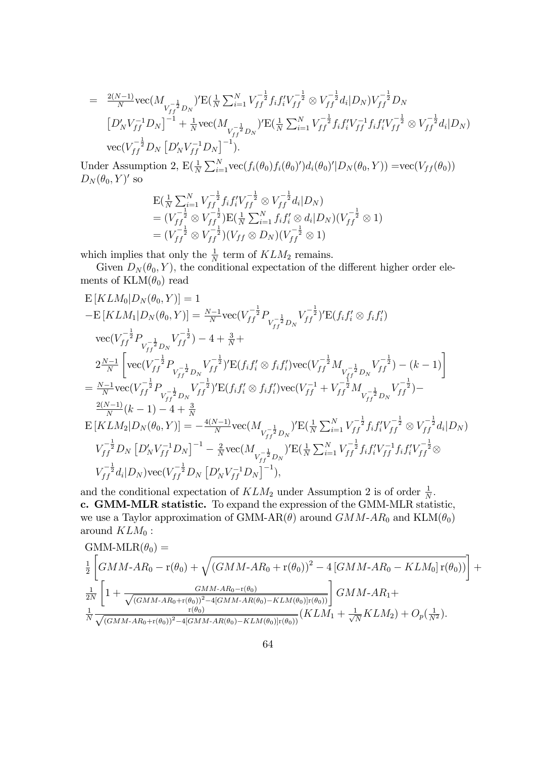$$
= \frac{2(N-1)}{N} \text{vec}(M_{V_{ff}^{-\frac{1}{2}}D_N})' \text{E}(\frac{1}{N} \sum_{i=1}^N V_{ff}^{-\frac{1}{2}} f_i f_i' V_{ff}^{-\frac{1}{2}} \otimes V_{ff}^{-\frac{1}{2}} d_i |D_N) V_{ff}^{-\frac{1}{2}} D_N \n\left[D'_N V_{ff}^{-1} D_N\right]^{-1} + \frac{1}{N} \text{vec}(M_{V_{ff}^{-\frac{1}{2}}D_N})' \text{E}(\frac{1}{N} \sum_{i=1}^N V_{ff}^{-\frac{1}{2}} f_i f_i' V_{ff}^{-1} f_i f_i' V_{ff}^{-\frac{1}{2}} \otimes V_{ff}^{-\frac{1}{2}} d_i |D_N) \n\text{vec}(V_{ff}^{-\frac{1}{2}} D_N \left[D'_N V_{ff}^{-1} D_N\right]^{-1}).
$$

Under Assumption 2,  $E\left(\frac{1}{N}\sum_{i=1}^{N}\text{vec}(f_i(\theta_0)f_i(\theta_0)')d_i(\theta_0)'|D_N(\theta_0,Y)\right) = \text{vec}(V_{ff}(\theta_0))$  $D_N(\theta_0, Y)'$  so

$$
E\left(\frac{1}{N}\sum_{i=1}^{N}V_{ff}^{-\frac{1}{2}}f_i f_i' V_{ff}^{-\frac{1}{2}} \otimes V_{ff}^{-\frac{1}{2}} d_i | D_N\right)
$$
  
=  $(V_{ff}^{-\frac{1}{2}} \otimes V_{ff}^{-\frac{1}{2}})E\left(\frac{1}{N}\sum_{i=1}^{N} f_i f_i' \otimes d_i | D_N\right)(V_{ff}^{-\frac{1}{2}} \otimes 1)$   
=  $(V_{ff}^{-\frac{1}{2}} \otimes V_{ff}^{-\frac{1}{2}})(V_{ff} \otimes D_N)(V_{ff}^{-\frac{1}{2}} \otimes 1)$ 

which implies that only the  $\frac{1}{N}$  term of  $KLM_2$  remains.

Given  $D_N(\theta_0, Y)$ , the conditional expectation of the different higher order elements of  $\text{KLM}(\theta_0)$  read

$$
E\left[KLM_{0}|D_{N}(\theta_{0},Y)\right] = 1
$$
\n
$$
-E\left[KLM_{1}|D_{N}(\theta_{0},Y)\right] = \frac{N-1}{N}\text{vec}(V_{ff}^{-\frac{1}{2}}P_{V_{ff}^{-\frac{1}{2}}D_{N}}V_{ff}^{-\frac{1}{2}})^{r}\text{E}(f_{i}f'_{i}\otimes f_{i}f'_{i})
$$
\n
$$
\text{vec}(V_{ff}^{-\frac{1}{2}}P_{V_{ff}^{-\frac{1}{2}}D_{N}}V_{ff}^{-\frac{1}{2}}) - 4 + \frac{3}{N} +
$$
\n
$$
2\frac{N-1}{N}\left[\text{vec}(V_{ff}^{-\frac{1}{2}}P_{V_{ff}^{-\frac{1}{2}}D_{N}}V_{ff}^{-\frac{1}{2}})^{r}\text{E}(f_{i}f'_{i}\otimes f_{i}f'_{i})\text{vec}(V_{ff}^{-\frac{1}{2}}M_{V_{ff}^{-\frac{1}{2}}D_{N}}V_{ff}^{-\frac{1}{2}}) - (k-1)\right]
$$
\n
$$
= \frac{N-1}{N}\text{vec}(V_{ff}^{-\frac{1}{2}}P_{V_{ff}^{-\frac{1}{2}}D_{N}}V_{ff}^{-\frac{1}{2}})^{r}\text{E}(f_{i}f'_{i}\otimes f_{i}f'_{i})\text{vec}(V_{ff}^{-1} + V_{ff}^{-\frac{1}{2}}M_{V_{ff}^{-\frac{1}{2}}D_{N}}V_{ff}^{-\frac{1}{2}}) -
$$
\n
$$
\frac{2(N-1)}{N}(k-1) - 4 + \frac{3}{N}
$$
\n
$$
E\left[KLM_{2}|D_{N}(\theta_{0},Y)\right] = -\frac{4(N-1)}{N}\text{vec}(M_{V_{ff}^{-\frac{1}{2}}D_{N}})^{r}\text{E}(\frac{1}{N}\sum_{i=1}^{N}V_{ff}^{-\frac{1}{2}}f_{i}f'_{i}V_{ff}^{-\frac{1}{2}}\otimes V_{ff}^{-\frac{1}{2}}d_{i}|D_{N})
$$
\n
$$
V_{ff}^{-\frac{1}{2}}D_{N}\left[D_{N}'V_{ff}^{-1}D_{N}\right]^{-1} - \frac{2}{N}\text{vec}(M_{V_{ff}
$$

and the conditional expectation of  $KLM_2$  under Assumption 2 is of order  $\frac{1}{N}$ . c. GMM-MLR statistic. To expand the expression of the GMM-MLR statistic, we use a Taylor approximation of GMM-AR $(\theta)$  around  $GMM$ -AR<sub>0</sub> and KLM $(\theta_0)$ around  $KLM_0$ :

GMM-MLR(
$$
\theta_0
$$
) =  
\n
$$
\frac{1}{2} \left[ GMM-AR_0 - r(\theta_0) + \sqrt{(GMM-AR_0 + r(\theta_0))^2 - 4[GMM-AR_0 - KLM_0]r(\theta_0))} \right] +
$$
\n
$$
\frac{1}{2N} \left[ 1 + \frac{GMM-AR_0 - r(\theta_0)}{\sqrt{(GMM-AR_0+r(\theta_0))^2 - 4[GMM-AR(\theta_0) - KLM(\theta_0)]r(\theta_0))}} \right] GMM-AR_1 +
$$
\n
$$
\frac{1}{N} \frac{r(\theta_0)}{\sqrt{(GMM-AR_0+r(\theta_0))^2 - 4[GMM-AR(\theta_0) - KLM(\theta_0)]r(\theta_0))}} (KLM_1 + \frac{1}{\sqrt{N}} KLM_2) + O_p(\frac{1}{N^2}).
$$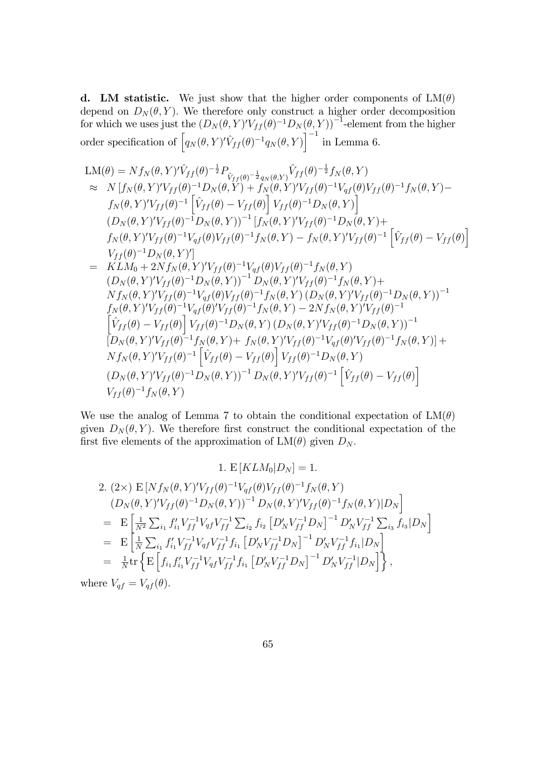**d.** LM statistic. We just show that the higher order components of  $LM(\theta)$ depend on  $D_N(\theta, Y)$ . We therefore only construct a higher order decomposition for which we uses just the  $(D_N(\theta, Y)'V_{ff}(\theta)^{-1}D_N(\theta, Y))^{-1}$ -element from the higher order specification of  $\left[ q_N(\theta, Y)' \hat{V}_{ff} (\theta)^{-1} q_N(\theta, Y) \right]^{-1}$  in Lemma 6.

$$
LM(\theta) = Nf_N(\theta, Y)' \hat{V}_{ff}(\theta)^{-\frac{1}{2}} P_{\hat{V}_{ff}(\theta)^{-\frac{1}{2}}q_N(\theta, Y)} \hat{V}_{ff}(\theta)^{-\frac{1}{2}}f_N(\theta, Y) \n\approx N[f_N(\theta, Y)' V_{ff}(\theta)^{-1} D_N(\theta, Y) + f_N(\theta, Y)' V_{ff}(\theta)^{-1} V_{qf}(\theta)^{1} V_{ff}(\theta)^{-1} f_N(\theta, Y) -\nf_N(\theta, Y)' V_{ff}(\theta)^{-1} \left[ \hat{V}_{ff}(\theta) - V_{ff}(\theta) \right] V_{ff}(\theta)^{-1} D_N(\theta, Y) \right] \n(D_N(\theta, Y)' V_{ff}(\theta)^{-1} D_N(\theta, Y))^{-1} [f_N(\theta, Y)' V_{ff}(\theta)^{-1} D_N(\theta, Y) +\nf_N(\theta, Y)' V_{ff}(\theta)^{-1} V_{qf}(\theta)^{1} f_N(\theta, Y) - f_N(\theta, Y)' V_{ff}(\theta)^{-1} \left[ \hat{V}_{ff}(\theta) - V_{ff}(\theta) \right] \nV_{ff}(\theta)^{-1} D_N(\theta, Y)' \right] \n= KLM_0 + 2Nf_N(\theta, Y)' V_{ff}(\theta)^{-1} V_{qf}(\theta) V_{ff}(\theta)^{-1} f_N(\theta, Y) \n(D_N(\theta, Y)' V_{ff}(\theta)^{-1} D_N(\theta, Y))^{-1} D_N(\theta, Y)' V_{ff}(\theta)^{-1} f_N(\theta, Y) +\nNf_N(\theta, Y)' V_{ff}(\theta)^{-1} V_{qf}(\theta) V_{ff}(\theta)^{-1} f_N(\theta, Y) (D_N(\theta, Y)' V_{ff}(\theta)^{-1} D_N(\theta, Y))^{-1} \nf_N(\theta, Y)' V_{ff}(\theta)^{-1} V_{qf}(\theta)^{1} f_N(\theta, Y) (D_N(\theta, Y)' V_{ff}(\theta)^{-1} D_N(\theta, Y))^{-1} \n[D_N(\theta, Y)' V_{ff}(\theta)^{-1} f_N(\theta, Y) + f_N(\theta, Y)' V_{ff}(\theta)^{-1} D_N(\theta, Y) V_{ff}(\theta)^{-1} f_N(\theta, Y) ] +\nNf_N(\theta, Y)' V_{ff}(\theta)^{-1} f_N(\theta, Y) + f_N(\theta, Y)' V_{ff}(\theta)^{-1} V_{
$$

We use the analog of Lemma 7 to obtain the conditional expectation of  $LM(\theta)$ given  $D_N(\theta, Y)$ . We therefore first construct the conditional expectation of the first five elements of the approximation of  $LM(\theta)$  given  $D_N$ .

1. 
$$
E [KLM_0|D_N] = 1
$$
.  
\n2.  $(2 \times) E [Nf_N(\theta, Y)'V_{ff}(\theta)^{-1}V_{qf}(\theta)V_{ff}(\theta)^{-1}f_N(\theta, Y)$   
\n $(D_N(\theta, Y)'V_{ff}(\theta)^{-1}D_N(\theta, Y))^{-1}D_N(\theta, Y)'V_{ff}(\theta)^{-1}f_N(\theta, Y)|D_N]$   
\n $= E \left[ \frac{1}{N^2} \sum_{i_1} f'_{i_1}V_{ff}^{-1}V_{qf}V_{ff}^{-1} \sum_{i_2} f_{i_2} [D'_N V_{ff}^{-1}D_N]^{-1} D'_N V_{ff}^{-1} \sum_{i_3} f_{i_3} |D_N \right]$   
\n $= E \left[ \frac{1}{N} \sum_{i_1} f'_{i_1}V_{ff}^{-1}V_{qf}V_{ff}^{-1}f_{i_1} [D'_N V_{ff}^{-1}D_N]^{-1} D'_N V_{ff}^{-1}f_{i_1} |D_N \right]$   
\n $= \frac{1}{N} tr \left\{ E \left[ f_{i_1} f'_{i_1}V_{ff}^{-1}V_{qf}V_{ff}^{-1}f_{i_1} [D'_N V_{ff}^{-1}D_N]^{-1} D'_N V_{ff}^{-1} |D_N \right] \right\},$   
\nre  $V_{\star f} = V_{\star f}(\theta)$ 

where  $V_{qf} = V_{qf}(\theta)$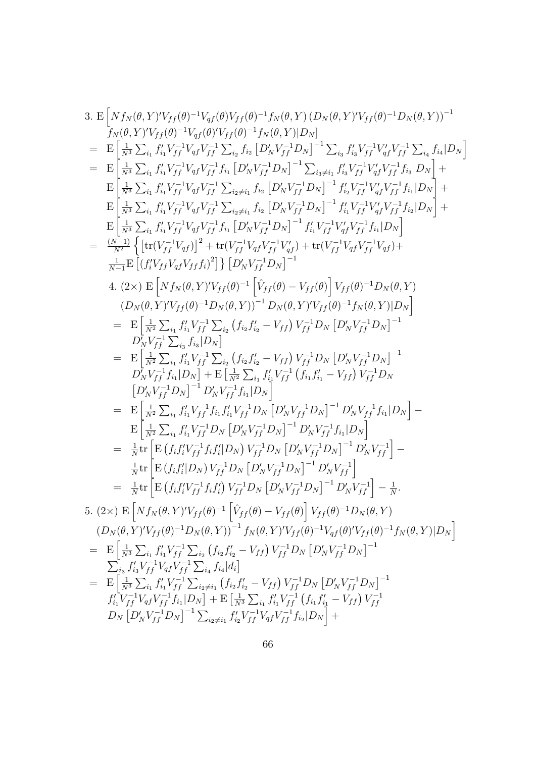3. E 
$$
\left[Nf_N(\theta, Y)'V_{ff}(\theta)^{-1}V_{qf}(\theta)V_{ff}(\theta)^{-1}f_N(\theta, Y)(D_N(\theta, Y)'V_{ff}(\theta)^{-1}D_N(\theta, Y))^{-1}\right]
$$
  
\n $f_N(\theta, Y)'V_{ff}(\theta)^{-1}V_{qf}(\theta)'V_{ff}(\theta)^{-1}f_N(\theta, Y)|D_N|$   
\n $=$  E  $\left[\frac{1}{N^3} \sum_{i_1} f'_{i_1}V_{ff}^{-1}V_{qf}V_{ff}^{-1} \sum_{i_2} f_{i_2} [D'_NV_{ff}^{-1}D_N]^{-1} \sum_{i_3} f'_{i_3}V_{ff}^{-1}V_{qf}V_{ff}^{-1} \sum_{i_4} f_{i_4}|D_N| \right]$   
\n $=$  E  $\left[\frac{1}{N^3} \sum_{i_1} f'_{i_1}V_{ff}^{-1}V_{qf}V_{ff}^{-1} f_{i_1} [D'_NV_{ff}^{-1}D_N]^{-1} \sum_{i_3 \neq i_1} f'_{i_3}V_{ff}^{-1}V_{qf}V_{ff}^{-1} f_{i_3}|D_N| \right]$   
\n $=$   $\left[\frac{1}{N^3} \sum_{i_1} f'_{i_1}V_{ff}^{-1}V_{qf}V_{ff}^{-1} \sum_{i_2 \neq i_1} f_{i_2} [D'_NV_{ff}^{-1}D_N]^{-1} f'_{i_3}V_{ff}^{-1}V_{qf}V_{ff}^{-1} f_{i_3}|D_N| \right]$   
\n $=$   $\left[\frac{1}{N^3} \sum_{i_1} f'_{i_1}V_{ff}^{-1}V_{qf}V_{ff}^{-1} \sum_{i_2 \neq i_1} f_{i_2} [D'_NV_{ff}^{-1}D_N]^{-1} f'_{i_1}V_{ff}^{-1}V_{qf}V_{ff}^{-1} f_{i_1}|D_N| \right]$   
\n $=$   $\frac{(N-1)}{N^2} \left\{ \left[ t(V_{ff}^{-1}V_{qf}) \right]^2 + \text{tr}(V_{ff}^{-1}V_{qf}^{-1}D_N) \right]^2 - 1 f'_{i_1}V_{ff}^{-1}V_{qf}V$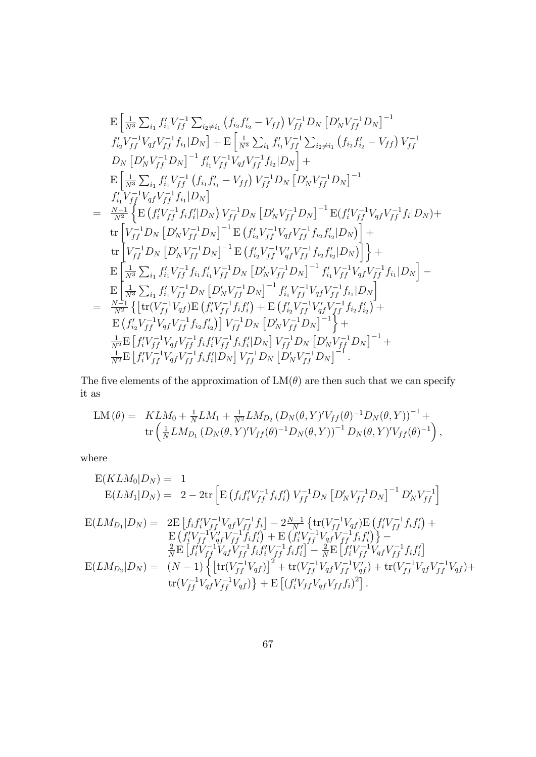$$
\begin{split} &\mathbf{E}\left[\frac{1}{N^{3}}\sum_{i_{1}}f'_{i_{1}}V_{ff}^{-1}\sum_{i_{2}\neq i_{1}}\left(f_{i_{2}}f'_{i_{2}}-V_{ff}\right)V_{ff}^{-1}D_{N}\left[D'_{N}V_{ff}^{-1}D_{N}\right]^{-1} \\ &f'_{i_{2}}V_{ff}^{-1}V_{qf}V_{ff}^{-1}f_{i_{1}}|D_{N}\right]+\mathbf{E}\left[\frac{1}{N^{3}}\sum_{i_{1}}f'_{i_{1}}V_{ff}^{-1}\sum_{i_{2}\neq i_{1}}\left(f_{i_{2}}f'_{i_{2}}-V_{ff}\right)V_{ff}^{-1} \\ &D_{N}\left[D'_{N}V_{ff}^{-1}D_{N}\right]^{-1}f'_{i_{1}}V_{ff}^{-1}V_{qf}V_{ff}^{-1}f_{i_{2}}|D_{N}\right]+\mathbf{E}\left[\frac{1}{N^{3}}\sum_{i_{1}}f'_{i_{1}}V_{ff}^{-1}\left(f_{i_{1}}f'_{i_{1}}-V_{ff}\right)V_{ff}^{-1}D_{N}\left[D'_{N}V_{ff}^{-1}D_{N}\right]^{-1} \\ &f'_{i_{1}}V_{ff}^{-1}V_{qf}V_{ff}^{-1}f_{i_{1}}|D_{N}\right] \\ &=\frac{N-1}{N^{2}}\left\{\mathbf{E}\left(f'_{i}V_{ff}^{-1}f_{i_{1}}f'_{i_{2}}|D_{N}\right)V_{ff}^{-1}D_{N}\left[D'_{N}V_{ff}^{-1}D_{N}\right]^{-1}\mathbf{E}(f'_{i}V_{ff}^{-1}V_{qf}V_{ff}^{-1}f_{i_{1}}|D_{N}\right)+ \\ &\text{tr}\left[V_{ff}^{-1}D_{N}\left[D'_{N}V_{ff}^{-1}D_{N}\right]^{-1}\mathbf{E}\left(f'_{i_{2}}V_{ff}^{-1}V_{qf}V_{ff}^{-1}f_{i_{2}}f'_{i_{2}}|D_{N}\right)\right]+\mathbf{E}\left[\frac{1}{N^{3}}\sum_{i_{1}}f'_{i_{1}}V_{ff}^{-1}D_{N}\right]^{-1}\mathbf{E}\left(f'_{i_{2}}V_{ff}^{-1}V_{qf}V_{ff}^{-1}f_{i_{2}}f'_{i_{2}}|D_{N}\right)\right]+\mathbf{E}\left[\frac{1}{N^{3
$$

The five elements of the approximation of  $LM(\theta)$  are then such that we can specify it as

$$
LM(\theta) = KL M_0 + \frac{1}{N}LM_1 + \frac{1}{N^2}LM_{D_2} (D_N(\theta, Y)'V_{ff}(\theta)^{-1}D_N(\theta, Y))^{-1} +
$$
  

$$
\text{tr} \left( \frac{1}{N}LM_{D_1} (D_N(\theta, Y)'V_{ff}(\theta)^{-1}D_N(\theta, Y))^{-1}D_N(\theta, Y)'V_{ff}(\theta)^{-1} \right),
$$

where

$$
E(KLM_0|D_N) = 1
$$
  
\n
$$
E(LM_1|D_N) = 2 - 2\text{tr}\left[E\left(f_i f'_i V_{ff}^{-1} f_i f'_i\right) V_{ff}^{-1} D_N \left[D'_N V_{ff}^{-1} D_N\right]^{-1} D'_N V_{ff}^{-1}\right]
$$
  
\n
$$
E(LM_{D_1}|D_N) = 2E\left[f_i f'_i V_{ff}^{-1} V_{qf} V_{ff}^{-1} f_i\right] - 2\frac{N-1}{N} \left\{\text{tr}(V_{ff}^{-1} V_{qf}) E\left(f'_i V_{ff}^{-1} f_i f'_i\right) + E\left(f'_i V_{ff}^{-1} V_{qf} V_{ff}^{-1} f_i f'_i\right)\right\} - \frac{2}{N} E\left[f'_i V_{ff}^{-1} V_{qf} V_{ff}^{-1} f_i f'_i\right] - \frac{2}{N} E\left[f'_i V_{ff}^{-1} V_{qf} V_{ff}^{-1} f_i f'_i\right] - \frac{2}{N} E\left[f'_i V_{ff}^{-1} V_{qf} V_{ff}^{-1} f_i f'_i\right]
$$
  
\n
$$
E(LM_{D_2}|D_N) = (N-1) \left\{\left[\text{tr}(V_{ff}^{-1} V_{qf})\right]^2 + \text{tr}(V_{ff}^{-1} V_{qf} V_{ff}^{-1} V_{qf}^{-1} V_{qf} V_{ff}^{-1} V_{qf} V_{ff}^{-1} V_{qf}^{-1} V_{qf}^{-1} V_{qf}^{-1} V_{qf}^{-1} V_{qf}\right] + \text{tr}(V_{ff}^{-1} V_{qf} V_{ff}^{-1} V_{qf} V_{ff}^{-1} V_{qf} V_{ff}^{-1} V_{qf}^{-1} V_{qf} V_{ff}^{-1} V_{qf}^{-1} V_{qf}^{-1} V_{qf}^{-1} V_{qf}^{-1} V_{qf}^{-1} V_{qf}^{-1} V_{qf}^{-1} V_{qf}^{-1} V_{qf}^{-1} V_{qf}^{-1} V_{qf}^{-1} V_{qf}^{-1} V_{qf}^{-1} V_{qf}^{-1} V_{qf}^{-1} V_{qf}^{-1} V_{qf}^{-1} V_{qf}^{-1} V_{qf}^{-1} V_{qf}^{-1} V
$$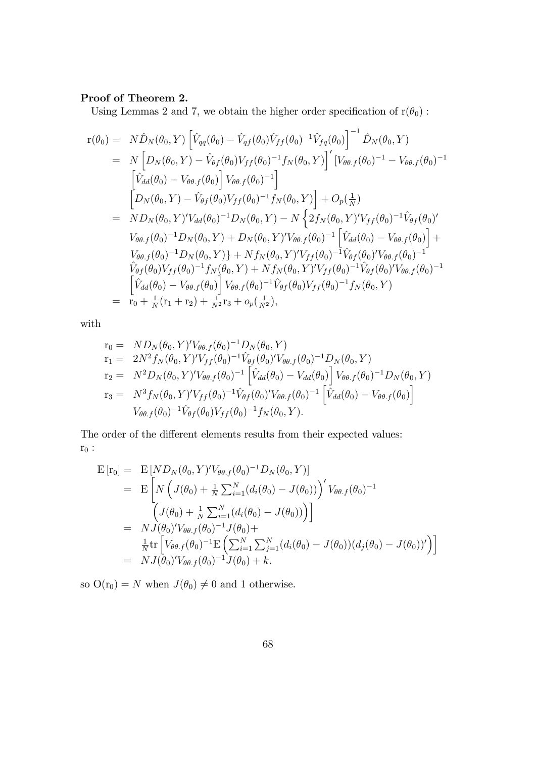## Proof of Theorem 2.

Using Lemmas 2 and 7, we obtain the higher order specification of  $r(\theta_0)$ :

$$
r(\theta_0) = N\hat{D}_N(\theta_0, Y) \left[ \hat{V}_{qq}(\theta_0) - \hat{V}_{qf}(\theta_0) \hat{V}_{ff}(\theta_0)^{-1} \hat{V}_{fq}(\theta_0) \right]^{-1} \hat{D}_N(\theta_0, Y) \n= N \left[ D_N(\theta_0, Y) - \hat{V}_{\theta f}(\theta_0) V_{ff}(\theta_0)^{-1} f_N(\theta_0, Y) \right]' \left[ V_{\theta\theta, f}(\theta_0)^{-1} - V_{\theta\theta, f}(\theta_0)^{-1} \right] \n\left[ \hat{V}_{dd}(\theta_0) - V_{\theta\theta, f}(\theta_0) \right] V_{\theta\theta, f}(\theta_0)^{-1} \right] \n= N D_N(\theta_0, Y) - \hat{V}_{\theta f}(\theta_0) V_{ff}(\theta_0)^{-1} f_N(\theta_0, Y) \right] + O_p(\frac{1}{N}) \n= N D_N(\theta_0, Y)' V_{dd}(\theta_0)^{-1} D_N(\theta_0, Y) - N \left\{ 2f_N(\theta_0, Y)' V_{ff}(\theta_0)^{-1} \hat{V}_{\theta f}(\theta_0)' \right. \nV_{\theta\theta, f}(\theta_0)^{-1} D_N(\theta_0, Y) + D_N(\theta_0, Y)' V_{\theta\theta, f}(\theta_0)^{-1} \left[ \hat{V}_{dd}(\theta_0) - V_{\theta\theta, f}(\theta_0) \right] + \nV_{\theta\theta, f}(\theta_0)^{-1} D_N(\theta_0, Y) \right\} + N f_N(\theta_0, Y)' V_{ff}(\theta_0)^{-1} \hat{V}_{\theta f}(\theta_0)' V_{\theta\theta, f}(\theta_0)^{-1} \n\hat{V}_{\theta f}(\theta_0) V_{ff}(\theta_0)^{-1} f_N(\theta_0, Y) + N f_N(\theta_0, Y)' V_{ff}(\theta_0)^{-1} \hat{V}_{\theta f}(\theta_0)' V_{\theta\theta, f}(\theta_0)^{-1} \n= \left[ \hat{V}_{dd}(\theta_0) - V_{\theta\theta, f}(\theta_0) \right] V_{\theta\theta, f}(\theta_0)^{-1} \hat{V}_{\theta f}(\theta_0) V_{ff}(\theta_0)^{-1} f_N(\theta_0, Y)
$$

with

$$
r_0 = N D_N(\theta_0, Y)' V_{\theta\theta.f}(\theta_0)^{-1} D_N(\theta_0, Y)
$$
  
\n
$$
r_1 = 2N^2 f_N(\theta_0, Y)' V_{ff}(\theta_0)^{-1} \hat{V}_{\theta f}(\theta_0)' V_{\theta\theta.f}(\theta_0)^{-1} D_N(\theta_0, Y)
$$
  
\n
$$
r_2 = N^2 D_N(\theta_0, Y)' V_{\theta\theta.f}(\theta_0)^{-1} \left[ \hat{V}_{dd}(\theta_0) - V_{dd}(\theta_0) \right] V_{\theta\theta.f}(\theta_0)^{-1} D_N(\theta_0, Y)
$$
  
\n
$$
r_3 = N^3 f_N(\theta_0, Y)' V_{ff}(\theta_0)^{-1} \hat{V}_{\theta f}(\theta_0)' V_{\theta\theta.f}(\theta_0)^{-1} \left[ \hat{V}_{dd}(\theta_0) - V_{\theta\theta.f}(\theta_0) \right]
$$
  
\n
$$
V_{\theta\theta.f}(\theta_0)^{-1} \hat{V}_{\theta f}(\theta_0) V_{ff}(\theta_0)^{-1} f_N(\theta_0, Y).
$$

The order of the different elements results from their expected values:  $r_0$ :

$$
\begin{split} \mathbf{E}\left[\mathbf{r}_{0}\right] &= \mathbf{E}\left[ND_{N}(\theta_{0},Y)^{\prime}V_{\theta\theta\cdot f}(\theta_{0})^{-1}D_{N}(\theta_{0},Y)\right] \\ &= \mathbf{E}\left[N\left(J(\theta_{0})+\frac{1}{N}\sum_{i=1}^{N}(d_{i}(\theta_{0})-J(\theta_{0}))\right)^{\prime}V_{\theta\theta\cdot f}(\theta_{0})^{-1} \\ &\left(J(\theta_{0})+\frac{1}{N}\sum_{i=1}^{N}(d_{i}(\theta_{0})-J(\theta_{0}))\right)\right] \\ &= NJ(\theta_{0})^{\prime}V_{\theta\theta\cdot f}(\theta_{0})^{-1}J(\theta_{0}) + \\ &\frac{1}{N}\text{tr}\left[V_{\theta\theta\cdot f}(\theta_{0})^{-1}\mathbf{E}\left(\sum_{i=1}^{N}\sum_{j=1}^{N}(d_{i}(\theta_{0})-J(\theta_{0}))(d_{j}(\theta_{0})-J(\theta_{0}))^{\prime}\right)\right] \\ &= NJ(\theta_{0})^{\prime}V_{\theta\theta\cdot f}(\theta_{0})^{-1}J(\theta_{0}) + k. \end{split}
$$

so  $O(r_0) = N$  when  $J(\theta_0) \neq 0$  and 1 otherwise.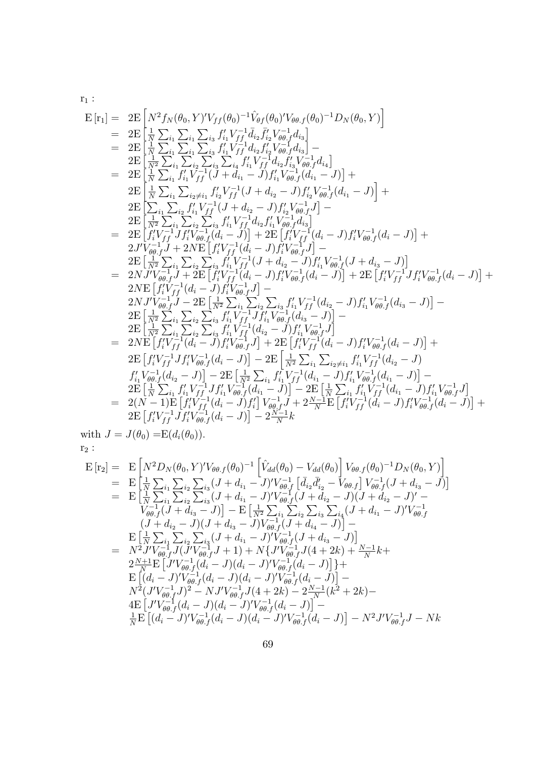$\mathbf{r}_1$  :

$$
E[r_1] = 2E\left[N^2f_N(\theta_0, Y)'V_{ff}(\theta_0)^{-1}\hat{V}_{\theta f}(\theta_0)'V_{\theta\theta,f}(\theta_0)^{-1}D_N(\theta_0, Y)\right]
$$
\n
$$
= 2E\left[\frac{1}{N}\sum_{i_1}\sum_{i_1}\sum_{i_3}f'_{i_1}V_{ff}^{-1}\hat{d}_{i_2}\bar{f}'_{i_2}V_{\theta\theta,f}^{-1}\hat{d}_{i_3}\right]
$$
\n
$$
= 2E\left[\frac{1}{N}\sum_{i_1}\sum_{i_1}\sum_{i_3}f'_{i_1}V_{ff}^{-1}\hat{d}_{i_2}f'_{i_2}V_{\theta\theta,f}^{-1}\hat{d}_{i_3}\right]
$$
\n
$$
= 2E\left[\frac{1}{N}\sum_{i_1}\sum_{i_2}\sum_{i_3}\sum_{i_3}f'_{i_1}V_{ff}^{-1}\hat{d}_{i_2}f'_{i_2}V_{\theta\theta,f}^{-1}\hat{d}_{i_4}\right]
$$
\n
$$
= 2E\left[\frac{1}{N}\sum_{i_1}\sum_{i_2}\sum_{i_3}\sum_{i_3}\sum_{i_4}f'_{i_1}V_{ff}^{-1}\hat{d}_{i_2}f'_{i_3}V_{\theta\theta,f}^{-1}\hat{d}_{i_4}\right]
$$
\n
$$
= 2E\left[\frac{1}{N}\sum_{i_1}\sum_{i_2}\sum_{i_3}f'_{i_1}V_{ff}^{-1}(J+d_{i_1}-J)f'_{i_2}V_{\theta\theta,f}^{-1}(\hat{d}_{i_1}-J)\right] +
$$
\n
$$
2E\left[\sum_{i_1}\sum_{i_2}\sum_{i_3}f'_{i_1}V_{ff}^{-1}(J+d_{i_2}-J)f'_{i_2}V_{\theta\theta,f}^{-1}(\hat{d}_{i_1}-J)\right] +
$$
\n
$$
2E\left[\sum_{i_1}\sum_{i_2}\sum_{i_3}f'_{i_1}V_{ff}^{-1}(J+d_{i_2}-J)f'_{i_2}V_{\theta\theta,f}^{-1}(\hat{d}_{i_1}-J)\right] +
$$
\n
$$
2E\left[\int_{t}^{2}V_{ff}^{-1}Jf'_{t}V
$$

with  $J = J(\theta_0) = E(d_i(\theta_0)).$  $\mathbf{r}_2$  :

$$
E[r_2] = E\left[N^2D_N(\theta_0, Y)'V_{\theta\theta,f}(\theta_0)^{-1}\left[\hat{V}_{dd}(\theta_0) - V_{dd}(\theta_0)\right]V_{\theta\theta,f}(\theta_0)^{-1}D_N(\theta_0, Y)\right]
$$
  
\n
$$
= E\left[\frac{1}{N}\sum_{i_1}\sum_{i_2}\sum_{i_3}(J + d_{i_1} - J)'V_{\theta\theta,f}^{-1}\left[\bar{d}_{i_2}\bar{d}'_{i_2} - V_{\theta\theta,f}\right]V_{\theta\theta,f}^{-1}(J + d_{i_3} - J)\right]
$$
  
\n
$$
= E\left[\frac{1}{N}\sum_{i_1}\sum_{i_2}\sum_{i_3}(J + d_{i_1} - J)'V_{\theta\theta,f}^{-1}(J + d_{i_2} - J)(J + d_{i_2} - J)' - V_{\theta\theta,f}(J + d_{i_3} - J)\right] - E\left[\frac{1}{N^2}\sum_{i_1}\sum_{i_2}\sum_{i_3}\sum_{i_3}\sum_{i_4}(J + d_{i_1} - J)'V_{\theta\theta,f}^{-1}(J + d_{i_2} - J)'\right]
$$
  
\n
$$
(J + d_{i_2} - J)(J + d_{i_3} - J)V_{\theta\theta,f}^{-1}(J + d_{i_4} - J)\right] - E\left[\frac{1}{N}\sum_{i_1}\sum_{i_2}\sum_{i_3}(J + d_{i_1} - J)'V_{\theta\theta,f}^{-1}(J + d_{i_3} - J)\right]
$$
  
\n
$$
= N^2J'V_{\theta\theta,f}^{-1}J(J'V_{\theta\theta,f}^{-1}J + 1) + N\{J'V_{\theta\theta,f}^{-1}J(4 + 2k) + \frac{N-1}{N}k + 2\frac{N-1}{N}E\left[J'V_{\theta\theta,f}^{-1}(d_i - J)(d_i - J)'V_{\theta\theta,f}^{-1}(d_i - J)\right] + E\left[(d_i - J)'V_{\theta\theta,f}^{-1}(d_i - J)(d_i - J)'V_{\theta\theta,f}^{-1}(d_i - J)\right] - N^2(J'V_{\theta\theta,f}^{-1}(d_i - J)(d_i - J)'V_{\theta\theta,f}^{-1}(d_i - J)\right] - \frac{1}{N}E\left[(d_i - J
$$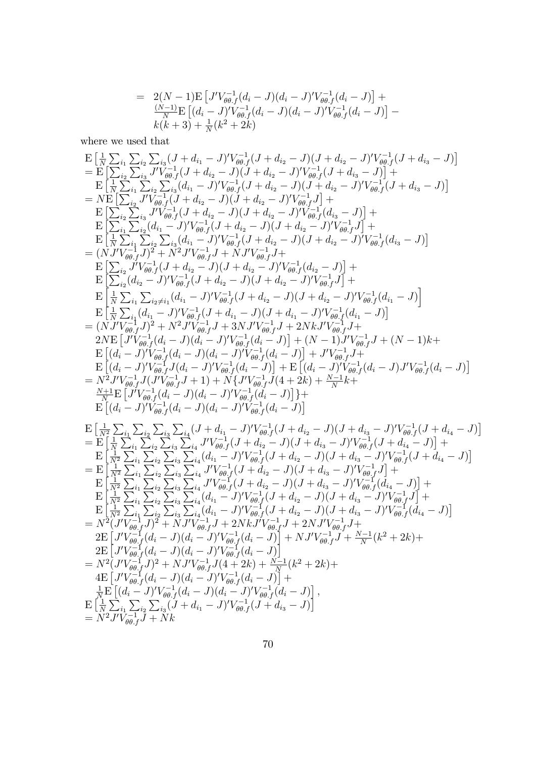$$
= 2(N-1)E \left[ J'V_{\theta\theta}^{-1}(d_i - J)(d_i - J)'V_{\theta\theta}^{-1}(d_i - J) \right] +
$$
  
\n
$$
\frac{(N-1)E}{N} \left[ (d_i - J)'V_{\theta\theta}^{-1}(d_i - J)(d_i - J)'V_{\theta\theta}^{-1}(d_i - J) \right] -
$$
  
\n
$$
k(k+3) + \frac{1}{N}(k^2 + 2k)
$$

where we used that

$$
\begin{split} &\mathbf{E}\left[\frac{1}{N}\sum_{i_1}\sum_{i_2}\sum_{j_3}(J+d_{i_1}-J)'V_{\theta}^{-1}(J+d_{i_2}-J)(J+d_{i_2}-J)'V_{\theta}^{-1}(J+d_{i_3}-J)\right] \\ &=\mathbf{E}\left[\sum_{i_2}\sum_{i_3}J'V_{\theta}^{-1}(J+d_{i_2}-J)(J+d_{i_2}-J)'V_{\theta}^{-1}(J+d_{i_3}-J)\right] + \\ &\mathbf{E}\left[\sum_{i_3}\sum_{i_2}\sum_{j_2}\sum_{j_4}(d_{i_1}-J)'V_{\theta}^{-1}(J+d_{i_2}-J)'V_{\theta}^{-1}(J+d_{i_3}-J)\\ &=N\mathbf{E}\left[\sum_{i_2}\sum_{j_3}\sum_{j_4}(d_{i_1}-J)'V_{\theta}^{-1}(J+d_{i_2}-J)'V_{\theta}^{-1}(J+d_{i_3}-J)\right] \\ &\mathbf{E}\left[\sum_{i_4}\sum_{j_4}\sum_{j_5}(J+d_{i_2}-J)(J+d_{i_2}-J)'V_{\theta}^{-1}(J+d_{i_3}-J)\\ &\mathbf{E}\left[\sum_{i_4}\sum_{j_4}\sum_{j_5}\sum_{j_6}(d_{i_1}-J)'V_{\theta}^{-1}(J+d_{i_2}-J)'V_{\theta}^{-1}(J+d_{i_3}-J)\\ &\mathbf{E}\left[\sum_{i_4}\sum_{j_4}\sum_{j_5}\sum_{j_4}(d_{i_1}-J)'V_{\theta}^{-1}(J+d_{i_2}-J)'V_{\theta}^{-1}(J+d_{i_3}-J)'V_{\theta}^{-1}(J+d_{i_3}-J)\right]\right] \\ &=\left(NJ'V_{\theta}^{-1}J'^2+N^2J'V_{\theta}^{-1}J+NJ'V_{\theta}^{-1}J\\ &\mathbf{E}\left[\sum_{i_4}\sum_{j_4}\sum_{j_5}\sum_{j_4}(d_{i_1}-J)'V_{\theta}^{-1}(J+d_{i_2}-J)'V_{\theta}^{-1}(J+d_{i_3}-J)'V_{\theta}^{-1}(J+d_{i_3}-J)\right]\right] \\ &=\left(NJ'V_{\theta}^{-1}J'^2+N^2J'V_{\theta}^{-1}J+NJ'V_{\theta}^{-1}J'V_{\theta}^{-1}(J+d_{i_2}-J)'V_{\theta}^{-1}(J+d
$$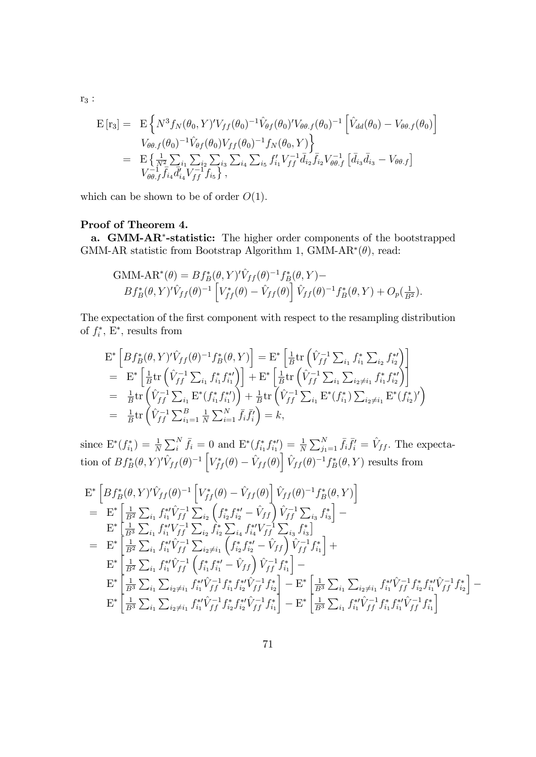$$
\begin{split} \mathcal{E}\left[\mathbf{r}_{3}\right] &= \mathcal{E}\left\{N^{3}f_{N}(\theta_{0},Y)'V_{ff}(\theta_{0})^{-1}\hat{V}_{\theta f}(\theta_{0})'V_{\theta\theta.f}(\theta_{0})^{-1}\left[\hat{V}_{dd}(\theta_{0})-V_{\theta\theta.f}(\theta_{0})\right]\right. \\ &\left. - V_{\theta\theta.f}(\theta_{0})^{-1}\hat{V}_{\theta f}(\theta_{0})V_{ff}(\theta_{0})^{-1}f_{N}(\theta_{0},Y)\right\} \\ &= \mathcal{E}\left\{\frac{1}{N^{2}}\sum_{i}\sum_{i_{1}}\sum_{i_{2}}\sum_{i_{3}}\sum_{i_{4}}\sum_{i_{5}}f'_{i_{1}}V_{ff}^{-1}\bar{d}_{i_{2}}\bar{f}_{i_{2}}V_{\theta\theta.f}^{-1}\left[\bar{d}_{i_{3}}\bar{d}_{i_{3}}-V_{\theta\theta.f}\right]\right. \\ &\left. V_{\theta\theta.f}^{-1}\bar{f}_{i_{4}}\bar{d}'_{i_{4}}V_{ff}^{-1}f_{i_{5}}\right\}, \end{split}
$$

which can be shown to be of order  $O(1)$ .

## Proof of Theorem 4.

a. GMM-AR<sup>\*</sup>-statistic: The higher order components of the bootstrapped GMM-AR statistic from Bootstrap Algorithm 1, GMM-AR<sup>\*</sup> $(\theta)$ , read:

GMM-AR<sup>\*</sup>(
$$
\theta
$$
) = B $f_B^*(\theta, Y)^{\prime} \hat{V}_{ff}(\theta)^{-1} f_B^*(\theta, Y)$ -  
B $f_B^*(\theta, Y)^{\prime} \hat{V}_{ff}(\theta)^{-1} \left[ V_{ff}^*(\theta) - \hat{V}_{ff}(\theta) \right] \hat{V}_{ff}(\theta)^{-1} f_B^*(\theta, Y) + O_p(\frac{1}{B^2}).$ 

The expectation of the first component with respect to the resampling distribution of  $f_i^*$ ,  $E^*$ , results from

$$
\begin{split} &\mathbf{E}^*\left[ Bf_B^*(\theta,Y)^{\prime}\hat{V}_{ff}(\theta)^{-1}f_B^*(\theta,Y) \right] = \mathbf{E}^*\left[ \tfrac{1}{B}\mathrm{tr}\left( \hat{V}_{ff}^{-1}\sum_{i_1}f_{i_1}^*\sum_{i_2}f_{i_2}^{*\prime} \right) \right] \\ &= \left[ \mathbf{E}^*\left[ \tfrac{1}{B}\mathrm{tr}\left( \hat{V}_{ff}^{-1}\sum_{i_1}f_{i_1}^*f_{i_1}^{*\prime} \right) \right] + \mathbf{E}^*\left[ \tfrac{1}{B}\mathrm{tr}\left( \hat{V}_{ff}^{-1}\sum_{i_1}\sum_{i_2\neq i_1}f_{i_1}^*f_{i_2}^{*\prime} \right) \right] \\ &= \left[ \tfrac{1}{B}\mathrm{tr}\left( \hat{V}_{ff}^{-1}\sum_{i_1} \mathbf{E}^*(f_{i_1}^*f_{i_1}^{*\prime}) \right) + \tfrac{1}{B}\mathrm{tr}\left( \hat{V}_{ff}^{-1}\sum_{i_1} \mathbf{E}^*(f_{i_1}^*)\sum_{i_2\neq i_1} \mathbf{E}^*(f_{i_2}^*)^{\prime} \right) \right] \\ &= \left[ \tfrac{1}{B}\mathrm{tr}\left( \hat{V}_{ff}^{-1}\sum_{i_1=1}^B \tfrac{1}{N}\sum_{i=1}^N \bar{f}_i \bar{f}_i^{\prime} \right) = k, \end{split}
$$

since  $E^*(f_{i_1}^*) = \frac{1}{N} \sum_i^N \bar{f}_i = 0$  and  $E^*(f_{i_1}^* f_{i_1}^*) = \frac{1}{N} \sum_{j_1=1}^N \bar{f}_i \bar{f}_i^* = \hat{V}_{ff}$ . The expectation of  $Bf_B^*(\theta, Y)'\hat{V}_{ff} (\theta)$ <sup>-1</sup> $\left[V_{ff}^*(\theta) - \hat{V}_{ff} (\theta)\right] \hat{V}_{ff} (\theta)$ <sup>-1</sup> $f_B^*(\theta, Y)$  results from

$$
\begin{split}\n& \mathbf{E}^* \left[ B f_B^*(\theta, Y)^{\prime} \hat{V}_{ff}(\theta)^{-1} \left[ V_{ff}^*(\theta) - \hat{V}_{ff}(\theta) \right] \hat{V}_{ff}(\theta)^{-1} f_B^*(\theta, Y) \right] \\
&= \mathbf{E}^* \left[ \frac{1}{B^2} \sum_{i_1} f_{i_1}^{* \prime} \hat{V}_{ff}^{-1} \sum_{i_2} \left( f_{i_2}^{*} f_{i_2}^{* \prime} - \hat{V}_{ff} \right) \hat{V}_{ff}^{-1} \sum_{i_3} f_{i_3}^{*} \right] - \\
& \mathbf{E}^* \left[ \frac{1}{B^3} \sum_{i_1} f_{i_1}^{* \prime} V_{ff}^{-1} \sum_{i_2} f_{i_2}^{*} \sum_{i_4} f_{i_4}^{* \prime} V_{ff}^{-1} \sum_{i_3} f_{i_3}^{*} \right] - \\
&= \mathbf{E}^* \left[ \frac{1}{B^2} \sum_{i_1} f_{i_1}^{* \prime} \hat{V}_{ff}^{-1} \sum_{i_2 \neq i_1} \left( f_{i_2}^{*} f_{i_2}^{* \prime} - \hat{V}_{ff} \right) \hat{V}_{ff}^{-1} f_{i_1}^{*} \right] + \\
& \mathbf{E}^* \left[ \frac{1}{B^2} \sum_{i_1} f_{i_1}^{* \prime} \hat{V}_{ff}^{-1} \left( f_{i_1}^{*} f_{i_1}^{* \prime} - \hat{V}_{ff} \right) \hat{V}_{ff}^{-1} f_{i_1}^{*} \right] - \\
& \mathbf{E}^* \left[ \frac{1}{B^3} \sum_{i_1} \sum_{i_2 \neq i_1} f_{i_1}^{* \prime} \hat{V}_{ff}^{-1} f_{i_1}^{*} f_{i_2}^{* \prime} \hat{V}_{ff}^{-1} f_{i_2}^{*} \right] - \mathbf{E}^* \left[ \frac{1}{B^3} \sum_{i_1} \sum_{i_2 \neq i_1} f_{i_1}^{* \prime} \hat{V}_{ff}^{-1} f_{i_2}^{*} \right] - \\
& \mathbf{E}^* \left[ \frac{1}{B^
$$

r<sup>3</sup> :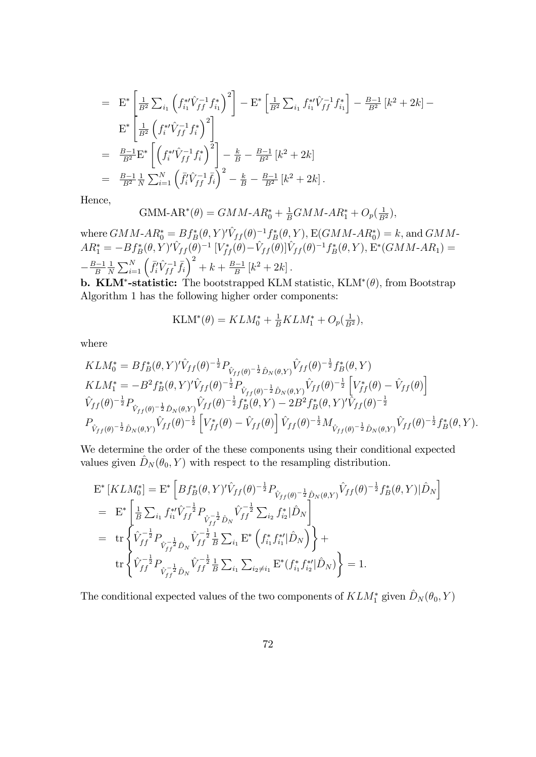$$
= \mathbf{E}^* \left[ \frac{1}{B^2} \sum_{i_1} \left( f_{i_1}^{*i} \hat{V}_{ff}^{-1} f_{i_1}^* \right)^2 \right] - \mathbf{E}^* \left[ \frac{1}{B^2} \sum_{i_1} f_{i_1}^{*i} \hat{V}_{ff}^{-1} f_{i_1}^* \right] - \frac{B-1}{B^2} \left[ k^2 + 2k \right] -
$$
  
\n
$$
\mathbf{E}^* \left[ \frac{1}{B^2} \left( f_i^{*i} \hat{V}_{ff}^{-1} f_i^* \right)^2 \right]
$$
  
\n
$$
= \frac{B-1}{B^2} \mathbf{E}^* \left[ \left( f_i^{*i} \hat{V}_{ff}^{-1} f_i^* \right)^2 \right] - \frac{k}{B} - \frac{B-1}{B^2} \left[ k^2 + 2k \right]
$$
  
\n
$$
= \frac{B-1}{B^2} \frac{1}{N} \sum_{i=1}^N \left( \bar{f}_i^i \hat{V}_{ff}^{-1} \bar{f}_i \right)^2 - \frac{k}{B} - \frac{B-1}{B^2} \left[ k^2 + 2k \right].
$$

Hence,

$$
GMM-AR^*(\theta) = GMM-AR_0^* + \frac{1}{B}GMM-AR_1^* + O_p(\frac{1}{B^2}),
$$

where  $GMM$ - $AR_0^* = Bf_B^*(\theta, Y)' \hat{V}_{ff} (\theta)^{-1} f_B^*(\theta, Y)$ ,  $E(GMM$ - $AR_0^*) = k$ , and  $GMM$ - $AR_1^* = -Bf_B^*(\theta, Y)'\hat{V}_{ff} (\theta)^{-1} [V_{ff}^*(\theta) - \hat{V}_{ff}(\theta)]\hat{V}_{ff} (\theta)^{-1}f_B^*(\theta, Y), E^*(GMM - AR_1) =$  $-\frac{B-1}{B}$ 1  $\frac{1}{N}\sum_{i=1}^{N}\left(\bar{f}_{i}^{i}\hat{V}_{ff}^{-1}\bar{f}_{i}\right)^{2} + k + \frac{B-1}{B}\left[k^{2} + 2k\right].$ 

**b. KLM<sup>\*</sup>-statistic:** The bootstrapped KLM statistic,  $KLM^*(\theta)$ , from Bootstrap Algorithm 1 has the following higher order components:

$$
KLM^*(\theta) = KLM_0^* + \frac{1}{B}KLM_1^* + O_p(\frac{1}{B^2}),
$$

where

$$
KLM_0^* = Bf_B^*(\theta, Y)^{\prime}\hat{V}_{ff}(\theta)^{-\frac{1}{2}}P_{\hat{V}_{ff}(\theta)^{-\frac{1}{2}}\hat{D}_N(\theta, Y)}\hat{V}_{ff}(\theta)^{-\frac{1}{2}}f_B^*(\theta, Y)
$$
  
\n
$$
KLM_1^* = -B^2f_B^*(\theta, Y)^{\prime}\hat{V}_{ff}(\theta)^{-\frac{1}{2}}P_{\hat{V}_{ff}(\theta)^{-\frac{1}{2}}\hat{D}_N(\theta, Y)}\hat{V}_{ff}(\theta)^{-\frac{1}{2}}\left[V_{ff}^*(\theta) - \hat{V}_{ff}(\theta)\right]
$$
  
\n
$$
\hat{V}_{ff}(\theta)^{-\frac{1}{2}}P_{\hat{V}_{ff}(\theta)^{-\frac{1}{2}}\hat{D}_N(\theta, Y)}\hat{V}_{ff}(\theta)^{-\frac{1}{2}}f_B^*(\theta, Y) - 2B^2f_B^*(\theta, Y)^{\prime}\hat{V}_{ff}(\theta)^{-\frac{1}{2}}
$$
  
\n
$$
P_{\hat{V}_{ff}(\theta)^{-\frac{1}{2}}\hat{D}_N(\theta, Y)}\hat{V}_{ff}(\theta)^{-\frac{1}{2}}\left[V_{ff}^*(\theta) - \hat{V}_{ff}(\theta)\right]\hat{V}_{ff}(\theta)^{-\frac{1}{2}}M_{\hat{V}_{ff}(\theta)^{-\frac{1}{2}}\hat{D}_N(\theta, Y)}\hat{V}_{ff}(\theta)^{-\frac{1}{2}}f_B^*(\theta, Y).
$$

We determine the order of the these components using their conditional expected values given  $\hat{D}_N (\theta_0, Y )$  with respect to the resampling distribution.

$$
E^*[KLM_0^*] = E^* \left[ Bf_B^*(\theta, Y)^{\prime} \hat{V}_{ff}(\theta)^{-\frac{1}{2}} P_{\hat{V}_{ff}(\theta)^{-\frac{1}{2}} \hat{D}_N(\theta, Y)} \hat{V}_{ff}(\theta)^{-\frac{1}{2}} f_B^*(\theta, Y) | \hat{D}_N \right]
$$
  
\n
$$
= E^* \left[ \frac{1}{B} \sum_{i_1} f_{i_1}^{*\prime} \hat{V}_{ff}^{-\frac{1}{2}} P_{\hat{V}_{ff}^{-\frac{1}{2}} \hat{D}_N} \hat{V}_{ff}^{-\frac{1}{2}} \sum_{i_2} f_{i_2}^* | \hat{D}_N \right]
$$
  
\n
$$
= tr \left\{ \hat{V}_{ff}^{-\frac{1}{2}} P_{\hat{V}_{ff}^{-\frac{1}{2}} \hat{D}_N} \hat{V}_{ff}^{-\frac{1}{2}} \frac{1}{B} \sum_{i_1} E^* \left( f_{i_1}^* f_{i_1}^{*\prime} | \hat{D}_N \right) \right\} + \text{tr} \left\{ \hat{V}_{ff}^{-\frac{1}{2}} P_{\hat{V}_{ff}^{-\frac{1}{2}} \hat{D}_N} \hat{V}_{ff}^{-\frac{1}{2}} \frac{1}{B} \sum_{i_1} \sum_{i_2 \neq i_1} E^* \left( f_{i_1}^* f_{i_2}^{*\prime} | \hat{D}_N \right) \right\} = 1.
$$

The conditional expected values of the two components of  $KLM_1^*$  given  $\hat{D}_N (\theta_0, Y)$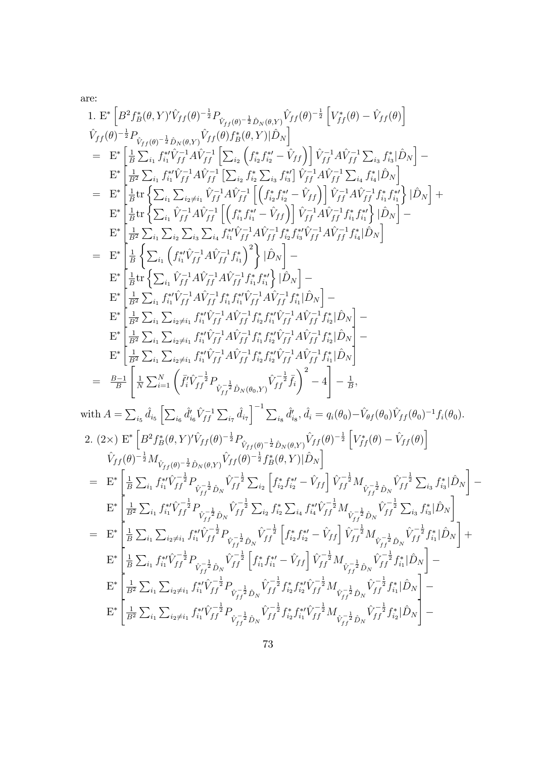are:

1. 
$$
\begin{array}{l} \Gamma_{1}^{*} \left[ B^{2} f_{R}^{*}(\theta, Y) \hat{V}_{ff}(\theta) ^{-\frac{1}{2}} P_{\hat{V}_{ff}(\theta)} - \frac{1}{2} \hat{V}_{\hat{W}(R)} \hat{V}_{ff}(\theta) ^{-\frac{1}{2}} P_{\hat{V}_{ff}(\theta)} - \frac{1}{2} \hat{V}_{\hat{W}(R)} \hat{V}_{ff}(\theta) \hat{V}_{R}^{*}(\theta, Y) \hat{V}_{R}^{*}(\theta, Y) \hat{V}_{R}^{*}(\theta, Y) \hat{V}_{R}^{*}(\theta, Y) \hat{V}_{R}^{*}(\theta, Y) \hat{V}_{R}^{*}(\theta, Y) \hat{V}_{R}^{*}(\theta) \hat{V}_{R}^{*}(\theta) \hat{V}_{R}^{*}(\theta) \hat{V}_{R}^{*}(\theta) \hat{V}_{R}^{*}(\theta) \hat{V}_{R}^{*}(\theta) \hat{V}_{R}^{*}(\theta) \hat{V}_{R}^{*}(\theta) \hat{V}_{R}^{*}(\theta) \hat{V}_{R}^{*}(\theta) \hat{V}_{R}^{*}(\theta) \hat{V}_{R}^{*}(\theta) \hat{V}_{R}^{*}(\theta) \hat{V}_{R}^{*}(\theta) \hat{V}_{R}^{*}(\theta) \hat{V}_{R}^{*}(\theta) \hat{V}_{R}^{*}(\theta) \hat{V}_{R}^{*}(\theta) \hat{V}_{R}^{*}(\theta) \hat{V}_{R}^{*}(\theta) \hat{V}_{R}^{*}(\theta) \hat{V}_{R}^{*}(\theta) \hat{V}_{R}^{*}(\theta) \hat{V}_{R}^{*}(\theta) \hat{V}_{R}^{*}(\theta) \hat{V}_{R}^{*}(\theta) \hat{V}_{R}^{*}(\theta) \hat{V}_{R}^{*}(\theta) \hat{V}_{R}^{*}(\theta) \hat{V}_{R}^{*}(\theta) \hat{V}_{R}^{*}(\theta) \hat{V}_{R}^{*}(\theta) \hat{V}_{R}^{*}(\theta) \hat{V}_{R}^{*}(\theta) \hat{V}_{R}^{*}(\theta) \hat{V}_{R}^{*}(\theta) \hat{V}_{R}^{*}(\theta) \hat{V}_{R}^{*}(\theta) \hat{V}_{R}^{*}(\theta) \hat{V}_{R}^{*}(\theta) \hat
$$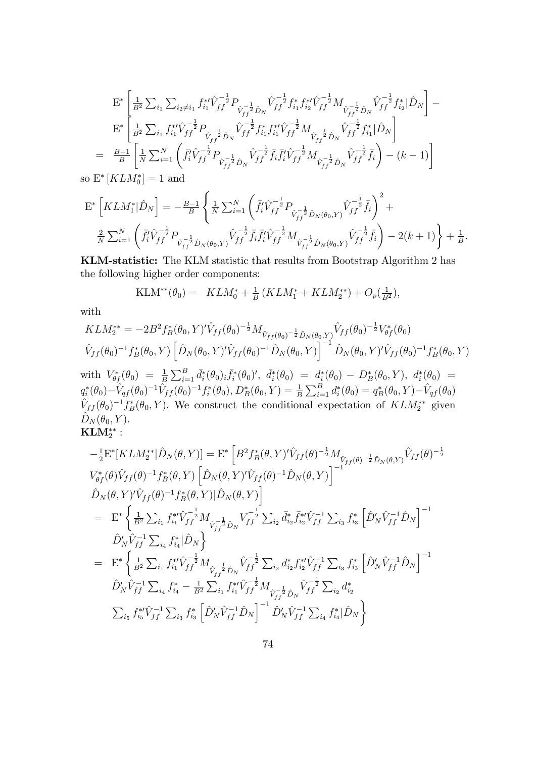$$
E^* \left[ \frac{1}{B^2} \sum_{i_1} \sum_{i_2 \neq i_1} f_{i_1}^{*'} \hat{V}_{ff}^{-\frac{1}{2}} P_{\hat{V}_{ff}^{-\frac{1}{2}} \hat{D}_N} \hat{V}_{ff}^{-\frac{1}{2}} f_{i_1}^{*} f_{i_2}^{*'} \hat{V}_{ff}^{-\frac{1}{2}} M_{\hat{V}_{ff}^{-\frac{1}{2}} \hat{D}_N} \hat{V}_{ff}^{-\frac{1}{2}} f_{i_2}^{*} |\hat{D}_N \right] -
$$
  
\n
$$
E^* \left[ \frac{1}{B^2} \sum_{i_1} f_{i_1}^{*'} \hat{V}_{ff}^{-\frac{1}{2}} P_{\hat{V}_{ff}^{-\frac{1}{2}} \hat{D}_N} \hat{V}_{ff}^{-\frac{1}{2}} f_{i_1}^{*} f_{i_1}^{*'} \hat{V}_{ff}^{-\frac{1}{2}} M_{\hat{V}_{ff}^{-\frac{1}{2}} \hat{D}_N} \hat{V}_{ff}^{-\frac{1}{2}} f_{i_1}^{*} |\hat{D}_N \right]
$$
  
\n
$$
= \frac{B-1}{B} \left[ \frac{1}{N} \sum_{i=1}^N \left( \bar{f}_i^{\prime} \hat{V}_{ff}^{-\frac{1}{2}} P_{\hat{V}_{ff}^{-\frac{1}{2}} \hat{D}_N} \hat{V}_{ff}^{-\frac{1}{2}} \bar{f}_i \bar{f}_i^{\prime} \hat{V}_{ff}^{-\frac{1}{2}} M_{\hat{V}_{ff}^{-\frac{1}{2}} \hat{D}_N} \hat{V}_{ff}^{-\frac{1}{2}} \bar{f}_i \right) - (k-1) \right]
$$
  
\n
$$
E^* [KL M^*] = 1 \text{ and}
$$

so  $E^*$  [ $KLM_0^*$ ] = 1 and

$$
\mathbf{E}^* \left[ KLM_1^* | \hat{D}_N \right] = -\frac{B-1}{B} \left\{ \frac{1}{N} \sum_{i=1}^N \left( \bar{f}_i^{\prime} \hat{V}_{ff}^{-\frac{1}{2}} P_{\hat{V}_{ff}^{-\frac{1}{2}} \hat{D}_N(\theta_0, Y)} \hat{V}_{ff}^{-\frac{1}{2}} \bar{f}_i \right)^2 + \frac{2}{N} \sum_{i=1}^N \left( \bar{f}_i^{\prime} \hat{V}_{ff}^{-\frac{1}{2}} P_{\hat{V}_{ff}^{-\frac{1}{2}} \hat{D}_N(\theta_0, Y)} \hat{V}_{ff}^{-\frac{1}{2}} \bar{f}_i \bar{f}_i^{\prime} \hat{V}_{ff}^{-\frac{1}{2}} M_{\hat{V}_{ff}^{-\frac{1}{2}} \hat{D}_N(\theta_0, Y)} \hat{V}_{ff}^{-\frac{1}{2}} \bar{f}_i \right) - 2(k+1) \right\} + \frac{1}{B}.
$$

KLM-statistic: The KLM statistic that results from Bootstrap Algorithm 2 has the following higher order components:

$$
KLM^{**}(\theta_0) = KL M_0^* + \frac{1}{B} (KLM_1^* + KL M_2^{**}) + O_p(\frac{1}{B^2}),
$$

with

$$
KLM_2^{**} = -2B^2 f_B^*(\theta_0, Y)^{\prime} \hat{V}_{ff}(\theta_0)^{-\frac{1}{2}} M_{\hat{V}_{ff}(\theta_0)^{-\frac{1}{2}} \hat{D}_N(\theta_0, Y)} \hat{V}_{ff}(\theta_0)^{-\frac{1}{2}} V_{\theta f}^*(\theta_0)
$$
  

$$
\hat{V}_{ff}(\theta_0)^{-1} f_B^*(\theta_0, Y) \left[ \hat{D}_N(\theta_0, Y)^{\prime} \hat{V}_{ff}(\theta_0)^{-1} \hat{D}_N(\theta_0, Y) \right]^{-1} \hat{D}_N(\theta_0, Y)^{\prime} \hat{V}_{ff}(\theta_0)^{-1} f_B^*(\theta_0, Y)
$$

 ${\rm with} \ \ V^*_{\theta f}(\theta_0) \ = \ \frac{1}{B} \sum_{i=1}^B \bar d^*_i(\theta_0)_i \bar f^*_i(\theta_0)', \ \ \bar d^*_i(\theta_0) \ = \ d^*_i(\theta_0) \ - \ D^*_B(\theta_0, Y), \ \ d^*_i(\theta_0) \ = \ 0$  $q_i^*(\theta_0) - \hat{V}_{qf} (\theta_0)^{-1} \hat{V}_{ff} (\theta_0)^{-1} f_i^*(\theta_0), D_B^*(\theta_0, Y) = \frac{1}{B} \sum_{i=1}^B d_i^*(\theta_0) = q_B^*(\theta_0, Y) - \hat{V}_{qf} (\theta_0)$  $\hat{V}_{ff} (\theta_0)^{-1} f_B^* (\theta_0, Y)$ . We construct the conditional expectation of  $KLM_2^{**}$  given  $\hat{D}_N (\theta_0, Y)$ .  $\mathbf{KLM}_{2}^{**}$  :

$$
-\frac{1}{2}E^*[KLM_2^{**}|\hat{D}_N(\theta,Y)] = E^* \left[B^2 f_B^*(\theta,Y)' \hat{V}_{ff}(\theta)^{-\frac{1}{2}} M_{\hat{V}_{ff}(\theta)^{-\frac{1}{2}} \hat{D}_N(\theta,Y)} \hat{V}_{ff}(\theta)^{-\frac{1}{2}} \right]
$$
  
\n
$$
V_{\theta f}^*(\theta) \hat{V}_{ff}(\theta)^{-1} f_B^*(\theta,Y) \left[\hat{D}_N(\theta,Y)' \hat{V}_{ff}(\theta)^{-1} \hat{D}_N(\theta,Y)\right]^{-1}
$$
  
\n
$$
\hat{D}_N(\theta,Y)' \hat{V}_{ff}(\theta)^{-1} f_B^*(\theta,Y) |\hat{D}_N(\theta,Y)|
$$
  
\n
$$
= E^* \left\{\frac{1}{B^2} \sum_{i_1} f_{i_1}^{**} \hat{V}_{ff}^{-\frac{1}{2}} M_{\hat{V}_{ff}^{-\frac{1}{2}} \hat{D}_N} V_{ff}^{-\frac{1}{2}} \sum_{i_2} \bar{d}_{i_2}^{*} \bar{f}_{i_2}^{**} \hat{V}_{ff}^{-1} \sum_{i_3} f_{i_3}^{*} \left[\hat{D}'_N \hat{V}_{ff}^{-1} \hat{D}_N\right]^{-1}
$$
  
\n
$$
\hat{D}'_N \hat{V}_{ff}^{-1} \sum_{i_4} f_{i_4}^{*} |\hat{D}_N \right\}
$$
  
\n
$$
= E^* \left\{\frac{1}{B^2} \sum_{i_1} f_{i_1}^{**} \hat{V}_{ff}^{-\frac{1}{2}} M_{\hat{V}_{ff}^{-\frac{1}{2}} \hat{D}_N} \hat{V}_{ff}^{-\frac{1}{2}} \sum_{i_2} d_{i_2}^{*} f_{i_2}^{**} \hat{V}_{ff}^{-1} \sum_{i_3} f_{i_3}^{*} \left[\hat{D}'_N \hat{V}_{ff}^{-1} \hat{D}_N\right]^{-1}
$$
  
\n
$$
\hat{D}'_N \hat{V}_{ff}^{-1} \sum_{i_4} f_{i_4}^{*} - \frac{1}{B^2} \sum_{i_1} f_{i_1}^{**} \hat{V}_{ff}^{-\frac{1}{2}} M_{\hat{V}_{ff
$$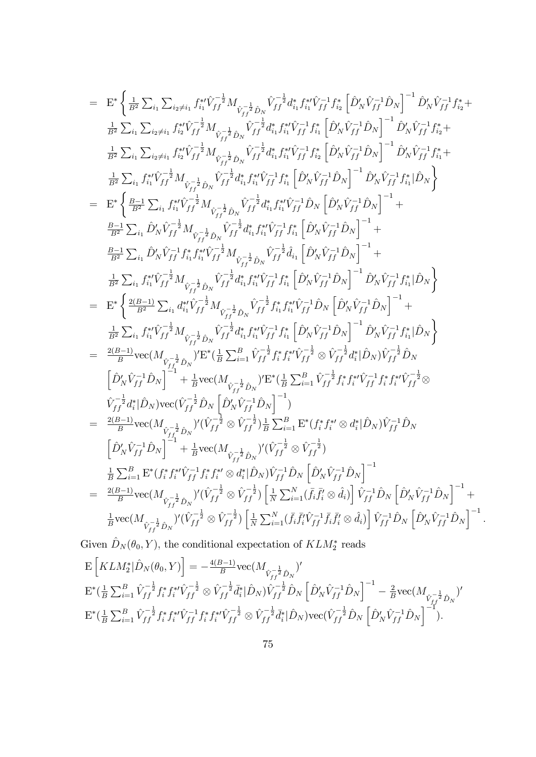$$
= \mathbf{E}^{*} \left\{ \frac{1}{B^{2}} \sum_{i_{1}} \sum_{i_{2} \neq i_{1}} f_{i_{1}}^{\ast} \hat{V}_{ff}^{-\frac{1}{2}} M_{\hat{V}_{ff}^{-\frac{1}{2}} \hat{V}_{ff}} \hat{V}_{ff}^{-\frac{1}{2}} \hat{V}_{ff}^{\ast} \hat{V}_{ff}^{-\frac{1}{2}} \hat{V}_{ff} \hat{V}_{ff}^{-\frac{1}{2}} \hat{V}_{ff} \hat{V}_{ff}^{-\frac{1}{2}} \hat{V}_{ff} \hat{V}_{ff}^{-\frac{1}{2}} \hat{V}_{ff} \hat{V}_{ff}^{-\frac{1}{2}} \hat{V}_{ff} \hat{V}_{ff}^{-\frac{1}{2}} \hat{V}_{ff} \hat{V}_{ff}^{-\frac{1}{2}} \hat{V}_{ff} \hat{V}_{ff}^{-\frac{1}{2}} \hat{V}_{ff} \hat{V}_{ff}^{-\frac{1}{2}} \hat{V}_{ff} \hat{V}_{ff}^{-\frac{1}{2}} \hat{V}_{ff} \hat{V}_{ff}^{-\frac{1}{2}} \hat{V}_{ff} \hat{V}_{ff}^{-\frac{1}{2}} \hat{V}_{ff} \hat{V}_{ff}^{-\frac{1}{2}} \hat{V}_{ff} \hat{V}_{ff}^{-\frac{1}{2}} \hat{V}_{ff} \hat{V}_{ff}^{-\frac{1}{2}} \hat{V}_{ff} \hat{V}_{ff}^{-\frac{1}{2}} \hat{V}_{ff} \hat{V}_{ff}^{-\frac{1}{2}} \hat{V}_{ff} \hat{V}_{ff}^{-\frac{1}{2}} \hat{V}_{ff} \hat{V}_{ff}^{-\frac{1}{2}} \hat{V}_{ff} \hat{V}_{ff}^{-\frac{1}{2}} \hat{V}_{ff} \hat{V}_{ff}^{-\frac{1}{2}} \hat{V}_{ff} \hat{V}_{ff}^{-\frac{1}{2}} \hat{V}_{ff} \hat{V}_{ff}^{-\frac{1}{2}} \hat{V}_{ff} \hat{V}_{ff}^{-\frac{1}{2}} \hat{V}_{ff} \hat{V}_{ff}^{-\frac{1}{2}} \hat{V}_{ff} \hat{V}_{ff}^{-\frac{1}{2}} \hat{V}_{ff} \hat{V}_{ff}^{-\frac
$$

$$
\begin{array}{l} \label{eq:3.16} {\rm E}\left[ K L M_{2}^{*}|\hat{D}_{N}(\theta_{0},Y) \right]=-\frac{4(B-1)}{B}{\rm vec}(M_{\stackrel{.}{V_{ff}^{-\frac{1}{2}}}\hat{D}_{N}})'\\ {\rm E}^{*}(\frac{1}{B}\sum_{i=1}^{B}\hat{V}_{ff}^{-\frac{1}{2}}f_{i}^{*}f_{i}^{*}\hat{V_{ff}^{-\frac{1}{2}}}\otimes\hat{V}_{ff}^{-\frac{1}{2}}\bar{d}_{i}^{*}|\hat{D}_{N})\hat{V}_{ff}^{-\frac{1}{2}}\hat{D}_{N}\left[\hat{D}_{N}'\hat{V}_{ff}^{-1}\hat{D}_{N}\right]^{-1}-\frac{2}{B}{\rm vec}(M_{\stackrel{.}{V_{ff}^{-\frac{1}{2}}}\hat{D}_{N}})'\\ {\rm E}^{*}(\frac{1}{B}\sum_{i=1}^{B}\hat{V}_{ff}^{-\frac{1}{2}}f_{i}^{*}f_{i}^{*}\hat{V}_{ff}^{-1}f_{i}^{*}f_{i}^{*}\hat{V}_{ff}^{-\frac{1}{2}}\otimes\hat{V}_{ff}^{-\frac{1}{2}}\bar{d}_{i}^{*}|\hat{D}_{N}){\rm vec}(\hat{V}_{ff}^{-\frac{1}{2}}\hat{D}_{N}\left[\hat{D}_{N}'\hat{V}_{ff}^{-1}\hat{D}_{N}\right]^{-1}). \end{array}
$$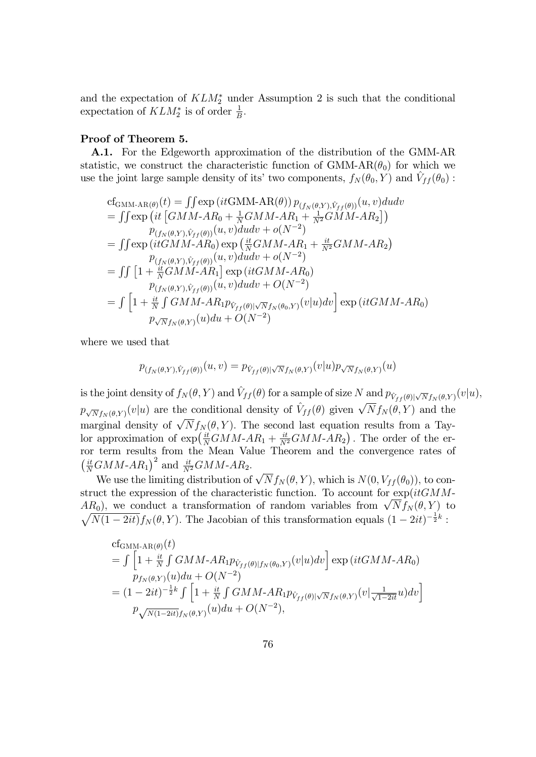and the expectation of  $KLM_2^*$  under Assumption 2 is such that the conditional expectation of  $KLM_2^*$  is of order  $\frac{1}{B}$ .

## Proof of Theorem 5.

A.1. For the Edgeworth approximation of the distribution of the GMM-AR statistic, we construct the characteristic function of GMM-AR $(\theta_0)$  for which we use the joint large sample density of its' two components,  $f_N(\theta_0, Y)$  and  $\hat{V}_{ff} (\theta_0)$ :

cf<sub>GMM-AR(θ)</sub>(t) = 
$$
\iint \exp\left(it\text{GMM-AR}(\theta)\right) p_{(f_N(\theta,Y), \hat{V}_{ff}(\theta))}(u, v) du dv
$$
  
= 
$$
\iint \exp\left(it\left[\text{GMM-AR}_{0} + \frac{1}{N}\text{GMM-AR}_{1} + \frac{1}{N^{2}}\text{GMM-AR}_{2}\right]\right)
$$
  

$$
p_{(f_N(\theta,Y), \hat{V}_{ff}(\theta))}(u, v) du dv + o(N^{-2})
$$
  
= 
$$
\iint \exp\left(it\text{GMM-AR}_{0}\right) \exp\left(\frac{it}{N}\text{GMM-AR}_{1} + \frac{it}{N^{2}}\text{GMM-AR}_{2}\right)
$$
  

$$
p_{(f_N(\theta,Y), \hat{V}_{ff}(\theta))}(u, v) du dv + o(N^{-2})
$$
  
= 
$$
\iint \left[1 + \frac{it}{N}\text{GMM-AR}_{1}\right] \exp\left(it\text{GMM-AR}_{0}\right)
$$
  

$$
p_{(f_N(\theta,Y), \hat{V}_{ff}(\theta))}(u, v) du dv + O(N^{-2})
$$
  
= 
$$
\int \left[1 + \frac{it}{N}\int\text{GMM-AR}_{1}p_{\hat{V}_{ff}(\theta)|\sqrt{N}f_N(\theta_0,Y)}(v|u) dv\right] \exp\left(it\text{GMM-AR}_{0}\right)
$$
  

$$
p_{\sqrt{N}f_N(\theta,Y)}(u) du + O(N^{-2})
$$

where we used that

$$
p_{(f_N(\theta,Y),\hat{V}_{ff}(\theta))}(u,v) = p_{\hat{V}_{ff}(\theta)|\sqrt{N}f_N(\theta,Y)}(v|u)p_{\sqrt{N}f_N(\theta,Y)}(u)
$$

is the joint density of  $f_N(\theta, Y)$  and  $\hat{V}_{ff} (\theta)$  for a sample of size N and  $p_{\hat{V}_{ff} (\theta)|\sqrt{N}f_N(\theta, Y)}(v|u)$ ,  $p_{\sqrt{N}f_N(\theta,Y)}(v|u)$  are the conditional density of  $\hat{V}_{ff}(\theta)$  given  $\sqrt{N}f_N(\theta,Y)$  and the marginal density of  $\sqrt{N} f_N(\theta, Y)$ . The second last equation results from a Taylor approximation of  $\exp\left(\frac{it}{N}GMM-AR_1+\frac{it}{N^2}GMM-AR_2\right)$ . The order of the error term results from the Mean Value Theorem and the convergence rates of  $\left(\frac{it}{N}GMM\text{-}AR_1\right)^2$  and  $\frac{it}{N^2}GMM\text{-}AR_2$ .

We use the limiting distribution of  $\sqrt{N} f_N(\theta, Y)$ , which is  $N(0, V_{ff}(\theta_0))$ , to construct the expression of the characteristic function. To account for  $\exp(itGMM AR_0$ ), we conduct a transformation of random variables from  $\sqrt{N}f_N(\theta, Y)$  to  $\sqrt{N(1-2it)}f_N(\theta, Y)$ . The Jacobian of this transformation equals  $(1-2it)^{-\frac{1}{2}k}$ :

cf<sub>GMM-AR(\theta)</sub>(t)  
\n
$$
= \int \left[1 + \frac{it}{N} \int GMM - AR_1 p_{\hat{V}_{ff}(\theta)|f_N(\theta_0, Y)}(v|u) dv\right] \exp (itGMM - AR_0)
$$
\n
$$
p_{f_N(\theta, Y)}(u) du + O(N^{-2})
$$
\n
$$
= (1 - 2it)^{-\frac{1}{2}k} \int \left[1 + \frac{it}{N} \int GMM - AR_1 p_{\hat{V}_{ff}(\theta)|\sqrt{N}f_N(\theta, Y)}(v|\frac{1}{\sqrt{1 - 2it}}u) dv\right]
$$
\n
$$
p_{\sqrt{N(1 - 2it)}f_N(\theta, Y)}(u) du + O(N^{-2}),
$$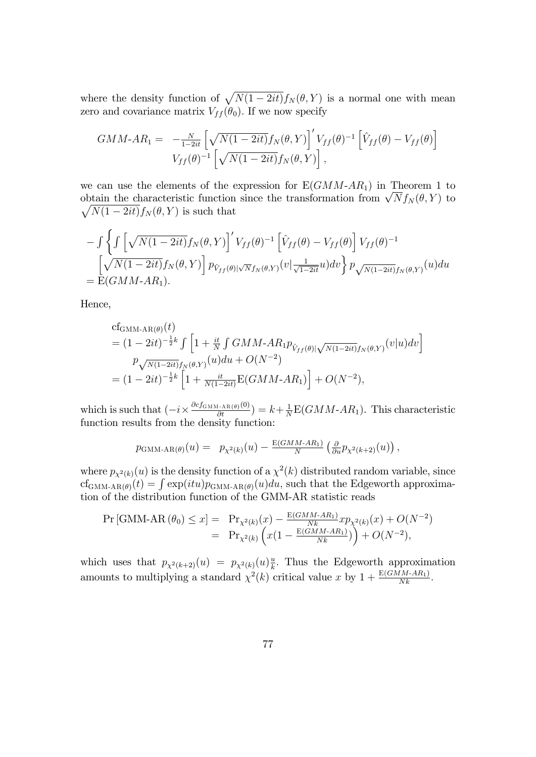where the density function of  $\sqrt{N(1-2it)}f_N(\theta, Y)$  is a normal one with mean zero and covariance matrix  $V_{ff}(\theta_0)$ . If we now specify

$$
GMM\text{-}AR_1 = -\frac{N}{1-2it} \left[ \sqrt{N(1-2it)} f_N(\theta, Y) \right]' V_{ff}(\theta)^{-1} \left[ \hat{V}_{ff}(\theta) - V_{ff}(\theta) \right]
$$
  

$$
V_{ff}(\theta)^{-1} \left[ \sqrt{N(1-2it)} f_N(\theta, Y) \right],
$$

we can use the elements of the expression for  $E(GMM-AR_1)$  in Theorem 1 to obtain the characteristic function since the transformation from  $\sqrt{N} f_N(\theta, Y)$  to  $\sqrt{N(1-2it)}f_N(\theta,Y)$  is such that

$$
- \int \left\{ \int \left[ \sqrt{N(1-2it)} f_N(\theta, Y) \right]' V_{ff}(\theta)^{-1} \left[ \hat{V}_{ff}(\theta) - V_{ff}(\theta) \right] V_{ff}(\theta)^{-1} \right\}= \left[ \sqrt{N(1-2it)} f_N(\theta, Y) \right] p_{\hat{V}_{ff}(\theta)|\sqrt{N}f_N(\theta, Y)}(v | \frac{1}{\sqrt{1-2it}} u) dv \right\} p_{\sqrt{N(1-2it)} f_N(\theta, Y)}(u) du= E(GMM-AR1).
$$

Hence,

cf<sub>GMM-AR(\theta)</sub>(t)  
\n= 
$$
(1 - 2it)^{-\frac{1}{2}k} \int \left[ 1 + \frac{it}{N} \int GMM - AR_1 p_{\hat{V}_{ff}(\theta)|\sqrt{N(1-2it)}f_N(\theta,Y)}(v|u)dv \right]
$$
  
\n
$$
p_{\sqrt{N(1-2it)}f_N(\theta,Y)}(u)du + O(N^{-2})
$$
\n=  $(1 - 2it)^{-\frac{1}{2}k} \left[ 1 + \frac{it}{N(1-2it)} E(GMM - AR_1) \right] + O(N^{-2}),$ 

which is such that  $\left(-i \times \frac{\partial c f_{\text{GMM-AR}(\theta)}(0)}{\partial t}\right) = k + \frac{1}{N}$  $\frac{1}{N}E(GMM-AR_1)$ . This characteristic function results from the density function:

$$
p_{\text{GMM-AR}(\theta)}(u) = p_{\chi^2(k)}(u) - \frac{E(GMM\text{-}AR_1)}{N} \left(\frac{\partial}{\partial u} p_{\chi^2(k+2)}(u)\right),
$$

where  $p_{\chi^2(k)}(u)$  is the density function of a  $\chi^2(k)$  distributed random variable, since  $cf_{\text{GMM-AR}(\theta)}(t) = \int \exp(itu)p_{\text{GMM-AR}(\theta)}(u)du$ , such that the Edgeworth approximation of the distribution function of the GMM-AR statistic reads

$$
Pr\left[\text{GMM-AR}\left(\theta_{0}\right) \leq x\right] = Pr_{\chi^{2}(k)}(x) - \frac{E(GMM-AR_{1})}{Nk} x p_{\chi^{2}(k)}(x) + O(N^{-2})
$$
  
= Pr\_{\chi^{2}(k)}\left(x\left(1 - \frac{E(GMM-AR\_{1})}{Nk}\right)\right) + O(N^{-2}),

which uses that  $p_{\chi^2(k+2)}(u) = p_{\chi^2(k)}(u) \frac{u}{k}$  $\frac{u}{k}$ . Thus the Edgeworth approximation amounts to multiplying a standard  $\chi^2(k)$  critical value x by  $1 + \frac{E(GMM-AR_1)}{Nk}$ .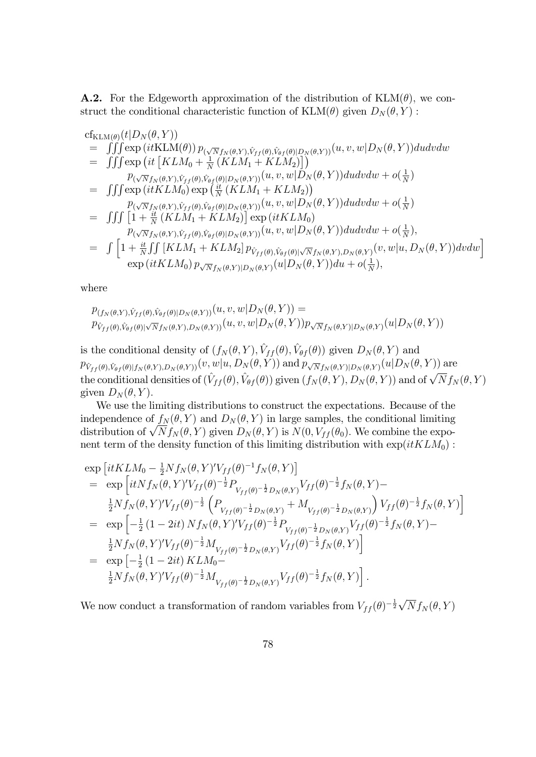**A.2.** For the Edgeworth approximation of the distribution of  $KLM(\theta)$ , we construct the conditional characteristic function of  $KLM(\theta)$  given  $D_N(\theta, Y)$ :

cf<sub>KLM(θ)</sub>(*t*|*D<sub>N</sub>*(*θ, Y*))  
\n
$$
= \iiint \exp\left(it\text{KLM}(\theta)\right) p_{(\sqrt{N}f_N(\theta,Y),\hat{V}_{f}(\theta),\hat{V}_{\theta f}(\theta)|D_N(\theta,Y))}(u,v,w|D_N(\theta,Y))dudvdw
$$
\n
$$
= \iiint \exp\left(it\left[KLM_0 + \frac{1}{N}\left(KLM_1 + KLM_2\right)\right]\right)
$$
\n
$$
= \iiint \exp\left(it\text{KLM}_0\right) \exp\left(\frac{it}{N}\left(KLM_1 + KLM_2\right)\right)
$$
\n
$$
= \iiint \exp\left(it\text{KLM}_0\right) \exp\left(\frac{it}{N}\left(KLM_1 + KLM_2\right)\right)
$$
\n
$$
= \iiint \exp\left(it\text{KLM}_0\right) \exp\left(\frac{it}{N}\left(KLM_1 + KLM_2\right)\right)
$$
\n
$$
= \iiint \left[1 + \frac{it}{N}\left(KLM_1 + KLM_2\right)\right] \exp\left(it\text{KLM}_0\right)
$$
\n
$$
p_{(\sqrt{N}f_N(\theta,Y),\hat{V}_{f}(\theta),\hat{V}_{\theta f}(\theta)|D_N(\theta,Y))}(u,v,w|D_N(\theta,Y))dudvdw + o(\frac{1}{N}),
$$
\n
$$
= \iint \left[1 + \frac{it}{N}\iint \left[KLM_1 + KLM_2\right] p_{\hat{V}_{f}(\theta),\hat{V}_{\theta f}(\theta)|\sqrt{N}f_N(\theta,Y),D_N(\theta,Y)}(v,w|u,D_N(\theta,Y))dvdw\right] \exp\left(it\text{KLM}_0\right) p_{\sqrt{N}f_N(\theta,Y)|D_N(\theta,Y)}(u|D_N(\theta,Y))du + o(\frac{1}{N}),
$$

where

$$
p_{(f_N(\theta,Y),\hat{V}_{ff}(\theta),\hat{V}_{\theta f}(\theta)|D_N(\theta,Y))}(u,v,w|D_N(\theta,Y)) = p_{\hat{V}_{ff}(\theta),\hat{V}_{\theta f}(\theta)|\sqrt{N}f_N(\theta,Y),D_N(\theta,Y))}(u,v,w|D_N(\theta,Y))p_{\sqrt{N}f_N(\theta,Y)|D_N(\theta,Y)}(u|D_N(\theta,Y))
$$

is the conditional density of  $(f_N(\theta, Y), \hat{V}_{ff}(\theta), \hat{V}_{\theta f}(\theta))$  given  $D_N(\theta, Y)$  and  $p_{\hat{V}_{ff} (\theta),\hat{V}_{\theta f} (\theta) | f_N (\theta,Y),D_N (\theta,Y))} (v,w|u,D_N (\theta,Y)) \text{ and } p_{\sqrt{N}f_N (\theta,Y) | D_N (\theta,Y)} (u|D_N (\theta,Y)) \text{ are}$ the conditional densities of  $(\hat{V}_{ff} (\theta), \hat{V}_{\theta f} (\theta))$  given  $(f_N (\theta, Y), D_N (\theta, Y))$  and of  $\sqrt{N} f_N (\theta, Y)$ given  $D_N(\theta, Y)$ .

We use the limiting distributions to construct the expectations. Because of the independence of  $f_N(\theta, Y)$  and  $D_N(\theta, Y)$  in large samples, the conditional limiting distribution of  $\sqrt{N} f_N(\theta, Y)$  given  $D_N(\theta, Y)$  is  $N(0, V_{ff}(\theta_0)$ . We combine the exponent term of the density function of this limiting distribution with  $\exp(itKLM_0)$ :

$$
\exp\left[itKLM_{0} - \frac{1}{2}Nf_{N}(\theta, Y)'V_{ff}(\theta)^{-1}f_{N}(\theta, Y)\right]
$$
\n
$$
= \exp\left[itNf_{N}(\theta, Y)'V_{ff}(\theta)^{-\frac{1}{2}}P_{V_{ff}(\theta)^{-\frac{1}{2}}D_{N}(\theta, Y)}V_{ff}(\theta)^{-\frac{1}{2}}f_{N}(\theta, Y) - \frac{1}{2}Nf_{N}(\theta, Y)'V_{ff}(\theta)^{-\frac{1}{2}}\left(P_{V_{ff}(\theta)^{-\frac{1}{2}}D_{N}(\theta, Y)} + M_{V_{ff}(\theta)^{-\frac{1}{2}}D_{N}(\theta, Y)}\right)V_{ff}(\theta)^{-\frac{1}{2}}f_{N}(\theta, Y)\right]
$$
\n
$$
= \exp\left[-\frac{1}{2}(1-2it)Nf_{N}(\theta, Y)'V_{ff}(\theta)^{-\frac{1}{2}}P_{V_{ff}(\theta)^{-\frac{1}{2}}D_{N}(\theta, Y)}V_{ff}(\theta)^{-\frac{1}{2}}f_{N}(\theta, Y) - \frac{1}{2}Nf_{N}(\theta, Y)'V_{ff}(\theta)^{-\frac{1}{2}}M_{V_{ff}(\theta)^{-\frac{1}{2}}D_{N}(\theta, Y)}V_{ff}(\theta)^{-\frac{1}{2}}f_{N}(\theta, Y)\right]
$$
\n
$$
= \exp\left[-\frac{1}{2}(1-2it)KLM_{0} - \frac{1}{2}Nf_{N}(\theta, Y)'V_{ff}(\theta)^{-\frac{1}{2}}M_{V_{ff}(\theta)^{-\frac{1}{2}}D_{N}(\theta, Y)}V_{ff}(\theta)^{-\frac{1}{2}}f_{N}(\theta, Y)\right].
$$

We now conduct a transformation of random variables from  $V_{ff}(\theta)^{-\frac{1}{2}}\sqrt{N}f_N(\theta,Y)$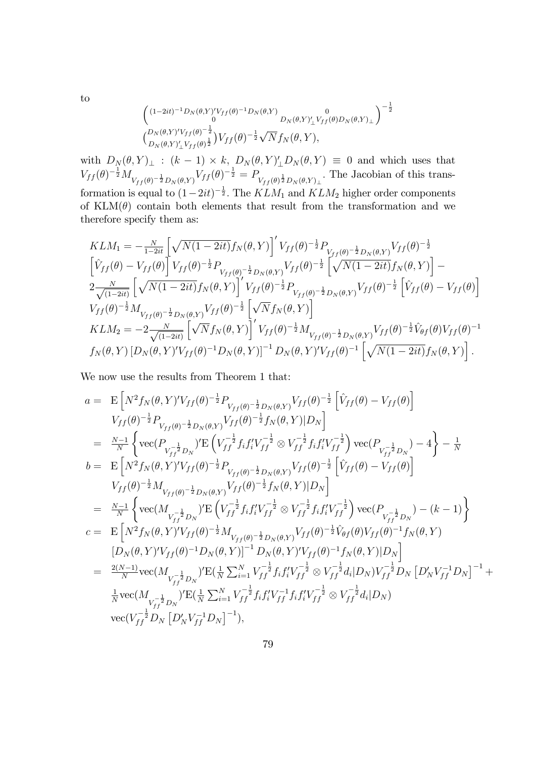$$
\begin{pmatrix}\n(1-2it)^{-1}D_N(\theta,Y)'V_{ff}(\theta)^{-1}D_N(\theta,Y) & 0 \\
0 & D_N(\theta,Y)'\_V_{ff}(\theta)D_N(\theta,Y)\_L\n\end{pmatrix}^{-\frac{1}{2}}\n\begin{pmatrix}\nD_N(\theta,Y)'V_{ff}(\theta)^{-\frac{1}{2}}V_{ff}(\theta)^{-\frac{1}{2}}\sqrt{N}f_N(\theta,Y),\n\end{pmatrix}
$$

with  $D_N(\theta, Y)_\perp$ :  $(k-1) \times k$ ,  $D_N(\theta, Y)'_\perp D_N(\theta, Y) \equiv 0$  and which uses that  $V_{ff}(\theta)^{-\frac{1}{2}} M_{V_{ff}(\theta)^{-\frac{1}{2}} D_N(\theta, Y)} V_{ff}(\theta)^{-\frac{1}{2}} = P_{V_{ff}(\theta)^{\frac{1}{2}} D_N(\theta, Y)_\perp}$ . The Jacobian of this transformation is equal to  $(1-2it)^{-\frac{1}{2}}$ . The  $KLM_1$  and  $KLM_2$  higher order components of  $KLM(\theta)$  contain both elements that result from the transformation and we therefore specify them as:

$$
KLM_{1} = -\frac{N}{1-2it} \left[ \sqrt{N(1-2it)} f_{N}(\theta, Y) \right]' V_{ff}(\theta)^{-\frac{1}{2}} P_{V_{ff}(\theta)^{-\frac{1}{2}} D_{N}(\theta, Y)} V_{ff}(\theta)^{-\frac{1}{2}} \n\left[ \hat{V}_{ff}(\theta) - V_{ff}(\theta) \right] V_{ff}(\theta)^{-\frac{1}{2}} P_{V_{ff}(\theta)^{-\frac{1}{2}} D_{N}(\theta, Y)} V_{ff}(\theta)^{-\frac{1}{2}} \left[ \sqrt{N(1-2it)} f_{N}(\theta, Y) \right] - 2 \frac{N}{\sqrt{(1-2it)}} \left[ \sqrt{N(1-2it)} f_{N}(\theta, Y) \right]' V_{ff}(\theta)^{-\frac{1}{2}} P_{V_{ff}(\theta)^{-\frac{1}{2}} D_{N}(\theta, Y)} V_{ff}(\theta)^{-\frac{1}{2}} \left[ \hat{V}_{ff}(\theta) - V_{ff}(\theta) \right] \nV_{ff}(\theta)^{-\frac{1}{2}} M_{V_{ff}(\theta)^{-\frac{1}{2}} D_{N}(\theta, Y)} V_{ff}(\theta)^{-\frac{1}{2}} \left[ \sqrt{N} f_{N}(\theta, Y) \right] \nKLM_{2} = -2 \frac{N}{\sqrt{(1-2it)}} \left[ \sqrt{N} f_{N}(\theta, Y) \right]' V_{ff}(\theta)^{-\frac{1}{2}} M_{V_{ff}(\theta)^{-\frac{1}{2}} D_{N}(\theta, Y)} V_{ff}(\theta)^{-\frac{1}{2}} \hat{V}_{\theta f}(\theta) V_{ff}(\theta)^{-1} \nf_{N}(\theta, Y) \left[ D_{N}(\theta, Y)' V_{ff}(\theta)^{-1} D_{N}(\theta, Y) \right]^{-1} D_{N}(\theta, Y)' V_{ff}(\theta)^{-1} \left[ \sqrt{N(1-2it)} f_{N}(\theta, Y) \right].
$$

We now use the results from Theorem 1 that:

$$
a = \mathbf{E} \left[ N^2 f_N(\theta, Y)' V_{ff}(\theta)^{-\frac{1}{2}} P_{V_{ff}(\theta)^{-\frac{1}{2}} D_N(\theta, Y)} V_{ff}(\theta)^{-\frac{1}{2}} \left[ \hat{V}_{ff}(\theta) - V_{ff}(\theta) \right] \right. \nV_{ff}(\theta)^{-\frac{1}{2}} P_{V_{ff}(\theta)^{-\frac{1}{2}} D_N(\theta, Y)} V_{ff}(\theta)^{-\frac{1}{2}} f_N(\theta, Y) |D_N \right] \n= \frac{N-1}{N} \left\{ \text{vec}(P_{V_{ff}^{-\frac{1}{2}} D_N})' \mathbf{E} \left( V_{ff}^{-\frac{1}{2}} f_i f'_i V_{ff}^{-\frac{1}{2}} \otimes V_{ff}^{-\frac{1}{2}} f_i f'_i V_{ff}^{-\frac{1}{2}} \right) \text{vec}(P_{V_{ff}^{-\frac{1}{2}} D_N}) - 4 \right\} - \frac{1}{N} \nb = \mathbf{E} \left[ N^2 f_N(\theta, Y)' V_{ff}(\theta)^{-\frac{1}{2}} P_{V_{ff}(\theta)^{-\frac{1}{2}} D_N(\theta, Y)} V_{ff}(\theta)^{-\frac{1}{2}} \left[ \hat{V}_{ff}(\theta) - V_{ff}(\theta) \right] \right. \nV_{ff}(\theta)^{-\frac{1}{2}} M_{V_{ff}(\theta)^{-\frac{1}{2}} D_N(\theta, Y)} V_{ff}(\theta)^{-\frac{1}{2}} f_N(\theta, Y) |D_N \right] \n= \frac{N-1}{N} \left\{ \text{vec}(M_{V_{ff}^{-\frac{1}{2}} D_N})' \mathbf{E} \left( V_{ff}^{-\frac{1}{2}} f_i f'_i V_{ff}^{-\frac{1}{2}} \otimes V_{ff}^{-\frac{1}{2}} f_i f'_i V_{ff}^{-\frac{1}{2}} \right) \text{vec}(P_{V_{ff}^{-\frac{1}{2}} D_N}) - (k-1) \right\} \nc = \mathbf{E} \left[ N^2 f_N(\theta, Y)' V_{ff}(\theta)^{-\frac{1}{2}} M_{V_{ff}(\theta)^{-\frac{1}{2}} D_N(\theta, Y)} V_{ff}(\theta)^{-\frac{1}{2}} \hat{V}_{\theta f}(\theta) V_{ff}(\theta)^{-1} f_N(\theta, Y) \right. \
$$

to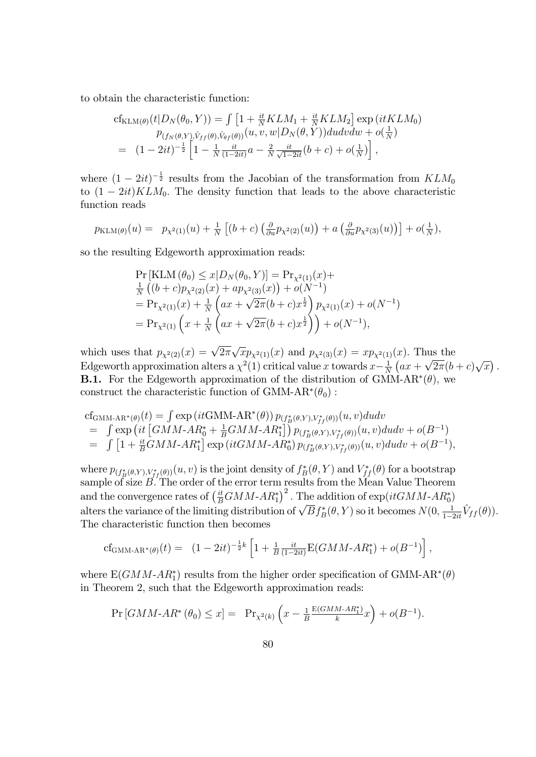to obtain the characteristic function:

$$
cf_{\text{KLM}(\theta)}(t|D_N(\theta_0, Y)) = \int \left[1 + \frac{it}{N}KLM_1 + \frac{it}{N}KLM_2\right] \exp\left(itKLM_0\right)
$$
  
\n
$$
p_{(f_N(\theta, Y), \hat{V}_{ff}(\theta), \hat{V}_{\theta f}(\theta))}(u, v, w|D_N(\theta, Y))dudvdw + o(\frac{1}{N})
$$
  
\n
$$
= (1 - 2it)^{-\frac{1}{2}} \left[1 - \frac{1}{N} \frac{it}{(1 - 2it)}a - \frac{2}{N} \frac{it}{\sqrt{1 - 2it}}(b + c) + o(\frac{1}{N})\right],
$$

where  $(1-2it)^{-\frac{1}{2}}$  results from the Jacobian of the transformation from  $KLM_0$ to  $(1 - 2it)KLM_0$ . The density function that leads to the above characteristic function reads

$$
p_{\text{KLM}(\theta)}(u) = p_{\chi^2(1)}(u) + \frac{1}{N} \left[ (b+c) \left( \frac{\partial}{\partial u} p_{\chi^2(2)}(u) \right) + a \left( \frac{\partial}{\partial u} p_{\chi^2(3)}(u) \right) \right] + o(\frac{1}{N}),
$$

so the resulting Edgeworth approximation reads:

$$
\Pr\left[\text{KLM}\left(\theta_{0}\right) \leq x | D_{N}(\theta_{0}, Y) \right] = \Pr_{\chi^{2}(1)}(x) +
$$
\n
$$
\frac{1}{N}\left( (b+c)p_{\chi^{2}(2)}(x) + ap_{\chi^{2}(3)}(x) \right) + o(N^{-1})
$$
\n
$$
= \Pr_{\chi^{2}(1)}(x) + \frac{1}{N}\left(ax + \sqrt{2\pi}(b+c)x^{\frac{1}{2}}\right)p_{\chi^{2}(1)}(x) + o(N^{-1})
$$
\n
$$
= \Pr_{\chi^{2}(1)}\left(x + \frac{1}{N}\left(ax + \sqrt{2\pi}(b+c)x^{\frac{1}{2}}\right)\right) + o(N^{-1}),
$$

which uses that  $p_{\chi^2(2)}(x) = \sqrt{2\pi}\sqrt{x}p_{\chi^2(1)}(x)$  and  $p_{\chi^2(3)}(x) = xp_{\chi^2(1)}(x)$ . Thus the Edgeworth approximation alters a  $\chi^2(1)$  critical value x towards  $x-\frac{1}{\Lambda}$  $\frac{1}{N}\left(ax + \sqrt{2\pi}(b+c)\sqrt{x}\right).$ **B.1.** For the Edgeworth approximation of the distribution of GMM-AR<sup>\*</sup> $(\theta)$ , we construct the characteristic function of GMM-AR<sup>\*</sup> $(\theta_0)$ :

cf<sub>GMM-AR\*(\theta)</sub>(t) = 
$$
\int \exp\left(it\text{GMM-AR}^*(\theta)\right) p_{(f_B^*(\theta,Y),V_{ff}^*(\theta))}(u,v) du dv
$$
  
\n=  $\int \exp\left(it\left[\text{GMM-AR}_0^* + \frac{1}{B}\text{GMM-AR}_1^*\right]\right) p_{(f_B^*(\theta,Y),V_{ff}^*(\theta))}(u,v) du dv + o(B^{-1})$   
\n=  $\int \left[1 + \frac{it}{B}\text{GMM-AR}_1^*\right] \exp\left(it\text{GMM-AR}_0^*\right) p_{(f_B^*(\theta,Y),V_{ff}^*(\theta))}(u,v) du dv + o(B^{-1}),$ 

where  $p_{(f_B^*(\theta,Y),V_{ff}^*(\theta))}(u,v)$  is the joint density of  $f_B^*(\theta,Y)$  and  $V_{ff}^*(\theta)$  for a bootstrap sample of size  $B$ . The order of the error term results from the Mean Value Theorem and the convergence rates of  $\left(\frac{it}{B}GMM-AR_1^*\right)^2$ . The addition of  $\exp(itGMM-AR_0^*)$ alters the variance of the limiting distribution of  $\sqrt{B} f_B^*(\theta, Y)$  so it becomes  $N(0, \frac{1}{1-2it}\hat{V}_{ff}(\theta)).$ The characteristic function then becomes

$$
cf_{\text{GMM-AR}^*(\theta)}(t) = (1-2it)^{-\frac{1}{2}k} \left[1 + \frac{1}{B} \frac{it}{(1-2it)} E(GMM - AR_1^*) + o(B^{-1})\right],
$$

where  $E(GMM-AR_1^*)$  results from the higher order specification of GMM-AR<sup>\*</sup>( $\theta$ ) in Theorem 2, such that the Edgeworth approximation reads:

$$
\Pr\left[GMM\text{-}AR^*(\theta_0)\leq x\right] = \Pr_{\chi^2(k)}\left(x - \frac{1}{B}\frac{E(GMM\text{-}AR_1^*)}{k}x\right) + o(B^{-1}).
$$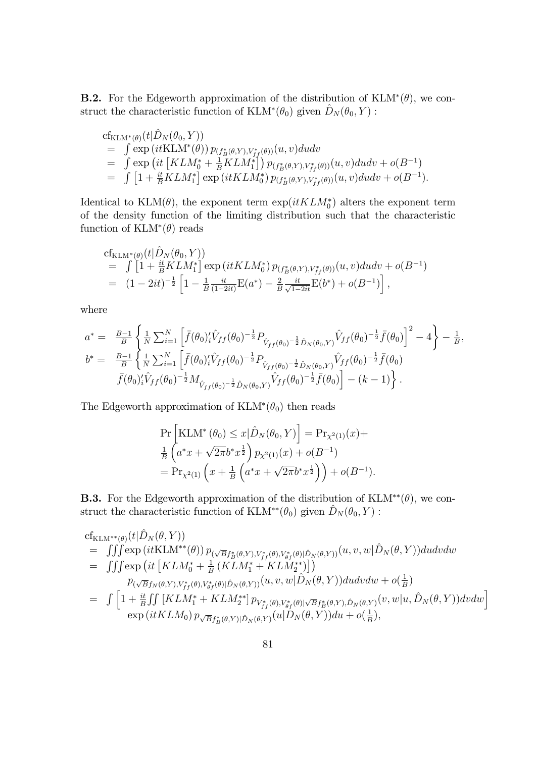**B.2.** For the Edgeworth approximation of the distribution of  $KLM^*(\theta)$ , we construct the characteristic function of  $\text{KLM}^*(\theta_0)$  given  $\hat{D}_N (\theta_0, Y)$ :

$$
cf_{KLM^*(\theta)}(t|\hat{D}_N(\theta_0, Y))
$$
  
=  $\int \exp\left(itKLM^*(\theta)\right) p_{(f^*_B(\theta, Y), V^*_f(\theta))}(u, v) du dv$   
=  $\int \exp\left(it\left[KLM_0^* + \frac{1}{B}KLM_1^*\right]\right) p_{(f^*_B(\theta, Y), V^*_f(\theta))}(u, v) du dv + o(B^{-1})$   
=  $\int \left[1 + \frac{it}{B}KLM_1^*\right] \exp\left(itKLM_0^*\right) p_{(f^*_B(\theta, Y), V^*_f(\theta))}(u, v) du dv + o(B^{-1}).$ 

Identical to  $\text{KLM}(\theta)$ , the exponent term  $\exp(itKLM_0^*)$  alters the exponent term of the density function of the limiting distribution such that the characteristic function of  $KLM^*(\theta)$  reads

$$
cf_{KLM^*(\theta)}(t|\hat{D}_N(\theta_0, Y))
$$
  
=  $\int [1 + \frac{it}{B}KLM_1^*] \exp(itKLM_0^*) p_{(f_B^*(\theta, Y), V_{ff}^*(\theta))}(u, v) du dv + o(B^{-1})$   
=  $(1 - 2it)^{-\frac{1}{2}} \left[1 - \frac{1}{B} \frac{it}{(1 - 2it)} E(a^*) - \frac{2}{B} \frac{it}{\sqrt{1 - 2it}} E(b^*) + o(B^{-1})\right],$ 

where

$$
a^* = \frac{B-1}{B} \left\{ \frac{1}{N} \sum_{i=1}^N \left[ \bar{f}(\theta_0)'_i \hat{V}_{ff}(\theta_0)^{-\frac{1}{2}} P_{\hat{V}_{ff}(\theta_0)^{-\frac{1}{2}} \hat{D}_N(\theta_0, Y)} \hat{V}_{ff}(\theta_0)^{-\frac{1}{2}} \bar{f}(\theta_0) \right]^2 - 4 \right\} - \frac{1}{B},
$$
  
\n
$$
b^* = \frac{B-1}{B} \left\{ \frac{1}{N} \sum_{i=1}^N \left[ \bar{f}(\theta_0)'_i \hat{V}_{ff}(\theta_0)^{-\frac{1}{2}} P_{\hat{V}_{ff}(\theta_0)^{-\frac{1}{2}} \hat{D}_N(\theta_0, Y)} \hat{V}_{ff}(\theta_0)^{-\frac{1}{2}} \bar{f}(\theta_0) \right. \right.
$$
  
\n
$$
\bar{f}(\theta_0)'_i \hat{V}_{ff}(\theta_0)^{-\frac{1}{2}} M_{\hat{V}_{ff}(\theta_0)^{-\frac{1}{2}} \hat{D}_N(\theta_0, Y)} \hat{V}_{ff}(\theta_0)^{-\frac{1}{2}} \bar{f}(\theta_0) \right] - (k - 1) \Big\}.
$$

The Edgeworth approximation of  $KLM^*(\theta_0)$  then reads

$$
\Pr\left[\text{KLM}^*(\theta_0) \le x|\hat{D}_N(\theta_0, Y)\right] = \Pr_{\chi^2(1)}(x) + \frac{1}{B}\left(a^*x + \sqrt{2\pi}b^*x^{\frac{1}{2}}\right)p_{\chi^2(1)}(x) + o(B^{-1}) \n= \Pr_{\chi^2(1)}\left(x + \frac{1}{B}\left(a^*x + \sqrt{2\pi}b^*x^{\frac{1}{2}}\right)\right) + o(B^{-1}).
$$

**B.3.** For the Edgeworth approximation of the distribution of  $KLM^{**}(\theta)$ , we construct the characteristic function of KLM<sup>\*\*</sup>( $\theta_0$ ) given  $\hat{D}_N (\theta_0, Y)$  :

$$
cf_{KLM^{**}(\theta)}(t|\hat{D}_N(\theta, Y))
$$
\n
$$
= \iiint \exp\left(itKLM^{**}(\theta)\right) p_{(\sqrt{B}f_B^*(\theta, Y), V_{ff}^*(\theta), V_{\theta f}^*(\theta)|\hat{D}_N(\theta, Y))}(u, v, w|\hat{D}_N(\theta, Y))dudvdw
$$
\n
$$
= \iiint \exp\left(it\left[KLM_0^* + \frac{1}{B}\left(KLM_1^* + KLM_2^{**}\right)\right]\right)
$$
\n
$$
p_{(\sqrt{B}f_N(\theta, Y), V_{ff}^*(\theta), V_{\theta f}^*(\theta)|\hat{D}_N(\theta, Y))}(u, v, w|\hat{D}_N(\theta, Y))dudvdw + o(\frac{1}{B})
$$
\n
$$
= \iint \left[1 + \frac{it}{B}\iint \left[KLM_1^* + KLM_2^{**}\right] p_{V_{ff}^*(\theta), V_{\theta f}^*(\theta)|\sqrt{B}f_B^*(\theta, Y), \hat{D}_N(\theta, Y)}(v, w|u, \hat{D}_N(\theta, Y))dvdw\right] \exp\left(itKLM_0\right) p_{\sqrt{B}f_B^*(\theta, Y)|\hat{D}_N(\theta, Y)}(u|D_N(\theta, Y))du + o(\frac{1}{B}),
$$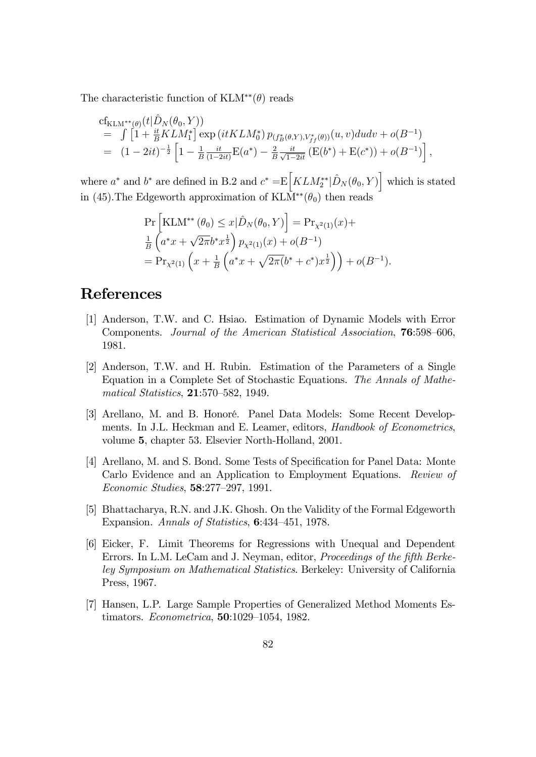The characteristic function of  $KLM^{**}(\theta)$  reads

$$
cf_{KLM^{**}(\theta)}(t|\hat{D}_N(\theta_0, Y))
$$
  
=  $\int [1 + \frac{it}{B}KLM_1^*] \exp(itKLM_0^*) p_{(f_B^*(\theta, Y), V_{ff}^*(\theta))}(u, v) du dv + o(B^{-1})$   
=  $(1 - 2it)^{-\frac{1}{2}} \left[1 - \frac{1}{B} \frac{it}{(1 - 2it)} E(a^*) - \frac{2}{B} \frac{it}{\sqrt{1 - 2it}} (E(b^*) + E(c^*)) + o(B^{-1})\right],$ 

where  $a^*$  and  $b^*$  are defined in B.2 and  $c^* = E\left[KLM_2^{**}|\hat{D}_N(\theta_0, Y)\right]$  which is stated in (45). The Edgeworth approximation of  $KLM^{**}(\theta_0)$  then reads

$$
\Pr\left[\text{KLM}^{**}(\theta_0) \le x|\hat{D}_N(\theta_0, Y)\right] = \Pr_{\chi^2(1)}(x) + \frac{1}{B}\left(a^*x + \sqrt{2\pi}b^*x^{\frac{1}{2}}\right)p_{\chi^2(1)}(x) + o(B^{-1})
$$
  
=  $\Pr_{\chi^2(1)}\left(x + \frac{1}{B}\left(a^*x + \sqrt{2\pi}(b^* + c^*)x^{\frac{1}{2}}\right)\right) + o(B^{-1}).$ 

## References

- [1] Anderson, T.W. and C. Hsiao. Estimation of Dynamic Models with Error Components. Journal of the American Statistical Association, **76**:598–606, 1981.
- [2] Anderson, T.W. and H. Rubin. Estimation of the Parameters of a Single Equation in a Complete Set of Stochastic Equations. The Annals of Mathematical Statistics,  $21:570-582$ , 1949.
- [3] Arellano, M. and B. Honoré. Panel Data Models: Some Recent Developments. In J.L. Heckman and E. Leamer, editors, Handbook of Econometrics, volume 5, chapter 53. Elsevier North-Holland, 2001.
- [4] Arellano, M. and S. Bond. Some Tests of Specification for Panel Data: Monte Carlo Evidence and an Application to Employment Equations. Review of Economic Studies, **58**:277-297, 1991.
- [5] Bhattacharya, R.N. and J.K. Ghosh. On the Validity of the Formal Edgeworth Expansion. Annals of Statistics,  $6:434-451$ , 1978.
- [6] Eicker, F. Limit Theorems for Regressions with Unequal and Dependent Errors. In L.M. LeCam and J. Neyman, editor, *Proceedings of the fifth Berke*ley Symposium on Mathematical Statistics. Berkeley: University of California Press, 1967.
- [7] Hansen, L.P. Large Sample Properties of Generalized Method Moments Estimators. *Econometrica*, **50**:1029–1054, 1982.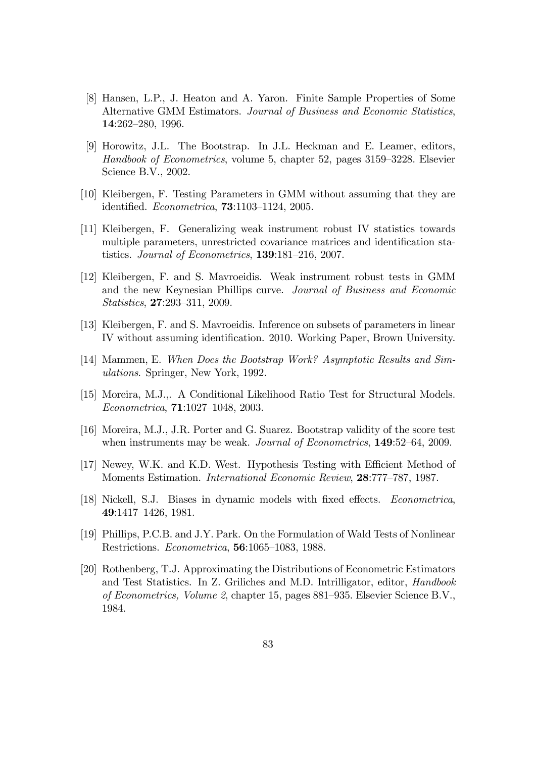- [8] Hansen, L.P., J. Heaton and A. Yaron. Finite Sample Properties of Some Alternative GMM Estimators. Journal of Business and Economic Statistics, 14:262-280, 1996.
- [9] Horowitz, J.L. The Bootstrap. In J.L. Heckman and E. Leamer, editors, Handbook of Econometrics, volume 5, chapter 52, pages 3159–3228. Elsevier Science B.V., 2002.
- [10] Kleibergen, F. Testing Parameters in GMM without assuming that they are identified.  $Econometrica$ , **73**:1103-1124, 2005.
- [11] Kleibergen, F. Generalizing weak instrument robust IV statistics towards multiple parameters, unrestricted covariance matrices and identification statistics. Journal of Econometrics,  $139:181-216$ , 2007.
- [12] Kleibergen, F. and S. Mavroeidis. Weak instrument robust tests in GMM and the new Keynesian Phillips curve. Journal of Business and Economic Statistics, 27:293-311, 2009.
- [13] Kleibergen, F. and S. Mavroeidis. Inference on subsets of parameters in linear IV without assuming identification. 2010. Working Paper, Brown University.
- [14] Mammen, E. When Does the Bootstrap Work? Asymptotic Results and Simulations. Springer, New York, 1992.
- [15] Moreira, M.J.,. A Conditional Likelihood Ratio Test for Structural Models.  $Econometrica$ , **71**:1027-1048, 2003.
- [16] Moreira, M.J., J.R. Porter and G. Suarez. Bootstrap validity of the score test when instruments may be weak. Journal of Econometrics, 149:52–64, 2009.
- [17] Newey, W.K. and K.D. West. Hypothesis Testing with Efficient Method of Moments Estimation. International Economic Review, 28:777-787, 1987.
- [18] Nickell, S.J. Biases in dynamic models with fixed effects. *Econometrica*, 49:1417-1426, 1981.
- [19] Phillips, P.C.B. and J.Y. Park. On the Formulation of Wald Tests of Nonlinear Restrictions. *Econometrica*, **56**:1065–1083, 1988.
- [20] Rothenberg, T.J. Approximating the Distributions of Econometric Estimators and Test Statistics. In Z. Griliches and M.D. Intrilligator, editor, Handbook of Econometrics, Volume 2, chapter 15, pages  $881-935$ . Elsevier Science B.V., 1984.